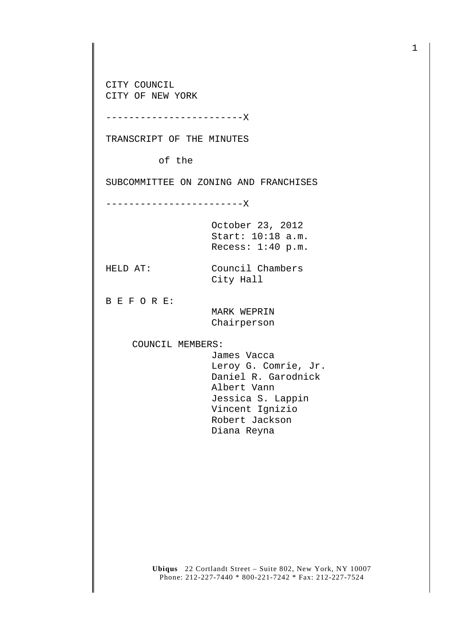CITY COUNCIL CITY OF NEW YORK

------------------------X

TRANSCRIPT OF THE MINUTES

of the

SUBCOMMITTEE ON ZONING AND FRANCHISES

------------------------X

October 23, 2012 Start: 10:18 a.m. Recess: 1:40 p.m.

HELD AT: Council Chambers City Hall

B E F O R E:

 MARK WEPRIN Chairperson

COUNCIL MEMBERS:

 James Vacca Leroy G. Comrie, Jr. Daniel R. Garodnick Albert Vann Jessica S. Lappin Vincent Ignizio Robert Jackson Diana Reyna

**Ubiqus** 22 Cortlandt Street – Suite 802, New York, NY 10007 Phone: 212-227-7440 \* 800-221-7242 \* Fax: 212-227-7524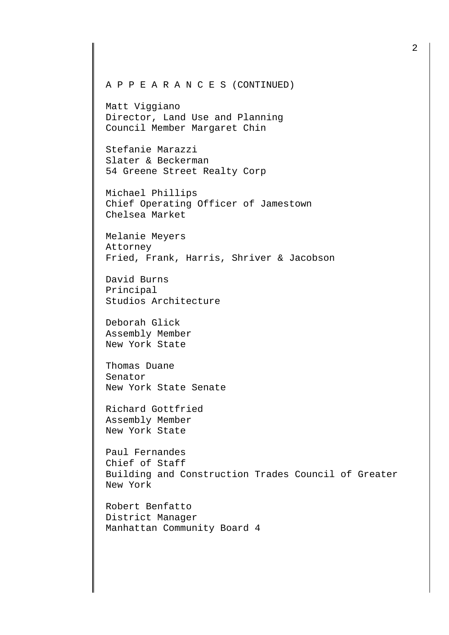Matt Viggiano Director, Land Use and Planning Council Member Margaret Chin

Stefanie Marazzi Slater & Beckerman 54 Greene Street Realty Corp

Michael Phillips Chief Operating Officer of Jamestown Chelsea Market

Melanie Meyers Attorney Fried, Frank, Harris, Shriver & Jacobson

David Burns Principal Studios Architecture

Deborah Glick Assembly Member New York State

Thomas Duane Senator New York State Senate

Richard Gottfried Assembly Member New York State

Paul Fernandes Chief of Staff Building and Construction Trades Council of Greater New York

Robert Benfatto District Manager Manhattan Community Board 4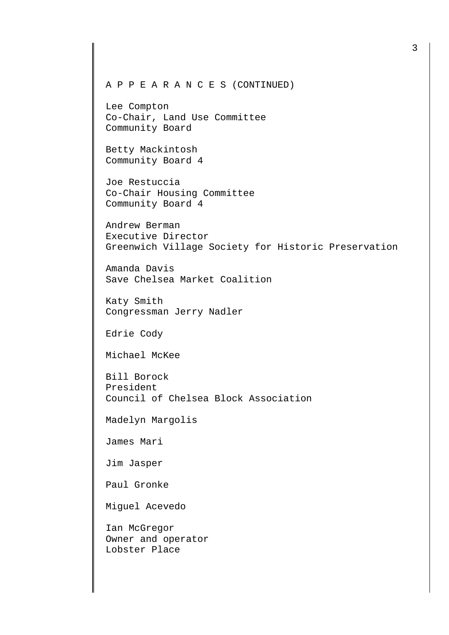Lee Compton Co-Chair, Land Use Committee Community Board

Betty Mackintosh Community Board 4

Joe Restuccia Co-Chair Housing Committee Community Board 4

Andrew Berman Executive Director Greenwich Village Society for Historic Preservation

Amanda Davis Save Chelsea Market Coalition

Katy Smith Congressman Jerry Nadler

Edrie Cody

Michael McKee

Bill Borock President Council of Chelsea Block Association

Madelyn Margolis

James Mari

Jim Jasper

Paul Gronke

Miguel Acevedo

Ian McGregor Owner and operator Lobster Place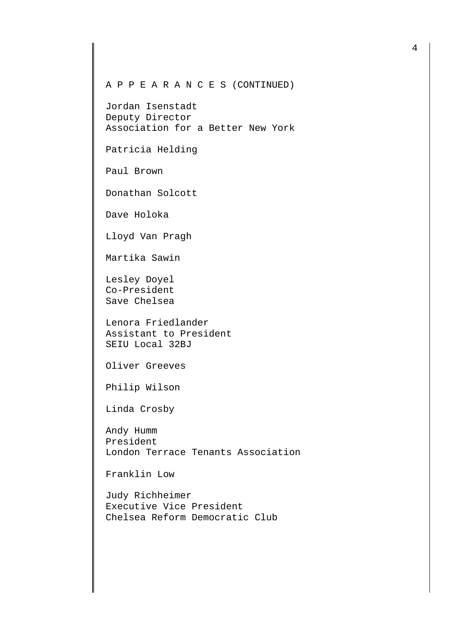Jordan Isenstadt Deputy Director Association for a Better New York

Patricia Helding

Paul Brown

Donathan Solcott

Dave Holoka

Lloyd Van Pragh

Martika Sawin

Lesley Doyel Co-President Save Chelsea

Lenora Friedlander Assistant to President SEIU Local 32BJ

Oliver Greeves

Philip Wilson

Linda Crosby

Andy Humm President London Terrace Tenants Association

Franklin Low

Judy Richheimer Executive Vice President Chelsea Reform Democratic Club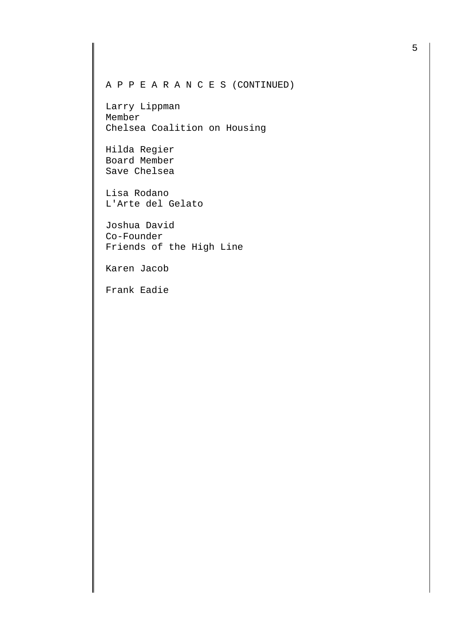Larry Lippman Member Chelsea Coalition on Housing

Hilda Regier Board Member Save Chelsea

Lisa Rodano L'Arte del Gelato

Joshua David Co-Founder Friends of the High Line

Karen Jacob

Frank Eadie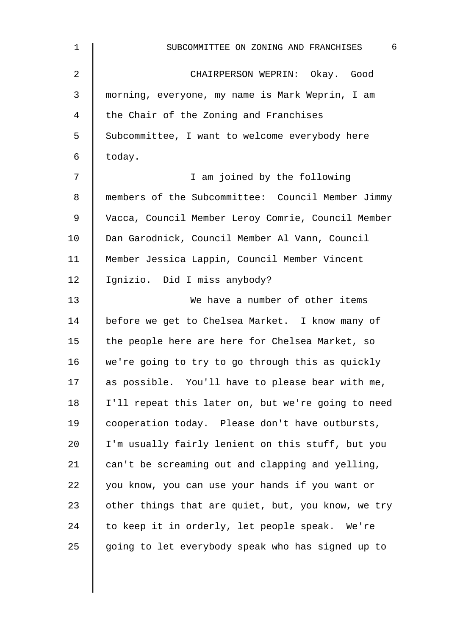| $\mathbf 1$    | 6<br>SUBCOMMITTEE ON ZONING AND FRANCHISES         |
|----------------|----------------------------------------------------|
| $\overline{2}$ | CHAIRPERSON WEPRIN: Okay. Good                     |
| 3              | morning, everyone, my name is Mark Weprin, I am    |
| 4              | the Chair of the Zoning and Franchises             |
| 5              | Subcommittee, I want to welcome everybody here     |
| 6              | today.                                             |
| 7              | I am joined by the following                       |
| 8              | members of the Subcommittee: Council Member Jimmy  |
| 9              | Vacca, Council Member Leroy Comrie, Council Member |
| 10             | Dan Garodnick, Council Member Al Vann, Council     |
| 11             | Member Jessica Lappin, Council Member Vincent      |
| 12             | Ignizio. Did I miss anybody?                       |
| 13             | We have a number of other items                    |
| 14             | before we get to Chelsea Market. I know many of    |
| 15             | the people here are here for Chelsea Market, so    |
| 16             | we're going to try to go through this as quickly   |
| 17             | as possible. You'll have to please bear with me,   |
| 18             | I'll repeat this later on, but we're going to need |
| 19             | cooperation today. Please don't have outbursts,    |
| 20             | I'm usually fairly lenient on this stuff, but you  |
| 21             | can't be screaming out and clapping and yelling,   |
| 22             | you know, you can use your hands if you want or    |
| 23             | other things that are quiet, but, you know, we try |
| 24             | to keep it in orderly, let people speak. We're     |
| 25             | going to let everybody speak who has signed up to  |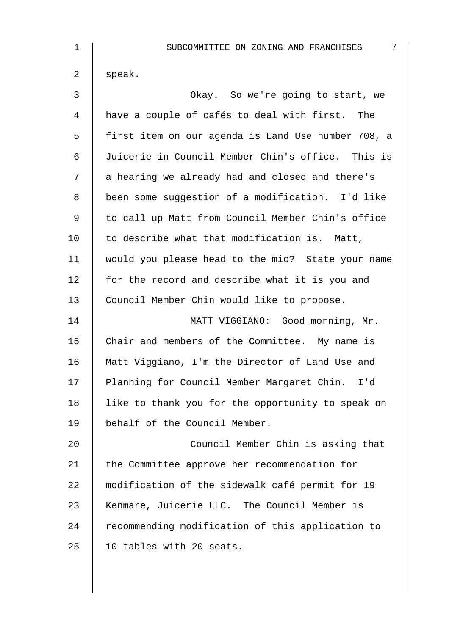| $\mathbf 1$    | 7<br>SUBCOMMITTEE ON ZONING AND FRANCHISES         |
|----------------|----------------------------------------------------|
| $\overline{2}$ | speak.                                             |
| 3              | Okay. So we're going to start, we                  |
| $\overline{4}$ | have a couple of cafés to deal with first. The     |
| 5              | first item on our agenda is Land Use number 708, a |
| 6              | Juicerie in Council Member Chin's office. This is  |
| 7              | a hearing we already had and closed and there's    |
| 8              | been some suggestion of a modification. I'd like   |
| $\mathsf 9$    | to call up Matt from Council Member Chin's office  |
| 10             | to describe what that modification is. Matt,       |
| 11             | would you please head to the mic? State your name  |
| 12             | for the record and describe what it is you and     |
| 13             | Council Member Chin would like to propose.         |
| 14             | MATT VIGGIANO: Good morning, Mr.                   |
| 15             | Chair and members of the Committee. My name is     |
| 16             | Matt Viggiano, I'm the Director of Land Use and    |
| 17             | Planning for Council Member Margaret Chin.<br>I'd  |
| 18             | like to thank you for the opportunity to speak on  |
| 19             | behalf of the Council Member.                      |
| 20             | Council Member Chin is asking that                 |
| 21             | the Committee approve her recommendation for       |
| 22             | modification of the sidewalk café permit for 19    |
| 23             | Kenmare, Juicerie LLC. The Council Member is       |
| 24             | recommending modification of this application to   |
| 25             | 10 tables with 20 seats.                           |
|                |                                                    |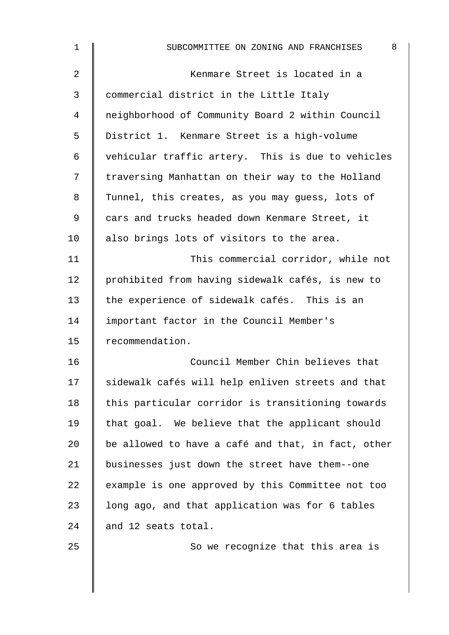| $\mathbf{1}$ | 8<br>SUBCOMMITTEE ON ZONING AND FRANCHISES         |
|--------------|----------------------------------------------------|
| 2            | Kenmare Street is located in a                     |
| 3            | commercial district in the Little Italy            |
| 4            | neighborhood of Community Board 2 within Council   |
| 5            | District 1. Kenmare Street is a high-volume        |
| 6            | vehicular traffic artery. This is due to vehicles  |
| 7            | traversing Manhattan on their way to the Holland   |
| 8            | Tunnel, this creates, as you may guess, lots of    |
| 9            | cars and trucks headed down Kenmare Street, it     |
| 10           | also brings lots of visitors to the area.          |
| 11           | This commercial corridor, while not                |
| 12           | prohibited from having sidewalk cafés, is new to   |
| 13           | the experience of sidewalk cafés. This is an       |
| 14           | important factor in the Council Member's           |
| 15           | recommendation.                                    |
| 16           | Council Member Chin believes that                  |
| 17           | sidewalk cafés will help enliven streets and that  |
| 18           | this particular corridor is transitioning towards  |
| 19           | that goal. We believe that the applicant should    |
| 20           | be allowed to have a café and that, in fact, other |
| 21           | businesses just down the street have them--one     |
| 22           | example is one approved by this Committee not too  |
| 23           | long ago, and that application was for 6 tables    |
| 24           | and 12 seats total.                                |
| 25           | So we recognize that this area is                  |
|              |                                                    |
|              |                                                    |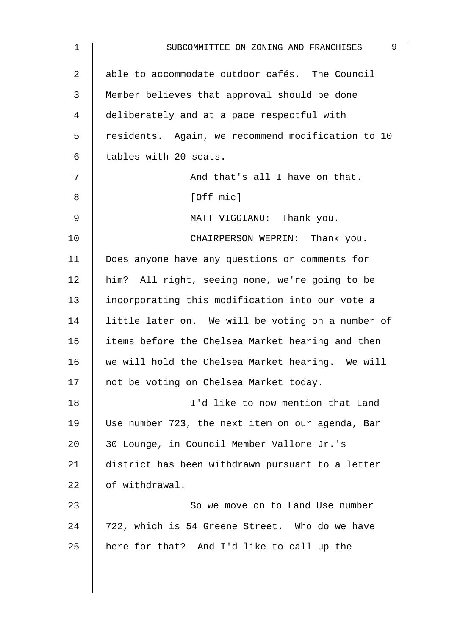| $\mathbf 1$    | 9<br>SUBCOMMITTEE ON ZONING AND FRANCHISES        |
|----------------|---------------------------------------------------|
| $\overline{2}$ | able to accommodate outdoor cafés. The Council    |
| 3              | Member believes that approval should be done      |
| 4              | deliberately and at a pace respectful with        |
| 5              | residents. Again, we recommend modification to 10 |
| 6              | tables with 20 seats.                             |
| 7              | And that's all I have on that.                    |
| 8              | [Off mic]                                         |
| 9              | MATT VIGGIANO: Thank you.                         |
| 10             | CHAIRPERSON WEPRIN: Thank you.                    |
| 11             | Does anyone have any questions or comments for    |
| 12             | him? All right, seeing none, we're going to be    |
| 13             | incorporating this modification into our vote a   |
| 14             | little later on. We will be voting on a number of |
| 15             | items before the Chelsea Market hearing and then  |
| 16             | we will hold the Chelsea Market hearing. We will  |
| 17             | not be voting on Chelsea Market today.            |
| 18             | I'd like to now mention that Land                 |
| 19             | Use number 723, the next item on our agenda, Bar  |
| 20             | 30 Lounge, in Council Member Vallone Jr.'s        |
| 21             | district has been withdrawn pursuant to a letter  |
| 22             | of withdrawal.                                    |
| 23             | So we move on to Land Use number                  |
| 24             | 722, which is 54 Greene Street. Who do we have    |
| 25             | here for that? And I'd like to call up the        |
|                |                                                   |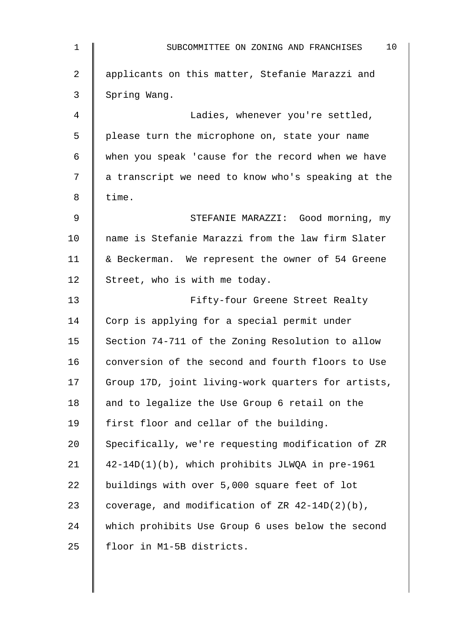| $\mathbf 1$ | 10<br>SUBCOMMITTEE ON ZONING AND FRANCHISES        |
|-------------|----------------------------------------------------|
| 2           | applicants on this matter, Stefanie Marazzi and    |
| 3           | Spring Wang.                                       |
| 4           | Ladies, whenever you're settled,                   |
| 5           | please turn the microphone on, state your name     |
| 6           | when you speak 'cause for the record when we have  |
| 7           | a transcript we need to know who's speaking at the |
| 8           | time.                                              |
| 9           | STEFANIE MARAZZI: Good morning, my                 |
| 10          | name is Stefanie Marazzi from the law firm Slater  |
| 11          | & Beckerman. We represent the owner of 54 Greene   |
| 12          | Street, who is with me today.                      |
| 13          | Fifty-four Greene Street Realty                    |
| 14          | Corp is applying for a special permit under        |
| 15          | Section 74-711 of the Zoning Resolution to allow   |
| 16          | conversion of the second and fourth floors to Use  |
| 17          | Group 17D, joint living-work quarters for artists, |
| 18          | and to legalize the Use Group 6 retail on the      |
| 19          | first floor and cellar of the building.            |
| 20          | Specifically, we're requesting modification of ZR  |
| 21          | 42-14D(1)(b), which prohibits JLWQA in pre-1961    |
| 22          | buildings with over 5,000 square feet of lot       |
| 23          | coverage, and modification of ZR $42-14D(2)(b)$ ,  |
| 24          | which prohibits Use Group 6 uses below the second  |
| 25          | floor in M1-5B districts.                          |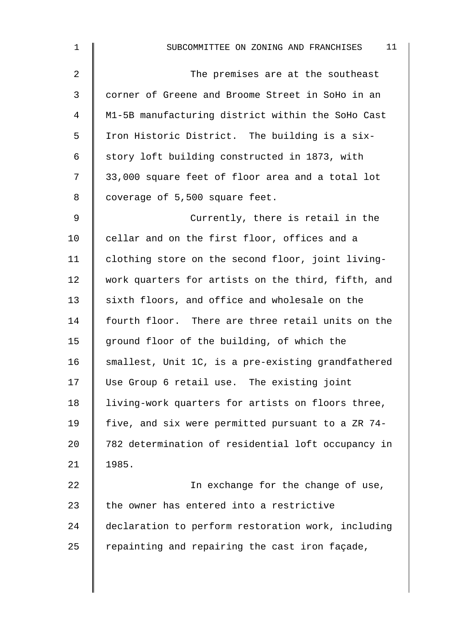| 11<br>SUBCOMMITTEE ON ZONING AND FRANCHISES        |
|----------------------------------------------------|
| The premises are at the southeast                  |
| corner of Greene and Broome Street in SoHo in an   |
| M1-5B manufacturing district within the SoHo Cast  |
| Iron Historic District. The building is a six-     |
| story loft building constructed in 1873, with      |
| 33,000 square feet of floor area and a total lot   |
| coverage of 5,500 square feet.                     |
| Currently, there is retail in the                  |
| cellar and on the first floor, offices and a       |
| clothing store on the second floor, joint living-  |
| work quarters for artists on the third, fifth, and |
| sixth floors, and office and wholesale on the      |
| fourth floor. There are three retail units on the  |
| ground floor of the building, of which the         |
| smallest, Unit 1C, is a pre-existing grandfathered |
| Use Group 6 retail use. The existing joint         |
| living-work quarters for artists on floors three,  |
| five, and six were permitted pursuant to a ZR 74-  |
| 782 determination of residential loft occupancy in |
| 1985.                                              |
| In exchange for the change of use,                 |
| the owner has entered into a restrictive           |
| declaration to perform restoration work, including |
| repainting and repairing the cast iron façade,     |
|                                                    |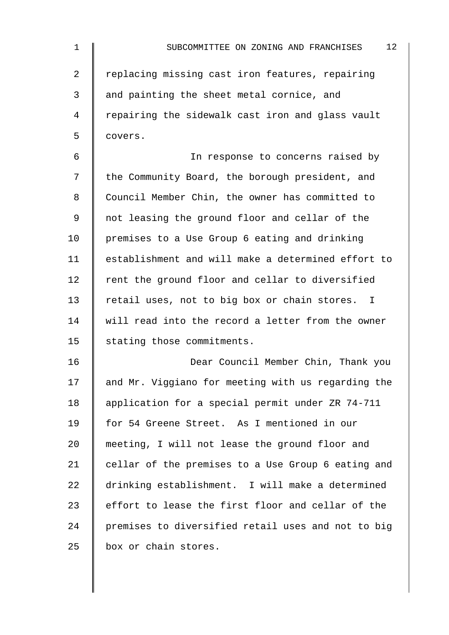| 1  | 12<br>SUBCOMMITTEE ON ZONING AND FRANCHISES        |
|----|----------------------------------------------------|
| 2  | replacing missing cast iron features, repairing    |
| 3  | and painting the sheet metal cornice, and          |
| 4  | repairing the sidewalk cast iron and glass vault   |
| 5  | covers.                                            |
| 6  | In response to concerns raised by                  |
| 7  | the Community Board, the borough president, and    |
| 8  | Council Member Chin, the owner has committed to    |
| 9  | not leasing the ground floor and cellar of the     |
| 10 | premises to a Use Group 6 eating and drinking      |
| 11 | establishment and will make a determined effort to |
| 12 | rent the ground floor and cellar to diversified    |
| 13 | retail uses, not to big box or chain stores. I     |
| 14 | will read into the record a letter from the owner  |
| 15 | stating those commitments.                         |
| 16 | Dear Council Member Chin, Thank you                |
| 17 | and Mr. Viggiano for meeting with us regarding the |
| 18 | application for a special permit under ZR 74-711   |
| 19 | for 54 Greene Street. As I mentioned in our        |
| 20 | meeting, I will not lease the ground floor and     |
| 21 | cellar of the premises to a Use Group 6 eating and |
| 22 | drinking establishment. I will make a determined   |
| 23 | effort to lease the first floor and cellar of the  |
| 24 | premises to diversified retail uses and not to big |
| 25 | box or chain stores.                               |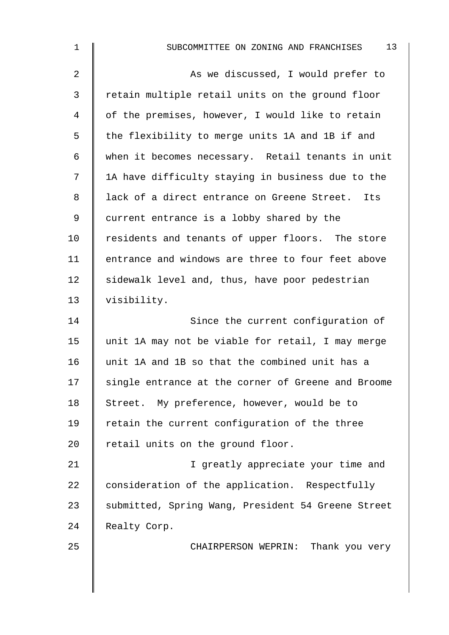| $\mathbf 1$ | 13<br>SUBCOMMITTEE ON ZONING AND FRANCHISES        |
|-------------|----------------------------------------------------|
| 2           | As we discussed, I would prefer to                 |
| 3           | retain multiple retail units on the ground floor   |
| 4           | of the premises, however, I would like to retain   |
| 5           | the flexibility to merge units 1A and 1B if and    |
| 6           | when it becomes necessary. Retail tenants in unit  |
| 7           | 1A have difficulty staying in business due to the  |
| 8           | lack of a direct entrance on Greene Street. Its    |
| 9           | current entrance is a lobby shared by the          |
| 10          | residents and tenants of upper floors. The store   |
| 11          | entrance and windows are three to four feet above  |
| 12          | sidewalk level and, thus, have poor pedestrian     |
| 13          | visibility.                                        |
| 14          | Since the current configuration of                 |
| 15          | unit 1A may not be viable for retail, I may merge  |
| 16          | unit 1A and 1B so that the combined unit has a     |
| 17          | single entrance at the corner of Greene and Broome |
| 18          | Street. My preference, however, would be to        |
| 19          | retain the current configuration of the three      |
| 20          | retail units on the ground floor.                  |
| 21          | I greatly appreciate your time and                 |
| 22          | consideration of the application. Respectfully     |
| 23          | submitted, Spring Wang, President 54 Greene Street |
| 24          | Realty Corp.                                       |
| 25          | CHAIRPERSON WEPRIN: Thank you very                 |
|             |                                                    |
|             |                                                    |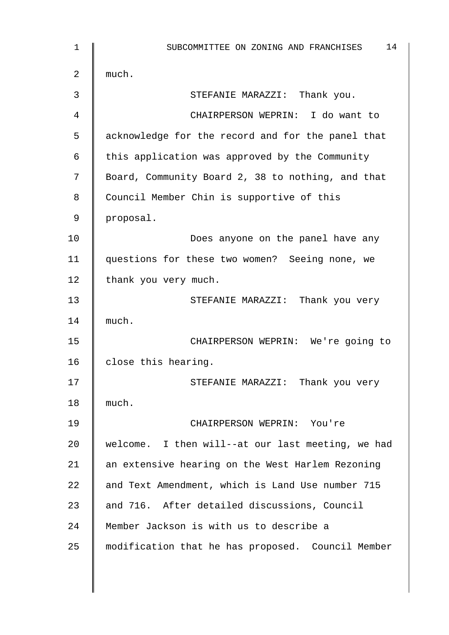| 1  | 14<br>SUBCOMMITTEE ON ZONING AND FRANCHISES       |
|----|---------------------------------------------------|
| 2  | much.                                             |
| 3  | STEFANIE MARAZZI: Thank you.                      |
| 4  | CHAIRPERSON WEPRIN: I do want to                  |
| 5  | acknowledge for the record and for the panel that |
| 6  | this application was approved by the Community    |
| 7  | Board, Community Board 2, 38 to nothing, and that |
| 8  | Council Member Chin is supportive of this         |
| 9  | proposal.                                         |
| 10 | Does anyone on the panel have any                 |
| 11 | questions for these two women? Seeing none, we    |
| 12 | thank you very much.                              |
| 13 | STEFANIE MARAZZI: Thank you very                  |
| 14 | much.                                             |
| 15 | CHAIRPERSON WEPRIN: We're going to                |
| 16 | close this hearing.                               |
| 17 | STEFANIE MARAZZI: Thank you very                  |
| 18 | much.                                             |
| 19 | CHAIRPERSON WEPRIN: You're                        |
| 20 | welcome. I then will--at our last meeting, we had |
| 21 | an extensive hearing on the West Harlem Rezoning  |
| 22 | and Text Amendment, which is Land Use number 715  |
| 23 | and 716. After detailed discussions, Council      |
| 24 | Member Jackson is with us to describe a           |
| 25 | modification that he has proposed. Council Member |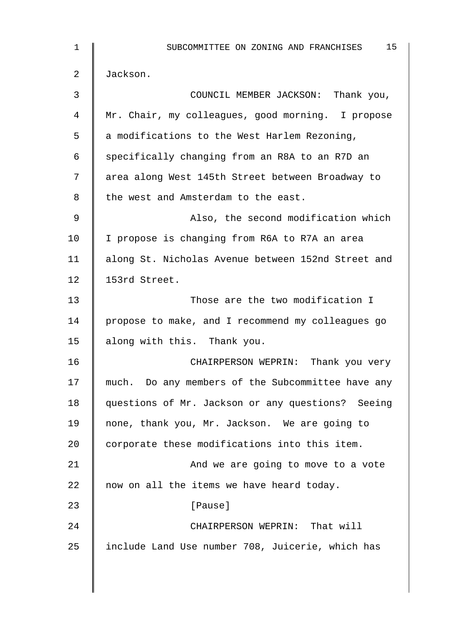| $\mathbf{1}$ | 15<br>SUBCOMMITTEE ON ZONING AND FRANCHISES        |
|--------------|----------------------------------------------------|
| 2            | Jackson.                                           |
| 3            | COUNCIL MEMBER JACKSON: Thank you,                 |
| 4            | Mr. Chair, my colleagues, good morning. I propose  |
| 5            | a modifications to the West Harlem Rezoning,       |
| 6            | specifically changing from an R8A to an R7D an     |
| 7            | area along West 145th Street between Broadway to   |
| 8            | the west and Amsterdam to the east.                |
| 9            | Also, the second modification which                |
| 10           | I propose is changing from R6A to R7A an area      |
| 11           | along St. Nicholas Avenue between 152nd Street and |
| 12           | 153rd Street.                                      |
| 13           | Those are the two modification I                   |
| 14           | propose to make, and I recommend my colleagues go  |
| 15           | along with this. Thank you.                        |
| 16           | CHAIRPERSON WEPRIN: Thank you very                 |
| 17           | much. Do any members of the Subcommittee have any  |
| 18           | questions of Mr. Jackson or any questions? Seeing  |
| 19           | none, thank you, Mr. Jackson. We are going to      |
| 20           | corporate these modifications into this item.      |
| 21           | And we are going to move to a vote                 |
| 22           | now on all the items we have heard today.          |
| 23           | [Pause]                                            |
| 24           | CHAIRPERSON WEPRIN: That will                      |
| 25           | include Land Use number 708, Juicerie, which has   |
|              |                                                    |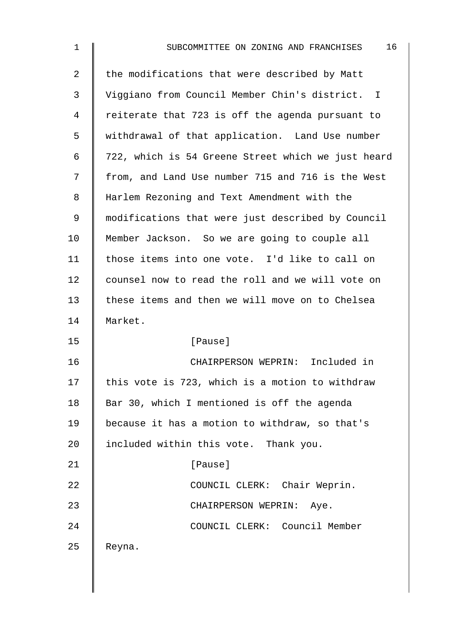2  $\parallel$  the modifications that were described by Matt 3 Viggiano from Council Member Chin's district. I 4 | reiterate that 723 is off the agenda pursuant to 5 withdrawal of that application. Land Use number 6 722, which is 54 Greene Street which we just heard 7 | from, and Land Use number 715 and 716 is the West 8 Harlem Rezoning and Text Amendment with the 9 modifications that were just described by Council 10 | Member Jackson. So we are going to couple all 11 | those items into one vote. I'd like to call on 12 counsel now to read the roll and we will vote on 13 these items and then we will move on to Chelsea 14 Market. 15 | [Pause] 16 CHAIRPERSON WEPRIN: Included in  $17$  this vote is 723, which is a motion to withdraw 18 Bar 30, which I mentioned is off the agenda 19 because it has a motion to withdraw, so that's 20  $\parallel$  included within this vote. Thank you. 21 | Pause] 22 | COUNCIL CLERK: Chair Weprin. 23 || CHAIRPERSON WEPRIN: Aye. 24 COUNCIL CLERK: Council Member 25  $\parallel$  Reyna.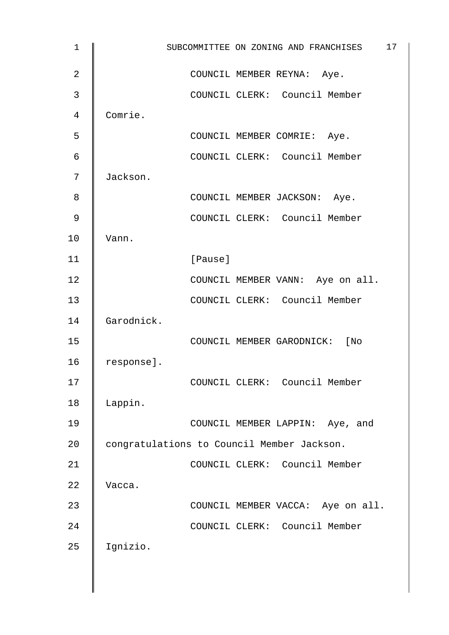| $\mathbf{1}$ | 17<br>SUBCOMMITTEE ON ZONING AND FRANCHISES |
|--------------|---------------------------------------------|
| 2            | COUNCIL MEMBER REYNA: Aye.                  |
| 3            | COUNCIL CLERK: Council Member               |
| 4            | Comrie.                                     |
| 5            | COUNCIL MEMBER COMRIE: Aye.                 |
| 6            | COUNCIL CLERK: Council Member               |
| 7            | Jackson.                                    |
| 8            | COUNCIL MEMBER JACKSON: Aye.                |
| 9            | COUNCIL CLERK: Council Member               |
| 10           | Vann.                                       |
| 11           | [Pause]                                     |
| 12           | COUNCIL MEMBER VANN: Aye on all.            |
| 13           | COUNCIL CLERK: Council Member               |
| 14           | Garodnick.                                  |
| 15           | COUNCIL MEMBER GARODNICK: [No               |
| 16           | response].                                  |
| 17           | COUNCIL CLERK: Council Member               |
| 18           | Lappin.                                     |
| 19           | COUNCIL MEMBER LAPPIN: Aye, and             |
| 20           | congratulations to Council Member Jackson.  |
| 21           | COUNCIL CLERK: Council Member               |
| 22           | Vacca.                                      |
| 23           | COUNCIL MEMBER VACCA: Aye on all.           |
| 24           | COUNCIL CLERK: Council Member               |
| 25           | Ignizio.                                    |
|              |                                             |
|              |                                             |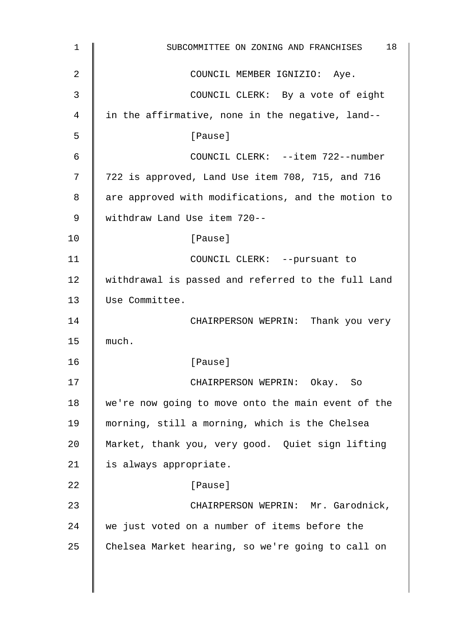| 1              | 18<br>SUBCOMMITTEE ON ZONING AND FRANCHISES        |
|----------------|----------------------------------------------------|
| $\overline{2}$ | COUNCIL MEMBER IGNIZIO: Aye.                       |
| 3              | COUNCIL CLERK: By a vote of eight                  |
| 4              | in the affirmative, none in the negative, land--   |
| 5              | [Pause]                                            |
| 6              | COUNCIL CLERK: --item 722--number                  |
| 7              | 722 is approved, Land Use item 708, 715, and 716   |
| 8              | are approved with modifications, and the motion to |
| 9              | withdraw Land Use item 720 --                      |
| 10             | [Pause]                                            |
| 11             | COUNCIL CLERK: --pursuant to                       |
| 12             | withdrawal is passed and referred to the full Land |
| 13             | Use Committee.                                     |
| 14             | CHAIRPERSON WEPRIN: Thank you very                 |
| 15             | much.                                              |
| 16             | [Pause]                                            |
| 17             | CHAIRPERSON WEPRIN: Okay. So                       |
| 18             | we're now going to move onto the main event of the |
| 19             | morning, still a morning, which is the Chelsea     |
| 20             | Market, thank you, very good. Quiet sign lifting   |
| 21             | is always appropriate.                             |
| 22             | [Pause]                                            |
| 23             | CHAIRPERSON WEPRIN: Mr. Garodnick,                 |
| 24             | we just voted on a number of items before the      |
| 25             | Chelsea Market hearing, so we're going to call on  |
|                |                                                    |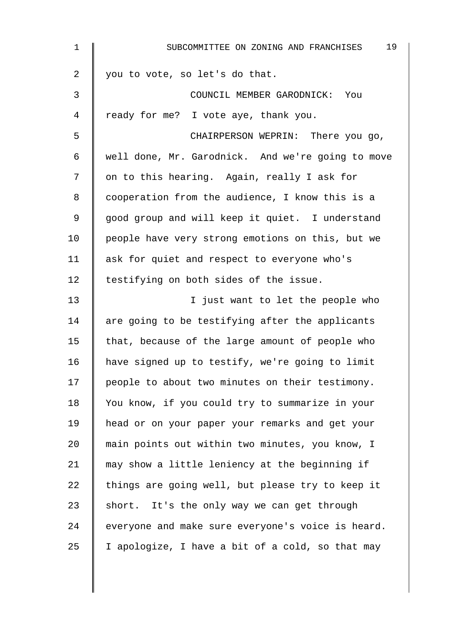| 1  | 19<br>SUBCOMMITTEE ON ZONING AND FRANCHISES       |
|----|---------------------------------------------------|
| 2  | you to vote, so let's do that.                    |
| 3  | COUNCIL MEMBER GARODNICK: You                     |
| 4  | ready for me? I vote aye, thank you.              |
| 5  | CHAIRPERSON WEPRIN: There you go,                 |
| 6  | well done, Mr. Garodnick. And we're going to move |
| 7  | on to this hearing. Again, really I ask for       |
| 8  | cooperation from the audience, I know this is a   |
| 9  | good group and will keep it quiet. I understand   |
| 10 | people have very strong emotions on this, but we  |
| 11 | ask for quiet and respect to everyone who's       |
| 12 | testifying on both sides of the issue.            |
| 13 | I just want to let the people who                 |
| 14 | are going to be testifying after the applicants   |
| 15 | that, because of the large amount of people who   |
| 16 | have signed up to testify, we're going to limit   |
| 17 | people to about two minutes on their testimony.   |
| 18 | You know, if you could try to summarize in your   |
| 19 | head or on your paper your remarks and get your   |
| 20 | main points out within two minutes, you know, I   |
| 21 | may show a little leniency at the beginning if    |
| 22 | things are going well, but please try to keep it  |
| 23 | short. It's the only way we can get through       |
| 24 | everyone and make sure everyone's voice is heard. |
| 25 | I apologize, I have a bit of a cold, so that may  |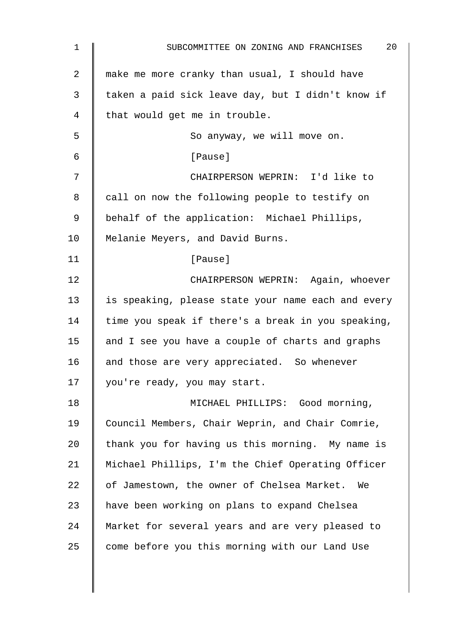| 1  | 20<br>SUBCOMMITTEE ON ZONING AND FRANCHISES        |
|----|----------------------------------------------------|
| 2  | make me more cranky than usual, I should have      |
| 3  | taken a paid sick leave day, but I didn't know if  |
| 4  | that would get me in trouble.                      |
| 5  | So anyway, we will move on.                        |
| 6  | [Pause]                                            |
| 7  | CHAIRPERSON WEPRIN: I'd like to                    |
| 8  | call on now the following people to testify on     |
| 9  | behalf of the application: Michael Phillips,       |
| 10 | Melanie Meyers, and David Burns.                   |
| 11 | [Pause]                                            |
| 12 | CHAIRPERSON WEPRIN: Again, whoever                 |
| 13 | is speaking, please state your name each and every |
| 14 | time you speak if there's a break in you speaking, |
| 15 | and I see you have a couple of charts and graphs   |
| 16 | and those are very appreciated. So whenever        |
| 17 | you're ready, you may start.                       |
| 18 | MICHAEL PHILLIPS: Good morning,                    |
| 19 | Council Members, Chair Weprin, and Chair Comrie,   |
| 20 | thank you for having us this morning. My name is   |
| 21 | Michael Phillips, I'm the Chief Operating Officer  |
| 22 | of Jamestown, the owner of Chelsea Market.<br>We   |
| 23 | have been working on plans to expand Chelsea       |
| 24 | Market for several years and are very pleased to   |
| 25 | come before you this morning with our Land Use     |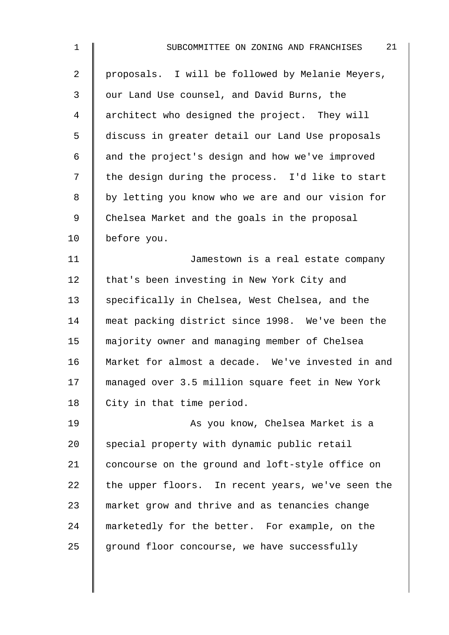| 1  | 21<br>SUBCOMMITTEE ON ZONING AND FRANCHISES       |
|----|---------------------------------------------------|
| 2  | proposals. I will be followed by Melanie Meyers,  |
| 3  | our Land Use counsel, and David Burns, the        |
| 4  | architect who designed the project. They will     |
| 5  | discuss in greater detail our Land Use proposals  |
| 6  | and the project's design and how we've improved   |
| 7  | the design during the process. I'd like to start  |
| 8  | by letting you know who we are and our vision for |
| 9  | Chelsea Market and the goals in the proposal      |
| 10 | before you.                                       |
| 11 | Jamestown is a real estate company                |
| 12 | that's been investing in New York City and        |
| 13 | specifically in Chelsea, West Chelsea, and the    |
| 14 | meat packing district since 1998. We've been the  |
| 15 | majority owner and managing member of Chelsea     |
| 16 | Market for almost a decade. We've invested in and |
| 17 | managed over 3.5 million square feet in New York  |
| 18 | City in that time period.                         |
| 19 | As you know, Chelsea Market is a                  |
| 20 | special property with dynamic public retail       |
| 21 | concourse on the ground and loft-style office on  |
| 22 | the upper floors. In recent years, we've seen the |
| 23 | market grow and thrive and as tenancies change    |
| 24 | marketedly for the better. For example, on the    |
| 25 | ground floor concourse, we have successfully      |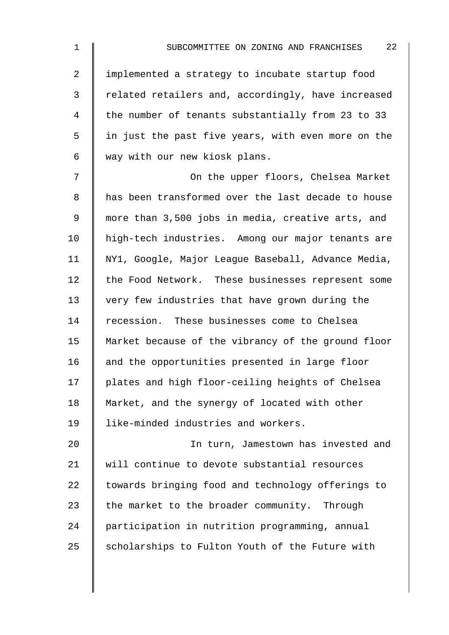2 | implemented a strategy to incubate startup food 3 | related retailers and, accordingly, have increased 4 the number of tenants substantially from 23 to 33 5 || in just the past five years, with even more on the 6 way with our new kiosk plans.

7 | On the upper floors, Chelsea Market 8 has been transformed over the last decade to house 9 more than 3,500 jobs in media, creative arts, and 10 | high-tech industries. Among our major tenants are 11 | NY1, Google, Major League Baseball, Advance Media, 12 the Food Network. These businesses represent some 13 very few industries that have grown during the 14 recession. These businesses come to Chelsea 15 Market because of the vibrancy of the ground floor 16 and the opportunities presented in large floor 17 | plates and high floor-ceiling heights of Chelsea 18 | Market, and the synergy of located with other 19 like-minded industries and workers.

20 In turn, Jamestown has invested and 21 will continue to devote substantial resources  $22$   $\parallel$  towards bringing food and technology offerings to 23  $\parallel$  the market to the broader community. Through 24 participation in nutrition programming, annual  $25$  scholarships to Fulton Youth of the Future with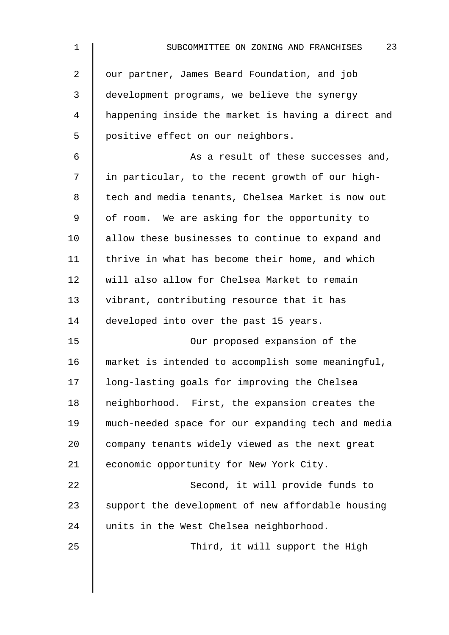| $\mathbf 1$    | 23<br>SUBCOMMITTEE ON ZONING AND FRANCHISES        |
|----------------|----------------------------------------------------|
| $\overline{2}$ | our partner, James Beard Foundation, and job       |
| 3              | development programs, we believe the synergy       |
| 4              | happening inside the market is having a direct and |
| 5              | positive effect on our neighbors.                  |
| 6              | As a result of these successes and,                |
| 7              | in particular, to the recent growth of our high-   |
| 8              | tech and media tenants, Chelsea Market is now out  |
| 9              | of room. We are asking for the opportunity to      |
| 10             | allow these businesses to continue to expand and   |
| 11             | thrive in what has become their home, and which    |
| 12             | will also allow for Chelsea Market to remain       |
| 13             | vibrant, contributing resource that it has         |
| 14             | developed into over the past 15 years.             |
| 15             | Our proposed expansion of the                      |
| 16             | market is intended to accomplish some meaningful,  |
| 17             | long-lasting goals for improving the Chelsea       |
| 18             | neighborhood. First, the expansion creates the     |
| 19             | much-needed space for our expanding tech and media |
| 20             | company tenants widely viewed as the next great    |
| 21             | economic opportunity for New York City.            |
| 22             | Second, it will provide funds to                   |
| 23             | support the development of new affordable housing  |
| 24             | units in the West Chelsea neighborhood.            |
| 25             | Third, it will support the High                    |
|                |                                                    |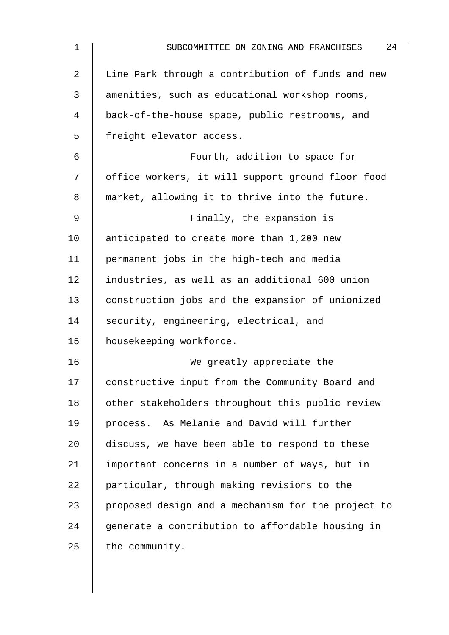| $\mathbf 1$    | 24<br>SUBCOMMITTEE ON ZONING AND FRANCHISES        |
|----------------|----------------------------------------------------|
| $\overline{a}$ | Line Park through a contribution of funds and new  |
| 3              | amenities, such as educational workshop rooms,     |
| 4              | back-of-the-house space, public restrooms, and     |
| 5              | freight elevator access.                           |
| 6              | Fourth, addition to space for                      |
| 7              | office workers, it will support ground floor food  |
| 8              | market, allowing it to thrive into the future.     |
| 9              | Finally, the expansion is                          |
| 10             | anticipated to create more than 1,200 new          |
| 11             | permanent jobs in the high-tech and media          |
| 12             | industries, as well as an additional 600 union     |
| 13             | construction jobs and the expansion of unionized   |
| 14             | security, engineering, electrical, and             |
| 15             | housekeeping workforce.                            |
| 16             | We greatly appreciate the                          |
| 17             | constructive input from the Community Board and    |
| 18             | other stakeholders throughout this public review   |
| 19             | process. As Melanie and David will further         |
| 20             | discuss, we have been able to respond to these     |
| 21             | important concerns in a number of ways, but in     |
| 22             | particular, through making revisions to the        |
| 23             | proposed design and a mechanism for the project to |
| 24             | generate a contribution to affordable housing in   |
| 25             | the community.                                     |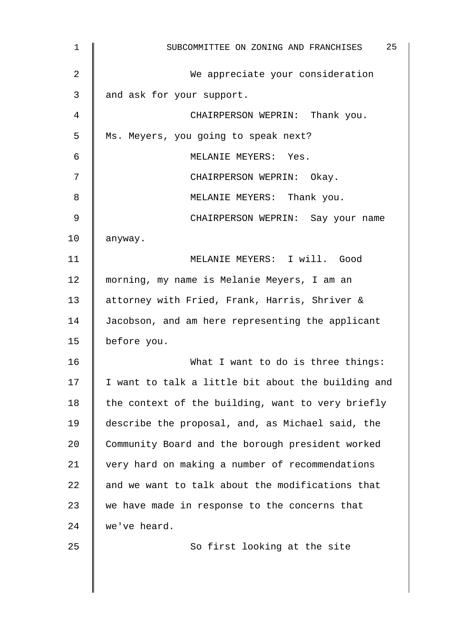| 1  | 25<br>SUBCOMMITTEE ON ZONING AND FRANCHISES        |
|----|----------------------------------------------------|
| 2  | We appreciate your consideration                   |
| 3  | and ask for your support.                          |
| 4  | CHAIRPERSON WEPRIN: Thank you.                     |
| 5  | Ms. Meyers, you going to speak next?               |
| 6  | MELANIE MEYERS: Yes.                               |
| 7  | CHAIRPERSON WEPRIN: Okay.                          |
| 8  | MELANIE MEYERS: Thank you.                         |
| 9  | CHAIRPERSON WEPRIN: Say your name                  |
| 10 | anyway.                                            |
| 11 | MELANIE MEYERS: I will. Good                       |
| 12 | morning, my name is Melanie Meyers, I am an        |
| 13 | attorney with Fried, Frank, Harris, Shriver &      |
| 14 | Jacobson, and am here representing the applicant   |
| 15 | before you.                                        |
| 16 | What I want to do is three things:                 |
| 17 | I want to talk a little bit about the building and |
| 18 | the context of the building, want to very briefly  |
| 19 | describe the proposal, and, as Michael said, the   |
| 20 | Community Board and the borough president worked   |
| 21 | very hard on making a number of recommendations    |
| 22 | and we want to talk about the modifications that   |
| 23 | we have made in response to the concerns that      |
| 24 | we've heard.                                       |
| 25 | So first looking at the site                       |
|    |                                                    |
|    |                                                    |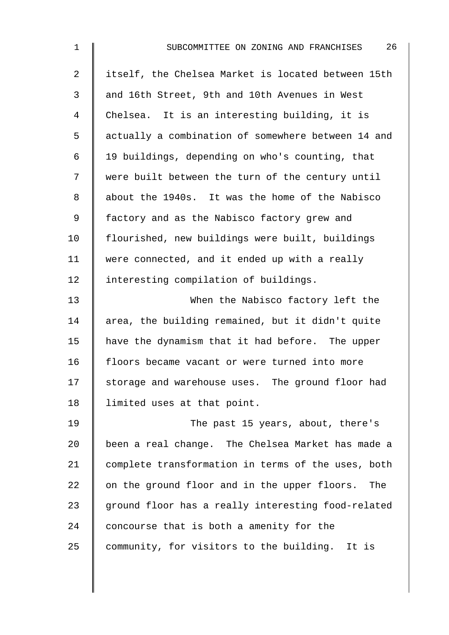| $\mathbf 1$    | 26<br>SUBCOMMITTEE ON ZONING AND FRANCHISES         |
|----------------|-----------------------------------------------------|
| $\overline{a}$ | itself, the Chelsea Market is located between 15th  |
| $\mathfrak{Z}$ | and 16th Street, 9th and 10th Avenues in West       |
| 4              | Chelsea. It is an interesting building, it is       |
| 5              | actually a combination of somewhere between 14 and  |
| 6              | 19 buildings, depending on who's counting, that     |
| 7              | were built between the turn of the century until    |
| 8              | about the 1940s. It was the home of the Nabisco     |
| 9              | factory and as the Nabisco factory grew and         |
| 10             | flourished, new buildings were built, buildings     |
| 11             | were connected, and it ended up with a really       |
| 12             | interesting compilation of buildings.               |
| 13             | When the Nabisco factory left the                   |
| 14             | area, the building remained, but it didn't quite    |
| 15             | have the dynamism that it had before. The upper     |
| 16             | floors became vacant or were turned into more       |
| 17             | storage and warehouse uses. The ground floor had    |
| 18             | limited uses at that point.                         |
| 19             | The past 15 years, about, there's                   |
| 20             | been a real change. The Chelsea Market has made a   |
| 21             | complete transformation in terms of the uses, both  |
| 22             | on the ground floor and in the upper floors.<br>The |
| 23             | ground floor has a really interesting food-related  |
| 24             | concourse that is both a amenity for the            |
| 25             | community, for visitors to the building. It is      |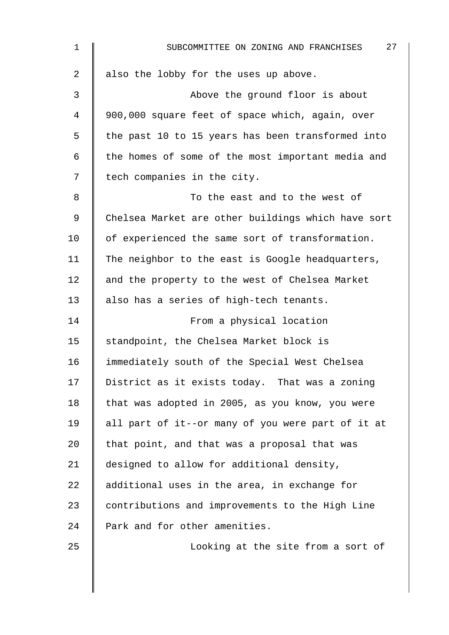| 1  | 27<br>SUBCOMMITTEE ON ZONING AND FRANCHISES        |
|----|----------------------------------------------------|
| 2  | also the lobby for the uses up above.              |
| 3  | Above the ground floor is about                    |
| 4  | 900,000 square feet of space which, again, over    |
| 5  | the past 10 to 15 years has been transformed into  |
| 6  | the homes of some of the most important media and  |
| 7  | tech companies in the city.                        |
| 8  | To the east and to the west of                     |
| 9  | Chelsea Market are other buildings which have sort |
| 10 | of experienced the same sort of transformation.    |
| 11 | The neighbor to the east is Google headquarters,   |
| 12 | and the property to the west of Chelsea Market     |
| 13 | also has a series of high-tech tenants.            |
| 14 | From a physical location                           |
| 15 | standpoint, the Chelsea Market block is            |
| 16 | immediately south of the Special West Chelsea      |
| 17 | District as it exists today. That was a zoning     |
| 18 | that was adopted in 2005, as you know, you were    |
| 19 | all part of it--or many of you were part of it at  |
| 20 | that point, and that was a proposal that was       |
| 21 | designed to allow for additional density,          |
| 22 | additional uses in the area, in exchange for       |
| 23 | contributions and improvements to the High Line    |
| 24 | Park and for other amenities.                      |
| 25 | Looking at the site from a sort of                 |
|    |                                                    |

 $\overline{\phantom{a}}$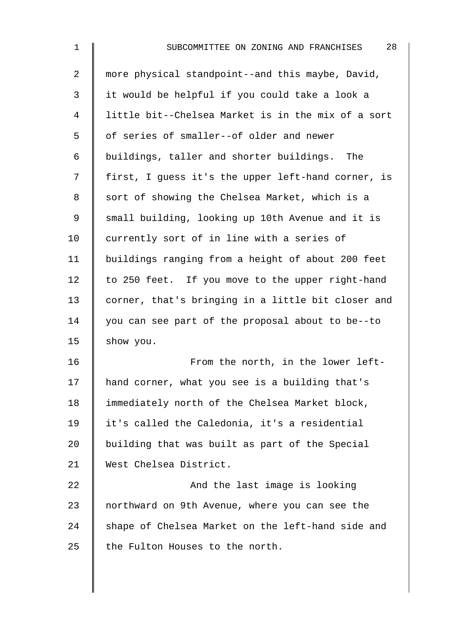| $\mathbf{1}$ | 28<br>SUBCOMMITTEE ON ZONING AND FRANCHISES        |
|--------------|----------------------------------------------------|
| 2            | more physical standpoint--and this maybe, David,   |
| 3            | it would be helpful if you could take a look a     |
| 4            | little bit--Chelsea Market is in the mix of a sort |
| 5            | of series of smaller--of older and newer           |
| 6            | buildings, taller and shorter buildings. The       |
| 7            | first, I guess it's the upper left-hand corner, is |
| 8            | sort of showing the Chelsea Market, which is a     |
| 9            | small building, looking up 10th Avenue and it is   |
| 10           | currently sort of in line with a series of         |
| 11           | buildings ranging from a height of about 200 feet  |
| 12           | to 250 feet. If you move to the upper right-hand   |
| 13           | corner, that's bringing in a little bit closer and |
| 14           | you can see part of the proposal about to be--to   |
| 15           | show you.                                          |
| 16           | From the north, in the lower left-                 |
| 17           | hand corner, what you see is a building that's     |
| 18           | immediately north of the Chelsea Market block,     |
| 19           | it's called the Caledonia, it's a residential      |
| 20           | building that was built as part of the Special     |
| 21           | West Chelsea District.                             |
| 22           | And the last image is looking                      |
| 23           | northward on 9th Avenue, where you can see the     |
| 24           | shape of Chelsea Market on the left-hand side and  |
| 25           | the Fulton Houses to the north.                    |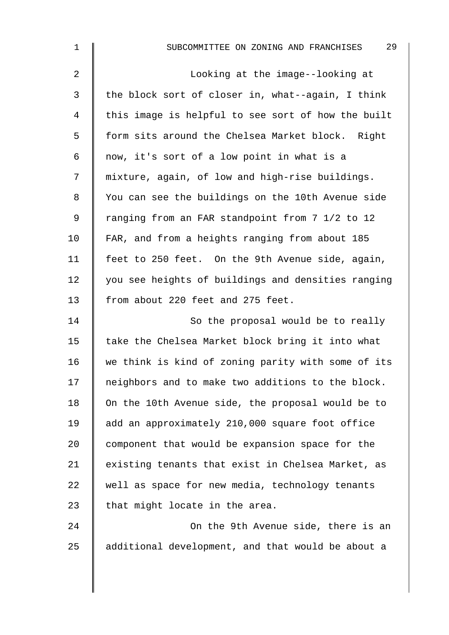| $\mathbf 1$    | 29<br>SUBCOMMITTEE ON ZONING AND FRANCHISES        |
|----------------|----------------------------------------------------|
| $\overline{a}$ | Looking at the image--looking at                   |
| 3              | the block sort of closer in, what--again, I think  |
| 4              | this image is helpful to see sort of how the built |
| 5              | form sits around the Chelsea Market block. Right   |
| 6              | now, it's sort of a low point in what is a         |
| 7              | mixture, again, of low and high-rise buildings.    |
| 8              | You can see the buildings on the 10th Avenue side  |
| $\mathsf 9$    | ranging from an FAR standpoint from 7 1/2 to 12    |
| 10             | FAR, and from a heights ranging from about 185     |
| 11             | feet to 250 feet. On the 9th Avenue side, again,   |
| 12             | you see heights of buildings and densities ranging |
| 13             | from about 220 feet and 275 feet.                  |
| 14             | So the proposal would be to really                 |
| 15             | take the Chelsea Market block bring it into what   |
| 16             | we think is kind of zoning parity with some of its |
| 17             | neighbors and to make two additions to the block.  |
| 18             | On the 10th Avenue side, the proposal would be to  |
| 19             | add an approximately 210,000 square foot office    |
| 20             | component that would be expansion space for the    |
| 21             | existing tenants that exist in Chelsea Market, as  |
| 22             | well as space for new media, technology tenants    |
| 23             | that might locate in the area.                     |
| 24             | On the 9th Avenue side, there is an                |
| 25             | additional development, and that would be about a  |
|                |                                                    |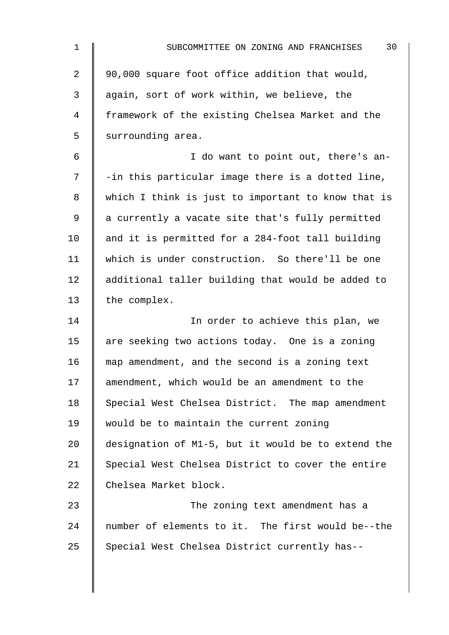| 1              | 30<br>SUBCOMMITTEE ON ZONING AND FRANCHISES        |
|----------------|----------------------------------------------------|
| $\overline{2}$ | 90,000 square foot office addition that would,     |
| 3              | again, sort of work within, we believe, the        |
| 4              | framework of the existing Chelsea Market and the   |
| 5              | surrounding area.                                  |
| 6              | I do want to point out, there's an-                |
| 7              | -in this particular image there is a dotted line,  |
| 8              | which I think is just to important to know that is |
| 9              | a currently a vacate site that's fully permitted   |
| 10             | and it is permitted for a 284-foot tall building   |
| 11             | which is under construction. So there'll be one    |
| 12             | additional taller building that would be added to  |
| 13             | the complex.                                       |
| 14             | In order to achieve this plan, we                  |
| 15             | are seeking two actions today. One is a zoning     |
| 16             | map amendment, and the second is a zoning text     |
| 17             | amendment, which would be an amendment to the      |
| 18             | Special West Chelsea District. The map amendment   |
| 19             | would be to maintain the current zoning            |
| 20             | designation of M1-5, but it would be to extend the |
| 21             | Special West Chelsea District to cover the entire  |
| 22             | Chelsea Market block.                              |
| 23             | The zoning text amendment has a                    |
| 24             | number of elements to it. The first would be--the  |
| 25             | Special West Chelsea District currently has--      |
|                |                                                    |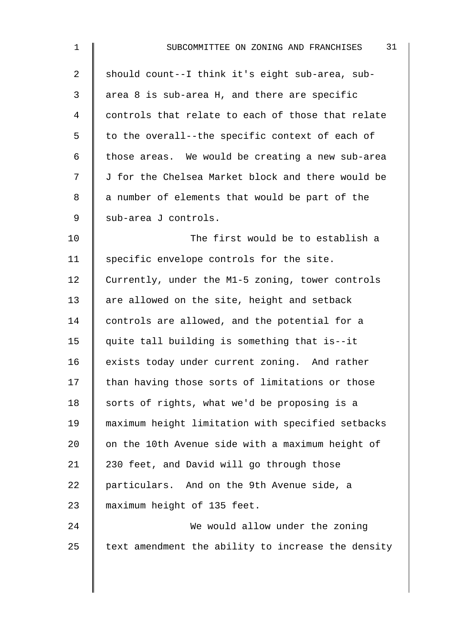| $\mathbf 1$ | 31<br>SUBCOMMITTEE ON ZONING AND FRANCHISES        |
|-------------|----------------------------------------------------|
| 2           | should count--I think it's eight sub-area, sub-    |
| 3           | area 8 is sub-area H, and there are specific       |
| 4           | controls that relate to each of those that relate  |
| 5           | to the overall--the specific context of each of    |
| 6           | those areas. We would be creating a new sub-area   |
| 7           | J for the Chelsea Market block and there would be  |
| 8           | a number of elements that would be part of the     |
| 9           | sub-area J controls.                               |
| 10          | The first would be to establish a                  |
| 11          | specific envelope controls for the site.           |
| 12          | Currently, under the M1-5 zoning, tower controls   |
| 13          | are allowed on the site, height and setback        |
| 14          | controls are allowed, and the potential for a      |
| 15          | quite tall building is something that is--it       |
| 16          | exists today under current zoning. And rather      |
| 17          | than having those sorts of limitations or those    |
| 18          | sorts of rights, what we'd be proposing is a       |
| 19          | maximum height limitation with specified setbacks  |
| 20          | on the 10th Avenue side with a maximum height of   |
| 21          | 230 feet, and David will go through those          |
| 22          | particulars. And on the 9th Avenue side, a         |
| 23          | maximum height of 135 feet.                        |
| 24          | We would allow under the zoning                    |
| 25          | text amendment the ability to increase the density |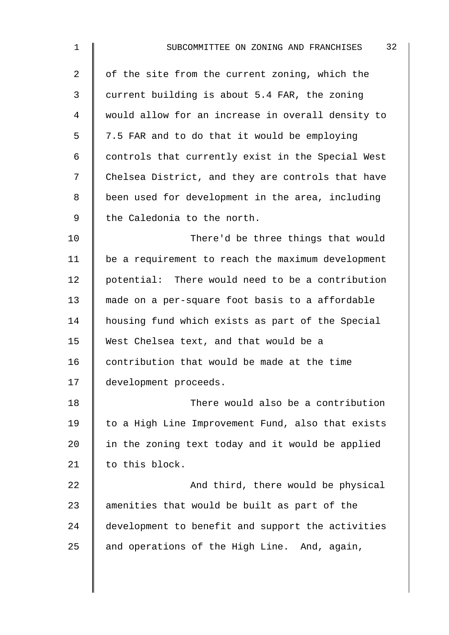2 | of the site from the current zoning, which the 3 current building is about 5.4 FAR, the zoning 4 would allow for an increase in overall density to  $5 \parallel 7.5$  FAR and to do that it would be employing  $6 \parallel$  controls that currently exist in the Special West 7 | Chelsea District, and they are controls that have 8 | been used for development in the area, including 9 Ithe Caledonia to the north.

10 **There'd be three things that would**  $11$   $\parallel$  be a requirement to reach the maximum development 12 potential: There would need to be a contribution 13 made on a per-square foot basis to a affordable 14 | housing fund which exists as part of the Special 15 West Chelsea text, and that would be a 16  $\parallel$  contribution that would be made at the time 17 | development proceeds.

18 **There would also be a contribution** 19 | to a High Line Improvement Fund, also that exists 20  $\parallel$  in the zoning text today and it would be applied 21 | to this block.

22 | And third, there would be physical 23  $\parallel$  amenities that would be built as part of the 24 development to benefit and support the activities 25  $\parallel$  and operations of the High Line. And, again,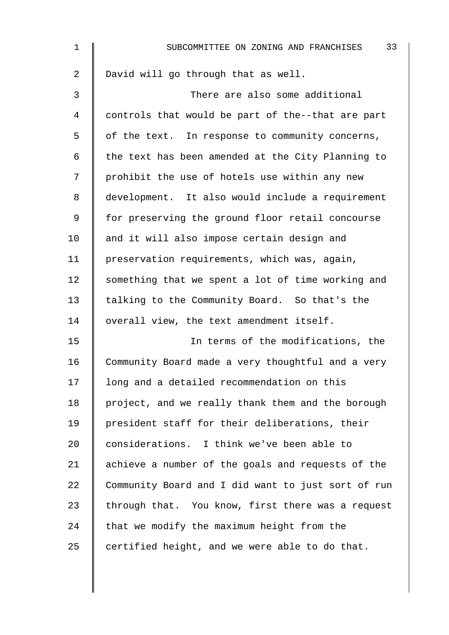| $\mathbf 1$    | 33<br>SUBCOMMITTEE ON ZONING AND FRANCHISES        |
|----------------|----------------------------------------------------|
| $\overline{a}$ | David will go through that as well.                |
| 3              | There are also some additional                     |
| $\overline{4}$ | controls that would be part of the--that are part  |
| 5              | of the text. In response to community concerns,    |
| 6              | the text has been amended at the City Planning to  |
| 7              | prohibit the use of hotels use within any new      |
| 8              | development. It also would include a requirement   |
| $\mathsf 9$    | for preserving the ground floor retail concourse   |
| 10             | and it will also impose certain design and         |
| 11             | preservation requirements, which was, again,       |
| 12             | something that we spent a lot of time working and  |
| 13             | talking to the Community Board. So that's the      |
| 14             | overall view, the text amendment itself.           |
| 15             | In terms of the modifications, the                 |
| 16             | Community Board made a very thoughtful and a very  |
| 17             | long and a detailed recommendation on this         |
| 18             | project, and we really thank them and the borough  |
| 19             | president staff for their deliberations, their     |
| 20             | considerations. I think we've been able to         |
| 21             | achieve a number of the goals and requests of the  |
| 22             | Community Board and I did want to just sort of run |
| 23             | through that. You know, first there was a request  |
| 24             | that we modify the maximum height from the         |
| 25             | certified height, and we were able to do that.     |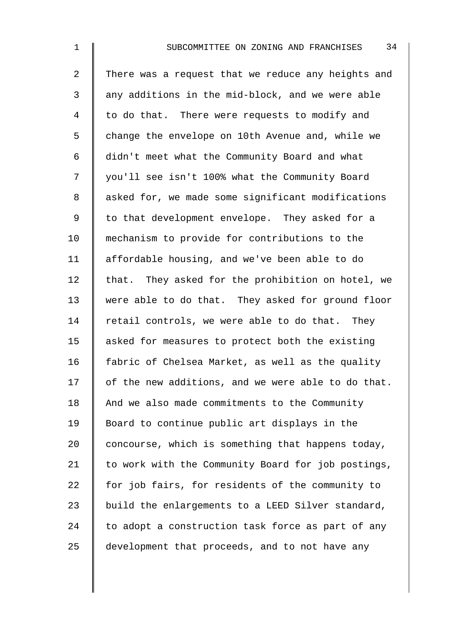2 There was a request that we reduce any heights and 3 any additions in the mid-block, and we were able 4 | to do that. There were requests to modify and 5 | change the envelope on 10th Avenue and, while we 6 didn't meet what the Community Board and what 7 | you'll see isn't 100% what the Community Board 8 | asked for, we made some significant modifications 9 | to that development envelope. They asked for a 10 | mechanism to provide for contributions to the 11 affordable housing, and we've been able to do 12  $\parallel$  that. They asked for the prohibition on hotel, we 13 were able to do that. They asked for ground floor 14  $\parallel$  retail controls, we were able to do that. They 15 | asked for measures to protect both the existing 16 fabric of Chelsea Market, as well as the quality  $17$  of the new additions, and we were able to do that. 18 And we also made commitments to the Community 19 Board to continue public art displays in the 20  $\parallel$  concourse, which is something that happens today, 21  $\parallel$  to work with the Community Board for job postings,  $22$  for job fairs, for residents of the community to 23 | build the enlargements to a LEED Silver standard,  $24$  to adopt a construction task force as part of any 25 development that proceeds, and to not have any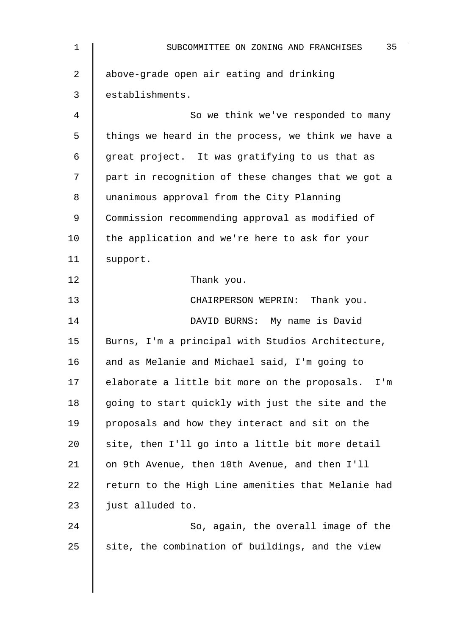| 1  | 35<br>SUBCOMMITTEE ON ZONING AND FRANCHISES        |
|----|----------------------------------------------------|
| 2  | above-grade open air eating and drinking           |
| 3  | establishments.                                    |
| 4  | So we think we've responded to many                |
| 5  | things we heard in the process, we think we have a |
| 6  | great project. It was gratifying to us that as     |
| 7  | part in recognition of these changes that we got a |
| 8  | unanimous approval from the City Planning          |
| 9  | Commission recommending approval as modified of    |
| 10 | the application and we're here to ask for your     |
| 11 | support.                                           |
| 12 | Thank you.                                         |
| 13 | CHAIRPERSON WEPRIN: Thank you.                     |
| 14 | DAVID BURNS: My name is David                      |
| 15 | Burns, I'm a principal with Studios Architecture,  |
| 16 | and as Melanie and Michael said, I'm going to      |
| 17 | elaborate a little bit more on the proposals. I'm  |
| 18 | going to start quickly with just the site and the  |
| 19 | proposals and how they interact and sit on the     |
| 20 | site, then I'll go into a little bit more detail   |
| 21 | on 9th Avenue, then 10th Avenue, and then I'll     |
| 22 | return to the High Line amenities that Melanie had |
| 23 | just alluded to.                                   |
| 24 | So, again, the overall image of the                |
| 25 | site, the combination of buildings, and the view   |
|    |                                                    |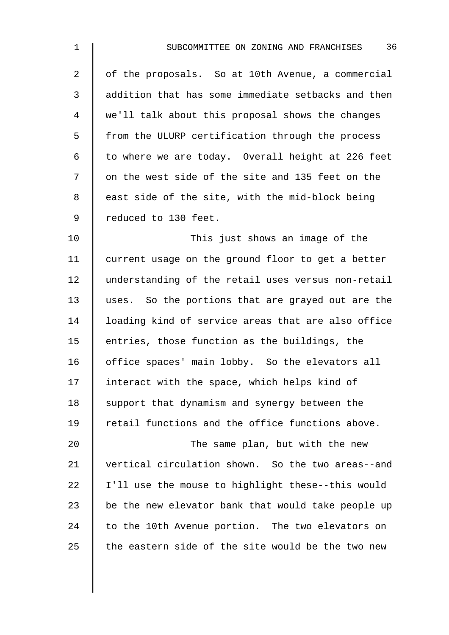2 | of the proposals. So at 10th Avenue, a commercial 3 | addition that has some immediate setbacks and then 4 we'll talk about this proposal shows the changes 5 | from the ULURP certification through the process 6  $\parallel$  to where we are today. Overall height at 226 feet 7 | on the west side of the site and 135 feet on the  $8$   $\parallel$  east side of the site, with the mid-block being 9 | reduced to 130 feet.

10 | This just shows an image of the 11 current usage on the ground floor to get a better 12 understanding of the retail uses versus non-retail 13 uses. So the portions that are grayed out are the 14 Ioading kind of service areas that are also office 15  $\parallel$  entries, those function as the buildings, the 16 | office spaces' main lobby. So the elevators all 17 interact with the space, which helps kind of 18  $\parallel$  support that dynamism and synergy between the 19 Tetail functions and the office functions above.

**The same plan, but with the new** 21 vertical circulation shown. So the two areas--and  $\parallel$  I'll use the mouse to highlight these--this would  $\parallel$  be the new elevator bank that would take people up to the 10th Avenue portion. The two elevators on  $\parallel$  the eastern side of the site would be the two new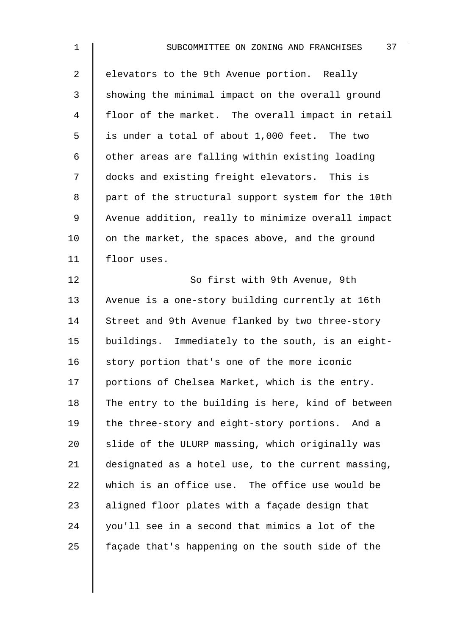2 elevators to the 9th Avenue portion. Really 3 Showing the minimal impact on the overall ground 4 floor of the market. The overall impact in retail 5 | is under a total of about 1,000 feet. The two 6  $\parallel$  other areas are falling within existing loading 7 | docks and existing freight elevators. This is 8 | part of the structural support system for the 10th 9 | Avenue addition, really to minimize overall impact  $10$  | on the market, the spaces above, and the ground 11 | floor uses.

12 So first with 9th Avenue, 9th 13 Avenue is a one-story building currently at 16th 14 Street and 9th Avenue flanked by two three-story 15 buildings. Immediately to the south, is an eight- $16$  story portion that's one of the more iconic 17 portions of Chelsea Market, which is the entry. 18 The entry to the building is here, kind of between 19 | the three-story and eight-story portions. And a 20  $\parallel$  slide of the ULURP massing, which originally was 21 designated as a hotel use, to the current massing, 22 which is an office use. The office use would be 23  $\parallel$  aligned floor plates with a façade design that 24 | you'll see in a second that mimics a lot of the 25  $\parallel$  façade that's happening on the south side of the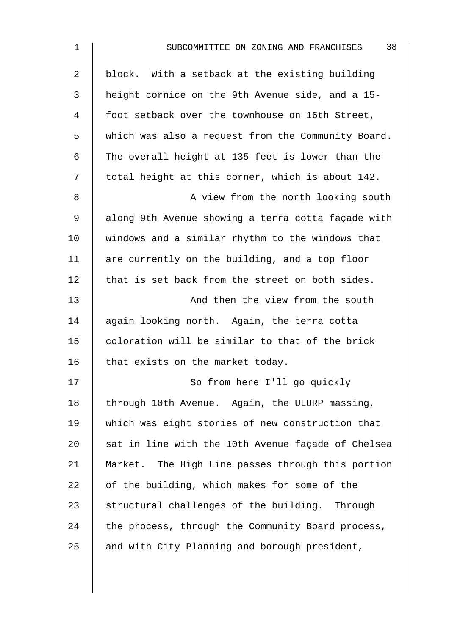| $\mathbf 1$    | 38<br>SUBCOMMITTEE ON ZONING AND FRANCHISES        |
|----------------|----------------------------------------------------|
| $\overline{a}$ | block. With a setback at the existing building     |
| 3              | height cornice on the 9th Avenue side, and a 15-   |
| 4              | foot setback over the townhouse on 16th Street,    |
| 5              | which was also a request from the Community Board. |
| 6              | The overall height at 135 feet is lower than the   |
| 7              | total height at this corner, which is about 142.   |
| 8              | A view from the north looking south                |
| 9              | along 9th Avenue showing a terra cotta façade with |
| 10             | windows and a similar rhythm to the windows that   |
| 11             | are currently on the building, and a top floor     |
| 12             | that is set back from the street on both sides.    |
| 13             | And then the view from the south                   |
| 14             | again looking north. Again, the terra cotta        |
| 15             | coloration will be similar to that of the brick    |
| 16             | that exists on the market today.                   |
| 17             | So from here I'll go quickly                       |
| 18             | through 10th Avenue. Again, the ULURP massing,     |
| 19             | which was eight stories of new construction that   |
| 20             | sat in line with the 10th Avenue façade of Chelsea |
| 21             | Market. The High Line passes through this portion  |
| 22             | of the building, which makes for some of the       |
| 23             | structural challenges of the building. Through     |
| 24             | the process, through the Community Board process,  |
| 25             | and with City Planning and borough president,      |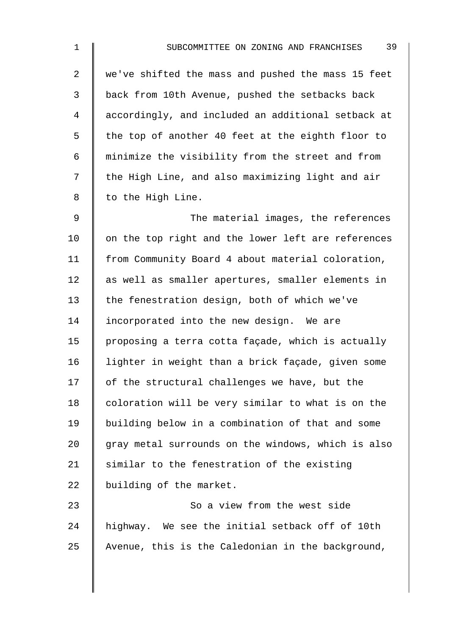2 we've shifted the mass and pushed the mass 15 feet 3 back from 10th Avenue, pushed the setbacks back 4 accordingly, and included an additional setback at  $5 \parallel$  the top of another 40 feet at the eighth floor to 6 minimize the visibility from the street and from 7 | the High Line, and also maximizing light and air 8 | to the High Line.

9 | The material images, the references  $10$  | on the top right and the lower left are references 11 | from Community Board 4 about material coloration, 12 as well as smaller apertures, smaller elements in 13 the fenestration design, both of which we've 14 Incorporated into the new design. We are 15 | proposing a terra cotta façade, which is actually 16 | lighter in weight than a brick façade, given some  $17$  of the structural challenges we have, but the  $18$  coloration will be very similar to what is on the 19 building below in a combination of that and some  $20$  gray metal surrounds on the windows, which is also 21 Similar to the fenestration of the existing 22 building of the market.

23 **So a view from the west side** 24 highway. We see the initial setback off of 10th 25 Avenue, this is the Caledonian in the background,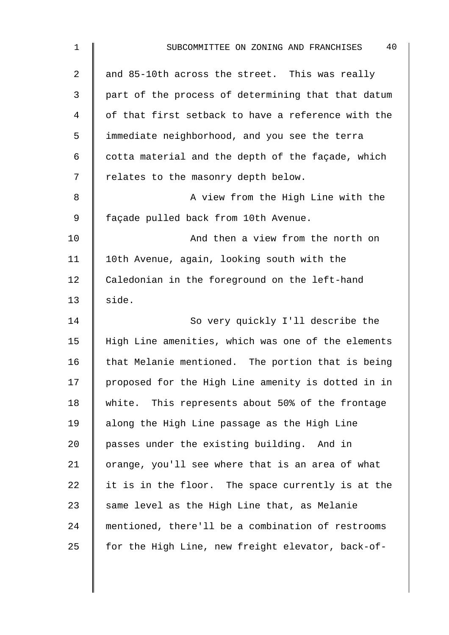| $\mathbf 1$    | 40<br>SUBCOMMITTEE ON ZONING AND FRANCHISES        |
|----------------|----------------------------------------------------|
| $\overline{2}$ | and 85-10th across the street. This was really     |
| 3              | part of the process of determining that that datum |
| 4              | of that first setback to have a reference with the |
| 5              | immediate neighborhood, and you see the terra      |
| 6              | cotta material and the depth of the façade, which  |
| 7              | relates to the masonry depth below.                |
| 8              | A view from the High Line with the                 |
| 9              | façade pulled back from 10th Avenue.               |
| 10             | And then a view from the north on                  |
| 11             | 10th Avenue, again, looking south with the         |
| 12             | Caledonian in the foreground on the left-hand      |
| 13             | side.                                              |
| 14             | So very quickly I'll describe the                  |
| 15             | High Line amenities, which was one of the elements |
| 16             | that Melanie mentioned. The portion that is being  |
| 17             | proposed for the High Line amenity is dotted in in |
| 18             | white. This represents about 50% of the frontage   |
| 19             | along the High Line passage as the High Line       |
| 20             | passes under the existing building. And in         |
| 21             | orange, you'll see where that is an area of what   |
| 22             | it is in the floor. The space currently is at the  |
| 23             | same level as the High Line that, as Melanie       |
| 24             | mentioned, there'll be a combination of restrooms  |
| 25             | for the High Line, new freight elevator, back-of-  |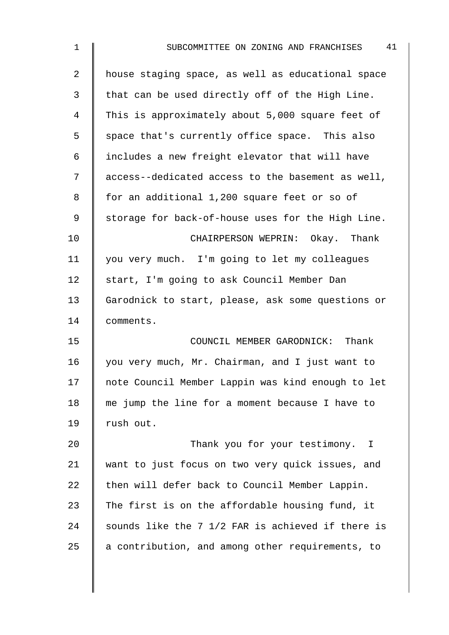| $\mathbf 1$    | 41<br>SUBCOMMITTEE ON ZONING AND FRANCHISES       |
|----------------|---------------------------------------------------|
| $\overline{2}$ | house staging space, as well as educational space |
| 3              | that can be used directly off of the High Line.   |
| 4              | This is approximately about 5,000 square feet of  |
| 5              | space that's currently office space. This also    |
| 6              | includes a new freight elevator that will have    |
| 7              | access--dedicated access to the basement as well, |
| 8              | for an additional 1,200 square feet or so of      |
| 9              | storage for back-of-house uses for the High Line. |
| 10             | CHAIRPERSON WEPRIN: Okay. Thank                   |
| 11             | you very much. I'm going to let my colleagues     |
| 12             | start, I'm going to ask Council Member Dan        |
| 13             | Garodnick to start, please, ask some questions or |
| 14             | comments.                                         |
| 15             | COUNCIL MEMBER GARODNICK: Thank                   |
| 16             | you very much, Mr. Chairman, and I just want to   |
| 17             | note Council Member Lappin was kind enough to let |
| 18             | me jump the line for a moment because I have to   |
| 19             | rush out.                                         |
| 20             | Thank you for your testimony.<br>$\mathbb{I}$     |
| 21             | want to just focus on two very quick issues, and  |
| 22             | then will defer back to Council Member Lappin.    |
| 23             | The first is on the affordable housing fund, it   |
| 24             | sounds like the 7 1/2 FAR is achieved if there is |

 $25$  a contribution, and among other requirements, to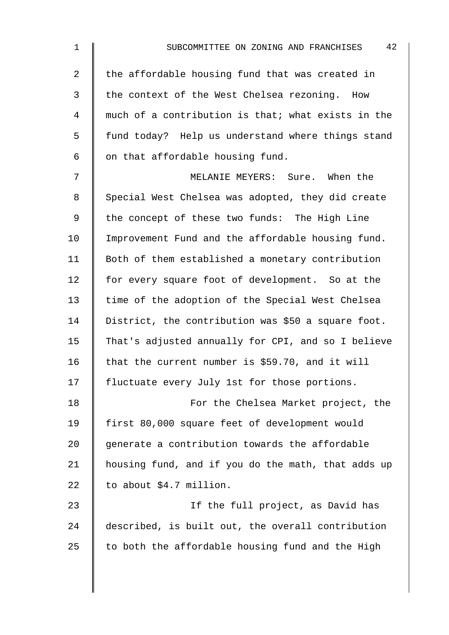| the affordable housing fund that was created in<br>the context of the West Chelsea rezoning. How<br>much of a contribution is that; what exists in the<br>fund today? Help us understand where things stand<br>on that affordable housing fund.<br>MELANIE MEYERS: Sure. When the<br>Special West Chelsea was adopted, they did create |
|----------------------------------------------------------------------------------------------------------------------------------------------------------------------------------------------------------------------------------------------------------------------------------------------------------------------------------------|
|                                                                                                                                                                                                                                                                                                                                        |
|                                                                                                                                                                                                                                                                                                                                        |
|                                                                                                                                                                                                                                                                                                                                        |
|                                                                                                                                                                                                                                                                                                                                        |
|                                                                                                                                                                                                                                                                                                                                        |
|                                                                                                                                                                                                                                                                                                                                        |
|                                                                                                                                                                                                                                                                                                                                        |
| the concept of these two funds: The High Line                                                                                                                                                                                                                                                                                          |
| Improvement Fund and the affordable housing fund.                                                                                                                                                                                                                                                                                      |
| Both of them established a monetary contribution                                                                                                                                                                                                                                                                                       |
| for every square foot of development. So at the                                                                                                                                                                                                                                                                                        |
| time of the adoption of the Special West Chelsea                                                                                                                                                                                                                                                                                       |
| District, the contribution was \$50 a square foot.                                                                                                                                                                                                                                                                                     |
| That's adjusted annually for CPI, and so I believe                                                                                                                                                                                                                                                                                     |
| that the current number is \$59.70, and it will                                                                                                                                                                                                                                                                                        |
| fluctuate every July 1st for those portions.                                                                                                                                                                                                                                                                                           |
| For the Chelsea Market project, the                                                                                                                                                                                                                                                                                                    |
| first 80,000 square feet of development would                                                                                                                                                                                                                                                                                          |
| generate a contribution towards the affordable                                                                                                                                                                                                                                                                                         |
| housing fund, and if you do the math, that adds up                                                                                                                                                                                                                                                                                     |
| to about \$4.7 million.                                                                                                                                                                                                                                                                                                                |
| If the full project, as David has                                                                                                                                                                                                                                                                                                      |
|                                                                                                                                                                                                                                                                                                                                        |
| described, is built out, the overall contribution                                                                                                                                                                                                                                                                                      |
|                                                                                                                                                                                                                                                                                                                                        |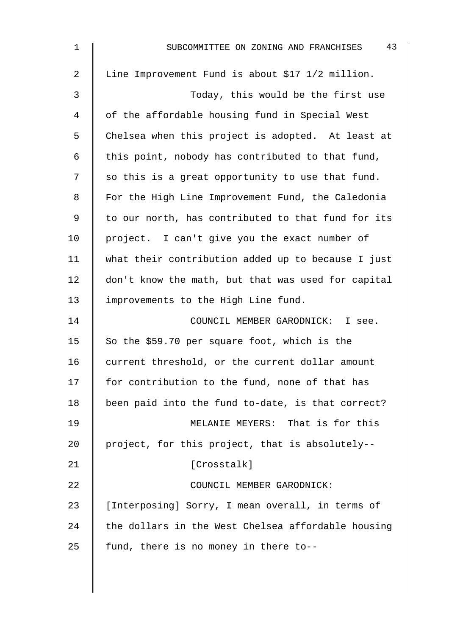| $\mathbf{1}$ | 43<br>SUBCOMMITTEE ON ZONING AND FRANCHISES        |
|--------------|----------------------------------------------------|
| 2            | Line Improvement Fund is about \$17 1/2 million.   |
| 3            | Today, this would be the first use                 |
| 4            | of the affordable housing fund in Special West     |
| 5            | Chelsea when this project is adopted. At least at  |
| 6            | this point, nobody has contributed to that fund,   |
| 7            | so this is a great opportunity to use that fund.   |
| 8            | For the High Line Improvement Fund, the Caledonia  |
| 9            | to our north, has contributed to that fund for its |
| 10           | project. I can't give you the exact number of      |
| 11           | what their contribution added up to because I just |
| 12           | don't know the math, but that was used for capital |
| 13           | improvements to the High Line fund.                |
| 14           | COUNCIL MEMBER GARODNICK: I see.                   |
| 15           | So the \$59.70 per square foot, which is the       |
| 16           | current threshold, or the current dollar amount    |
| 17           | for contribution to the fund, none of that has     |
| 18           | been paid into the fund to-date, is that correct?  |
| 19           | MELANIE MEYERS: That is for this                   |
| 20           | project, for this project, that is absolutely--    |
| 21           | [Crosstalk]                                        |
| 22           | COUNCIL MEMBER GARODNICK:                          |
| 23           | [Interposing] Sorry, I mean overall, in terms of   |
| 24           | the dollars in the West Chelsea affordable housing |
| 25           | fund, there is no money in there to--              |
|              |                                                    |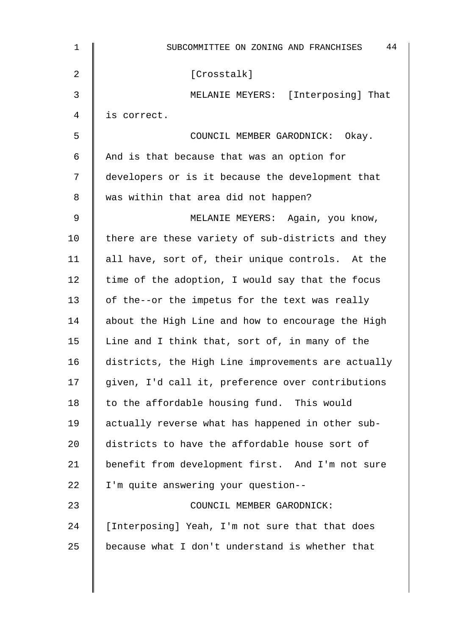| $\mathbf 1$ | 44<br>SUBCOMMITTEE ON ZONING AND FRANCHISES        |
|-------------|----------------------------------------------------|
| 2           | [Crosstalk]                                        |
| 3           | MELANIE MEYERS: [Interposing] That                 |
| 4           | is correct.                                        |
| 5           | COUNCIL MEMBER GARODNICK: Okay.                    |
| 6           | And is that because that was an option for         |
| 7           | developers or is it because the development that   |
| 8           | was within that area did not happen?               |
| 9           | MELANIE MEYERS: Again, you know,                   |
| 10          | there are these variety of sub-districts and they  |
| 11          | all have, sort of, their unique controls. At the   |
| 12          | time of the adoption, I would say that the focus   |
| 13          | of the--or the impetus for the text was really     |
| 14          | about the High Line and how to encourage the High  |
| 15          | Line and I think that, sort of, in many of the     |
| 16          | districts, the High Line improvements are actually |
| 17          | given, I'd call it, preference over contributions  |
| 18          | to the affordable housing fund. This would         |
| 19          | actually reverse what has happened in other sub-   |
| 20          | districts to have the affordable house sort of     |
| 21          | benefit from development first. And I'm not sure   |
| 22          | I'm quite answering your question--                |
| 23          | COUNCIL MEMBER GARODNICK:                          |
| 24          | [Interposing] Yeah, I'm not sure that that does    |
| 25          | because what I don't understand is whether that    |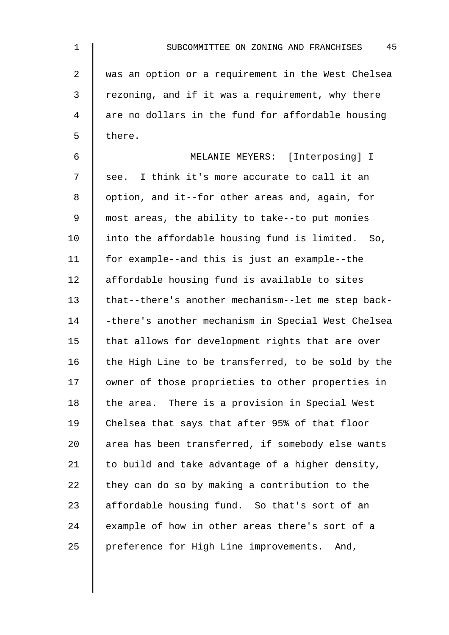2 was an option or a requirement in the West Chelsea 3 Tezoning, and if it was a requirement, why there 4 | are no dollars in the fund for affordable housing  $5 \parallel$  there.

6 MELANIE MEYERS: [Interposing] I 7 | see. I think it's more accurate to call it an 8 | option, and it--for other areas and, again, for 9 || most areas, the ability to take--to put monies 10  $\parallel$  into the affordable housing fund is limited. So, 11 for example--and this is just an example--the 12 affordable housing fund is available to sites 13 that--there's another mechanism--let me step back-14 | -there's another mechanism in Special West Chelsea  $15$  that allows for development rights that are over 16  $\parallel$  the High Line to be transferred, to be sold by the 17 | owner of those proprieties to other properties in 18  $\parallel$  the area. There is a provision in Special West 19 Chelsea that says that after 95% of that floor 20 || area has been transferred, if somebody else wants 21  $\parallel$  to build and take advantage of a higher density, 22  $\parallel$  they can do so by making a contribution to the 23  $\parallel$  affordable housing fund. So that's sort of an 24 example of how in other areas there's sort of a 25 | preference for High Line improvements. And,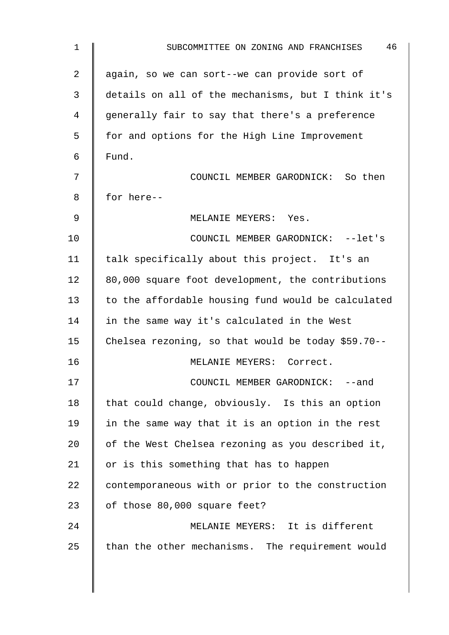| $\mathbf 1$ | 46<br>SUBCOMMITTEE ON ZONING AND FRANCHISES         |
|-------------|-----------------------------------------------------|
| 2           | again, so we can sort--we can provide sort of       |
| 3           | details on all of the mechanisms, but I think it's  |
| 4           | generally fair to say that there's a preference     |
| 5           | for and options for the High Line Improvement       |
| 6           | Fund.                                               |
| 7           | COUNCIL MEMBER GARODNICK: So then                   |
| 8           | for here--                                          |
| $\mathsf 9$ | MELANIE MEYERS: Yes.                                |
| 10          | COUNCIL MEMBER GARODNICK: --let's                   |
| 11          | talk specifically about this project. It's an       |
| 12          | 80,000 square foot development, the contributions   |
| 13          | to the affordable housing fund would be calculated  |
| 14          | in the same way it's calculated in the West         |
| 15          | Chelsea rezoning, so that would be today \$59.70 -- |
| 16          | MELANIE MEYERS: Correct.                            |
| 17          | COUNCIL MEMBER GARODNICK: --and                     |
| 18          | that could change, obviously. Is this an option     |
| 19          | in the same way that it is an option in the rest    |
| 20          | of the West Chelsea rezoning as you described it,   |
| 21          | or is this something that has to happen             |
| 22          | contemporaneous with or prior to the construction   |
| 23          | of those 80,000 square feet?                        |
| 24          | MELANIE MEYERS: It is different                     |
| 25          | than the other mechanisms. The requirement would    |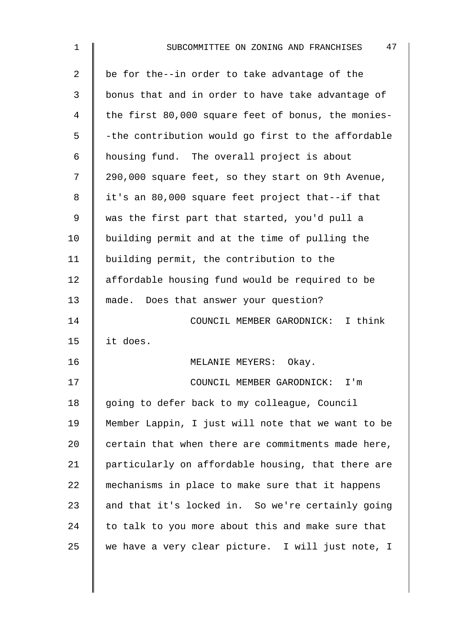| $\mathbf 1$ | 47<br>SUBCOMMITTEE ON ZONING AND FRANCHISES        |
|-------------|----------------------------------------------------|
| 2           | be for the--in order to take advantage of the      |
| 3           | bonus that and in order to have take advantage of  |
| 4           | the first 80,000 square feet of bonus, the monies- |
| 5           | -the contribution would go first to the affordable |
| 6           | housing fund. The overall project is about         |
| 7           | 290,000 square feet, so they start on 9th Avenue,  |
| 8           | it's an 80,000 square feet project that--if that   |
| 9           | was the first part that started, you'd pull a      |
| 10          | building permit and at the time of pulling the     |
| 11          | building permit, the contribution to the           |
| 12          | affordable housing fund would be required to be    |
| 13          | made. Does that answer your question?              |
| 14          | COUNCIL MEMBER GARODNICK: I think                  |
| 15          | it does.                                           |
| 16          | MELANIE MEYERS:<br>Okay.                           |
| 17          | COUNCIL MEMBER GARODNICK: I'm                      |
| 18          | going to defer back to my colleague, Council       |
| 19          | Member Lappin, I just will note that we want to be |
| 20          | certain that when there are commitments made here, |
| 21          | particularly on affordable housing, that there are |
| 22          | mechanisms in place to make sure that it happens   |
| 23          | and that it's locked in. So we're certainly going  |
| 24          | to talk to you more about this and make sure that  |
| 25          | we have a very clear picture. I will just note, I  |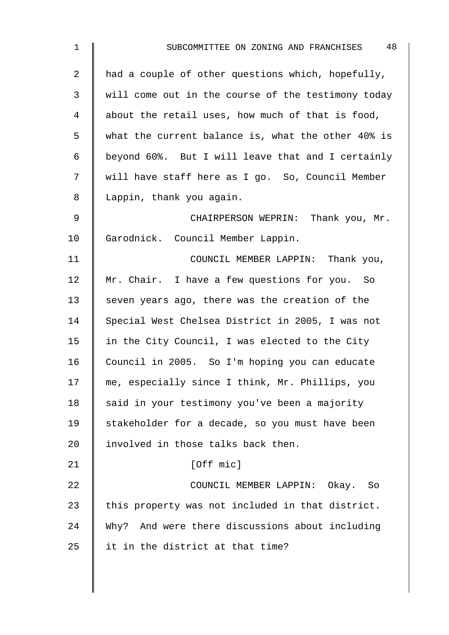| $\mathbf{1}$   | 48<br>SUBCOMMITTEE ON ZONING AND FRANCHISES        |
|----------------|----------------------------------------------------|
| $\overline{2}$ | had a couple of other questions which, hopefully,  |
| 3              | will come out in the course of the testimony today |
| 4              | about the retail uses, how much of that is food,   |
| 5              | what the current balance is, what the other 40% is |
| $\epsilon$     | beyond 60%. But I will leave that and I certainly  |
| 7              | will have staff here as I go. So, Council Member   |
| 8              | Lappin, thank you again.                           |
| $\mathsf 9$    | CHAIRPERSON WEPRIN: Thank you, Mr.                 |
| 10             | Garodnick. Council Member Lappin.                  |
| 11             | COUNCIL MEMBER LAPPIN: Thank you,                  |
| 12             | Mr. Chair. I have a few questions for you. So      |
| 13             | seven years ago, there was the creation of the     |
| 14             | Special West Chelsea District in 2005, I was not   |
| 15             | in the City Council, I was elected to the City     |
| 16             | Council in 2005. So I'm hoping you can educate     |
| 17             | me, especially since I think, Mr. Phillips, you    |
| 18             | said in your testimony you've been a majority      |
| 19             | stakeholder for a decade, so you must have been    |
| 20             | involved in those talks back then.                 |
| 21             | [Off mic]                                          |
| 22             | COUNCIL MEMBER LAPPIN: Okay. So                    |
| 23             | this property was not included in that district.   |
| 24             | Why? And were there discussions about including    |
| 25             | it in the district at that time?                   |
|                |                                                    |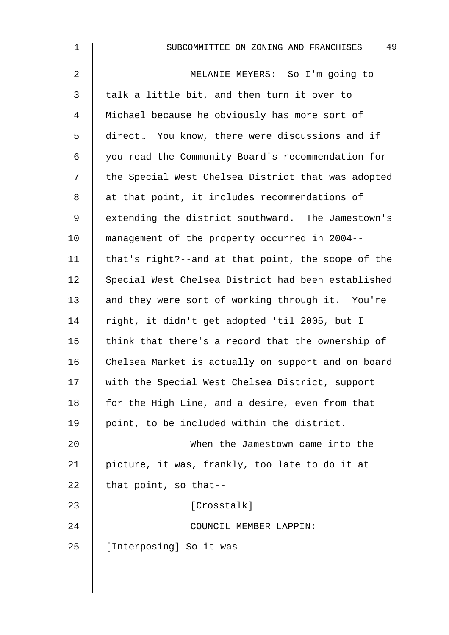| $\mathbf{1}$    | 49<br>SUBCOMMITTEE ON ZONING AND FRANCHISES        |
|-----------------|----------------------------------------------------|
| 2               | MELANIE MEYERS: So I'm going to                    |
| 3               | talk a little bit, and then turn it over to        |
| 4               | Michael because he obviously has more sort of      |
| 5               | direct You know, there were discussions and if     |
| 6               | you read the Community Board's recommendation for  |
| 7               | the Special West Chelsea District that was adopted |
| 8               | at that point, it includes recommendations of      |
| 9               | extending the district southward. The Jamestown's  |
| 10 <sub>1</sub> | management of the property occurred in 2004--      |
| 11              | that's right?--and at that point, the scope of the |
| 12              | Special West Chelsea District had been established |
| 13              | and they were sort of working through it. You're   |
| 14              | right, it didn't get adopted 'til 2005, but I      |
| 15              | think that there's a record that the ownership of  |
| 16              | Chelsea Market is actually on support and on board |
| 17              | with the Special West Chelsea District, support    |
| 18              | for the High Line, and a desire, even from that    |
| 19              | point, to be included within the district.         |
| 20              | When the Jamestown came into the                   |
| 21              | picture, it was, frankly, too late to do it at     |
| 22              | that point, so that--                              |
| 23              | [Crosstalk]                                        |
| 24              | COUNCIL MEMBER LAPPIN:                             |
| 25              | [Interposing] So it was--                          |
|                 |                                                    |
|                 |                                                    |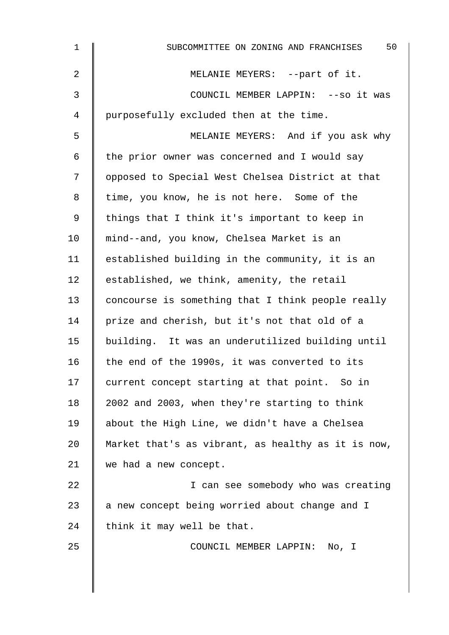| $\mathbf{1}$ | 50<br>SUBCOMMITTEE ON ZONING AND FRANCHISES        |
|--------------|----------------------------------------------------|
| 2            | MELANIE MEYERS: --part of it.                      |
| 3            | COUNCIL MEMBER LAPPIN: --so it was                 |
| 4            | purposefully excluded then at the time.            |
| 5            | MELANIE MEYERS: And if you ask why                 |
| 6            | the prior owner was concerned and I would say      |
| 7            | opposed to Special West Chelsea District at that   |
| 8            | time, you know, he is not here. Some of the        |
| 9            | things that I think it's important to keep in      |
| 10           | mind--and, you know, Chelsea Market is an          |
| 11           | established building in the community, it is an    |
| 12           | established, we think, amenity, the retail         |
| 13           | concourse is something that I think people really  |
| 14           | prize and cherish, but it's not that old of a      |
| 15           | building. It was an underutilized building until   |
| 16           | the end of the 1990s, it was converted to its      |
| 17           | current concept starting at that point. So in      |
| 18           | 2002 and 2003, when they're starting to think      |
| 19           | about the High Line, we didn't have a Chelsea      |
| 20           | Market that's as vibrant, as healthy as it is now, |
| 21           | we had a new concept.                              |
| 22           | I can see somebody who was creating                |
| 23           | a new concept being worried about change and I     |
| 24           | think it may well be that.                         |
| 25           | COUNCIL MEMBER LAPPIN: No, I                       |
|              |                                                    |
|              |                                                    |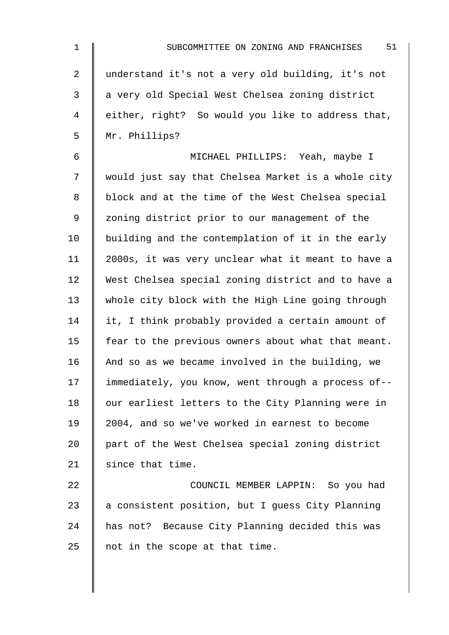| 1  | 51<br>SUBCOMMITTEE ON ZONING AND FRANCHISES        |
|----|----------------------------------------------------|
| 2  | understand it's not a very old building, it's not  |
| 3  | a very old Special West Chelsea zoning district    |
| 4  | either, right? So would you like to address that,  |
| 5  | Mr. Phillips?                                      |
| 6  | MICHAEL PHILLIPS: Yeah, maybe I                    |
| 7  | would just say that Chelsea Market is a whole city |
| 8  | block and at the time of the West Chelsea special  |
| 9  | zoning district prior to our management of the     |
| 10 | building and the contemplation of it in the early  |
| 11 | 2000s, it was very unclear what it meant to have a |
| 12 | West Chelsea special zoning district and to have a |
| 13 | whole city block with the High Line going through  |
| 14 | it, I think probably provided a certain amount of  |
| 15 | fear to the previous owners about what that meant. |
| 16 | And so as we became involved in the building, we   |
| 17 | immediately, you know, went through a process of-- |
| 18 | our earliest letters to the City Planning were in  |
| 19 | 2004, and so we've worked in earnest to become     |
| 20 | part of the West Chelsea special zoning district   |
| 21 | since that time.                                   |
| 22 | COUNCIL MEMBER LAPPIN: So you had                  |
| 23 | a consistent position, but I guess City Planning   |
| 24 | has not? Because City Planning decided this was    |
| 25 | not in the scope at that time.                     |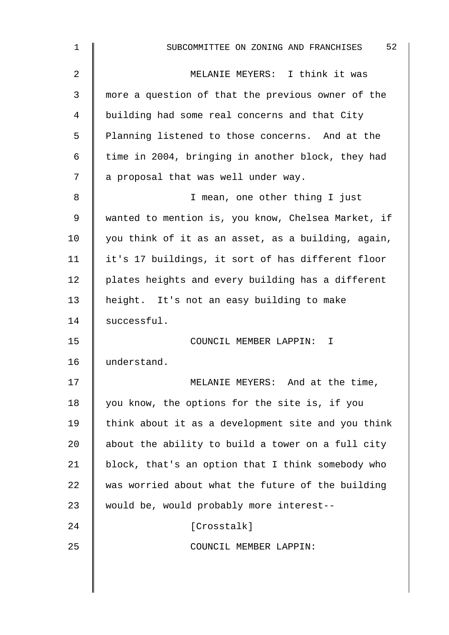| $\mathbf 1$ | 52<br>SUBCOMMITTEE ON ZONING AND FRANCHISES        |
|-------------|----------------------------------------------------|
| 2           | MELANIE MEYERS: I think it was                     |
| 3           | more a question of that the previous owner of the  |
| 4           | building had some real concerns and that City      |
| 5           | Planning listened to those concerns. And at the    |
| 6           | time in 2004, bringing in another block, they had  |
| 7           | a proposal that was well under way.                |
| 8           | I mean, one other thing I just                     |
| $\mathsf 9$ | wanted to mention is, you know, Chelsea Market, if |
| 10          | you think of it as an asset, as a building, again, |
| 11          | it's 17 buildings, it sort of has different floor  |
| 12          | plates heights and every building has a different  |
| 13          | height. It's not an easy building to make          |
| 14          | successful.                                        |
| 15          | COUNCIL MEMBER LAPPIN: I                           |
| 16          | understand.                                        |
| 17          | MELANIE MEYERS: And at the time,                   |
| 18          | you know, the options for the site is, if you      |
| 19          | think about it as a development site and you think |
| 20          | about the ability to build a tower on a full city  |
| 21          | block, that's an option that I think somebody who  |
| 22          | was worried about what the future of the building  |
| 23          | would be, would probably more interest--           |
| 24          | [Crosstalk]                                        |
| 25          | COUNCIL MEMBER LAPPIN:                             |
|             |                                                    |
|             |                                                    |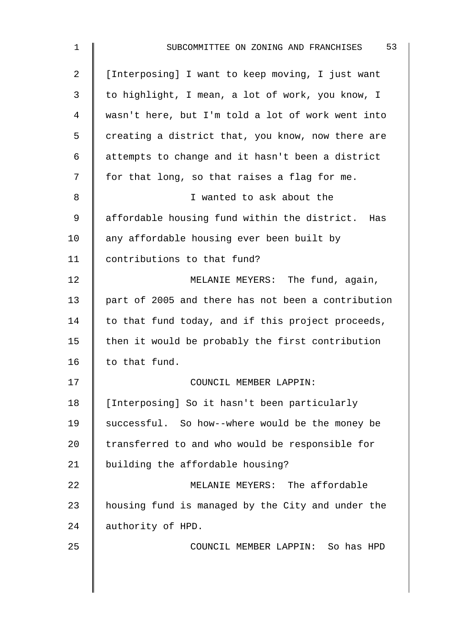| $\mathbf 1$    | 53<br>SUBCOMMITTEE ON ZONING AND FRANCHISES         |
|----------------|-----------------------------------------------------|
| $\overline{2}$ | [Interposing] I want to keep moving, I just want    |
| 3              | to highlight, I mean, a lot of work, you know, I    |
| 4              | wasn't here, but I'm told a lot of work went into   |
| 5              | creating a district that, you know, now there are   |
| 6              | attempts to change and it hasn't been a district    |
| 7              | for that long, so that raises a flag for me.        |
| 8              | I wanted to ask about the                           |
| 9              | affordable housing fund within the district.<br>Has |
| 10             | any affordable housing ever been built by           |
| 11             | contributions to that fund?                         |
| 12             | MELANIE MEYERS: The fund, again,                    |
| 13             | part of 2005 and there has not been a contribution  |
| 14             | to that fund today, and if this project proceeds,   |
| 15             | then it would be probably the first contribution    |
| 16             | to that fund.                                       |
| 17             | COUNCIL MEMBER LAPPIN:                              |
| 18             | [Interposing] So it hasn't been particularly        |
| 19             | successful. So how--where would be the money be     |
| 20             | transferred to and who would be responsible for     |
| 21             | building the affordable housing?                    |
| 22             | MELANIE MEYERS: The affordable                      |
| 23             | housing fund is managed by the City and under the   |
| 24             | authority of HPD.                                   |
| 25             | COUNCIL MEMBER LAPPIN: So has HPD                   |
|                |                                                     |
|                |                                                     |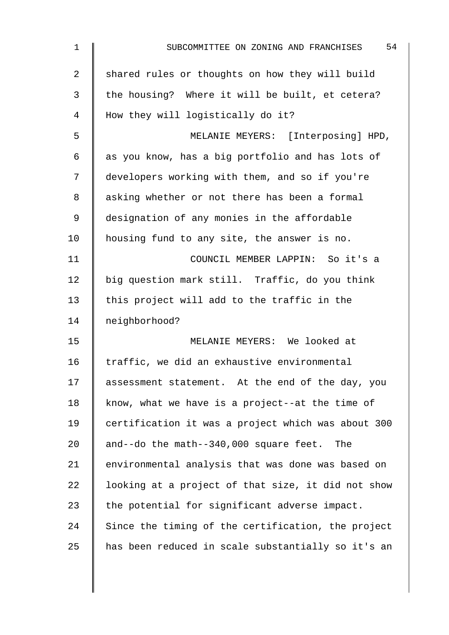| $\mathbf 1$    | 54<br>SUBCOMMITTEE ON ZONING AND FRANCHISES        |
|----------------|----------------------------------------------------|
| $\overline{2}$ | shared rules or thoughts on how they will build    |
| 3              | the housing? Where it will be built, et cetera?    |
| $\overline{4}$ | How they will logistically do it?                  |
| 5              | MELANIE MEYERS: [Interposing] HPD,                 |
| $\epsilon$     | as you know, has a big portfolio and has lots of   |
| 7              | developers working with them, and so if you're     |
| 8              | asking whether or not there has been a formal      |
| 9              | designation of any monies in the affordable        |
| 10             | housing fund to any site, the answer is no.        |
| 11             | COUNCIL MEMBER LAPPIN: So it's a                   |
| 12             | big question mark still. Traffic, do you think     |
| 13             | this project will add to the traffic in the        |
| 14             | neighborhood?                                      |
| 15             | MELANIE MEYERS: We looked at                       |
| 16             | traffic, we did an exhaustive environmental        |
| 17             | assessment statement. At the end of the day, you   |
| 18             | know, what we have is a project--at the time of    |
| 19             | certification it was a project which was about 300 |
| 20             | and--do the math--340,000 square feet. The         |
| 21             | environmental analysis that was done was based on  |
| 22             | looking at a project of that size, it did not show |
| 23             | the potential for significant adverse impact.      |
| 24             | Since the timing of the certification, the project |
| 25             | has been reduced in scale substantially so it's an |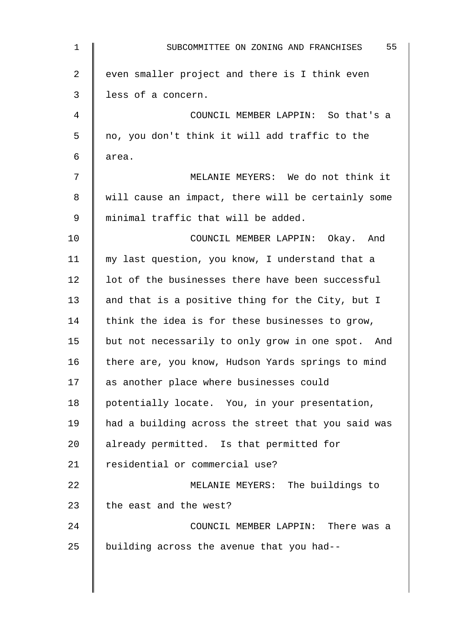| $\mathbf 1$ | 55<br>SUBCOMMITTEE ON ZONING AND FRANCHISES        |
|-------------|----------------------------------------------------|
| 2           | even smaller project and there is I think even     |
| 3           | less of a concern.                                 |
| 4           | COUNCIL MEMBER LAPPIN: So that's a                 |
| 5           | no, you don't think it will add traffic to the     |
| 6           | area.                                              |
| 7           | MELANIE MEYERS: We do not think it                 |
| 8           | will cause an impact, there will be certainly some |
| 9           | minimal traffic that will be added.                |
| 10          | COUNCIL MEMBER LAPPIN: Okay. And                   |
| 11          | my last question, you know, I understand that a    |
| 12          | lot of the businesses there have been successful   |
| 13          | and that is a positive thing for the City, but I   |
| 14          | think the idea is for these businesses to grow,    |
| 15          | but not necessarily to only grow in one spot. And  |
| 16          | there are, you know, Hudson Yards springs to mind  |
| 17          | as another place where businesses could            |
| 18          | potentially locate. You, in your presentation,     |
| 19          | had a building across the street that you said was |
| 20          | already permitted. Is that permitted for           |
| 21          | residential or commercial use?                     |
| 22          | MELANIE MEYERS: The buildings to                   |
| 23          | the east and the west?                             |
| 24          | COUNCIL MEMBER LAPPIN: There was a                 |
| 25          | building across the avenue that you had--          |
|             |                                                    |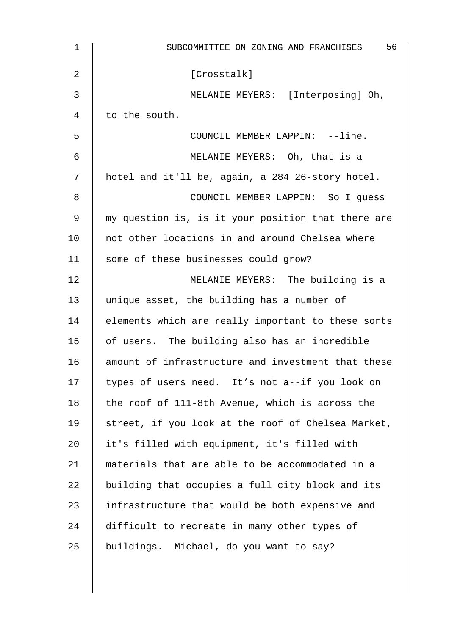| $\mathbf 1$ | 56<br>SUBCOMMITTEE ON ZONING AND FRANCHISES        |
|-------------|----------------------------------------------------|
| 2           | [Crosstalk]                                        |
| 3           | MELANIE MEYERS: [Interposing] Oh,                  |
| 4           | to the south.                                      |
| 5           | COUNCIL MEMBER LAPPIN: --line.                     |
| 6           | MELANIE MEYERS: Oh, that is a                      |
| 7           | hotel and it'll be, again, a 284 26-story hotel.   |
| 8           | COUNCIL MEMBER LAPPIN: So I guess                  |
| 9           | my question is, is it your position that there are |
| 10          | not other locations in and around Chelsea where    |
| 11          | some of these businesses could grow?               |
| 12          | MELANIE MEYERS: The building is a                  |
| 13          | unique asset, the building has a number of         |
| 14          | elements which are really important to these sorts |
| 15          | of users. The building also has an incredible      |
| 16          | amount of infrastructure and investment that these |
| 17          | types of users need. It's not a--if you look on    |
| 18          | the roof of 111-8th Avenue, which is across the    |
| 19          | street, if you look at the roof of Chelsea Market, |
| 20          | it's filled with equipment, it's filled with       |
| 21          | materials that are able to be accommodated in a    |
| 22          | building that occupies a full city block and its   |
| 23          | infrastructure that would be both expensive and    |
| 24          | difficult to recreate in many other types of       |
| 25          | buildings. Michael, do you want to say?            |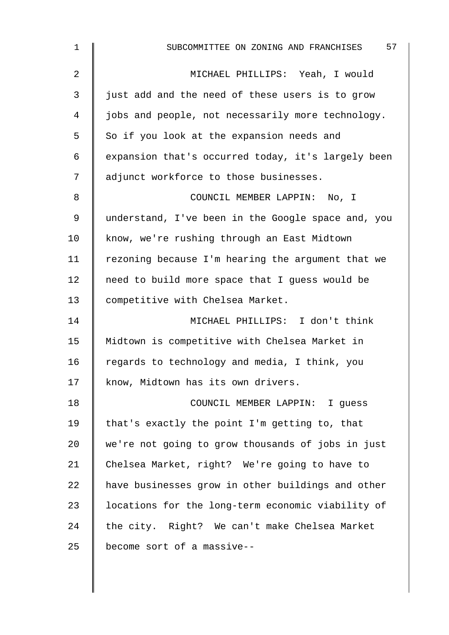| $\mathbf{1}$   | 57<br>SUBCOMMITTEE ON ZONING AND FRANCHISES        |
|----------------|----------------------------------------------------|
| $\overline{2}$ | MICHAEL PHILLIPS: Yeah, I would                    |
| 3              | just add and the need of these users is to grow    |
| 4              | jobs and people, not necessarily more technology.  |
| 5              | So if you look at the expansion needs and          |
| 6              | expansion that's occurred today, it's largely been |
| 7              | adjunct workforce to those businesses.             |
| 8              | COUNCIL MEMBER LAPPIN: No, I                       |
| 9              | understand, I've been in the Google space and, you |
| 10             | know, we're rushing through an East Midtown        |
| 11             | rezoning because I'm hearing the argument that we  |
| 12             | need to build more space that I guess would be     |
| 13             | competitive with Chelsea Market.                   |
| 14             | MICHAEL PHILLIPS: I don't think                    |
| 15             | Midtown is competitive with Chelsea Market in      |
| 16             | regards to technology and media, I think, you      |
| 17             | know, Midtown has its own drivers.                 |
| 18             | COUNCIL MEMBER LAPPIN: I guess                     |
| 19             | that's exactly the point I'm getting to, that      |
| 20             | we're not going to grow thousands of jobs in just  |
| 21             | Chelsea Market, right? We're going to have to      |
| 22             | have businesses grow in other buildings and other  |
| 23             | locations for the long-term economic viability of  |
| 24             | the city. Right? We can't make Chelsea Market      |
| 25             | become sort of a massive--                         |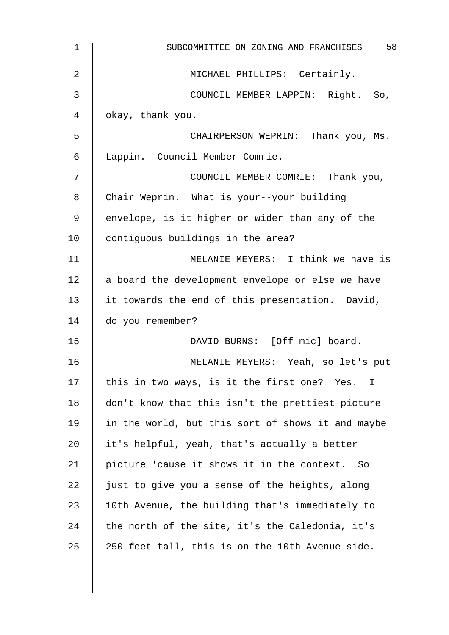| 1  | 58<br>SUBCOMMITTEE ON ZONING AND FRANCHISES       |
|----|---------------------------------------------------|
| 2  | MICHAEL PHILLIPS: Certainly.                      |
| 3  | COUNCIL MEMBER LAPPIN: Right. So,                 |
| 4  | okay, thank you.                                  |
| 5  | CHAIRPERSON WEPRIN: Thank you, Ms.                |
| 6  | Lappin. Council Member Comrie.                    |
| 7  | COUNCIL MEMBER COMRIE: Thank you,                 |
| 8  | Chair Weprin. What is your--your building         |
| 9  | envelope, is it higher or wider than any of the   |
| 10 | contiguous buildings in the area?                 |
| 11 | MELANIE MEYERS: I think we have is                |
| 12 | a board the development envelope or else we have  |
| 13 | it towards the end of this presentation. David,   |
| 14 | do you remember?                                  |
| 15 | DAVID BURNS: [Off mic] board.                     |
| 16 | MELANIE MEYERS: Yeah, so let's put                |
| 17 | this in two ways, is it the first one? Yes. I     |
| 18 | don't know that this isn't the prettiest picture  |
| 19 | in the world, but this sort of shows it and maybe |
| 20 | it's helpful, yeah, that's actually a better      |
| 21 | picture 'cause it shows it in the context. So     |
| 22 | just to give you a sense of the heights, along    |
| 23 | 10th Avenue, the building that's immediately to   |
| 24 | the north of the site, it's the Caledonia, it's   |
| 25 | 250 feet tall, this is on the 10th Avenue side.   |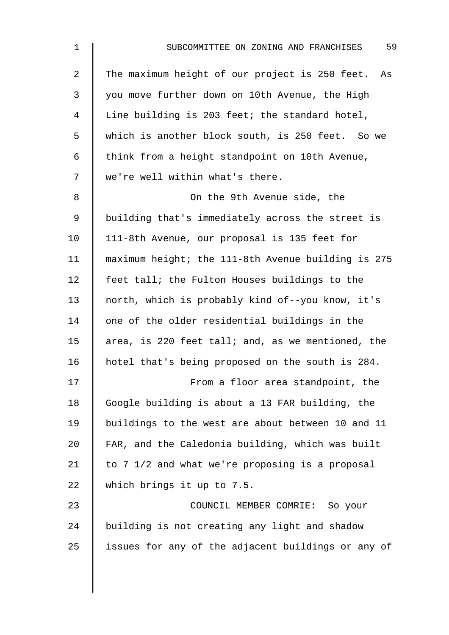| $\mathbf 1$ | 59<br>SUBCOMMITTEE ON ZONING AND FRANCHISES        |
|-------------|----------------------------------------------------|
| 2           | The maximum height of our project is 250 feet. As  |
| 3           | you move further down on 10th Avenue, the High     |
| 4           | Line building is 203 feet; the standard hotel,     |
| 5           | which is another block south, is 250 feet. So we   |
| 6           | think from a height standpoint on 10th Avenue,     |
| 7           | we're well within what's there.                    |
| 8           | On the 9th Avenue side, the                        |
| 9           | building that's immediately across the street is   |
| 10          | 111-8th Avenue, our proposal is 135 feet for       |
| 11          | maximum height; the 111-8th Avenue building is 275 |
| 12          | feet tall; the Fulton Houses buildings to the      |
| 13          | north, which is probably kind of--you know, it's   |
| 14          | one of the older residential buildings in the      |
| 15          | area, is 220 feet tall; and, as we mentioned, the  |
| 16          | hotel that's being proposed on the south is 284.   |
| 17          | From a floor area standpoint, the                  |
| 18          | Google building is about a 13 FAR building, the    |
| 19          | buildings to the west are about between 10 and 11  |
| 20          | FAR, and the Caledonia building, which was built   |
| 21          | to 7 1/2 and what we're proposing is a proposal    |
| 22          | which brings it up to 7.5.                         |
| 23          | COUNCIL MEMBER COMRIE: So your                     |
| 24          | building is not creating any light and shadow      |
| 25          | issues for any of the adjacent buildings or any of |
|             |                                                    |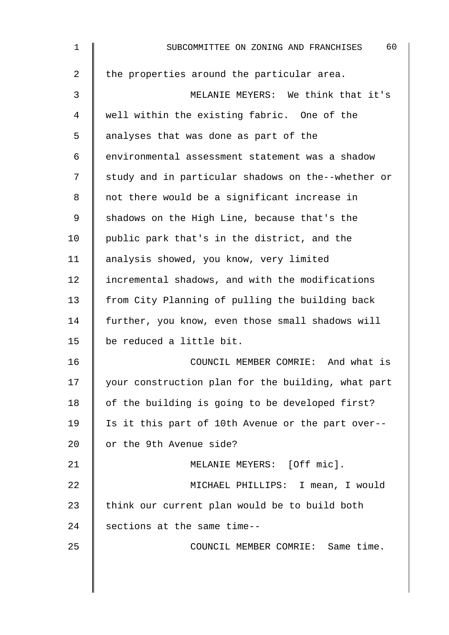| 1  | 60<br>SUBCOMMITTEE ON ZONING AND FRANCHISES        |
|----|----------------------------------------------------|
| 2  | the properties around the particular area.         |
| 3  | MELANIE MEYERS: We think that it's                 |
| 4  | well within the existing fabric. One of the        |
| 5  | analyses that was done as part of the              |
| 6  | environmental assessment statement was a shadow    |
| 7  | study and in particular shadows on the--whether or |
| 8  | not there would be a significant increase in       |
| 9  | shadows on the High Line, because that's the       |
| 10 | public park that's in the district, and the        |
| 11 | analysis showed, you know, very limited            |
| 12 | incremental shadows, and with the modifications    |
| 13 | from City Planning of pulling the building back    |
| 14 | further, you know, even those small shadows will   |
| 15 | be reduced a little bit.                           |
| 16 | COUNCIL MEMBER COMRIE: And what is                 |
| 17 | your construction plan for the building, what part |
| 18 | of the building is going to be developed first?    |
| 19 | Is it this part of 10th Avenue or the part over--  |
| 20 | or the 9th Avenue side?                            |
| 21 | MELANIE MEYERS: [Off mic].                         |
| 22 | MICHAEL PHILLIPS: I mean, I would                  |
| 23 | think our current plan would be to build both      |
| 24 | sections at the same time--                        |
| 25 | COUNCIL MEMBER COMRIE: Same time.                  |
|    |                                                    |
|    |                                                    |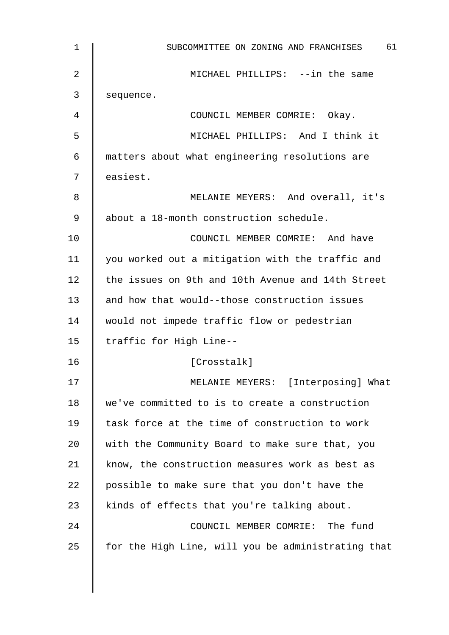| 1              | 61<br>SUBCOMMITTEE ON ZONING AND FRANCHISES        |
|----------------|----------------------------------------------------|
| $\overline{2}$ | MICHAEL PHILLIPS: --in the same                    |
| 3              | sequence.                                          |
| 4              | COUNCIL MEMBER COMRIE: Okay.                       |
| 5              | MICHAEL PHILLIPS: And I think it                   |
| 6              | matters about what engineering resolutions are     |
| 7              | easiest.                                           |
| 8              | MELANIE MEYERS: And overall, it's                  |
| 9              | about a 18-month construction schedule.            |
| 10             | COUNCIL MEMBER COMRIE: And have                    |
| 11             | you worked out a mitigation with the traffic and   |
| 12             | the issues on 9th and 10th Avenue and 14th Street  |
| 13             | and how that would--those construction issues      |
| 14             | would not impede traffic flow or pedestrian        |
| 15             | traffic for High Line--                            |
| 16             | [Crosstalk]                                        |
| 17             | MELANIE MEYERS: [Interposing] What                 |
| 18             | we've committed to is to create a construction     |
| 19             | task force at the time of construction to work     |
| 20             | with the Community Board to make sure that, you    |
| 21             | know, the construction measures work as best as    |
| 22             | possible to make sure that you don't have the      |
| 23             | kinds of effects that you're talking about.        |
| 24             | COUNCIL MEMBER COMRIE: The fund                    |
| 25             | for the High Line, will you be administrating that |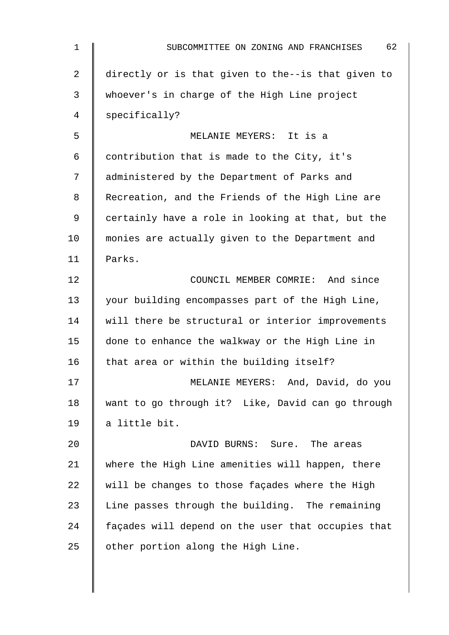| 1  | 62<br>SUBCOMMITTEE ON ZONING AND FRANCHISES        |
|----|----------------------------------------------------|
| 2  | directly or is that given to the--is that given to |
| 3  | whoever's in charge of the High Line project       |
| 4  | specifically?                                      |
| 5  | MELANIE MEYERS: It is a                            |
| 6  | contribution that is made to the City, it's        |
| 7  | administered by the Department of Parks and        |
| 8  | Recreation, and the Friends of the High Line are   |
| 9  | certainly have a role in looking at that, but the  |
| 10 | monies are actually given to the Department and    |
| 11 | Parks.                                             |
| 12 | COUNCIL MEMBER COMRIE: And since                   |
| 13 | your building encompasses part of the High Line,   |
| 14 | will there be structural or interior improvements  |
| 15 | done to enhance the walkway or the High Line in    |
| 16 | that area or within the building itself?           |
| 17 | MELANIE MEYERS: And, David, do you                 |
| 18 | want to go through it? Like, David can go through  |
| 19 | a little bit.                                      |
| 20 | DAVID BURNS: Sure. The areas                       |
| 21 | where the High Line amenities will happen, there   |
| 22 | will be changes to those façades where the High    |
| 23 | Line passes through the building. The remaining    |
| 24 | façades will depend on the user that occupies that |
| 25 | other portion along the High Line.                 |
|    |                                                    |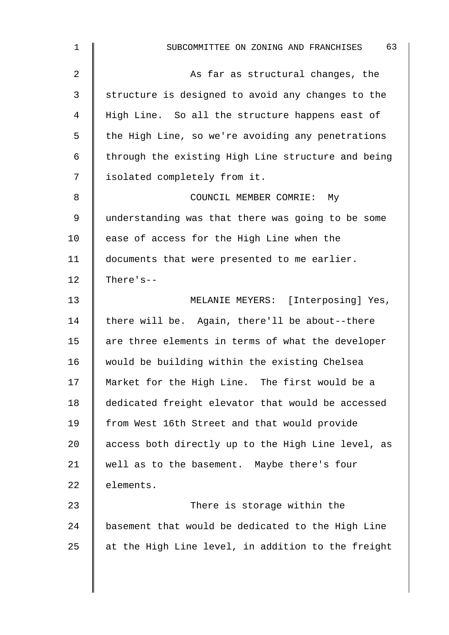| 1              | 63<br>SUBCOMMITTEE ON ZONING AND FRANCHISES        |
|----------------|----------------------------------------------------|
| $\overline{2}$ | As far as structural changes, the                  |
| 3              | structure is designed to avoid any changes to the  |
| 4              | High Line. So all the structure happens east of    |
| 5              | the High Line, so we're avoiding any penetrations  |
| 6              | through the existing High Line structure and being |
| 7              | isolated completely from it.                       |
| 8              | COUNCIL MEMBER COMRIE: My                          |
| 9              | understanding was that there was going to be some  |
| 10             | ease of access for the High Line when the          |
| 11             | documents that were presented to me earlier.       |
| 12             | There's--                                          |
| 13             | MELANIE MEYERS: [Interposing] Yes,                 |
| 14             | there will be. Again, there'll be about--there     |
| 15             | are three elements in terms of what the developer  |
| 16             | would be building within the existing Chelsea      |
| 17             | Market for the High Line. The first would be a     |
| 18             | dedicated freight elevator that would be accessed  |
| 19             | from West 16th Street and that would provide       |
| 20             | access both directly up to the High Line level, as |
| 21             | well as to the basement. Maybe there's four        |
| 22             | elements.                                          |
| 23             | There is storage within the                        |
| 24             | basement that would be dedicated to the High Line  |
| 25             | at the High Line level, in addition to the freight |
|                |                                                    |
|                |                                                    |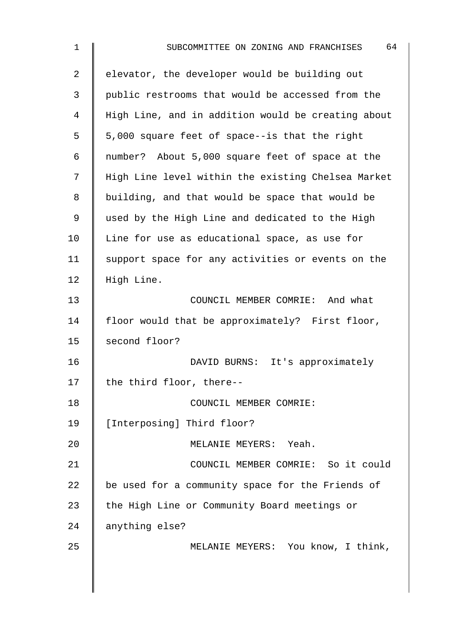| $\mathbf 1$    | 64<br>SUBCOMMITTEE ON ZONING AND FRANCHISES        |
|----------------|----------------------------------------------------|
| $\overline{a}$ | elevator, the developer would be building out      |
| 3              | public restrooms that would be accessed from the   |
| 4              | High Line, and in addition would be creating about |
| 5              | 5,000 square feet of space--is that the right      |
| 6              | number? About 5,000 square feet of space at the    |
| 7              | High Line level within the existing Chelsea Market |
| 8              | building, and that would be space that would be    |
| 9              | used by the High Line and dedicated to the High    |
| 10             | Line for use as educational space, as use for      |
| 11             | support space for any activities or events on the  |
| 12             | High Line.                                         |
| 13             | COUNCIL MEMBER COMRIE: And what                    |
| 14             | floor would that be approximately? First floor,    |
| 15             | second floor?                                      |
| 16             | DAVID BURNS: It's approximately                    |
| 17             | the third floor, there--                           |
| 18             | COUNCIL MEMBER COMRIE:                             |
| 19             | [Interposing] Third floor?                         |
| 20             | MELANIE MEYERS: Yeah.                              |
| 21             | COUNCIL MEMBER COMRIE: So it could                 |
| 22             | be used for a community space for the Friends of   |
| 23             | the High Line or Community Board meetings or       |
| 24             | anything else?                                     |
| 25             | MELANIE MEYERS: You know, I think,                 |
|                |                                                    |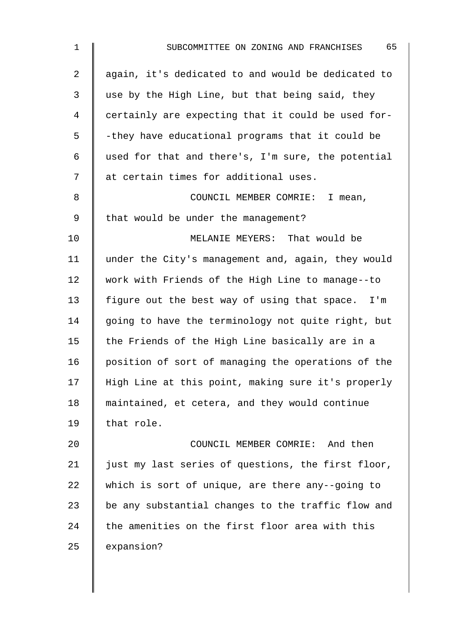| $\mathbf 1$    | 65<br>SUBCOMMITTEE ON ZONING AND FRANCHISES        |
|----------------|----------------------------------------------------|
| $\overline{2}$ | again, it's dedicated to and would be dedicated to |
| 3              | use by the High Line, but that being said, they    |
| 4              | certainly are expecting that it could be used for- |
| 5              | -they have educational programs that it could be   |
| 6              | used for that and there's, I'm sure, the potential |
| 7              | at certain times for additional uses.              |
| 8              | COUNCIL MEMBER COMRIE: I mean,                     |
| 9              | that would be under the management?                |
| 10             | MELANIE MEYERS: That would be                      |
| 11             | under the City's management and, again, they would |
| 12             | work with Friends of the High Line to manage--to   |
| 13             | figure out the best way of using that space. I'm   |
| 14             | going to have the terminology not quite right, but |
| 15             | the Friends of the High Line basically are in a    |
| 16             | position of sort of managing the operations of the |
| 17             | High Line at this point, making sure it's properly |
| 18             | maintained, et cetera, and they would continue     |
| 19             | that role.                                         |
| 20             | COUNCIL MEMBER COMRIE: And then                    |
| 21             | just my last series of questions, the first floor, |
| 22             | which is sort of unique, are there any--going to   |
| 23             | be any substantial changes to the traffic flow and |
| 24             | the amenities on the first floor area with this    |
| 25             | expansion?                                         |
|                |                                                    |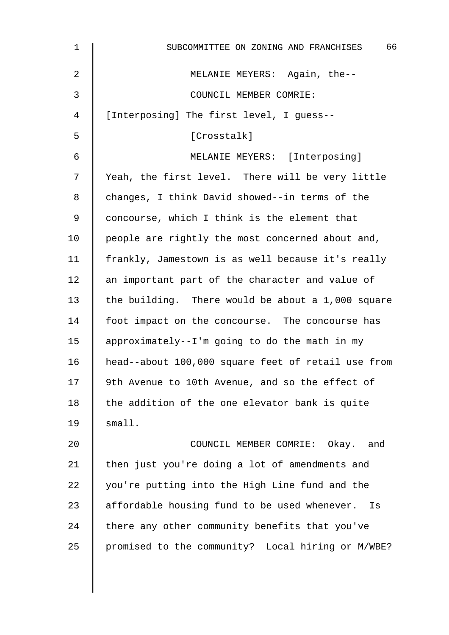| $\mathbf 1$ | 66<br>SUBCOMMITTEE ON ZONING AND FRANCHISES        |
|-------------|----------------------------------------------------|
| 2           | MELANIE MEYERS: Again, the--                       |
| 3           | COUNCIL MEMBER COMRIE:                             |
| 4           | [Interposing] The first level, I guess--           |
| 5           | [Crosstalk]                                        |
| 6           | MELANIE MEYERS: [Interposing]                      |
| 7           | Yeah, the first level. There will be very little   |
| 8           | changes, I think David showed--in terms of the     |
| 9           | concourse, which I think is the element that       |
| 10          | people are rightly the most concerned about and,   |
| 11          | frankly, Jamestown is as well because it's really  |
| 12          | an important part of the character and value of    |
| 13          | the building. There would be about a 1,000 square  |
| 14          | foot impact on the concourse. The concourse has    |
| 15          | approximately--I'm going to do the math in my      |
| 16          | head--about 100,000 square feet of retail use from |
| 17          | 9th Avenue to 10th Avenue, and so the effect of    |
| 18          | the addition of the one elevator bank is quite     |
| 19          | small.                                             |
| 20          | COUNCIL MEMBER COMRIE: Okay. and                   |
| 21          | then just you're doing a lot of amendments and     |
| 22          | you're putting into the High Line fund and the     |
| 23          | affordable housing fund to be used whenever.<br>Is |
| 24          | there any other community benefits that you've     |
| 25          | promised to the community? Local hiring or M/WBE?  |
|             |                                                    |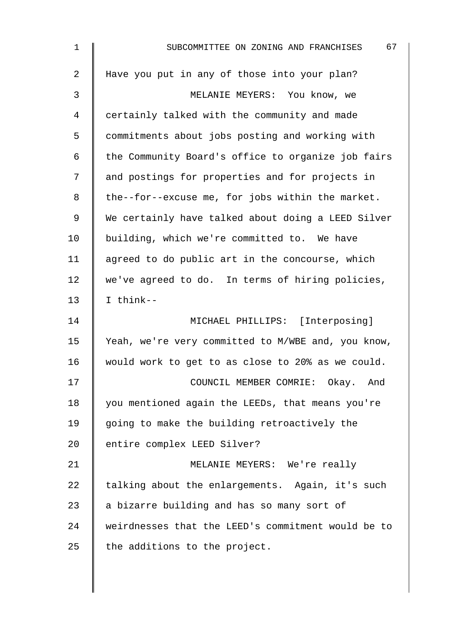| $\mathbf 1$    | 67<br>SUBCOMMITTEE ON ZONING AND FRANCHISES        |
|----------------|----------------------------------------------------|
| $\overline{2}$ | Have you put in any of those into your plan?       |
| 3              | MELANIE MEYERS: You know, we                       |
| 4              | certainly talked with the community and made       |
| 5              | commitments about jobs posting and working with    |
| 6              | the Community Board's office to organize job fairs |
| 7              | and postings for properties and for projects in    |
| 8              | the--for--excuse me, for jobs within the market.   |
| $\mathsf 9$    | We certainly have talked about doing a LEED Silver |
| 10             | building, which we're committed to. We have        |
| 11             | agreed to do public art in the concourse, which    |
| 12             | we've agreed to do. In terms of hiring policies,   |
| 13             | I think--                                          |
| 14             | MICHAEL PHILLIPS: [Interposing]                    |
| 15             | Yeah, we're very committed to M/WBE and, you know, |
| 16             | would work to get to as close to 20% as we could.  |
| 17             | COUNCIL MEMBER COMRIE: Okay. And                   |
| 18             | you mentioned again the LEEDs, that means you're   |
| 19             | going to make the building retroactively the       |
| 20             | entire complex LEED Silver?                        |
| 21             | MELANIE MEYERS: We're really                       |
| 22             | talking about the enlargements. Again, it's such   |
| 23             | a bizarre building and has so many sort of         |
| 24             | weirdnesses that the LEED's commitment would be to |
| 25             | the additions to the project.                      |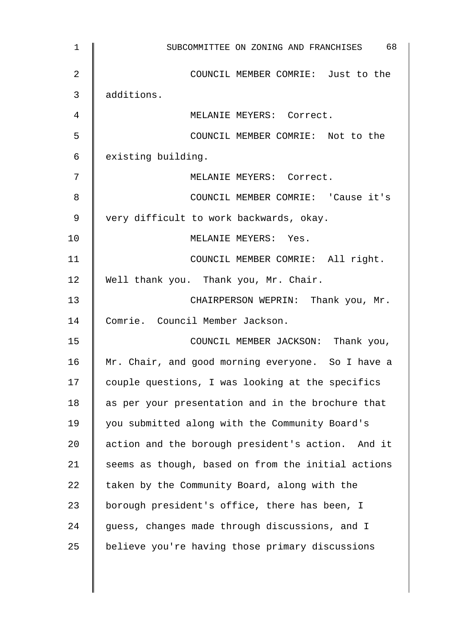| 1              | 68<br>SUBCOMMITTEE ON ZONING AND FRANCHISES        |
|----------------|----------------------------------------------------|
| $\overline{2}$ | COUNCIL MEMBER COMRIE: Just to the                 |
| 3              | additions.                                         |
| 4              | MELANIE MEYERS: Correct.                           |
| 5              | COUNCIL MEMBER COMRIE: Not to the                  |
| 6              | existing building.                                 |
| 7              | MELANIE MEYERS: Correct.                           |
| 8              | COUNCIL MEMBER COMRIE: 'Cause it's                 |
| 9              | very difficult to work backwards, okay.            |
| 10             | MELANIE MEYERS: Yes.                               |
| 11             | COUNCIL MEMBER COMRIE: All right.                  |
| 12             | Well thank you. Thank you, Mr. Chair.              |
| 13             | CHAIRPERSON WEPRIN: Thank you, Mr.                 |
| 14             | Comrie. Council Member Jackson.                    |
| 15             | COUNCIL MEMBER JACKSON: Thank you,                 |
| 16             | Mr. Chair, and good morning everyone. So I have a  |
| 17             | couple questions, I was looking at the specifics   |
| 18             | as per your presentation and in the brochure that  |
| 19             | you submitted along with the Community Board's     |
| 20             | action and the borough president's action. And it  |
| 21             | seems as though, based on from the initial actions |
| 22             | taken by the Community Board, along with the       |
| 23             | borough president's office, there has been, I      |
| 24             | guess, changes made through discussions, and I     |
| 25             | believe you're having those primary discussions    |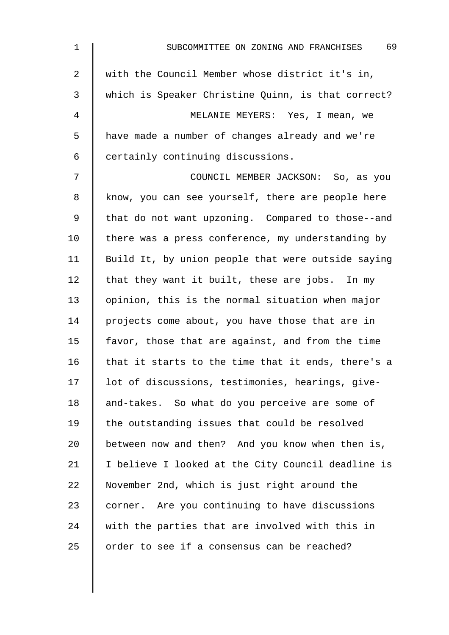| $\mathbf 1$    | 69<br>SUBCOMMITTEE ON ZONING AND FRANCHISES        |
|----------------|----------------------------------------------------|
| $\overline{a}$ | with the Council Member whose district it's in,    |
| 3              | which is Speaker Christine Quinn, is that correct? |
| 4              | MELANIE MEYERS: Yes, I mean, we                    |
| 5              | have made a number of changes already and we're    |
| 6              | certainly continuing discussions.                  |
| 7              | COUNCIL MEMBER JACKSON: So, as you                 |
| 8              | know, you can see yourself, there are people here  |
| $\mathsf 9$    | that do not want upzoning. Compared to those--and  |
| 10             | there was a press conference, my understanding by  |
| 11             | Build It, by union people that were outside saying |
| 12             | that they want it built, these are jobs. In my     |
| 13             | opinion, this is the normal situation when major   |
| 14             | projects come about, you have those that are in    |
| 15             | favor, those that are against, and from the time   |
| 16             | that it starts to the time that it ends, there's a |
| 17             | lot of discussions, testimonies, hearings, give-   |
| 18             | and-takes. So what do you perceive are some of     |
| 19             | the outstanding issues that could be resolved      |
| 20             | between now and then? And you know when then is,   |
| 21             | I believe I looked at the City Council deadline is |
| 22             | November 2nd, which is just right around the       |
| 23             | corner. Are you continuing to have discussions     |
| 24             | with the parties that are involved with this in    |
| 25             | order to see if a consensus can be reached?        |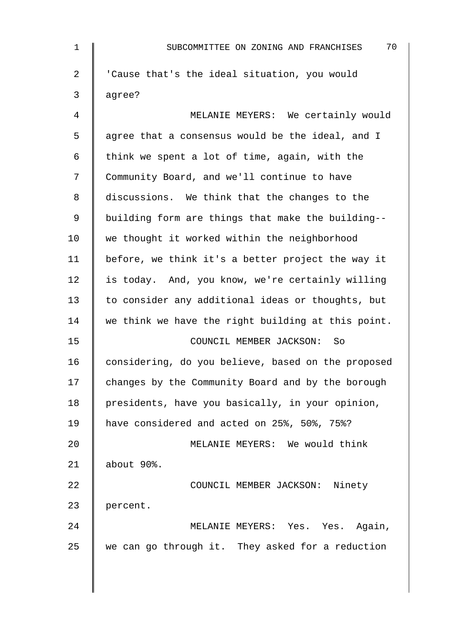| $\mathbf 1$ | 70<br>SUBCOMMITTEE ON ZONING AND FRANCHISES        |
|-------------|----------------------------------------------------|
| 2           | 'Cause that's the ideal situation, you would       |
| 3           | agree?                                             |
| 4           | MELANIE MEYERS: We certainly would                 |
| 5           | agree that a consensus would be the ideal, and I   |
| 6           | think we spent a lot of time, again, with the      |
| 7           | Community Board, and we'll continue to have        |
| 8           | discussions. We think that the changes to the      |
| 9           | building form are things that make the building--  |
| 10          | we thought it worked within the neighborhood       |
| 11          | before, we think it's a better project the way it  |
| 12          | is today. And, you know, we're certainly willing   |
| 13          | to consider any additional ideas or thoughts, but  |
| 14          | we think we have the right building at this point. |
| 15          | COUNCIL MEMBER JACKSON:<br>So                      |
| 16          | considering, do you believe, based on the proposed |
| 17          | changes by the Community Board and by the borough  |
| 18          | presidents, have you basically, in your opinion,   |
| 19          | have considered and acted on 25%, 50%, 75%?        |
| 20          | MELANIE MEYERS: We would think                     |
| 21          | about 90%.                                         |
| 22          | COUNCIL MEMBER JACKSON: Ninety                     |
| 23          | percent.                                           |
| 24          | MELANIE MEYERS: Yes. Yes. Again,                   |
| 25          | we can go through it. They asked for a reduction   |
|             |                                                    |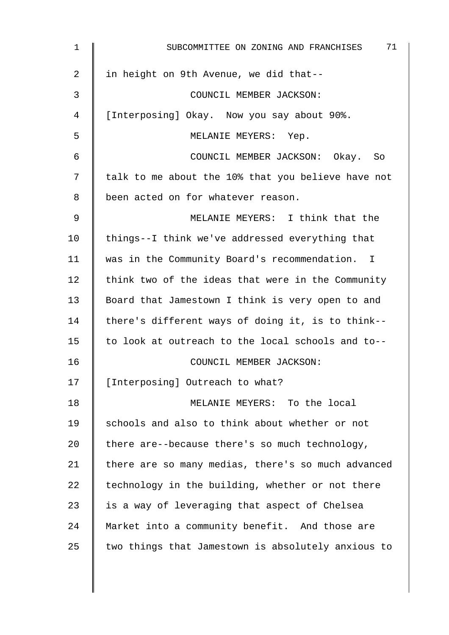| 1  | 71<br>SUBCOMMITTEE ON ZONING AND FRANCHISES        |
|----|----------------------------------------------------|
| 2  | in height on 9th Avenue, we did that--             |
| 3  | COUNCIL MEMBER JACKSON:                            |
| 4  | [Interposing] Okay. Now you say about 90%.         |
| 5  | MELANIE MEYERS: Yep.                               |
| 6  | COUNCIL MEMBER JACKSON: Okay. So                   |
| 7  | talk to me about the 10% that you believe have not |
| 8  | been acted on for whatever reason.                 |
| 9  | MELANIE MEYERS: I think that the                   |
| 10 | things--I think we've addressed everything that    |
| 11 | was in the Community Board's recommendation. I     |
| 12 | think two of the ideas that were in the Community  |
| 13 | Board that Jamestown I think is very open to and   |
| 14 | there's different ways of doing it, is to think--  |
| 15 | to look at outreach to the local schools and to--  |
| 16 | COUNCIL MEMBER JACKSON:                            |
| 17 | [Interposing] Outreach to what?                    |
| 18 | MELANIE MEYERS: To the local                       |
| 19 | schools and also to think about whether or not     |
| 20 | there are--because there's so much technology,     |
| 21 | there are so many medias, there's so much advanced |
| 22 | technology in the building, whether or not there   |
| 23 | is a way of leveraging that aspect of Chelsea      |
| 24 | Market into a community benefit. And those are     |
| 25 | two things that Jamestown is absolutely anxious to |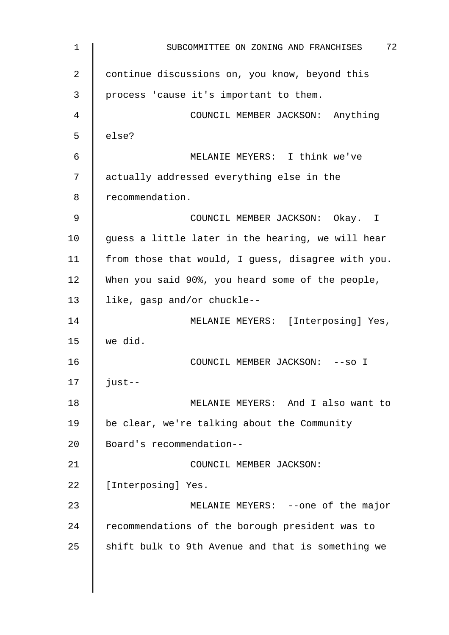| $\mathbf 1$ | 72<br>SUBCOMMITTEE ON ZONING AND FRANCHISES        |
|-------------|----------------------------------------------------|
| 2           | continue discussions on, you know, beyond this     |
| 3           | process 'cause it's important to them.             |
| 4           | COUNCIL MEMBER JACKSON: Anything                   |
| 5           | else?                                              |
| 6           | MELANIE MEYERS: I think we've                      |
| 7           | actually addressed everything else in the          |
| 8           | recommendation.                                    |
| 9           | COUNCIL MEMBER JACKSON: Okay. I                    |
| 10          | guess a little later in the hearing, we will hear  |
| 11          | from those that would, I guess, disagree with you. |
| 12          | When you said 90%, you heard some of the people,   |
| 13          | like, gasp and/or chuckle--                        |
| 14          | MELANIE MEYERS: [Interposing] Yes,                 |
| 15          | we did.                                            |
| 16          | COUNCIL MEMBER JACKSON: -- so I                    |
| 17          | $just--$                                           |
| 18          | MELANIE MEYERS: And I also want to                 |
| 19          | be clear, we're talking about the Community        |
| 20          | Board's recommendation--                           |
| 21          | COUNCIL MEMBER JACKSON:                            |
| 22          | [Interposing] Yes.                                 |
| 23          | MELANIE MEYERS: --one of the major                 |
| 24          | recommendations of the borough president was to    |
| 25          | shift bulk to 9th Avenue and that is something we  |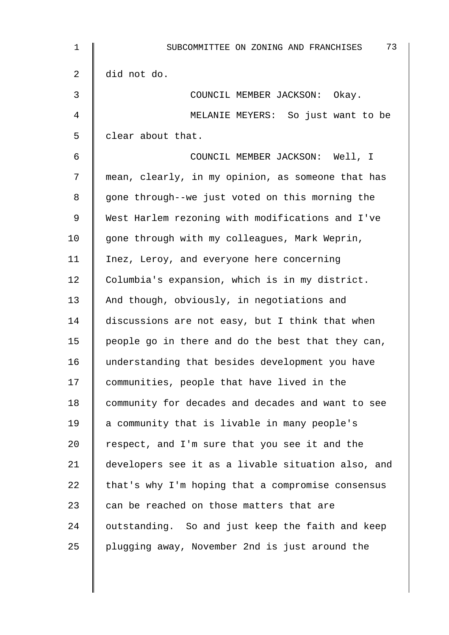| $\mathbf 1$ | 73<br>SUBCOMMITTEE ON ZONING AND FRANCHISES        |
|-------------|----------------------------------------------------|
| 2           | did not do.                                        |
| 3           | COUNCIL MEMBER JACKSON: Okay.                      |
| 4           | MELANIE MEYERS: So just want to be                 |
| 5           | clear about that.                                  |
| 6           | COUNCIL MEMBER JACKSON: Well, I                    |
| 7           | mean, clearly, in my opinion, as someone that has  |
| 8           | gone through--we just voted on this morning the    |
| $\mathsf 9$ | West Harlem rezoning with modifications and I've   |
| 10          | gone through with my colleagues, Mark Weprin,      |
| 11          | Inez, Leroy, and everyone here concerning          |
| 12          | Columbia's expansion, which is in my district.     |
| 13          | And though, obviously, in negotiations and         |
| 14          | discussions are not easy, but I think that when    |
| 15          | people go in there and do the best that they can,  |
| 16          | understanding that besides development you have    |
| 17          | communities, people that have lived in the         |
| 18          | community for decades and decades and want to see  |
| 19          | a community that is livable in many people's       |
| 20          | respect, and I'm sure that you see it and the      |
| 21          | developers see it as a livable situation also, and |
| 22          | that's why I'm hoping that a compromise consensus  |
| 23          | can be reached on those matters that are           |
| 24          | outstanding. So and just keep the faith and keep   |
| 25          | plugging away, November 2nd is just around the     |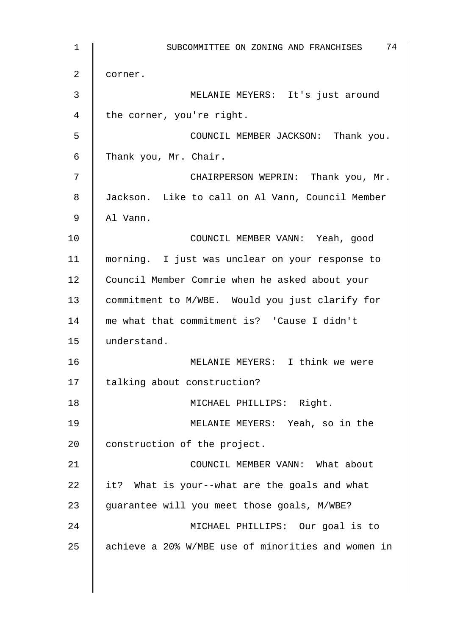1 | SUBCOMMITTEE ON ZONING AND FRANCHISES 74 2 | corner. 3 MELANIE MEYERS: It's just around 4 the corner, you're right. 5 **J** COUNCIL MEMBER JACKSON: Thank you. 6 Thank you, Mr. Chair. 7 || CHAIRPERSON WEPRIN: Thank you, Mr. 8 Jackson. Like to call on Al Vann, Council Member 9 Al Vann. 10 COUNCIL MEMBER VANN: Yeah, good 11 morning. I just was unclear on your response to 12 Council Member Comrie when he asked about your 13 Commitment to M/WBE. Would you just clarify for 14 me what that commitment is? 'Cause I didn't 15 | understand. 16 MELANIE MEYERS: I think we were 17 | talking about construction? 18 || MICHAEL PHILLIPS: Right. 19 MELANIE MEYERS: Yeah, so in the 20 | construction of the project. 21 **COUNCIL MEMBER VANN:** What about 22  $\parallel$  it? What is your--what are the goals and what 23 | guarantee will you meet those goals, M/WBE? 24 MICHAEL PHILLIPS: Our goal is to 25  $\parallel$  achieve a 20% W/MBE use of minorities and women in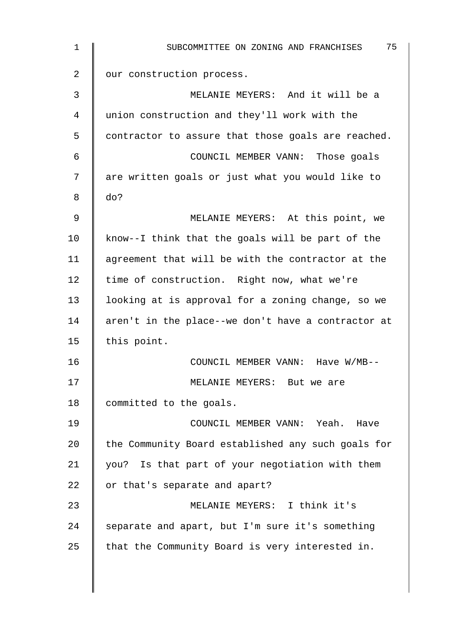| 1  | 75<br>SUBCOMMITTEE ON ZONING AND FRANCHISES        |
|----|----------------------------------------------------|
| 2  | our construction process.                          |
| 3  | MELANIE MEYERS: And it will be a                   |
| 4  | union construction and they'll work with the       |
| 5  | contractor to assure that those goals are reached. |
| 6  | COUNCIL MEMBER VANN: Those goals                   |
| 7  | are written goals or just what you would like to   |
| 8  | do?                                                |
| 9  | MELANIE MEYERS: At this point, we                  |
| 10 | know--I think that the goals will be part of the   |
| 11 | agreement that will be with the contractor at the  |
| 12 | time of construction. Right now, what we're        |
| 13 | looking at is approval for a zoning change, so we  |
| 14 | aren't in the place--we don't have a contractor at |
| 15 | this point.                                        |
| 16 | COUNCIL MEMBER VANN: Have W/MB--                   |
| 17 | MELANIE MEYERS: But we are                         |
| 18 | committed to the goals.                            |
| 19 | COUNCIL MEMBER VANN: Yeah. Have                    |
| 20 | the Community Board established any such goals for |
| 21 | you? Is that part of your negotiation with them    |
| 22 | or that's separate and apart?                      |
| 23 | MELANIE MEYERS: I think it's                       |
| 24 | separate and apart, but I'm sure it's something    |
| 25 | that the Community Board is very interested in.    |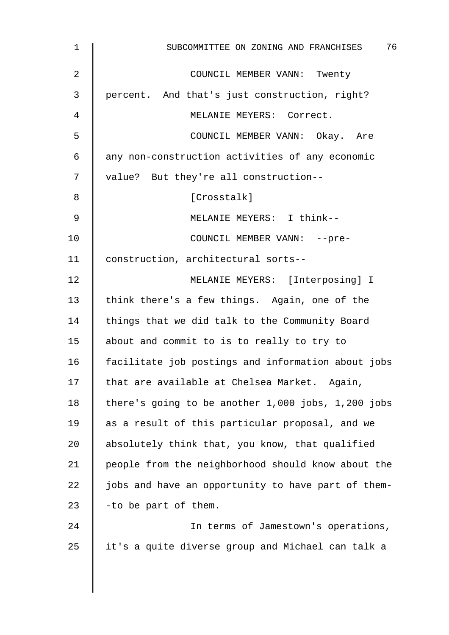| $\mathbf{1}$   | 76<br>SUBCOMMITTEE ON ZONING AND FRANCHISES        |
|----------------|----------------------------------------------------|
| $\overline{2}$ | COUNCIL MEMBER VANN: Twenty                        |
| 3              | percent. And that's just construction, right?      |
| 4              | MELANIE MEYERS: Correct.                           |
| 5              | COUNCIL MEMBER VANN: Okay. Are                     |
| 6              | any non-construction activities of any economic    |
| 7              | value? But they're all construction--              |
| 8              | [Crosstalk]                                        |
| 9              | MELANIE MEYERS: I think--                          |
| 10             | COUNCIL MEMBER VANN: -- pre-                       |
| 11             | construction, architectural sorts--                |
| 12             | MELANIE MEYERS: [Interposing] I                    |
| 13             | think there's a few things. Again, one of the      |
| 14             | things that we did talk to the Community Board     |
| 15             | about and commit to is to really to try to         |
| 16             | facilitate job postings and information about jobs |
| 17             | that are available at Chelsea Market. Again,       |
| 18             | there's going to be another 1,000 jobs, 1,200 jobs |
| 19             | as a result of this particular proposal, and we    |
| 20             | absolutely think that, you know, that qualified    |
| 21             | people from the neighborhood should know about the |
| 22             | jobs and have an opportunity to have part of them- |
| 23             | -to be part of them.                               |
| 24             | In terms of Jamestown's operations,                |
| 25             | it's a quite diverse group and Michael can talk a  |
|                |                                                    |
|                |                                                    |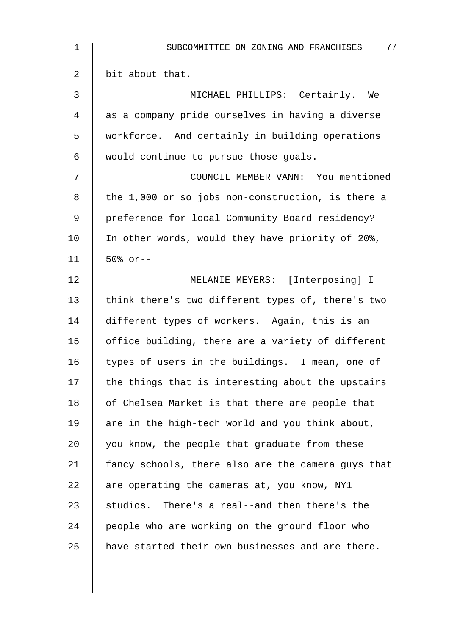| $\mathbf 1$ | 77<br>SUBCOMMITTEE ON ZONING AND FRANCHISES        |
|-------------|----------------------------------------------------|
| 2           | bit about that.                                    |
| 3           | MICHAEL PHILLIPS: Certainly. We                    |
| 4           | as a company pride ourselves in having a diverse   |
| 5           | workforce. And certainly in building operations    |
| 6           | would continue to pursue those goals.              |
| 7           | COUNCIL MEMBER VANN: You mentioned                 |
| 8           | the 1,000 or so jobs non-construction, is there a  |
| 9           | preference for local Community Board residency?    |
| 10          | In other words, would they have priority of 20%,   |
| 11          | $50\%$ or--                                        |
| 12          | MELANIE MEYERS: [Interposing] I                    |
| 13          | think there's two different types of, there's two  |
| 14          | different types of workers. Again, this is an      |
| 15          | office building, there are a variety of different  |
| 16          | types of users in the buildings. I mean, one of    |
| 17          | the things that is interesting about the upstairs  |
| 18          | of Chelsea Market is that there are people that    |
| 19          | are in the high-tech world and you think about,    |
| 20          | you know, the people that graduate from these      |
| 21          | fancy schools, there also are the camera guys that |
| 22          | are operating the cameras at, you know, NY1        |
| 23          | studios. There's a real--and then there's the      |
| 24          | people who are working on the ground floor who     |
| 25          | have started their own businesses and are there.   |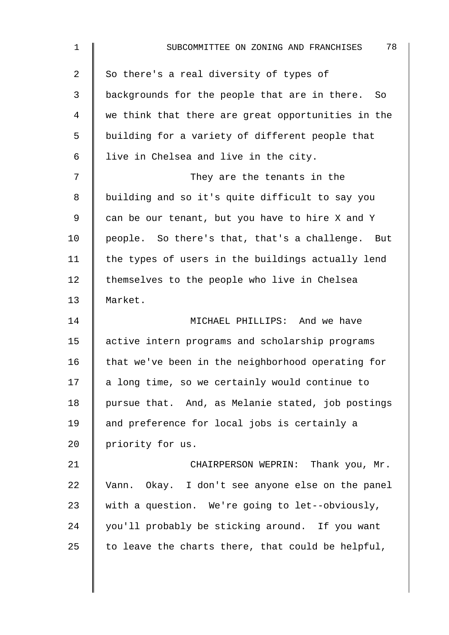| $\mathbf 1$    | 78<br>SUBCOMMITTEE ON ZONING AND FRANCHISES        |
|----------------|----------------------------------------------------|
| $\overline{2}$ | So there's a real diversity of types of            |
| 3              | backgrounds for the people that are in there. So   |
| 4              | we think that there are great opportunities in the |
| 5              | building for a variety of different people that    |
| $\epsilon$     | live in Chelsea and live in the city.              |
| 7              | They are the tenants in the                        |
| 8              | building and so it's quite difficult to say you    |
| 9              | can be our tenant, but you have to hire X and Y    |
| 10             | people. So there's that, that's a challenge. But   |
| 11             | the types of users in the buildings actually lend  |
| 12             | themselves to the people who live in Chelsea       |
| 13             | Market.                                            |
| 14             | MICHAEL PHILLIPS: And we have                      |
| 15             | active intern programs and scholarship programs    |
| 16             | that we've been in the neighborhood operating for  |
| 17             | a long time, so we certainly would continue to     |
| 18             | pursue that. And, as Melanie stated, job postings  |
| 19             | and preference for local jobs is certainly a       |
| 20             | priority for us.                                   |
| 21             | CHAIRPERSON WEPRIN: Thank you, Mr.                 |
| 22             | Vann. Okay. I don't see anyone else on the panel   |
| 23             | with a question. We're going to let--obviously,    |
| 24             | you'll probably be sticking around. If you want    |
| 25             | to leave the charts there, that could be helpful,  |
|                |                                                    |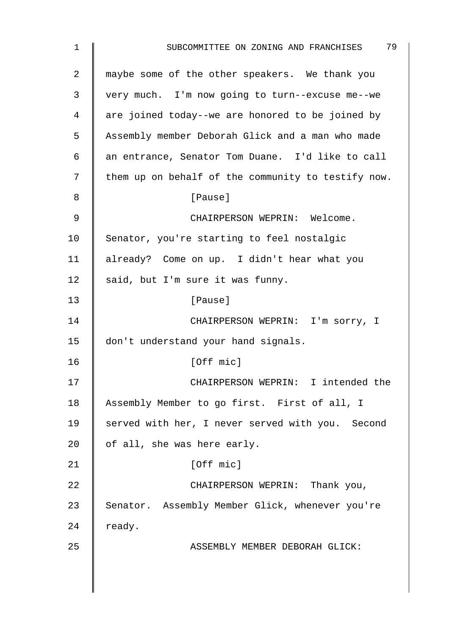| 1  | 79<br>SUBCOMMITTEE ON ZONING AND FRANCHISES        |
|----|----------------------------------------------------|
| 2  | maybe some of the other speakers. We thank you     |
| 3  | very much. I'm now going to turn--excuse me--we    |
| 4  | are joined today--we are honored to be joined by   |
| 5  | Assembly member Deborah Glick and a man who made   |
| 6  | an entrance, Senator Tom Duane. I'd like to call   |
| 7  | them up on behalf of the community to testify now. |
| 8  | [Pause]                                            |
| 9  | CHAIRPERSON WEPRIN: Welcome.                       |
| 10 | Senator, you're starting to feel nostalgic         |
| 11 | already? Come on up. I didn't hear what you        |
| 12 | said, but I'm sure it was funny.                   |
| 13 | [Pause]                                            |
| 14 | CHAIRPERSON WEPRIN: I'm sorry, I                   |
| 15 | don't understand your hand signals.                |
| 16 | [Off mic]                                          |
| 17 | CHAIRPERSON WEPRIN: I intended the                 |
| 18 | Assembly Member to go first. First of all, I       |
| 19 | served with her, I never served with you. Second   |
| 20 | of all, she was here early.                        |
| 21 | [Off mic]                                          |
| 22 | CHAIRPERSON WEPRIN: Thank you,                     |
| 23 | Senator. Assembly Member Glick, whenever you're    |
| 24 | ready.                                             |
| 25 | ASSEMBLY MEMBER DEBORAH GLICK:                     |
|    |                                                    |
|    |                                                    |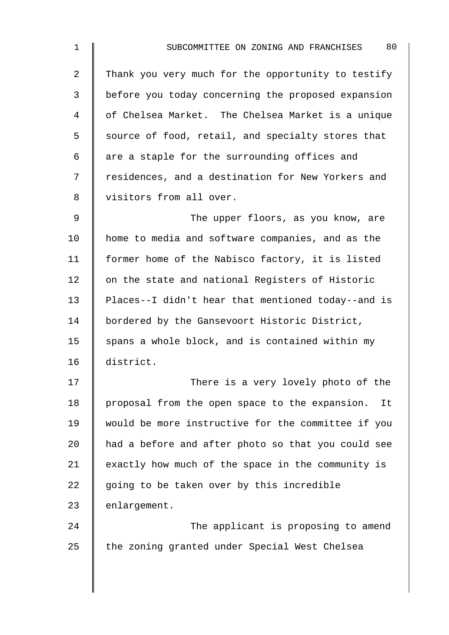2 Thank you very much for the opportunity to testify 3 before you today concerning the proposed expansion 4 of Chelsea Market. The Chelsea Market is a unique  $5 \parallel$  source of food, retail, and specialty stores that  $6 \parallel$  are a staple for the surrounding offices and 7 | residences, and a destination for New Yorkers and 8 | visitors from all over.

9 | The upper floors, as you know, are 10 | home to media and software companies, and as the 11 former home of the Nabisco factory, it is listed 12 | on the state and national Registers of Historic 13 Places--I didn't hear that mentioned today--and is 14 | bordered by the Gansevoort Historic District, 15  $\parallel$  spans a whole block, and is contained within my 16 district.

17 | There is a very lovely photo of the 18 | proposal from the open space to the expansion. It 19 would be more instructive for the committee if you 20  $\parallel$  had a before and after photo so that you could see 21  $\parallel$  exactly how much of the space in the community is 22  $\parallel$  going to be taken over by this incredible 23 enlargement.

24 **The applicant is proposing to amend**  $25$  the zoning granted under Special West Chelsea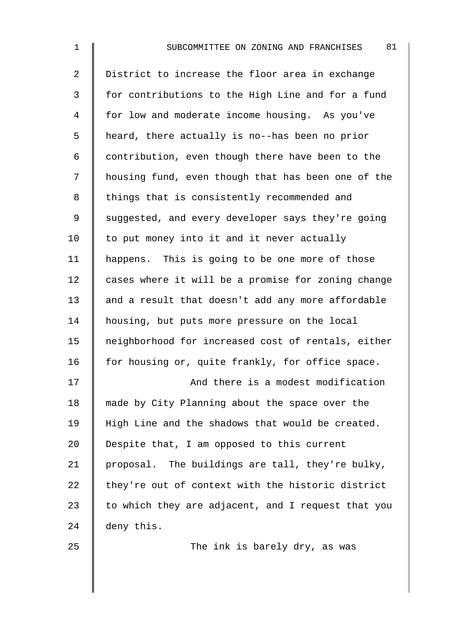2 District to increase the floor area in exchange 3 | for contributions to the High Line and for a fund 4 for low and moderate income housing. As you've 5 heard, there actually is no--has been no prior  $6 \parallel$  contribution, even though there have been to the 7 housing fund, even though that has been one of the 8 | things that is consistently recommended and 9 Suggested, and every developer says they're going  $10$  | to put money into it and it never actually 11 | happens. This is going to be one more of those 12 | cases where it will be a promise for zoning change 13 and a result that doesn't add any more affordable 14 | housing, but puts more pressure on the local 15 neighborhood for increased cost of rentals, either 16 for housing or, quite frankly, for office space. 17 | And there is a modest modification 18 made by City Planning about the space over the 19 | High Line and the shadows that would be created. 20  $\parallel$  Despite that, I am opposed to this current 21 | proposal. The buildings are tall, they're bulky,  $22$  they're out of context with the historic district

23  $\parallel$  to which they are adjacent, and I request that you

24 deny this.

25 | The ink is barely dry, as was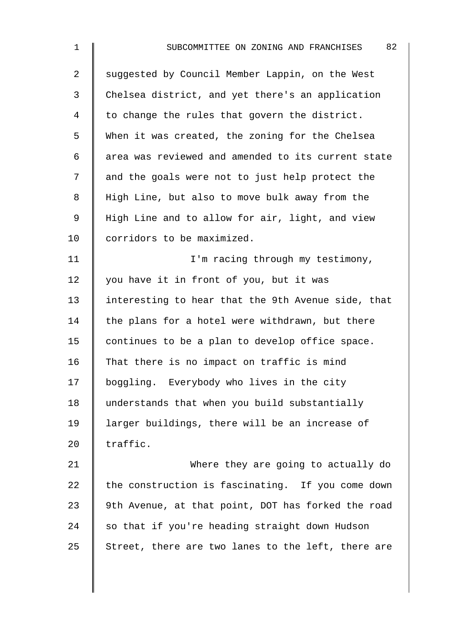| 1  | 82<br>SUBCOMMITTEE ON ZONING AND FRANCHISES        |
|----|----------------------------------------------------|
| 2  | suggested by Council Member Lappin, on the West    |
| 3  | Chelsea district, and yet there's an application   |
| 4  | to change the rules that govern the district.      |
| 5  | When it was created, the zoning for the Chelsea    |
| 6  | area was reviewed and amended to its current state |
| 7  | and the goals were not to just help protect the    |
| 8  | High Line, but also to move bulk away from the     |
| 9  | High Line and to allow for air, light, and view    |
| 10 | corridors to be maximized.                         |
| 11 | I'm racing through my testimony,                   |
| 12 | you have it in front of you, but it was            |
| 13 | interesting to hear that the 9th Avenue side, that |
| 14 | the plans for a hotel were withdrawn, but there    |
| 15 | continues to be a plan to develop office space.    |
| 16 | That there is no impact on traffic is mind         |
| 17 | boggling. Everybody who lives in the city          |
| 18 | understands that when you build substantially      |
| 19 | larger buildings, there will be an increase of     |
| 20 | traffic.                                           |
| 21 | Where they are going to actually do                |
| 22 | the construction is fascinating. If you come down  |
| 23 | 9th Avenue, at that point, DOT has forked the road |
| 24 | so that if you're heading straight down Hudson     |
| 25 | Street, there are two lanes to the left, there are |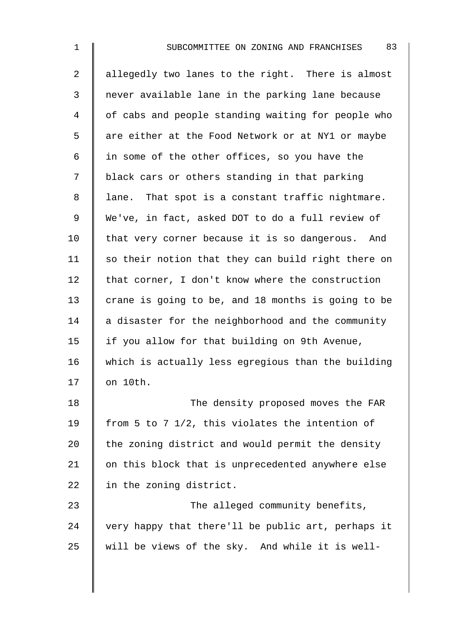2 | allegedly two lanes to the right. There is almost 3 never available lane in the parking lane because 4 | of cabs and people standing waiting for people who 5 | are either at the Food Network or at NY1 or maybe 6  $\parallel$  in some of the other offices, so you have the 7 | black cars or others standing in that parking 8 | lane. That spot is a constant traffic nightmare. 9 We've, in fact, asked DOT to do a full review of  $10$  that very corner because it is so dangerous. And 11  $\parallel$  so their notion that they can build right there on 12 that corner, I don't know where the construction 13  $\parallel$  crane is going to be, and 18 months is going to be  $14$  a disaster for the neighborhood and the community 15  $\parallel$  if you allow for that building on 9th Avenue, 16 which is actually less egregious than the building 17 | on 10th. 18 || The density proposed moves the FAR 19 | from 5 to 7 1/2, this violates the intention of  $20$  the zoning district and would permit the density 21  $\parallel$  on this block that is unprecedented anywhere else 22 In the zoning district.

23 **The alleged community benefits,** 24 very happy that there'll be public art, perhaps it  $25$  will be views of the sky. And while it is well-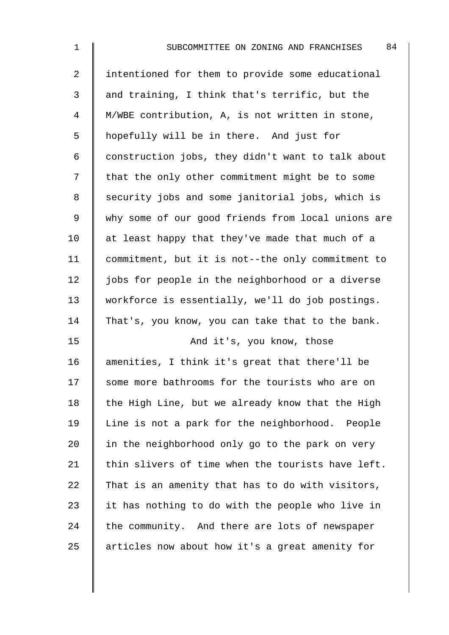2 intentioned for them to provide some educational  $3 \parallel$  and training, I think that's terrific, but the 4 M/WBE contribution, A, is not written in stone, 5 hopefully will be in there. And just for 6  $\parallel$  construction jobs, they didn't want to talk about 7 | that the only other commitment might be to some 8 Security jobs and some janitorial jobs, which is 9 why some of our good friends from local unions are 10  $\parallel$  at least happy that they've made that much of a 11 commitment, but it is not--the only commitment to  $12$  | jobs for people in the neighborhood or a diverse 13 workforce is essentially, we'll do job postings. 14 That's, you know, you can take that to the bank. 15 | And it's, you know, those 16 amenities, I think it's great that there'll be 17 Some more bathrooms for the tourists who are on 18  $\parallel$  the High Line, but we already know that the High 19 Line is not a park for the neighborhood. People  $20$  in the neighborhood only go to the park on very 21 | thin slivers of time when the tourists have left. 22 That is an amenity that has to do with visitors,

 $23$  | it has nothing to do with the people who live in  $24$  the community. And there are lots of newspaper  $25$  articles now about how it's a great amenity for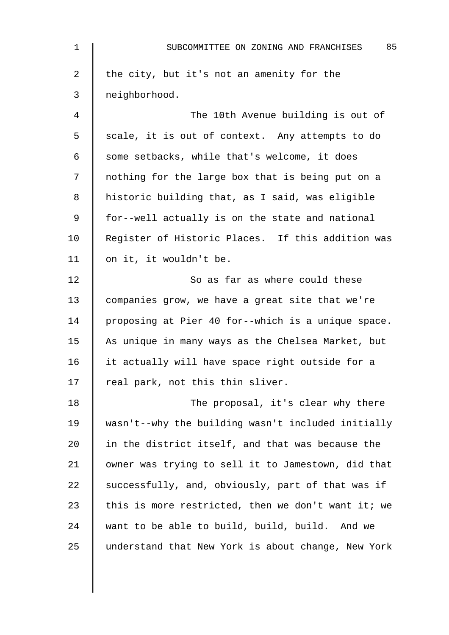| 1              | 85<br>SUBCOMMITTEE ON ZONING AND FRANCHISES        |
|----------------|----------------------------------------------------|
| $\overline{a}$ | the city, but it's not an amenity for the          |
| 3              | neighborhood.                                      |
| 4              | The 10th Avenue building is out of                 |
| 5              | scale, it is out of context. Any attempts to do    |
| 6              | some setbacks, while that's welcome, it does       |
| 7              | nothing for the large box that is being put on a   |
| 8              | historic building that, as I said, was eligible    |
| 9              | for--well actually is on the state and national    |
| 10             | Register of Historic Places. If this addition was  |
| 11             | on it, it wouldn't be.                             |
| 12             | So as far as where could these                     |
| 13             | companies grow, we have a great site that we're    |
| 14             | proposing at Pier 40 for--which is a unique space. |
| 15             | As unique in many ways as the Chelsea Market, but  |
| 16             | it actually will have space right outside for a    |
| 17             | real park, not this thin sliver.                   |
| 18             | The proposal, it's clear why there                 |
| 19             | wasn't--why the building wasn't included initially |
| 20             | in the district itself, and that was because the   |
| 21             | owner was trying to sell it to Jamestown, did that |
| 22             | successfully, and, obviously, part of that was if  |
| 23             | this is more restricted, then we don't want it; we |
| 24             | want to be able to build, build, build. And we     |
| 25             | understand that New York is about change, New York |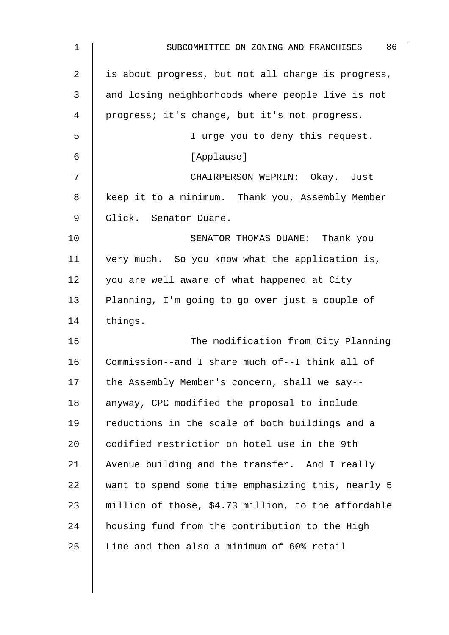| 1  | 86<br>SUBCOMMITTEE ON ZONING AND FRANCHISES         |
|----|-----------------------------------------------------|
| 2  | is about progress, but not all change is progress,  |
| 3  | and losing neighborhoods where people live is not   |
| 4  | progress; it's change, but it's not progress.       |
| 5  | I urge you to deny this request.                    |
| 6  | [Applause]                                          |
| 7  | CHAIRPERSON WEPRIN: Okay. Just                      |
| 8  | keep it to a minimum. Thank you, Assembly Member    |
| 9  | Glick. Senator Duane.                               |
| 10 | SENATOR THOMAS DUANE: Thank you                     |
| 11 | very much. So you know what the application is,     |
| 12 | you are well aware of what happened at City         |
| 13 | Planning, I'm going to go over just a couple of     |
| 14 | things.                                             |
| 15 | The modification from City Planning                 |
| 16 | Commission--and I share much of--I think all of     |
| 17 | the Assembly Member's concern, shall we say--       |
| 18 | anyway, CPC modified the proposal to include        |
| 19 | reductions in the scale of both buildings and a     |
| 20 | codified restriction on hotel use in the 9th        |
| 21 | Avenue building and the transfer. And I really      |
| 22 | want to spend some time emphasizing this, nearly 5  |
| 23 | million of those, \$4.73 million, to the affordable |
| 24 | housing fund from the contribution to the High      |
| 25 | Line and then also a minimum of 60% retail          |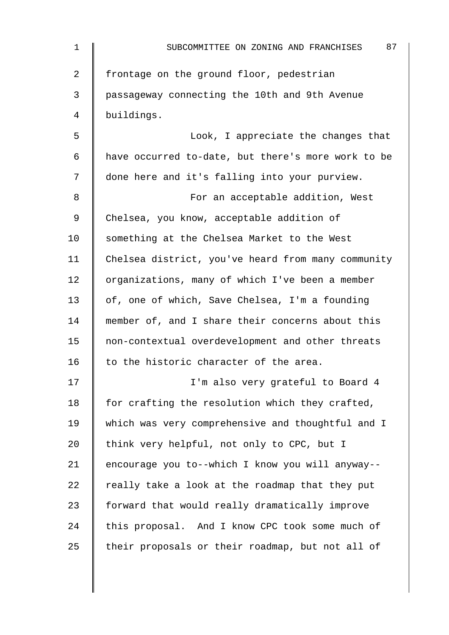| $\mathbf 1$ | 87<br>SUBCOMMITTEE ON ZONING AND FRANCHISES        |
|-------------|----------------------------------------------------|
| 2           | frontage on the ground floor, pedestrian           |
| 3           | passageway connecting the 10th and 9th Avenue      |
| 4           | buildings.                                         |
| 5           | Look, I appreciate the changes that                |
| 6           | have occurred to-date, but there's more work to be |
| 7           | done here and it's falling into your purview.      |
| 8           | For an acceptable addition, West                   |
| 9           | Chelsea, you know, acceptable addition of          |
| 10          | something at the Chelsea Market to the West        |
| 11          | Chelsea district, you've heard from many community |
| 12          | organizations, many of which I've been a member    |
| 13          | of, one of which, Save Chelsea, I'm a founding     |
| 14          | member of, and I share their concerns about this   |
| 15          | non-contextual overdevelopment and other threats   |
| 16          | to the historic character of the area.             |
| 17          | I'm also very grateful to Board 4                  |
| 18          | for crafting the resolution which they crafted,    |
| 19          | which was very comprehensive and thoughtful and I  |
| 20          | think very helpful, not only to CPC, but I         |
| 21          | encourage you to--which I know you will anyway--   |
| 22          | really take a look at the roadmap that they put    |
| 23          | forward that would really dramatically improve     |
| 24          | this proposal. And I know CPC took some much of    |
| 25          | their proposals or their roadmap, but not all of   |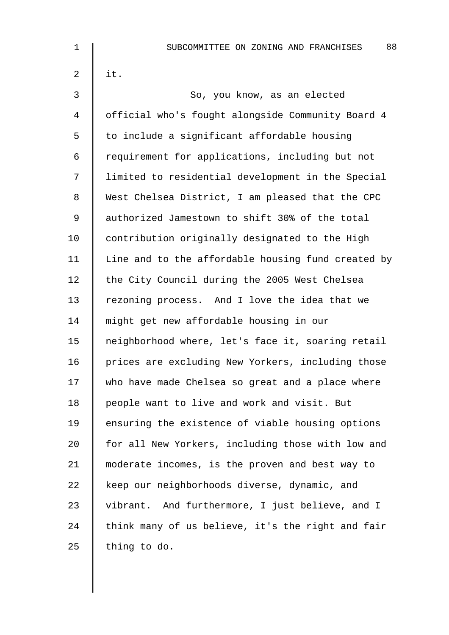| $\mathbf 1$    | 88<br>SUBCOMMITTEE ON ZONING AND FRANCHISES        |
|----------------|----------------------------------------------------|
| $\overline{2}$ | it.                                                |
| 3              | So, you know, as an elected                        |
| $\overline{4}$ | official who's fought alongside Community Board 4  |
| 5              | to include a significant affordable housing        |
| 6              | requirement for applications, including but not    |
| 7              | limited to residential development in the Special  |
| 8              | West Chelsea District, I am pleased that the CPC   |
| $\mathsf 9$    | authorized Jamestown to shift 30% of the total     |
| 10             | contribution originally designated to the High     |
| 11             | Line and to the affordable housing fund created by |
| 12             | the City Council during the 2005 West Chelsea      |
| 13             | rezoning process. And I love the idea that we      |
| 14             | might get new affordable housing in our            |
| 15             | neighborhood where, let's face it, soaring retail  |
| 16             | prices are excluding New Yorkers, including those  |
| 17             | who have made Chelsea so great and a place where   |
| 18             | people want to live and work and visit. But        |
| 19             | ensuring the existence of viable housing options   |
| 20             | for all New Yorkers, including those with low and  |
| 21             | moderate incomes, is the proven and best way to    |
| 22             | keep our neighborhoods diverse, dynamic, and       |
| 23             | vibrant. And furthermore, I just believe, and I    |
| 24             | think many of us believe, it's the right and fair  |
| 25             | thing to do.                                       |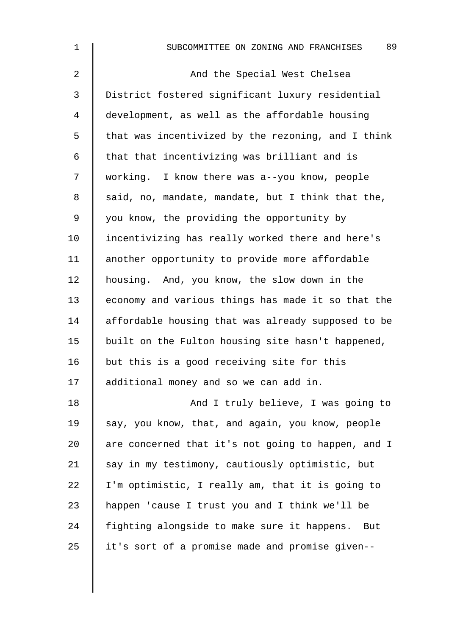| $\mathbf{1}$   | 89<br>SUBCOMMITTEE ON ZONING AND FRANCHISES        |
|----------------|----------------------------------------------------|
| $\overline{a}$ | And the Special West Chelsea                       |
| $\mathfrak{Z}$ | District fostered significant luxury residential   |
| 4              | development, as well as the affordable housing     |
| 5              | that was incentivized by the rezoning, and I think |
| 6              | that that incentivizing was brilliant and is       |
| 7              | working. I know there was a--you know, people      |
| 8              | said, no, mandate, mandate, but I think that the,  |
| 9              | you know, the providing the opportunity by         |
| 10             | incentivizing has really worked there and here's   |
| 11             | another opportunity to provide more affordable     |
| 12             | housing. And, you know, the slow down in the       |
| 13             | economy and various things has made it so that the |
| 14             | affordable housing that was already supposed to be |
| 15             | built on the Fulton housing site hasn't happened,  |
| 16             | but this is a good receiving site for this         |
| 17             | additional money and so we can add in.             |
| 18             | And I truly believe, I was going to                |
| 19             | say, you know, that, and again, you know, people   |
| 20             | are concerned that it's not going to happen, and I |
| 21             | say in my testimony, cautiously optimistic, but    |
| 22             | I'm optimistic, I really am, that it is going to   |
| 23             | happen 'cause I trust you and I think we'll be     |
| 24             | fighting alongside to make sure it happens. But    |
| 25             | it's sort of a promise made and promise given--    |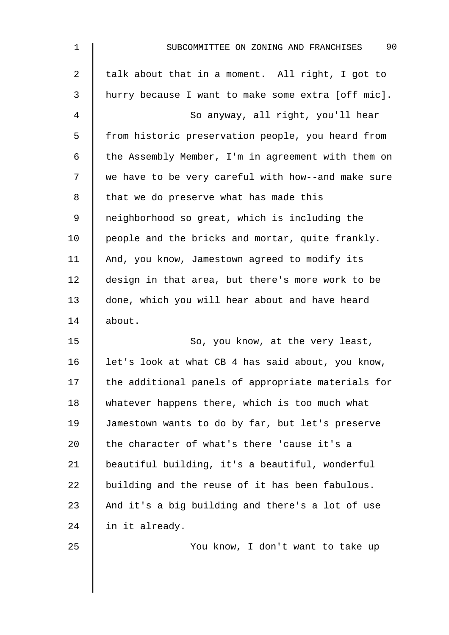| $\mathbf 1$ | 90<br>SUBCOMMITTEE ON ZONING AND FRANCHISES        |
|-------------|----------------------------------------------------|
| 2           | talk about that in a moment. All right, I got to   |
| 3           | hurry because I want to make some extra [off mic]. |
| 4           | So anyway, all right, you'll hear                  |
| 5           | from historic preservation people, you heard from  |
| 6           | the Assembly Member, I'm in agreement with them on |
| 7           | we have to be very careful with how--and make sure |
| 8           | that we do preserve what has made this             |
| 9           | neighborhood so great, which is including the      |
| 10          | people and the bricks and mortar, quite frankly.   |
| 11          | And, you know, Jamestown agreed to modify its      |
| 12          | design in that area, but there's more work to be   |
| 13          | done, which you will hear about and have heard     |
| 14          | about.                                             |
| 15          | So, you know, at the very least,                   |
| 16          | let's look at what CB 4 has said about, you know,  |
| 17          | the additional panels of appropriate materials for |
| 18          | whatever happens there, which is too much what     |
| 19          | Jamestown wants to do by far, but let's preserve   |
| 20          | the character of what's there 'cause it's a        |
| 21          | beautiful building, it's a beautiful, wonderful    |
| 22          | building and the reuse of it has been fabulous.    |
| 23          | And it's a big building and there's a lot of use   |
| 24          | in it already.                                     |
| 25          | You know, I don't want to take up                  |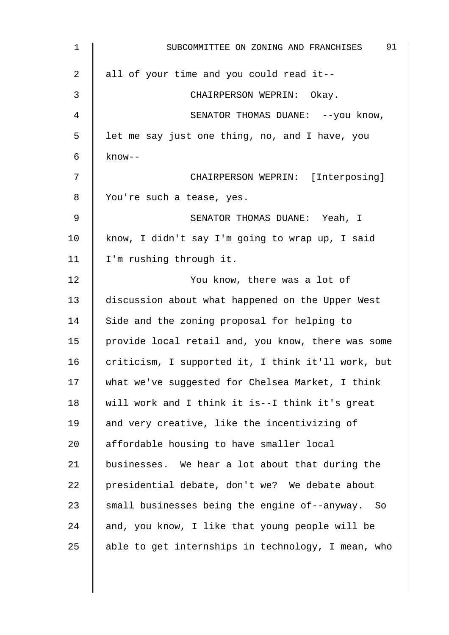| 1           | 91<br>SUBCOMMITTEE ON ZONING AND FRANCHISES        |
|-------------|----------------------------------------------------|
| 2           | all of your time and you could read it--           |
| 3           | CHAIRPERSON WEPRIN: Okay.                          |
| 4           | SENATOR THOMAS DUANE: -- you know,                 |
| 5           | let me say just one thing, no, and I have, you     |
| 6           | $know--$                                           |
| 7           | CHAIRPERSON WEPRIN: [Interposing]                  |
| 8           | You're such a tease, yes.                          |
| $\mathsf 9$ | SENATOR THOMAS DUANE: Yeah, I                      |
| 10          | know, I didn't say I'm going to wrap up, I said    |
| 11          | I'm rushing through it.                            |
| 12          | You know, there was a lot of                       |
| 13          | discussion about what happened on the Upper West   |
| 14          | Side and the zoning proposal for helping to        |
| 15          | provide local retail and, you know, there was some |
| 16          | criticism, I supported it, I think it'll work, but |
| 17          | what we've suggested for Chelsea Market, I think   |
| 18          | will work and I think it is--I think it's great    |
| 19          | and very creative, like the incentivizing of       |
| 20          | affordable housing to have smaller local           |
| 21          | businesses. We hear a lot about that during the    |
| 22          | presidential debate, don't we? We debate about     |
| 23          | small businesses being the engine of--anyway. So   |
| 24          | and, you know, I like that young people will be    |
| 25          | able to get internships in technology, I mean, who |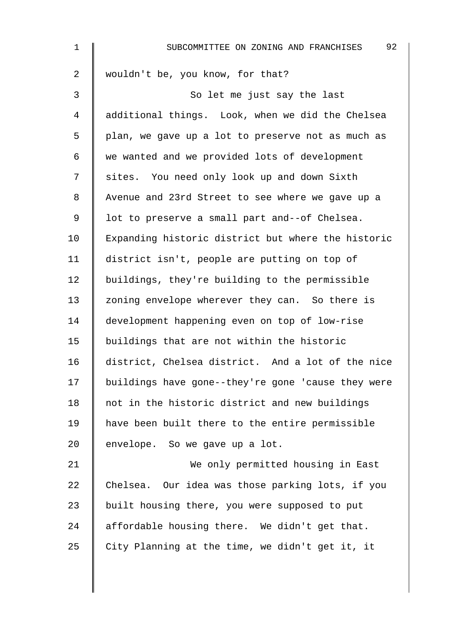| $\mathbf 1$ | 92<br>SUBCOMMITTEE ON ZONING AND FRANCHISES        |
|-------------|----------------------------------------------------|
| 2           | wouldn't be, you know, for that?                   |
| 3           | So let me just say the last                        |
| 4           | additional things. Look, when we did the Chelsea   |
| 5           | plan, we gave up a lot to preserve not as much as  |
| 6           | we wanted and we provided lots of development      |
| 7           | sites. You need only look up and down Sixth        |
| 8           | Avenue and 23rd Street to see where we gave up a   |
| $\mathsf 9$ | lot to preserve a small part and--of Chelsea.      |
| 10          | Expanding historic district but where the historic |
| 11          | district isn't, people are putting on top of       |
| 12          | buildings, they're building to the permissible     |
| 13          | zoning envelope wherever they can. So there is     |
| 14          | development happening even on top of low-rise      |
| 15          | buildings that are not within the historic         |
| 16          | district, Chelsea district. And a lot of the nice  |
| 17          | buildings have gone--they're gone 'cause they were |
| 18          | not in the historic district and new buildings     |
| 19          | have been built there to the entire permissible    |
| 20          | envelope. So we gave up a lot.                     |
| 21          | We only permitted housing in East                  |
| 22          | Chelsea. Our idea was those parking lots, if you   |
| 23          | built housing there, you were supposed to put      |
| 24          | affordable housing there. We didn't get that.      |
| 25          | City Planning at the time, we didn't get it, it    |
|             |                                                    |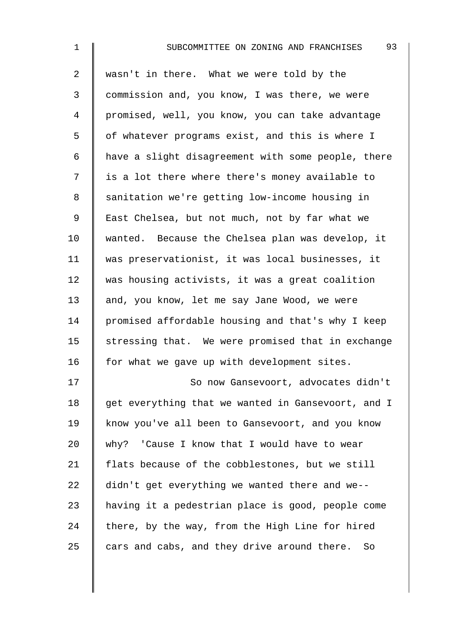2 wasn't in there. What we were told by the 3 commission and, you know, I was there, we were 4 promised, well, you know, you can take advantage 5 | of whatever programs exist, and this is where I 6  $\parallel$  have a slight disagreement with some people, there 7 | is a lot there where there's money available to 8 | sanitation we're getting low-income housing in 9 | East Chelsea, but not much, not by far what we 10 wanted. Because the Chelsea plan was develop, it 11 was preservationist, it was local businesses, it 12 was housing activists, it was a great coalition 13 and, you know, let me say Jane Wood, we were 14 promised affordable housing and that's why I keep 15  $\parallel$  stressing that. We were promised that in exchange 16  $\parallel$  for what we gave up with development sites. 17 | So now Gansevoort, advocates didn't

 $18$  | get everything that we wanted in Gansevoort, and I 19 know you've all been to Gansevoort, and you know 20 why? 'Cause I know that I would have to wear 21 | flats because of the cobblestones, but we still 22  $\parallel$  didn't get everything we wanted there and we--23  $\parallel$  having it a pedestrian place is good, people come 24 there, by the way, from the High Line for hired 25  $\parallel$  cars and cabs, and they drive around there. So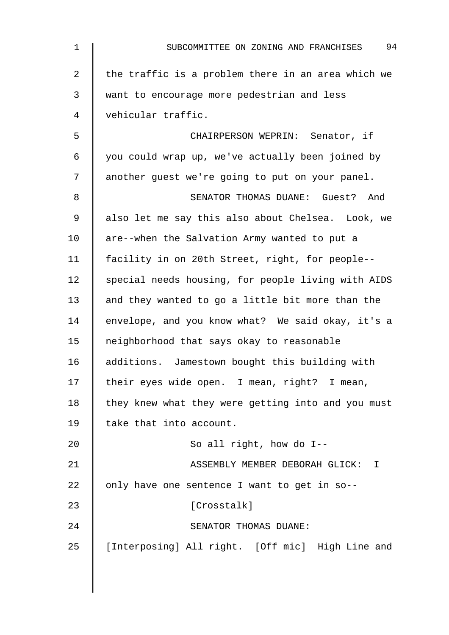| $\mathbf 1$ | 94<br>SUBCOMMITTEE ON ZONING AND FRANCHISES        |
|-------------|----------------------------------------------------|
| 2           | the traffic is a problem there in an area which we |
| 3           | want to encourage more pedestrian and less         |
| 4           | vehicular traffic.                                 |
| 5           | CHAIRPERSON WEPRIN: Senator, if                    |
| 6           | you could wrap up, we've actually been joined by   |
| 7           | another guest we're going to put on your panel.    |
| 8           | SENATOR THOMAS DUANE: Guest? And                   |
| 9           | also let me say this also about Chelsea. Look, we  |
| 10          | are--when the Salvation Army wanted to put a       |
| 11          | facility in on 20th Street, right, for people--    |
| 12          | special needs housing, for people living with AIDS |
| 13          | and they wanted to go a little bit more than the   |
| 14          | envelope, and you know what? We said okay, it's a  |
| 15          | neighborhood that says okay to reasonable          |
| 16          | additions. Jamestown bought this building with     |
| 17          | their eyes wide open. I mean, right? I mean,       |
| 18          | they knew what they were getting into and you must |
| 19          | take that into account.                            |
| 20          | So all right, how do I--                           |
| 21          | ASSEMBLY MEMBER DEBORAH GLICK: I                   |
| 22          | only have one sentence I want to get in so--       |
| 23          | [Crosstalk]                                        |
| 24          | SENATOR THOMAS DUANE:                              |
| 25          | [Interposing] All right. [Off mic] High Line and   |
|             |                                                    |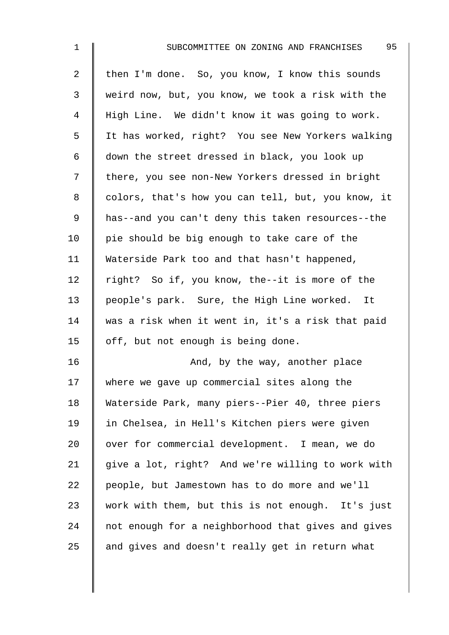| $\overline{2}$ | then I'm done. So, you know, I know this sounds    |
|----------------|----------------------------------------------------|
| 3              | weird now, but, you know, we took a risk with the  |
| 4              | High Line. We didn't know it was going to work.    |
| 5              | It has worked, right? You see New Yorkers walking  |
| 6              | down the street dressed in black, you look up      |
| 7              | there, you see non-New Yorkers dressed in bright   |
| 8              | colors, that's how you can tell, but, you know, it |
| 9              | has--and you can't deny this taken resources--the  |
| 10             | pie should be big enough to take care of the       |
| 11             | Waterside Park too and that hasn't happened,       |
| 12             | right? So if, you know, the--it is more of the     |
| 13             | people's park. Sure, the High Line worked. It      |
| 14             | was a risk when it went in, it's a risk that paid  |
| 15             | off, but not enough is being done.                 |
| 16             | And, by the way, another place                     |
| 17             | where we gave up commercial sites along the        |
| 18             | Waterside Park, many piers--Pier 40, three piers   |
| 19             | in Chelsea, in Hell's Kitchen piers were given     |
| 20             | over for commercial development. I mean, we do     |
| 21             | give a lot, right? And we're willing to work with  |
| 22             | people, but Jamestown has to do more and we'll     |
| 23             | work with them, but this is not enough. It's just  |
| 24             | not enough for a neighborhood that gives and gives |
| 25             | and gives and doesn't really get in return what    |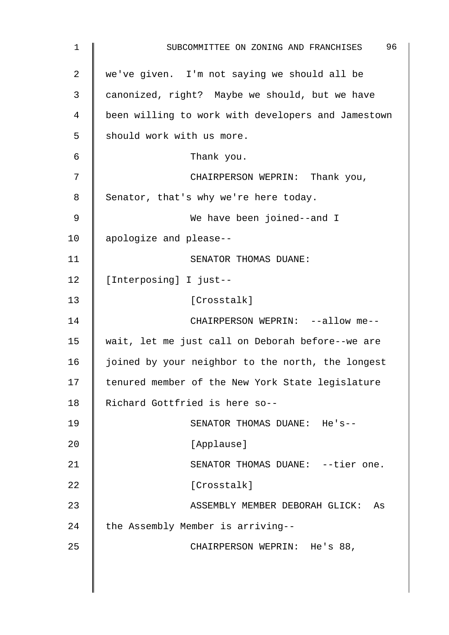| 1  | 96<br>SUBCOMMITTEE ON ZONING AND FRANCHISES        |
|----|----------------------------------------------------|
| 2  | we've given. I'm not saying we should all be       |
| 3  | canonized, right? Maybe we should, but we have     |
| 4  | been willing to work with developers and Jamestown |
| 5  | should work with us more.                          |
| 6  | Thank you.                                         |
| 7  | CHAIRPERSON WEPRIN: Thank you,                     |
| 8  | Senator, that's why we're here today.              |
| 9  | We have been joined--and I                         |
| 10 | apologize and please--                             |
| 11 | SENATOR THOMAS DUANE:                              |
| 12 | [Interposing] I just--                             |
| 13 | [Crosstalk]                                        |
| 14 | CHAIRPERSON WEPRIN: --allow me--                   |
| 15 | wait, let me just call on Deborah before--we are   |
| 16 | joined by your neighbor to the north, the longest  |
| 17 | tenured member of the New York State legislature   |
| 18 | Richard Gottfried is here so--                     |
| 19 | SENATOR THOMAS DUANE: He's--                       |
| 20 | [Applause]                                         |
| 21 | SENATOR THOMAS DUANE: --tier one.                  |
| 22 | [Crosstalk]                                        |
| 23 | ASSEMBLY MEMBER DEBORAH GLICK:<br>As               |
| 24 | the Assembly Member is arriving--                  |
| 25 | CHAIRPERSON WEPRIN: He's 88,                       |
|    |                                                    |
|    |                                                    |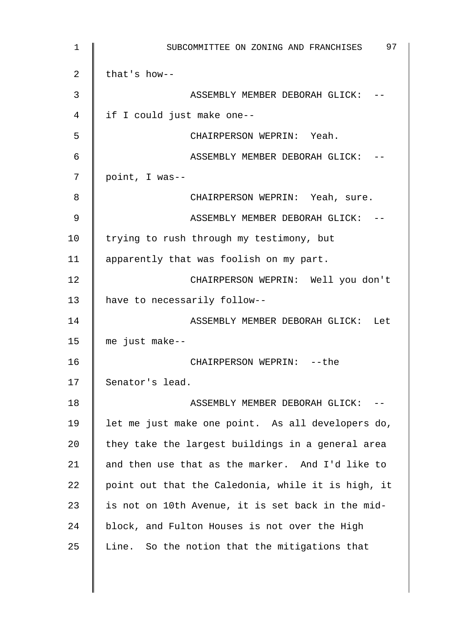1 | SUBCOMMITTEE ON ZONING AND FRANCHISES 97 2 | that's how--3 || ASSEMBLY MEMBER DEBORAH GLICK: --4 if I could just make one-- 5 CHAIRPERSON WEPRIN: Yeah. 6 ASSEMBLY MEMBER DEBORAH GLICK: -- 7 point, I was-- 8 **CHAIRPERSON WEPRIN:** Yeah, sure. 9 || ASSEMBLY MEMBER DEBORAH GLICK: --10 Trying to rush through my testimony, but 11 | apparently that was foolish on my part. 12 CHAIRPERSON WEPRIN: Well you don't 13 have to necessarily follow-- 14 | ASSEMBLY MEMBER DEBORAH GLICK: Let 15  $\parallel$  me just make--16 CHAIRPERSON WEPRIN: --the 17 Senator's lead. 18 | ASSEMBLY MEMBER DEBORAH GLICK: --19 | let me just make one point. As all developers do,  $20$  they take the largest buildings in a general area 21  $\parallel$  and then use that as the marker. And I'd like to 22  $\parallel$  point out that the Caledonia, while it is high, it 23  $\parallel$  is not on 10th Avenue, it is set back in the mid-24 block, and Fulton Houses is not over the High 25 Line. So the notion that the mitigations that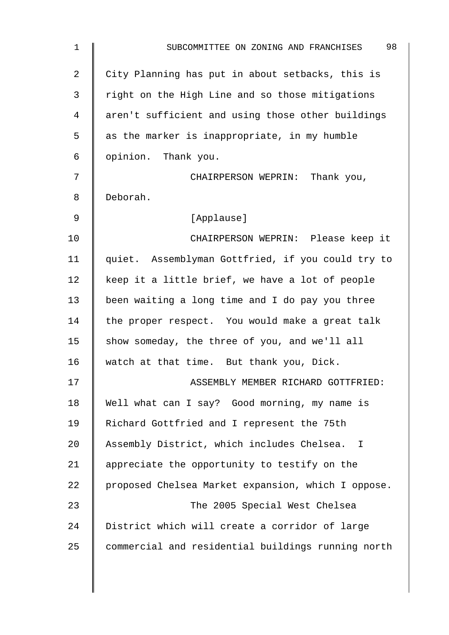| $\mathbf 1$    | 98<br>SUBCOMMITTEE ON ZONING AND FRANCHISES        |
|----------------|----------------------------------------------------|
| $\overline{2}$ | City Planning has put in about setbacks, this is   |
| 3              | right on the High Line and so those mitigations    |
| 4              | aren't sufficient and using those other buildings  |
| 5              | as the marker is inappropriate, in my humble       |
| 6              | opinion. Thank you.                                |
| 7              | CHAIRPERSON WEPRIN: Thank you,                     |
| 8              | Deborah.                                           |
| 9              | [Applause]                                         |
| 10             | CHAIRPERSON WEPRIN: Please keep it                 |
| 11             | quiet. Assemblyman Gottfried, if you could try to  |
| 12             | keep it a little brief, we have a lot of people    |
| 13             | been waiting a long time and I do pay you three    |
| 14             | the proper respect. You would make a great talk    |
| 15             | show someday, the three of you, and we'll all      |
| 16             | watch at that time. But thank you, Dick.           |
| 17             | ASSEMBLY MEMBER RICHARD GOTTFRIED:                 |
| 18             | Well what can I say? Good morning, my name is      |
| 19             | Richard Gottfried and I represent the 75th         |
| 20             | Assembly District, which includes Chelsea. I       |
| 21             | appreciate the opportunity to testify on the       |
| 22             | proposed Chelsea Market expansion, which I oppose. |
| 23             | The 2005 Special West Chelsea                      |
| 24             | District which will create a corridor of large     |
| 25             | commercial and residential buildings running north |
|                |                                                    |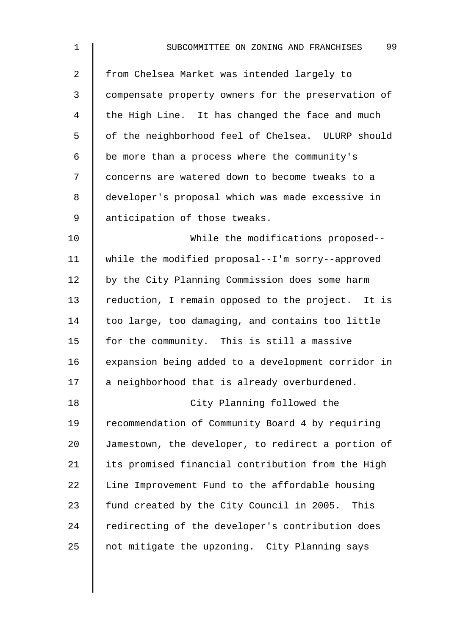| $\mathbf{1}$   | 99<br>SUBCOMMITTEE ON ZONING AND FRANCHISES        |
|----------------|----------------------------------------------------|
| 2              | from Chelsea Market was intended largely to        |
| 3              | compensate property owners for the preservation of |
| $\overline{4}$ | the High Line. It has changed the face and much    |
| 5              | of the neighborhood feel of Chelsea. ULURP should  |
| 6              | be more than a process where the community's       |
| 7              | concerns are watered down to become tweaks to a    |
| 8              | developer's proposal which was made excessive in   |
| 9              | anticipation of those tweaks.                      |
| 10             | While the modifications proposed--                 |
| 11             | while the modified proposal--I'm sorry--approved   |
| 12             | by the City Planning Commission does some harm     |
| 13             | reduction, I remain opposed to the project. It is  |
| 14             | too large, too damaging, and contains too little   |
| 15             | for the community. This is still a massive         |
| 16             | expansion being added to a development corridor in |
| 17             | a neighborhood that is already overburdened.       |

18 || City Planning followed the 19 Tecommendation of Community Board 4 by requiring 20 Jamestown, the developer, to redirect a portion of 21 | its promised financial contribution from the High 22  $\parallel$  Line Improvement Fund to the affordable housing 23 fund created by the City Council in 2005. This 24 Tedirecting of the developer's contribution does 25  $\parallel$  not mitigate the upzoning. City Planning says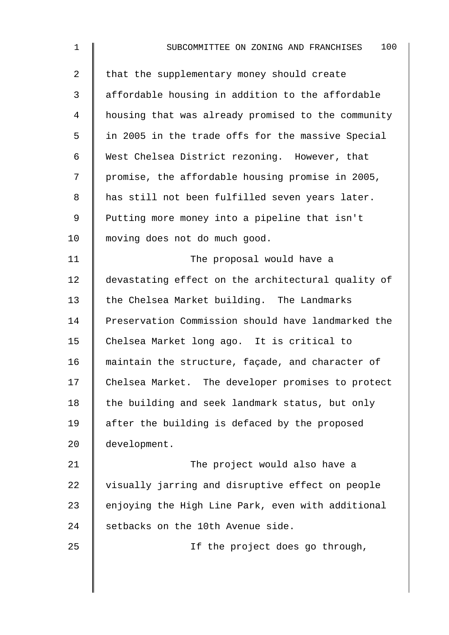| 1  | 100<br>SUBCOMMITTEE ON ZONING AND FRANCHISES       |
|----|----------------------------------------------------|
| 2  | that the supplementary money should create         |
| 3  | affordable housing in addition to the affordable   |
| 4  | housing that was already promised to the community |
| 5  | in 2005 in the trade offs for the massive Special  |
| 6  | West Chelsea District rezoning. However, that      |
| 7  | promise, the affordable housing promise in 2005,   |
| 8  | has still not been fulfilled seven years later.    |
| 9  | Putting more money into a pipeline that isn't      |
| 10 | moving does not do much good.                      |
| 11 | The proposal would have a                          |
| 12 | devastating effect on the architectural quality of |
| 13 | the Chelsea Market building. The Landmarks         |
| 14 | Preservation Commission should have landmarked the |
| 15 | Chelsea Market long ago. It is critical to         |
| 16 | maintain the structure, façade, and character of   |
| 17 | Chelsea Market. The developer promises to protect  |
| 18 | the building and seek landmark status, but only    |
| 19 | after the building is defaced by the proposed      |
| 20 | development.                                       |
| 21 | The project would also have a                      |
| 22 | visually jarring and disruptive effect on people   |
| 23 | enjoying the High Line Park, even with additional  |
| 24 | setbacks on the 10th Avenue side.                  |
| 25 | If the project does go through,                    |
|    |                                                    |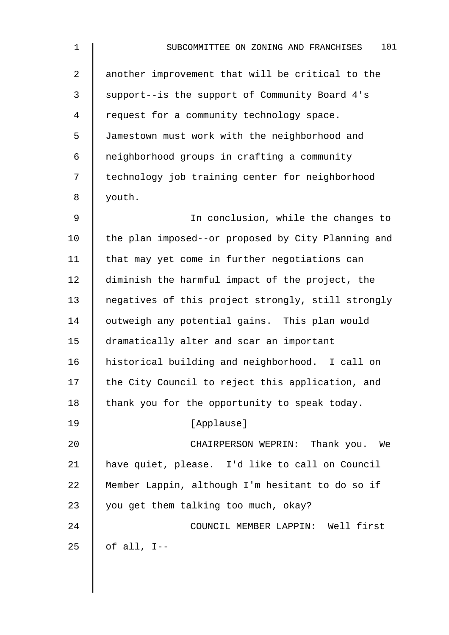| $\mathbf{1}$    | 101<br>SUBCOMMITTEE ON ZONING AND FRANCHISES       |
|-----------------|----------------------------------------------------|
| $\overline{a}$  | another improvement that will be critical to the   |
| 3               | support--is the support of Community Board 4's     |
| 4               | request for a community technology space.          |
| 5               | Jamestown must work with the neighborhood and      |
| 6               | neighborhood groups in crafting a community        |
| 7               | technology job training center for neighborhood    |
| 8               | youth.                                             |
| 9               | In conclusion, while the changes to                |
| 10 <sub>1</sub> | the plan imposed--or proposed by City Planning and |
| 11              | that may yet come in further negotiations can      |
| 12              | diminish the harmful impact of the project, the    |
| 13              | negatives of this project strongly, still strongly |
| 14              | outweigh any potential gains. This plan would      |
| 15              | dramatically alter and scar an important           |
| 16              | historical building and neighborhood. I call on    |
| 17              | the City Council to reject this application, and   |
| 18              | thank you for the opportunity to speak today.      |
| 19              | [Applause]                                         |
| 20              | CHAIRPERSON WEPRIN: Thank you. We                  |
| 21              | have quiet, please. I'd like to call on Council    |
| 22              | Member Lappin, although I'm hesitant to do so if   |
| 23              | you get them talking too much, okay?               |

24 COUNCIL MEMBER LAPPIN: Well first 25 of all,  $I--$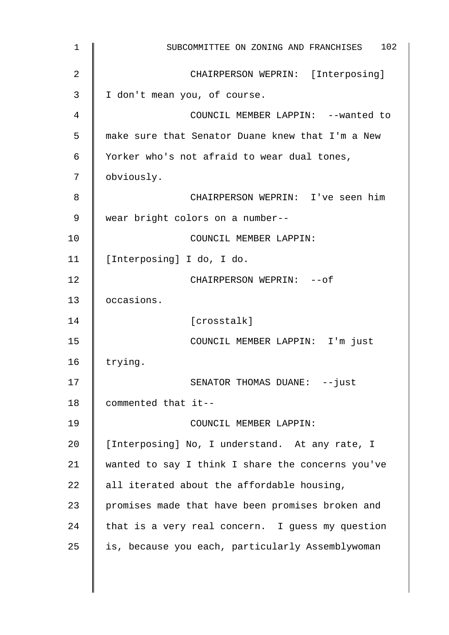| $\mathbf{1}$ | 102<br>SUBCOMMITTEE ON ZONING AND FRANCHISES      |
|--------------|---------------------------------------------------|
| 2            | CHAIRPERSON WEPRIN: [Interposing]                 |
| 3            | I don't mean you, of course.                      |
| 4            | COUNCIL MEMBER LAPPIN: --wanted to                |
| 5            | make sure that Senator Duane knew that I'm a New  |
| 6            | Yorker who's not afraid to wear dual tones,       |
| 7            | obviously.                                        |
| 8            | CHAIRPERSON WEPRIN: I've seen him                 |
| 9            | wear bright colors on a number--                  |
| 10           | COUNCIL MEMBER LAPPIN:                            |
| 11           | [Interposing] I do, I do.                         |
| 12           | CHAIRPERSON WEPRIN: -- of                         |
| 13           | occasions.                                        |
| 14           | [crosstalk]                                       |
| 15           | COUNCIL MEMBER LAPPIN: I'm just                   |
| 16           | trying.                                           |
| 17           | SENATOR THOMAS DUANE: -- just                     |
| 18           | commented that it--                               |
| 19           | COUNCIL MEMBER LAPPIN:                            |
| 20           | [Interposing] No, I understand. At any rate, I    |
| 21           | wanted to say I think I share the concerns you've |
| 22           | all iterated about the affordable housing,        |
| 23           | promises made that have been promises broken and  |
| 24           | that is a very real concern. I guess my question  |
| 25           | is, because you each, particularly Assemblywoman  |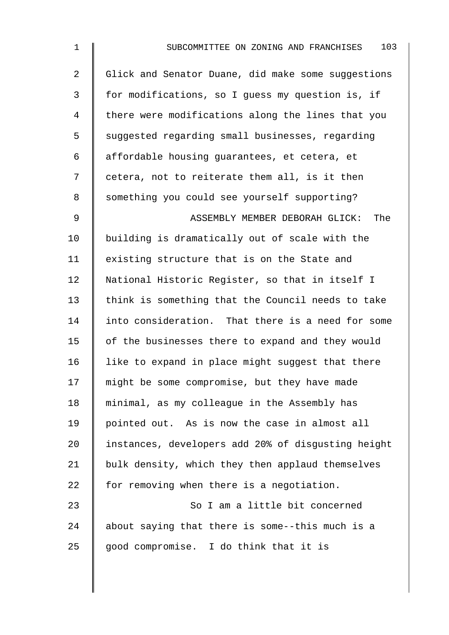| $\overline{2}$ | Glick and Senator Duane, did make some suggestions |
|----------------|----------------------------------------------------|
| 3              | for modifications, so I guess my question is, if   |
| 4              | there were modifications along the lines that you  |
| 5              | suggested regarding small businesses, regarding    |
| 6              | affordable housing guarantees, et cetera, et       |
| 7              | cetera, not to reiterate them all, is it then      |
| 8              | something you could see yourself supporting?       |
| $\mathsf 9$    | ASSEMBLY MEMBER DEBORAH GLICK: The                 |
| 10             | building is dramatically out of scale with the     |
| 11             | existing structure that is on the State and        |
| 12             | National Historic Register, so that in itself I    |
| 13             | think is something that the Council needs to take  |
| 14             | into consideration. That there is a need for some  |
| 15             | of the businesses there to expand and they would   |
| 16             | like to expand in place might suggest that there   |
| 17             | might be some compromise, but they have made       |
| 18             | minimal, as my colleague in the Assembly has       |
| 19             | pointed out. As is now the case in almost all      |
| 20             | instances, developers add 20% of disqusting height |
| 21             | bulk density, which they then applaud themselves   |
| 22             | for removing when there is a negotiation.          |
| 23             | So I am a little bit concerned                     |
| 24             | about saying that there is some--this much is a    |
| 25             | good compromise. I do think that it is             |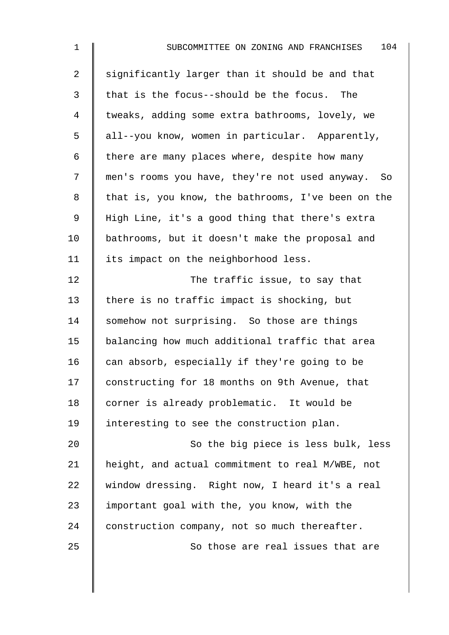| $\mathbf 1$ | 104<br>SUBCOMMITTEE ON ZONING AND FRANCHISES         |
|-------------|------------------------------------------------------|
| 2           | significantly larger than it should be and that      |
| 3           | that is the focus--should be the focus. The          |
| 4           | tweaks, adding some extra bathrooms, lovely, we      |
| 5           | all--you know, women in particular. Apparently,      |
| 6           | there are many places where, despite how many        |
| 7           | men's rooms you have, they're not used anyway.<br>So |
| 8           | that is, you know, the bathrooms, I've been on the   |
| 9           | High Line, it's a good thing that there's extra      |
| 10          | bathrooms, but it doesn't make the proposal and      |
| 11          | its impact on the neighborhood less.                 |
| 12          | The traffic issue, to say that                       |
| 13          | there is no traffic impact is shocking, but          |
| 14          | somehow not surprising. So those are things          |
| 15          | balancing how much additional traffic that area      |
| 16          | can absorb, especially if they're going to be        |
| 17          | constructing for 18 months on 9th Avenue, that       |
| 18          | corner is already problematic. It would be           |
| 19          | interesting to see the construction plan.            |
| 20          | So the big piece is less bulk, less                  |
| 21          | height, and actual commitment to real M/WBE, not     |
| 22          | window dressing. Right now, I heard it's a real      |
| 23          | important goal with the, you know, with the          |
| 24          | construction company, not so much thereafter.        |
| 25          | So those are real issues that are                    |
|             |                                                      |
|             |                                                      |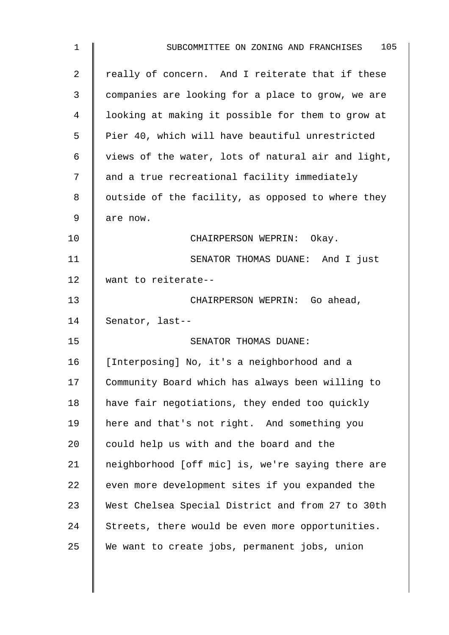| $\mathbf 1$    | 105<br>SUBCOMMITTEE ON ZONING AND FRANCHISES       |
|----------------|----------------------------------------------------|
| $\overline{a}$ | really of concern. And I reiterate that if these   |
| 3              | companies are looking for a place to grow, we are  |
| 4              | looking at making it possible for them to grow at  |
| 5              | Pier 40, which will have beautiful unrestricted    |
| 6              | views of the water, lots of natural air and light, |
| 7              | and a true recreational facility immediately       |
| 8              | outside of the facility, as opposed to where they  |
| 9              | are now.                                           |
| 10             | CHAIRPERSON WEPRIN: Okay.                          |
| 11             | SENATOR THOMAS DUANE: And I just                   |
| 12             | want to reiterate--                                |
| 13             | CHAIRPERSON WEPRIN: Go ahead,                      |
| 14             | Senator, last--                                    |
| 15             | SENATOR THOMAS DUANE:                              |
| 16             | [Interposing] No, it's a neighborhood and a        |
| 17             | Community Board which has always been willing to   |
| 18             | have fair negotiations, they ended too quickly     |
| 19             | here and that's not right. And something you       |
| 20             | could help us with and the board and the           |
| 21             | neighborhood [off mic] is, we're saying there are  |
| 22             | even more development sites if you expanded the    |
| 23             | West Chelsea Special District and from 27 to 30th  |
| 24             | Streets, there would be even more opportunities.   |
| 25             | We want to create jobs, permanent jobs, union      |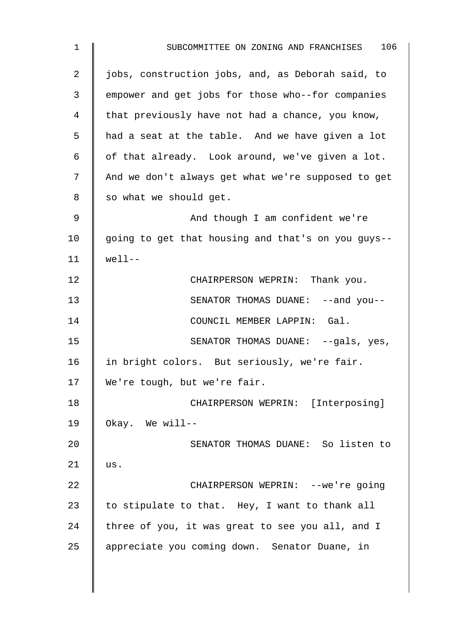| $\mathbf{1}$ | 106<br>SUBCOMMITTEE ON ZONING AND FRANCHISES       |
|--------------|----------------------------------------------------|
| 2            | jobs, construction jobs, and, as Deborah said, to  |
| 3            | empower and get jobs for those who--for companies  |
| 4            | that previously have not had a chance, you know,   |
| 5            | had a seat at the table. And we have given a lot   |
| 6            | of that already. Look around, we've given a lot.   |
| 7            | And we don't always get what we're supposed to get |
| 8            | so what we should get.                             |
| 9            | And though I am confident we're                    |
| 10           | going to get that housing and that's on you guys-- |
| 11           | $well--$                                           |
| 12           | CHAIRPERSON WEPRIN: Thank you.                     |
| 13           | SENATOR THOMAS DUANE: --and you--                  |
| 14           | COUNCIL MEMBER LAPPIN: Gal.                        |
| 15           | SENATOR THOMAS DUANE: --gals, yes,                 |
| 16           | in bright colors. But seriously, we're fair.       |
| 17           | We're tough, but we're fair.                       |
| 18           | CHAIRPERSON WEPRIN: [Interposing]                  |
| 19           | Okay. We will--                                    |
| 20           | SENATOR THOMAS DUANE: So listen to                 |
| 21           | us.                                                |
| 22           | CHAIRPERSON WEPRIN: --we're going                  |
| 23           | to stipulate to that. Hey, I want to thank all     |
| 24           | three of you, it was great to see you all, and I   |
| 25           | appreciate you coming down. Senator Duane, in      |
|              |                                                    |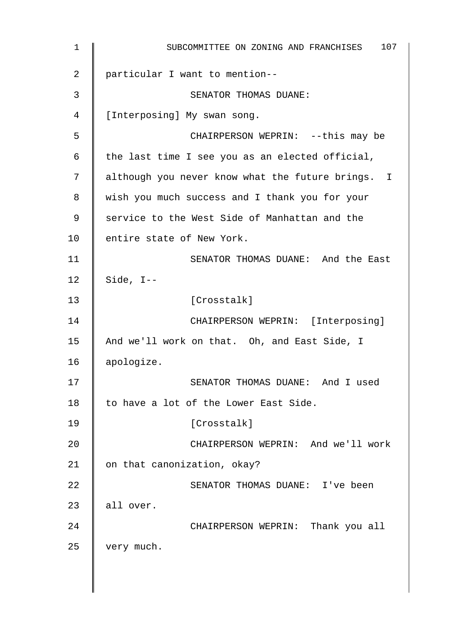| 1  | 107<br>SUBCOMMITTEE ON ZONING AND FRANCHISES      |
|----|---------------------------------------------------|
| 2  | particular I want to mention--                    |
| 3  | SENATOR THOMAS DUANE:                             |
| 4  | [Interposing] My swan song.                       |
| 5  | CHAIRPERSON WEPRIN: -- this may be                |
| 6  | the last time I see you as an elected official,   |
| 7  | although you never know what the future brings. I |
| 8  | wish you much success and I thank you for your    |
| 9  | service to the West Side of Manhattan and the     |
| 10 | entire state of New York.                         |
| 11 | SENATOR THOMAS DUANE: And the East                |
| 12 | Side, $I--$                                       |
| 13 | [Crosstalk]                                       |
| 14 | CHAIRPERSON WEPRIN: [Interposing]                 |
| 15 | And we'll work on that. Oh, and East Side, I      |
| 16 | apologize.                                        |
| 17 | SENATOR THOMAS DUANE: And I used                  |
| 18 | to have a lot of the Lower East Side.             |
| 19 | [Crosstalk]                                       |
| 20 | CHAIRPERSON WEPRIN: And we'll work                |
| 21 | on that canonization, okay?                       |
| 22 | SENATOR THOMAS DUANE: I've been                   |
| 23 | all over.                                         |
| 24 | CHAIRPERSON WEPRIN: Thank you all                 |
| 25 | very much.                                        |
|    |                                                   |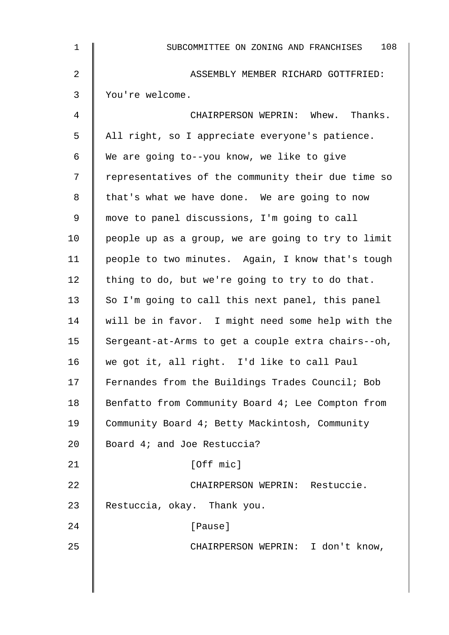| $\mathbf{1}$   | 108<br>SUBCOMMITTEE ON ZONING AND FRANCHISES       |
|----------------|----------------------------------------------------|
| $\overline{2}$ | ASSEMBLY MEMBER RICHARD GOTTFRIED:                 |
| 3              | You're welcome.                                    |
| 4              | CHAIRPERSON WEPRIN: Whew. Thanks.                  |
| 5              | All right, so I appreciate everyone's patience.    |
| 6              | We are going to--you know, we like to give         |
| 7              | representatives of the community their due time so |
| 8              | that's what we have done. We are going to now      |
| 9              | move to panel discussions, I'm going to call       |
| 10             | people up as a group, we are going to try to limit |
| 11             | people to two minutes. Again, I know that's tough  |
| 12             | thing to do, but we're going to try to do that.    |
| 13             | So I'm going to call this next panel, this panel   |
| 14             | will be in favor. I might need some help with the  |
| 15             | Sergeant-at-Arms to get a couple extra chairs--oh, |
| 16             | we got it, all right. I'd like to call Paul        |
| 17             | Fernandes from the Buildings Trades Council; Bob   |
| 18             | Benfatto from Community Board 4; Lee Compton from  |
| 19             | Community Board 4; Betty Mackintosh, Community     |
| 20             | Board 4; and Joe Restuccia?                        |
| 21             | [Off mic]                                          |
| 22             | CHAIRPERSON WEPRIN: Restuccie.                     |
| 23             | Restuccia, okay. Thank you.                        |
| 24             | [Pause]                                            |
| 25             | CHAIRPERSON WEPRIN: I don't know,                  |
|                |                                                    |
|                |                                                    |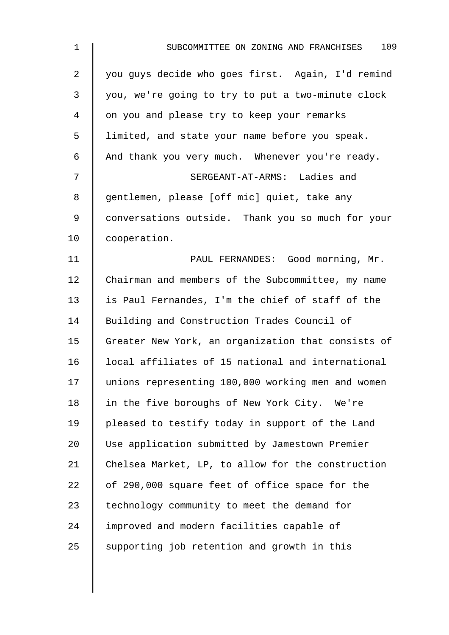| $\mathbf 1$ | 109<br>SUBCOMMITTEE ON ZONING AND FRANCHISES       |
|-------------|----------------------------------------------------|
| 2           | you guys decide who goes first. Again, I'd remind  |
| 3           | you, we're going to try to put a two-minute clock  |
| 4           | on you and please try to keep your remarks         |
| 5           | limited, and state your name before you speak.     |
| 6           | And thank you very much. Whenever you're ready.    |
| 7           | SERGEANT-AT-ARMS: Ladies and                       |
| 8           | gentlemen, please [off mic] quiet, take any        |
| 9           | conversations outside. Thank you so much for your  |
| 10          | cooperation.                                       |
| 11          | PAUL FERNANDES: Good morning, Mr.                  |
| 12          | Chairman and members of the Subcommittee, my name  |
| 13          | is Paul Fernandes, I'm the chief of staff of the   |
| 14          | Building and Construction Trades Council of        |
| 15          | Greater New York, an organization that consists of |
| 16          | local affiliates of 15 national and international  |
| 17          | unions representing 100,000 working men and women  |
| 18          | in the five boroughs of New York City. We're       |
| 19          | pleased to testify today in support of the Land    |
| 20          | Use application submitted by Jamestown Premier     |
| 21          | Chelsea Market, LP, to allow for the construction  |
| 22          | of 290,000 square feet of office space for the     |
| 23          | technology community to meet the demand for        |
| 24          | improved and modern facilities capable of          |
| 25          | supporting job retention and growth in this        |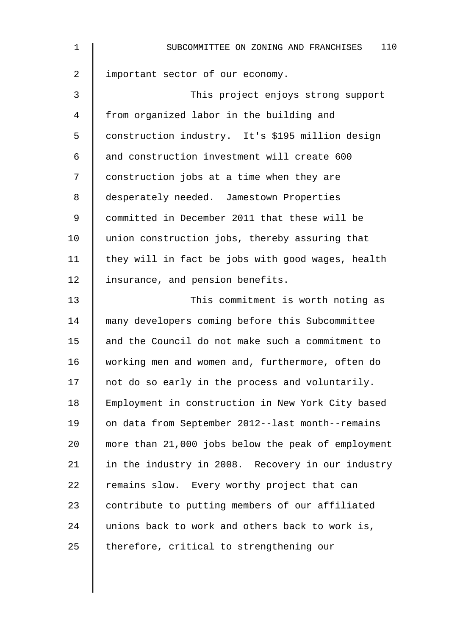| $\mathbf 1$ | 110<br>SUBCOMMITTEE ON ZONING AND FRANCHISES       |
|-------------|----------------------------------------------------|
| 2           | important sector of our economy.                   |
| 3           | This project enjoys strong support                 |
| 4           | from organized labor in the building and           |
| 5           | construction industry. It's \$195 million design   |
| 6           | and construction investment will create 600        |
| 7           | construction jobs at a time when they are          |
| 8           | desperately needed. Jamestown Properties           |
| 9           | committed in December 2011 that these will be      |
| 10          | union construction jobs, thereby assuring that     |
| 11          | they will in fact be jobs with good wages, health  |
| 12          | insurance, and pension benefits.                   |
| 13          | This commitment is worth noting as                 |
| 14          | many developers coming before this Subcommittee    |
| 15          | and the Council do not make such a commitment to   |
| 16          | working men and women and, furthermore, often do   |
| 17          | not do so early in the process and voluntarily.    |
| 18          | Employment in construction in New York City based  |
| 19          | on data from September 2012--last month--remains   |
| 20          | more than 21,000 jobs below the peak of employment |
| 21          | in the industry in 2008. Recovery in our industry  |
| 22          | remains slow. Every worthy project that can        |
| 23          | contribute to putting members of our affiliated    |
| 24          | unions back to work and others back to work is,    |
| 25          | therefore, critical to strengthening our           |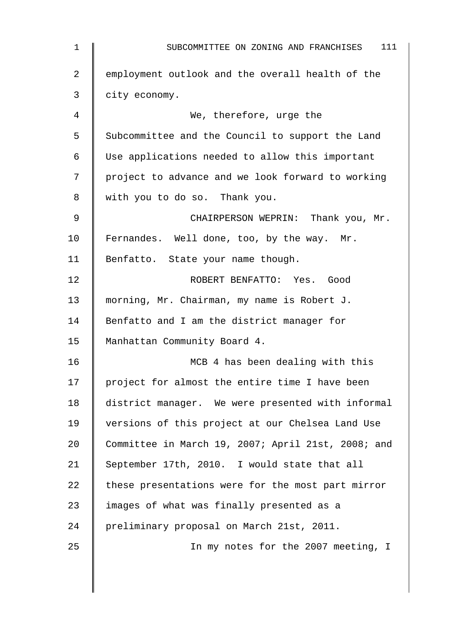| $\mathbf 1$ | 111<br>SUBCOMMITTEE ON ZONING AND FRANCHISES       |
|-------------|----------------------------------------------------|
| 2           | employment outlook and the overall health of the   |
| 3           | city economy.                                      |
| 4           | We, therefore, urge the                            |
| 5           | Subcommittee and the Council to support the Land   |
| 6           | Use applications needed to allow this important    |
| 7           | project to advance and we look forward to working  |
| 8           | with you to do so. Thank you.                      |
| 9           | CHAIRPERSON WEPRIN: Thank you, Mr.                 |
| 10          | Fernandes. Well done, too, by the way. Mr.         |
| 11          | Benfatto. State your name though.                  |
| 12          | ROBERT BENFATTO: Yes. Good                         |
| 13          | morning, Mr. Chairman, my name is Robert J.        |
| 14          | Benfatto and I am the district manager for         |
| 15          | Manhattan Community Board 4.                       |
| 16          | MCB 4 has been dealing with this                   |
| 17          | project for almost the entire time I have been     |
| 18          | district manager. We were presented with informal  |
| 19          | versions of this project at our Chelsea Land Use   |
| 20          | Committee in March 19, 2007; April 21st, 2008; and |
| 21          | September 17th, 2010. I would state that all       |
| 22          | these presentations were for the most part mirror  |
| 23          | images of what was finally presented as a          |
| 24          | preliminary proposal on March 21st, 2011.          |
| 25          | In my notes for the 2007 meeting, I                |
|             |                                                    |

 $\overline{\phantom{a}}$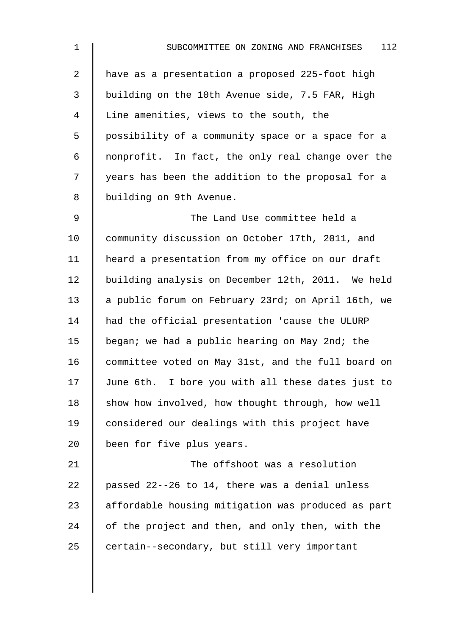| $\mathbf 1$     | 112<br>SUBCOMMITTEE ON ZONING AND FRANCHISES       |
|-----------------|----------------------------------------------------|
| 2               | have as a presentation a proposed 225-foot high    |
| 3               | building on the 10th Avenue side, 7.5 FAR, High    |
| 4               | Line amenities, views to the south, the            |
| 5               | possibility of a community space or a space for a  |
| 6               | nonprofit. In fact, the only real change over the  |
| 7               | years has been the addition to the proposal for a  |
| 8               | building on 9th Avenue.                            |
| 9               | The Land Use committee held a                      |
| 10 <sub>1</sub> | community discussion on October 17th, 2011, and    |
| 11              | heard a presentation from my office on our draft   |
| 12              | building analysis on December 12th, 2011. We held  |
| 13              | a public forum on February 23rd; on April 16th, we |
| 14              | had the official presentation 'cause the ULURP     |
| 15              | began; we had a public hearing on May 2nd; the     |
| 16              | committee voted on May 31st, and the full board on |
| 17              | June 6th. I bore you with all these dates just to  |
| 18              | show how involved, how thought through, how well   |
| 19              | considered our dealings with this project have     |
| 20              | been for five plus years.                          |
| 21              | The offshoot was a resolution                      |
| 22              | passed 22--26 to 14, there was a denial unless     |

23 | affordable housing mitigation was produced as part 24  $\parallel$  of the project and then, and only then, with the  $25$  certain--secondary, but still very important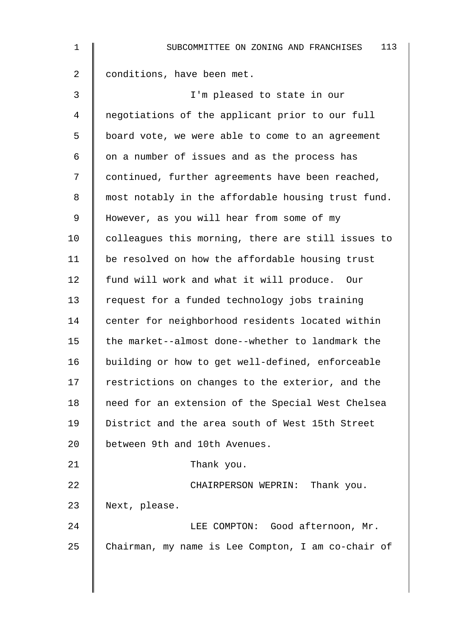| 113<br>SUBCOMMITTEE ON ZONING AND FRANCHISES       |
|----------------------------------------------------|
| conditions, have been met.                         |
| I'm pleased to state in our                        |
| negotiations of the applicant prior to our full    |
| board vote, we were able to come to an agreement   |
| on a number of issues and as the process has       |
| continued, further agreements have been reached,   |
| most notably in the affordable housing trust fund. |
| However, as you will hear from some of my          |
| colleagues this morning, there are still issues to |
| be resolved on how the affordable housing trust    |
| fund will work and what it will produce. Our       |
| request for a funded technology jobs training      |
| center for neighborhood residents located within   |
| the market--almost done--whether to landmark the   |
| building or how to get well-defined, enforceable   |
| restrictions on changes to the exterior, and the   |
| need for an extension of the Special West Chelsea  |
| District and the area south of West 15th Street    |
| between 9th and 10th Avenues.                      |
| Thank you.                                         |
| CHAIRPERSON WEPRIN: Thank you.                     |
| Next, please.                                      |
| LEE COMPTON: Good afternoon, Mr.                   |
| Chairman, my name is Lee Compton, I am co-chair of |
|                                                    |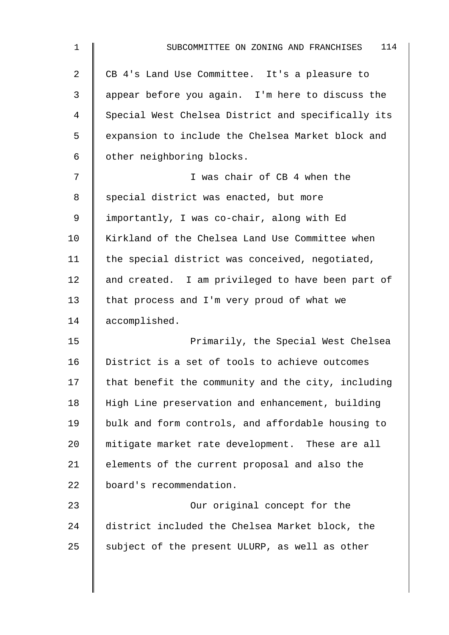| $\mathbf 1$    | 114<br>SUBCOMMITTEE ON ZONING AND FRANCHISES       |
|----------------|----------------------------------------------------|
| $\overline{2}$ | CB 4's Land Use Committee. It's a pleasure to      |
| 3              | appear before you again. I'm here to discuss the   |
| 4              | Special West Chelsea District and specifically its |
| 5              | expansion to include the Chelsea Market block and  |
| 6              | other neighboring blocks.                          |
| 7              | I was chair of CB 4 when the                       |
| 8              | special district was enacted, but more             |
| 9              | importantly, I was co-chair, along with Ed         |
| 10             | Kirkland of the Chelsea Land Use Committee when    |
| 11             | the special district was conceived, negotiated,    |
| 12             | and created. I am privileged to have been part of  |
| 13             | that process and I'm very proud of what we         |
| 14             | accomplished.                                      |
| 15             | Primarily, the Special West Chelsea                |
| 16             | District is a set of tools to achieve outcomes     |
| 17             | that benefit the community and the city, including |
| 18             | High Line preservation and enhancement, building   |
| 19             | bulk and form controls, and affordable housing to  |
| 20             | mitigate market rate development. These are all    |
| 21             | elements of the current proposal and also the      |
| 22             | board's recommendation.                            |
| 23             | Our original concept for the                       |
| 24             | district included the Chelsea Market block, the    |
| 25             | subject of the present ULURP, as well as other     |
|                |                                                    |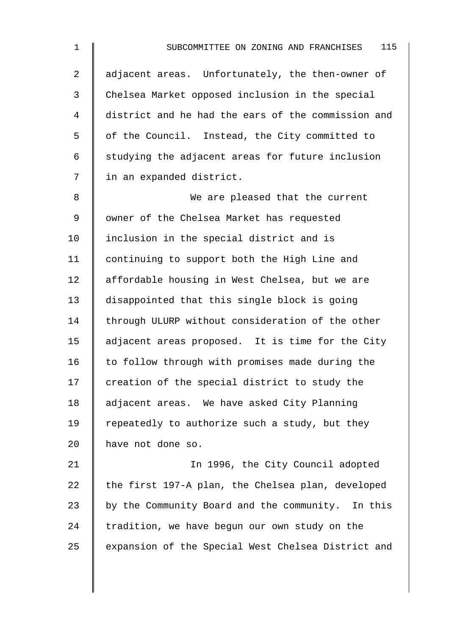2 | adjacent areas. Unfortunately, the then-owner of 3 Chelsea Market opposed inclusion in the special 4 district and he had the ears of the commission and 5 | of the Council. Instead, the City committed to 6 Studying the adjacent areas for future inclusion 7 In an expanded district.

8 We are pleased that the current 9 | owner of the Chelsea Market has requested 10 | inclusion in the special district and is 11 | continuing to support both the High Line and 12 | affordable housing in West Chelsea, but we are 13 disappointed that this single block is going 14 Through ULURP without consideration of the other 15  $\parallel$  adjacent areas proposed. It is time for the City  $16$  to follow through with promises made during the  $17$   $\parallel$  creation of the special district to study the 18 | adjacent areas. We have asked City Planning 19  $\parallel$  repeatedly to authorize such a study, but they 20 have not done so.

21 | In 1996, the City Council adopted 22  $\parallel$  the first 197-A plan, the Chelsea plan, developed 23  $\parallel$  by the Community Board and the community. In this  $24$  tradition, we have begun our own study on the 25 | expansion of the Special West Chelsea District and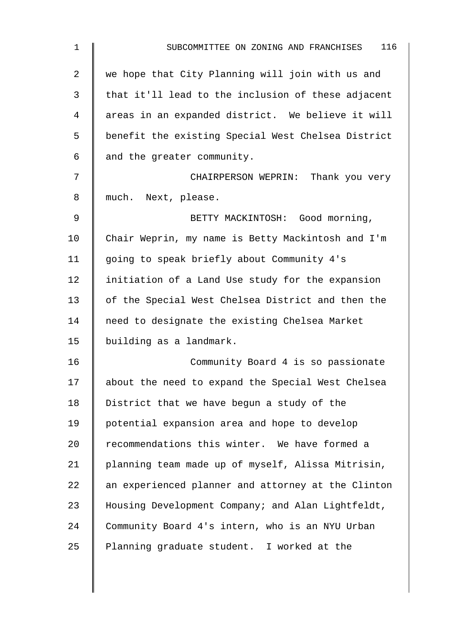| $\mathbf 1$    | 116<br>SUBCOMMITTEE ON ZONING AND FRANCHISES       |
|----------------|----------------------------------------------------|
| $\overline{2}$ | we hope that City Planning will join with us and   |
| 3              | that it'll lead to the inclusion of these adjacent |
| 4              | areas in an expanded district. We believe it will  |
| 5              | benefit the existing Special West Chelsea District |
| 6              | and the greater community.                         |
| 7              | CHAIRPERSON WEPRIN: Thank you very                 |
| 8              | much. Next, please.                                |
| 9              | BETTY MACKINTOSH: Good morning,                    |
| 10             | Chair Weprin, my name is Betty Mackintosh and I'm  |
| 11             | going to speak briefly about Community 4's         |
| 12             | initiation of a Land Use study for the expansion   |
| 13             | of the Special West Chelsea District and then the  |
| 14             | need to designate the existing Chelsea Market      |
| 15             | building as a landmark.                            |
| 16             | Community Board 4 is so passionate                 |
| 17             | about the need to expand the Special West Chelsea  |
| 18             | District that we have begun a study of the         |
| 19             | potential expansion area and hope to develop       |
| 20             | recommendations this winter. We have formed a      |
| 21             | planning team made up of myself, Alissa Mitrisin,  |
| 22             | an experienced planner and attorney at the Clinton |
| 23             | Housing Development Company; and Alan Lightfeldt,  |
| 24             | Community Board 4's intern, who is an NYU Urban    |
| 25             | Planning graduate student. I worked at the         |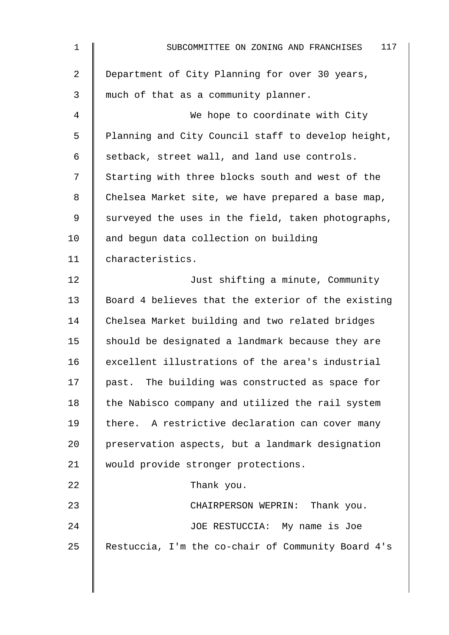| $\mathbf{1}$   | 117<br>SUBCOMMITTEE ON ZONING AND FRANCHISES       |
|----------------|----------------------------------------------------|
| $\overline{2}$ | Department of City Planning for over 30 years,     |
| 3              | much of that as a community planner.               |
| 4              | We hope to coordinate with City                    |
| 5              | Planning and City Council staff to develop height, |
| 6              | setback, street wall, and land use controls.       |
| 7              | Starting with three blocks south and west of the   |
| 8              | Chelsea Market site, we have prepared a base map,  |
| 9              | surveyed the uses in the field, taken photographs, |
| 10             | and begun data collection on building              |
| 11             | characteristics.                                   |
| 12             | Just shifting a minute, Community                  |
| 13             | Board 4 believes that the exterior of the existing |
| 14             | Chelsea Market building and two related bridges    |
| 15             | should be designated a landmark because they are   |
| 16             | excellent illustrations of the area's industrial   |
| 17             | past. The building was constructed as space for    |
| 18             | the Nabisco company and utilized the rail system   |
| 19             | there. A restrictive declaration can cover many    |
| 20             | preservation aspects, but a landmark designation   |
| 21             | would provide stronger protections.                |
| 22             | Thank you.                                         |
| 23             | CHAIRPERSON WEPRIN: Thank you.                     |
| 24             | JOE RESTUCCIA: My name is Joe                      |
| 25             | Restuccia, I'm the co-chair of Community Board 4's |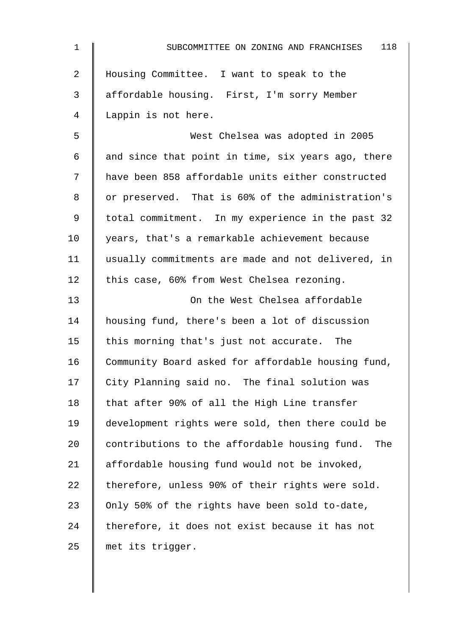| $\mathbf 1$    | 118<br>SUBCOMMITTEE ON ZONING AND FRANCHISES         |
|----------------|------------------------------------------------------|
| $\overline{2}$ | Housing Committee. I want to speak to the            |
| 3              | affordable housing. First, I'm sorry Member          |
| 4              | Lappin is not here.                                  |
| 5              | West Chelsea was adopted in 2005                     |
| 6              | and since that point in time, six years ago, there   |
| 7              | have been 858 affordable units either constructed    |
| 8              | or preserved. That is 60% of the administration's    |
| $\mathsf 9$    | total commitment. In my experience in the past 32    |
| 10             | years, that's a remarkable achievement because       |
| 11             | usually commitments are made and not delivered, in   |
| 12             | this case, 60% from West Chelsea rezoning.           |
| 13             | On the West Chelsea affordable                       |
| 14             | housing fund, there's been a lot of discussion       |
| 15             | this morning that's just not accurate. The           |
| 16             | Community Board asked for affordable housing fund,   |
| 17             | City Planning said no. The final solution was        |
| 18             | that after 90% of all the High Line transfer         |
| 19             | development rights were sold, then there could be    |
| 20             | contributions to the affordable housing fund.<br>The |
| 21             | affordable housing fund would not be invoked,        |
| 22             | therefore, unless 90% of their rights were sold.     |
| 23             | Only 50% of the rights have been sold to-date,       |
| 24             | therefore, it does not exist because it has not      |
| 25             | met its trigger.                                     |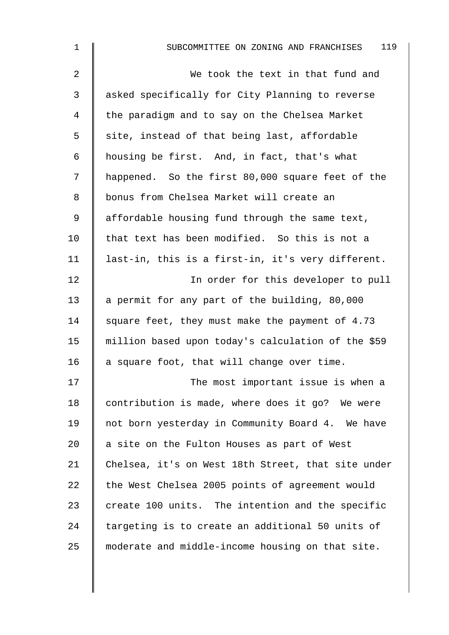| $\mathbf 1$    | 119<br>SUBCOMMITTEE ON ZONING AND FRANCHISES       |
|----------------|----------------------------------------------------|
| $\overline{2}$ | We took the text in that fund and                  |
| 3              | asked specifically for City Planning to reverse    |
| 4              | the paradigm and to say on the Chelsea Market      |
| 5              | site, instead of that being last, affordable       |
| 6              | housing be first. And, in fact, that's what        |
| 7              | happened. So the first 80,000 square feet of the   |
| 8              | bonus from Chelsea Market will create an           |
| 9              | affordable housing fund through the same text,     |
| 10             | that text has been modified. So this is not a      |
| 11             | last-in, this is a first-in, it's very different.  |
| 12             | In order for this developer to pull                |
| 13             | a permit for any part of the building, 80,000      |
| 14             | square feet, they must make the payment of 4.73    |
| 15             | million based upon today's calculation of the \$59 |
| 16             | a square foot, that will change over time.         |
| 17             | The most important issue is when a                 |
| 18             | contribution is made, where does it go? We were    |
| 19             | not born yesterday in Community Board 4. We have   |
| 20             | a site on the Fulton Houses as part of West        |
| 21             | Chelsea, it's on West 18th Street, that site under |
| 22             | the West Chelsea 2005 points of agreement would    |
| 23             | create 100 units. The intention and the specific   |
| 24             | targeting is to create an additional 50 units of   |
| 25             | moderate and middle-income housing on that site.   |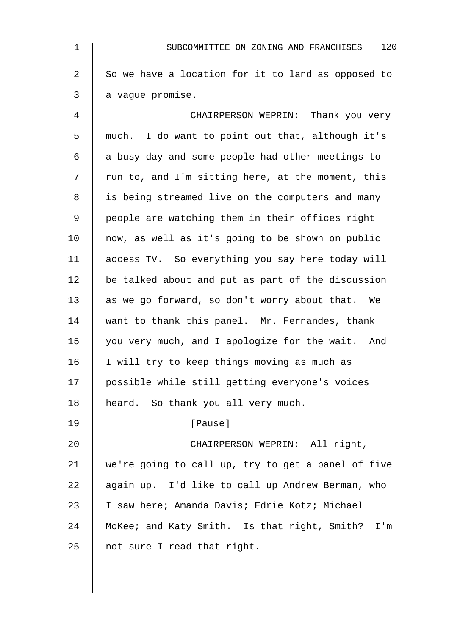| $\mathbf 1$    | 120<br>SUBCOMMITTEE ON ZONING AND FRANCHISES       |
|----------------|----------------------------------------------------|
| $\overline{2}$ | So we have a location for it to land as opposed to |
| 3              | a vague promise.                                   |
| 4              | CHAIRPERSON WEPRIN: Thank you very                 |
| 5              | much. I do want to point out that, although it's   |
| 6              | a busy day and some people had other meetings to   |
| 7              | run to, and I'm sitting here, at the moment, this  |
| 8              | is being streamed live on the computers and many   |
| 9              | people are watching them in their offices right    |
| 10             | now, as well as it's going to be shown on public   |
| 11             | access TV. So everything you say here today will   |
| 12             | be talked about and put as part of the discussion  |
| 13             | as we go forward, so don't worry about that. We    |
| 14             | want to thank this panel. Mr. Fernandes, thank     |
| 15             | you very much, and I apologize for the wait. And   |
| 16             | I will try to keep things moving as much as        |
| 17             | possible while still getting everyone's voices     |
| 18             | heard. So thank you all very much.                 |
| 19             | [Pause]                                            |
| 20             | CHAIRPERSON WEPRIN: All right,                     |
| 21             | we're going to call up, try to get a panel of five |
| 22             | again up. I'd like to call up Andrew Berman, who   |
| 23             | I saw here; Amanda Davis; Edrie Kotz; Michael      |
| 24             | McKee; and Katy Smith. Is that right, Smith? I'm   |
| 25             | not sure I read that right.                        |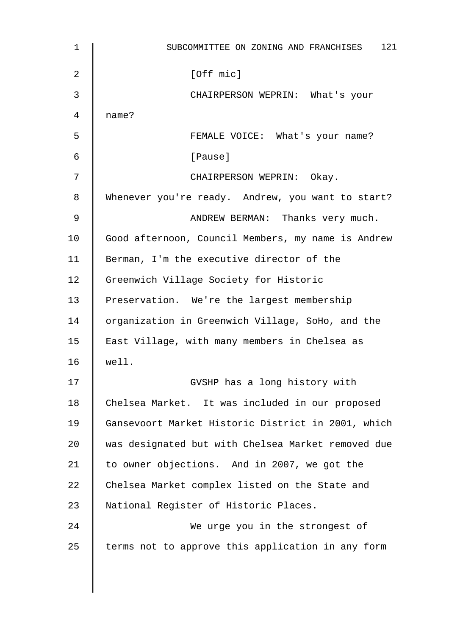| $\mathbf 1$ | 121<br>SUBCOMMITTEE ON ZONING AND FRANCHISES       |
|-------------|----------------------------------------------------|
| 2           | [Off mic]                                          |
| 3           | CHAIRPERSON WEPRIN: What's your                    |
| 4           | name?                                              |
| 5           | FEMALE VOICE: What's your name?                    |
| 6           | [Pause]                                            |
| 7           | CHAIRPERSON WEPRIN: Okay.                          |
| 8           | Whenever you're ready. Andrew, you want to start?  |
| 9           | ANDREW BERMAN: Thanks very much.                   |
| 10          | Good afternoon, Council Members, my name is Andrew |
| 11          | Berman, I'm the executive director of the          |
| 12          | Greenwich Village Society for Historic             |
| 13          | Preservation. We're the largest membership         |
| 14          | organization in Greenwich Village, SoHo, and the   |
| 15          | East Village, with many members in Chelsea as      |
| 16          | well.                                              |
| 17          | GVSHP has a long history with                      |
| 18          | Chelsea Market. It was included in our proposed    |
| 19          | Gansevoort Market Historic District in 2001, which |
| 20          | was designated but with Chelsea Market removed due |
| 21          | to owner objections. And in 2007, we got the       |
| 22          | Chelsea Market complex listed on the State and     |
| 23          | National Register of Historic Places.              |
| 24          | We urge you in the strongest of                    |
| 25          | terms not to approve this application in any form  |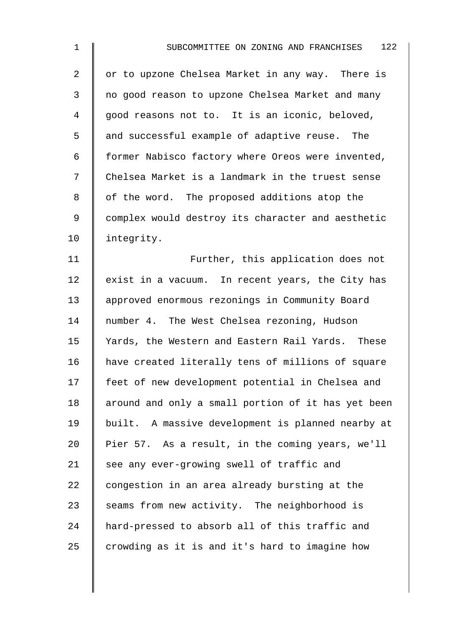2 | or to upzone Chelsea Market in any way. There is 3 no good reason to upzone Chelsea Market and many 4 good reasons not to. It is an iconic, beloved, 5 and successful example of adaptive reuse. The  $6 \parallel$  former Nabisco factory where Oreos were invented, 7 | Chelsea Market is a landmark in the truest sense 8 | of the word. The proposed additions atop the 9 | complex would destroy its character and aesthetic 10 integrity.

11 | Further, this application does not 12  $\parallel$  exist in a vacuum. In recent years, the City has 13 approved enormous rezonings in Community Board 14 | number 4. The West Chelsea rezoning, Hudson 15 | Yards, the Western and Eastern Rail Yards. These 16 | have created literally tens of millions of square 17 feet of new development potential in Chelsea and 18 around and only a small portion of it has yet been 19 built. A massive development is planned nearby at 20 Pier 57. As a result, in the coming years, we'll 21 see any ever-growing swell of traffic and 22  $\parallel$  congestion in an area already bursting at the 23  $\parallel$  seams from new activity. The neighborhood is 24 | hard-pressed to absorb all of this traffic and 25  $\parallel$  crowding as it is and it's hard to imagine how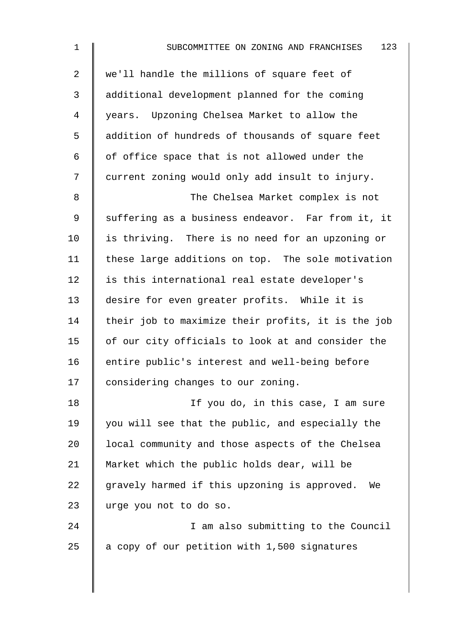| $\mathbf 1$    | 123<br>SUBCOMMITTEE ON ZONING AND FRANCHISES       |
|----------------|----------------------------------------------------|
| $\overline{2}$ | we'll handle the millions of square feet of        |
| $\mathfrak{Z}$ | additional development planned for the coming      |
| 4              | years. Upzoning Chelsea Market to allow the        |
| 5              | addition of hundreds of thousands of square feet   |
| 6              | of office space that is not allowed under the      |
| 7              | current zoning would only add insult to injury.    |
| 8              | The Chelsea Market complex is not                  |
| 9              | suffering as a business endeavor. Far from it, it  |
| 10             | is thriving. There is no need for an upzoning or   |
| 11             | these large additions on top. The sole motivation  |
| 12             | is this international real estate developer's      |
| 13             | desire for even greater profits. While it is       |
| 14             | their job to maximize their profits, it is the job |
| 15             | of our city officials to look at and consider the  |
| 16             | entire public's interest and well-being before     |
| 17             | considering changes to our zoning.                 |
| 18             | If you do, in this case, I am sure                 |
| 19             | you will see that the public, and especially the   |
| 20             | local community and those aspects of the Chelsea   |
| 21             | Market which the public holds dear, will be        |
| 22             | gravely harmed if this upzoning is approved.<br>We |

23 urge you not to do so.

24 | I am also submitting to the Council 25  $\parallel$  a copy of our petition with 1,500 signatures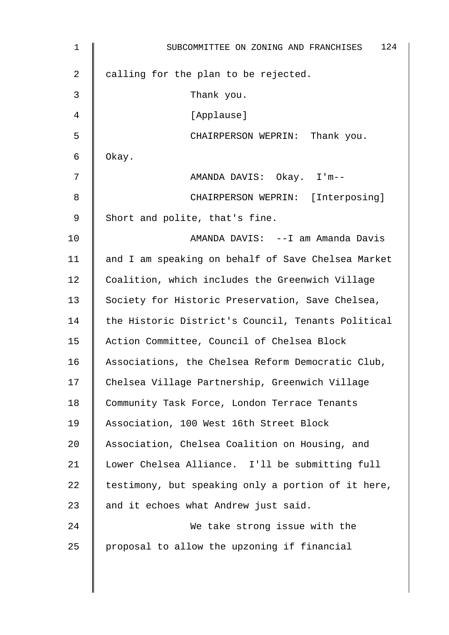| 1  | 124<br>SUBCOMMITTEE ON ZONING AND FRANCHISES       |
|----|----------------------------------------------------|
| 2  | calling for the plan to be rejected.               |
| 3  | Thank you.                                         |
| 4  | [Applause]                                         |
| 5  | CHAIRPERSON WEPRIN: Thank you.                     |
| 6  | Okay.                                              |
| 7  | AMANDA DAVIS: Okay. I'm--                          |
| 8  | CHAIRPERSON WEPRIN: [Interposing]                  |
| 9  | Short and polite, that's fine.                     |
| 10 | AMANDA DAVIS: --I am Amanda Davis                  |
| 11 | and I am speaking on behalf of Save Chelsea Market |
| 12 | Coalition, which includes the Greenwich Village    |
| 13 | Society for Historic Preservation, Save Chelsea,   |
| 14 | the Historic District's Council, Tenants Political |
| 15 | Action Committee, Council of Chelsea Block         |
| 16 | Associations, the Chelsea Reform Democratic Club,  |
| 17 | Chelsea Village Partnership, Greenwich Village     |
| 18 | Community Task Force, London Terrace Tenants       |
| 19 | Association, 100 West 16th Street Block            |
| 20 | Association, Chelsea Coalition on Housing, and     |
| 21 | Lower Chelsea Alliance. I'll be submitting full    |
| 22 | testimony, but speaking only a portion of it here, |
| 23 | and it echoes what Andrew just said.               |
| 24 | We take strong issue with the                      |
| 25 | proposal to allow the upzoning if financial        |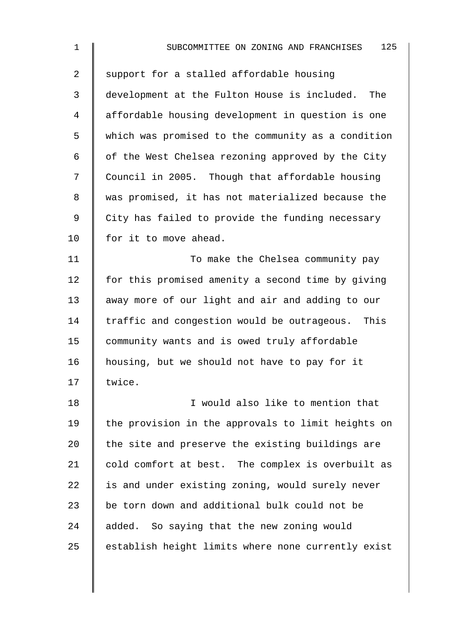| 1  | 125<br>SUBCOMMITTEE ON ZONING AND FRANCHISES        |
|----|-----------------------------------------------------|
| 2  | support for a stalled affordable housing            |
| 3  | development at the Fulton House is included.<br>The |
| 4  | affordable housing development in question is one   |
| 5  | which was promised to the community as a condition  |
| 6  | of the West Chelsea rezoning approved by the City   |
| 7  | Council in 2005. Though that affordable housing     |
| 8  | was promised, it has not materialized because the   |
| 9  | City has failed to provide the funding necessary    |
| 10 | for it to move ahead.                               |
| 11 | To make the Chelsea community pay                   |
| 12 | for this promised amenity a second time by giving   |
| 13 | away more of our light and air and adding to our    |
| 14 | traffic and congestion would be outrageous.<br>This |
| 15 | community wants and is owed truly affordable        |
| 16 | housing, but we should not have to pay for it       |
| 17 | twice.                                              |
| 18 | I would also like to mention that                   |
| 19 | the provision in the approvals to limit heights on  |
| 20 | the site and preserve the existing buildings are    |
| 21 | cold comfort at best. The complex is overbuilt as   |
| 22 | is and under existing zoning, would surely never    |
| 23 | be torn down and additional bulk could not be       |
| 24 | added. So saying that the new zoning would          |
| 25 | establish height limits where none currently exist  |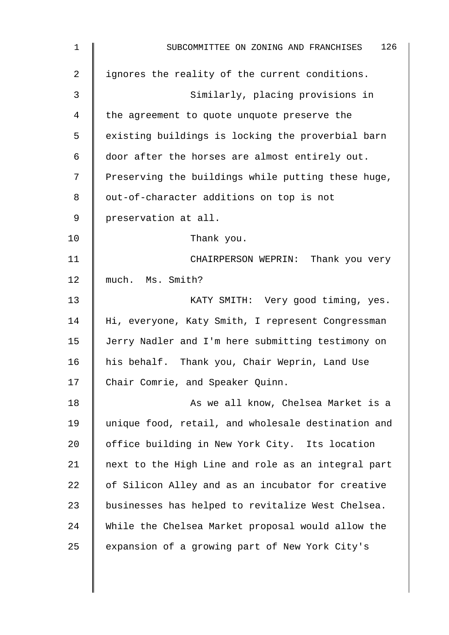| $\mathbf 1$ | 126<br>SUBCOMMITTEE ON ZONING AND FRANCHISES       |
|-------------|----------------------------------------------------|
| 2           | ignores the reality of the current conditions.     |
| 3           | Similarly, placing provisions in                   |
| 4           | the agreement to quote unquote preserve the        |
| 5           | existing buildings is locking the proverbial barn  |
| 6           | door after the horses are almost entirely out.     |
| 7           | Preserving the buildings while putting these huge, |
| 8           | out-of-character additions on top is not           |
| 9           | preservation at all.                               |
| 10          | Thank you.                                         |
| 11          | CHAIRPERSON WEPRIN: Thank you very                 |
| 12          | much. Ms. Smith?                                   |
| 13          | KATY SMITH: Very good timing, yes.                 |
| 14          | Hi, everyone, Katy Smith, I represent Congressman  |
| 15          | Jerry Nadler and I'm here submitting testimony on  |
| 16          | his behalf. Thank you, Chair Weprin, Land Use      |
| 17          | Chair Comrie, and Speaker Quinn.                   |
| 18          | As we all know, Chelsea Market is a                |
| 19          | unique food, retail, and wholesale destination and |
| 20          | office building in New York City. Its location     |
| 21          | next to the High Line and role as an integral part |
| 22          | of Silicon Alley and as an incubator for creative  |
| 23          | businesses has helped to revitalize West Chelsea.  |
| 24          | While the Chelsea Market proposal would allow the  |
| 25          | expansion of a growing part of New York City's     |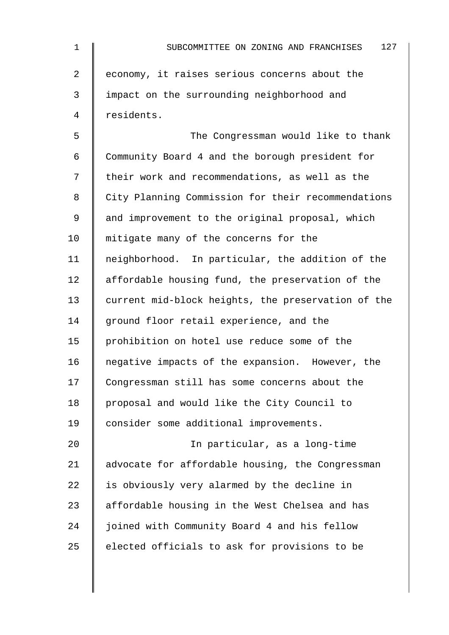| $\mathbf 1$    | 127<br>SUBCOMMITTEE ON ZONING AND FRANCHISES       |
|----------------|----------------------------------------------------|
| $\overline{2}$ | economy, it raises serious concerns about the      |
| 3              | impact on the surrounding neighborhood and         |
| 4              | residents.                                         |
| 5              | The Congressman would like to thank                |
| 6              | Community Board 4 and the borough president for    |
| 7              | their work and recommendations, as well as the     |
| 8              | City Planning Commission for their recommendations |
| 9              | and improvement to the original proposal, which    |
| 10             | mitigate many of the concerns for the              |
| 11             | neighborhood. In particular, the addition of the   |
| 12             | affordable housing fund, the preservation of the   |
| 13             | current mid-block heights, the preservation of the |
| 14             | ground floor retail experience, and the            |
| 15             | prohibition on hotel use reduce some of the        |
| 16             | negative impacts of the expansion. However, the    |
| 17             | Congressman still has some concerns about the      |
| 18             | proposal and would like the City Council to        |
| 19             | consider some additional improvements.             |
| 20             | In particular, as a long-time                      |
| 21             | advocate for affordable housing, the Congressman   |
| 22             | is obviously very alarmed by the decline in        |
| 23             | affordable housing in the West Chelsea and has     |
| 24             | joined with Community Board 4 and his fellow       |
| 25             | elected officials to ask for provisions to be      |
|                |                                                    |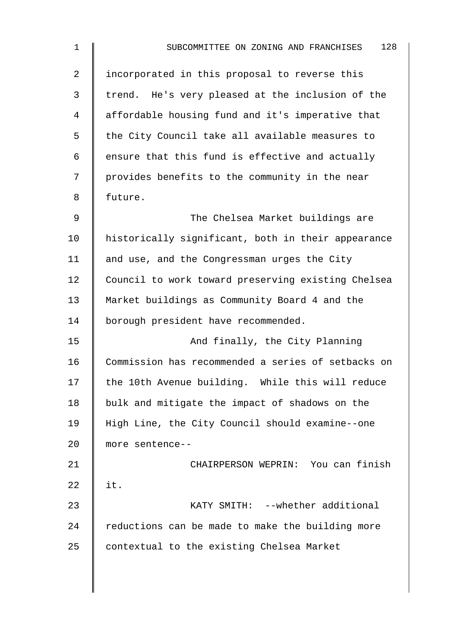| 1              | 128<br>SUBCOMMITTEE ON ZONING AND FRANCHISES       |
|----------------|----------------------------------------------------|
| 2              | incorporated in this proposal to reverse this      |
| $\mathfrak{Z}$ | trend. He's very pleased at the inclusion of the   |
| 4              | affordable housing fund and it's imperative that   |
| 5              | the City Council take all available measures to    |
| 6              | ensure that this fund is effective and actually    |
| 7              | provides benefits to the community in the near     |
| 8              | future.                                            |
| 9              | The Chelsea Market buildings are                   |
| 10             | historically significant, both in their appearance |
| 11             | and use, and the Congressman urges the City        |
| 12             | Council to work toward preserving existing Chelsea |
| 13             | Market buildings as Community Board 4 and the      |
| 14             | borough president have recommended.                |
| 15             | And finally, the City Planning                     |
| 16             | Commission has recommended a series of setbacks on |
| 17             | the 10th Avenue building. While this will reduce   |
| 18             | bulk and mitigate the impact of shadows on the     |
| 19             | High Line, the City Council should examine--one    |
| 20             | more sentence--                                    |
| 21             | CHAIRPERSON WEPRIN: You can finish                 |
| 22             | it.                                                |
| 23             | KATY SMITH: --whether additional                   |
| 24             | reductions can be made to make the building more   |
| 25             | contextual to the existing Chelsea Market          |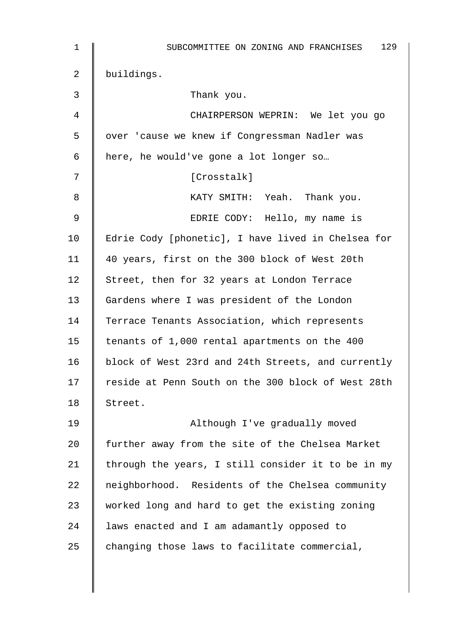| $\mathbf 1$ | 129<br>SUBCOMMITTEE ON ZONING AND FRANCHISES       |
|-------------|----------------------------------------------------|
| 2           | buildings.                                         |
| 3           | Thank you.                                         |
| 4           | CHAIRPERSON WEPRIN: We let you go                  |
| 5           | over 'cause we knew if Congressman Nadler was      |
| 6           | here, he would've gone a lot longer so             |
| 7           | [Crosstalk]                                        |
| 8           | KATY SMITH: Yeah. Thank you.                       |
| $\mathsf 9$ | EDRIE CODY: Hello, my name is                      |
| 10          | Edrie Cody [phonetic], I have lived in Chelsea for |
| 11          | 40 years, first on the 300 block of West 20th      |
| 12          | Street, then for 32 years at London Terrace        |
| 13          | Gardens where I was president of the London        |
| 14          | Terrace Tenants Association, which represents      |
| 15          | tenants of 1,000 rental apartments on the 400      |
| 16          | block of West 23rd and 24th Streets, and currently |
| 17          | reside at Penn South on the 300 block of West 28th |
| 18          | Street.                                            |
| 19          | Although I've gradually moved                      |
| 20          | further away from the site of the Chelsea Market   |
| 21          | through the years, I still consider it to be in my |
| 22          | neighborhood. Residents of the Chelsea community   |
| 23          | worked long and hard to get the existing zoning    |
| 24          | laws enacted and I am adamantly opposed to         |
| 25          | changing those laws to facilitate commercial,      |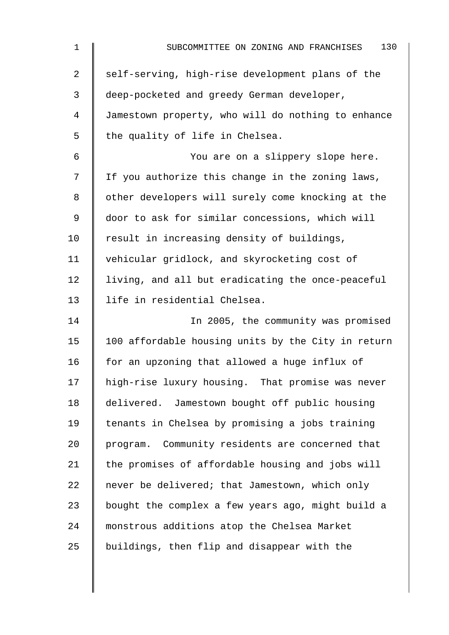| $\mathbf{1}$   | 130<br>SUBCOMMITTEE ON ZONING AND FRANCHISES       |
|----------------|----------------------------------------------------|
| $\overline{2}$ | self-serving, high-rise development plans of the   |
| 3              | deep-pocketed and greedy German developer,         |
| 4              | Jamestown property, who will do nothing to enhance |
| 5              | the quality of life in Chelsea.                    |
| 6              | You are on a slippery slope here.                  |
| 7              | If you authorize this change in the zoning laws,   |
| 8              | other developers will surely come knocking at the  |
| 9              | door to ask for similar concessions, which will    |
| 10             | result in increasing density of buildings,         |
| 11             | vehicular gridlock, and skyrocketing cost of       |
| 12             | living, and all but eradicating the once-peaceful  |
| 13             | life in residential Chelsea.                       |
| 14             | In 2005, the community was promised                |
| 15             | 100 affordable housing units by the City in return |
| 16             | for an upzoning that allowed a huge influx of      |
| 17             | high-rise luxury housing. That promise was never   |
| 18             | delivered. Jamestown bought off public housing     |
| 19             | tenants in Chelsea by promising a jobs training    |
| 20             | program. Community residents are concerned that    |
| 21             | the promises of affordable housing and jobs will   |
| 22             | never be delivered; that Jamestown, which only     |
| 23             | bought the complex a few years ago, might build a  |
| 24             | monstrous additions atop the Chelsea Market        |
| 25             | buildings, then flip and disappear with the        |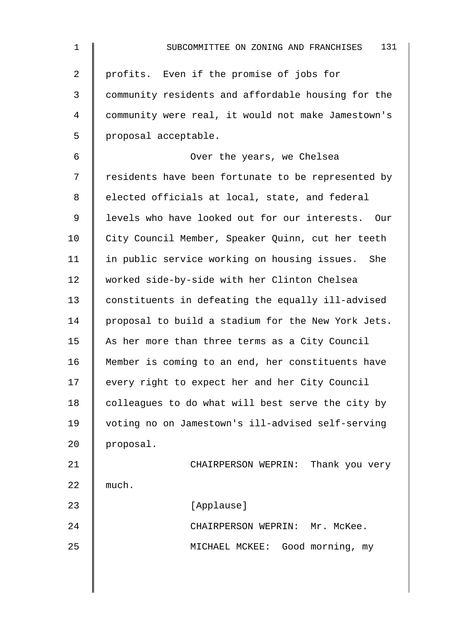| $\mathbf 1$ | 131<br>SUBCOMMITTEE ON ZONING AND FRANCHISES       |
|-------------|----------------------------------------------------|
| 2           | profits. Even if the promise of jobs for           |
| 3           | community residents and affordable housing for the |
| 4           | community were real, it would not make Jamestown's |
| 5           | proposal acceptable.                               |
| 6           | Over the years, we Chelsea                         |
| 7           | residents have been fortunate to be represented by |
| 8           | elected officials at local, state, and federal     |
| 9           | levels who have looked out for our interests. Our  |
| 10          | City Council Member, Speaker Quinn, cut her teeth  |
| 11          | in public service working on housing issues. She   |
| 12          | worked side-by-side with her Clinton Chelsea       |
| 13          | constituents in defeating the equally ill-advised  |
| 14          | proposal to build a stadium for the New York Jets. |
| 15          | As her more than three terms as a City Council     |
| 16          | Member is coming to an end, her constituents have  |
| 17          | every right to expect her and her City Council     |
| 18          | colleagues to do what will best serve the city by  |
| 19          | voting no on Jamestown's ill-advised self-serving  |
| 20          | proposal.                                          |
| 21          | CHAIRPERSON WEPRIN: Thank you very                 |
| 22          | much.                                              |
| 23          | [Applause]                                         |
| 24          | CHAIRPERSON WEPRIN: Mr. McKee.                     |
| 25          | MICHAEL MCKEE: Good morning, my                    |
|             |                                                    |
|             |                                                    |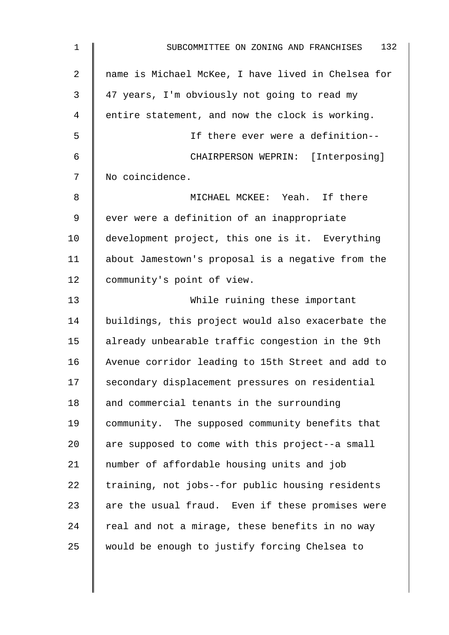| $\mathbf 1$ | 132<br>SUBCOMMITTEE ON ZONING AND FRANCHISES       |
|-------------|----------------------------------------------------|
| 2           | name is Michael McKee, I have lived in Chelsea for |
| 3           | 47 years, I'm obviously not going to read my       |
| 4           | entire statement, and now the clock is working.    |
| 5           | If there ever were a definition--                  |
| 6           | CHAIRPERSON WEPRIN: [Interposing]                  |
| 7           | No coincidence.                                    |
| 8           | MICHAEL MCKEE: Yeah. If there                      |
| 9           | ever were a definition of an inappropriate         |
| 10          | development project, this one is it. Everything    |
| 11          | about Jamestown's proposal is a negative from the  |
| 12          | community's point of view.                         |
| 13          | While ruining these important                      |
| 14          | buildings, this project would also exacerbate the  |
| 15          | already unbearable traffic congestion in the 9th   |
| 16          | Avenue corridor leading to 15th Street and add to  |
| 17          | secondary displacement pressures on residential    |
| 18          | and commercial tenants in the surrounding          |
| 19          | community. The supposed community benefits that    |
| 20          | are supposed to come with this project--a small    |
| 21          | number of affordable housing units and job         |
| 22          | training, not jobs--for public housing residents   |
| 23          | are the usual fraud. Even if these promises were   |
| 24          | real and not a mirage, these benefits in no way    |
| 25          | would be enough to justify forcing Chelsea to      |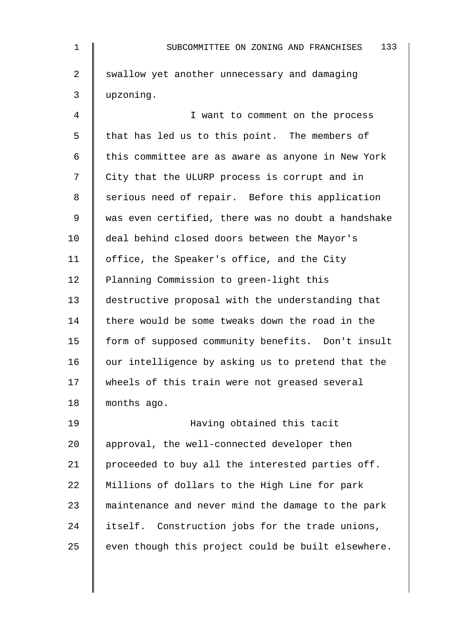| $\mathbf{1}$   | 133<br>SUBCOMMITTEE ON ZONING AND FRANCHISES       |
|----------------|----------------------------------------------------|
| $\overline{a}$ | swallow yet another unnecessary and damaging       |
| 3              | upzoning.                                          |
| 4              | I want to comment on the process                   |
| 5              | that has led us to this point. The members of      |
| 6              | this committee are as aware as anyone in New York  |
| 7              | City that the ULURP process is corrupt and in      |
| 8              | serious need of repair. Before this application    |
| 9              | was even certified, there was no doubt a handshake |
| 10             | deal behind closed doors between the Mayor's       |
| 11             | office, the Speaker's office, and the City         |
| 12             | Planning Commission to green-light this            |
| 13             | destructive proposal with the understanding that   |
| 14             | there would be some tweaks down the road in the    |
| 15             | form of supposed community benefits. Don't insult  |
| 16             | our intelligence by asking us to pretend that the  |
| 17             | wheels of this train were not greased several      |
| 18             | months ago.                                        |
| 19             | Having obtained this tacit                         |
| 20             | approval, the well-connected developer then        |
| 21             | proceeded to buy all the interested parties off.   |
| 22             | Millions of dollars to the High Line for park      |
| 23             | maintenance and never mind the damage to the park  |
| 24             | itself. Construction jobs for the trade unions,    |
| 25             | even though this project could be built elsewhere. |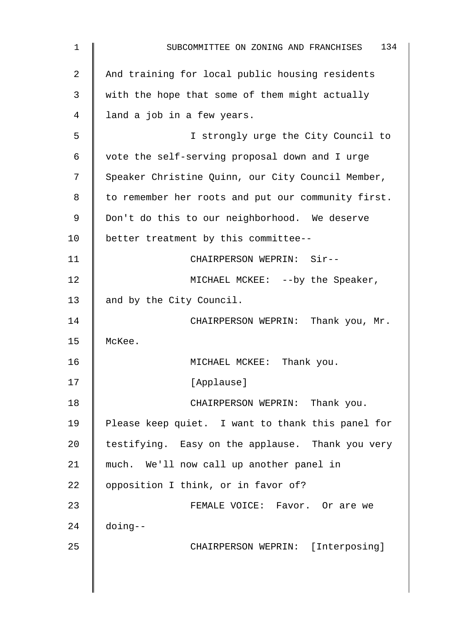| $\mathbf 1$ | 134<br>SUBCOMMITTEE ON ZONING AND FRANCHISES       |
|-------------|----------------------------------------------------|
| 2           | And training for local public housing residents    |
| 3           | with the hope that some of them might actually     |
| 4           | land a job in a few years.                         |
| 5           | I strongly urge the City Council to                |
| 6           | vote the self-serving proposal down and I urge     |
| 7           | Speaker Christine Quinn, our City Council Member,  |
| 8           | to remember her roots and put our community first. |
| 9           | Don't do this to our neighborhood. We deserve      |
| 10          | better treatment by this committee--               |
| 11          | CHAIRPERSON WEPRIN: Sir--                          |
| 12          | MICHAEL MCKEE: --by the Speaker,                   |
| 13          | and by the City Council.                           |
| 14          | CHAIRPERSON WEPRIN: Thank you, Mr.                 |
| 15          | McKee.                                             |
| 16          | MICHAEL MCKEE: Thank you.                          |
| 17          | [Applause]                                         |
| 18          | CHAIRPERSON WEPRIN: Thank you.                     |
| 19          | Please keep quiet. I want to thank this panel for  |
| 20          | testifying. Easy on the applause. Thank you very   |
| 21          | much. We'll now call up another panel in           |
| 22          | opposition I think, or in favor of?                |
| 23          | FEMALE VOICE: Favor. Or are we                     |
| 24          | doing--                                            |
| 25          | CHAIRPERSON WEPRIN: [Interposing]                  |
|             |                                                    |
|             |                                                    |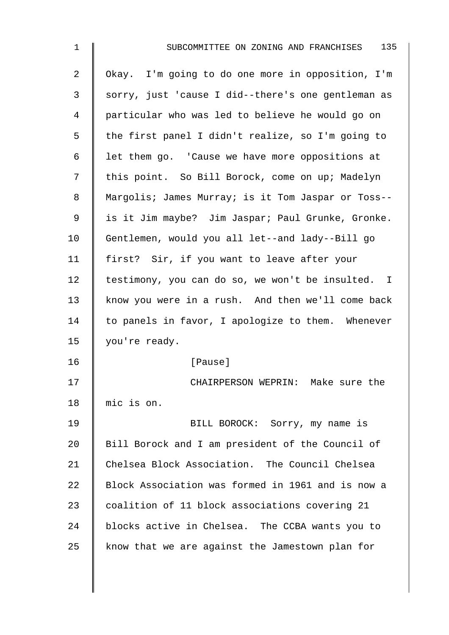| $\mathbf{1}$   | 135<br>SUBCOMMITTEE ON ZONING AND FRANCHISES       |
|----------------|----------------------------------------------------|
| $\overline{a}$ | Okay. I'm going to do one more in opposition, I'm  |
| 3              | sorry, just 'cause I did--there's one gentleman as |
| 4              | particular who was led to believe he would go on   |
| 5              | the first panel I didn't realize, so I'm going to  |
| 6              | let them go. 'Cause we have more oppositions at    |
| 7              | this point. So Bill Borock, come on up; Madelyn    |
| 8              | Margolis; James Murray; is it Tom Jaspar or Toss-- |
| 9              | is it Jim maybe? Jim Jaspar; Paul Grunke, Gronke.  |
| 10             | Gentlemen, would you all let--and lady--Bill go    |
| 11             | first? Sir, if you want to leave after your        |
| 12             | testimony, you can do so, we won't be insulted. I  |
| 13             | know you were in a rush. And then we'll come back  |
| 14             | to panels in favor, I apologize to them. Whenever  |
| 15             | you're ready.                                      |
| 16             | [Pause]                                            |
| 17             | CHAIRPERSON WEPRIN: Make sure the                  |
| 18             | mic is on.                                         |
| 19             | BILL BOROCK: Sorry, my name is                     |
| 20             | Bill Borock and I am president of the Council of   |
| 21             | Chelsea Block Association. The Council Chelsea     |
| 22             | Block Association was formed in 1961 and is now a  |
| 23             | coalition of 11 block associations covering 21     |
| 24             | blocks active in Chelsea. The CCBA wants you to    |
| 25             | know that we are against the Jamestown plan for    |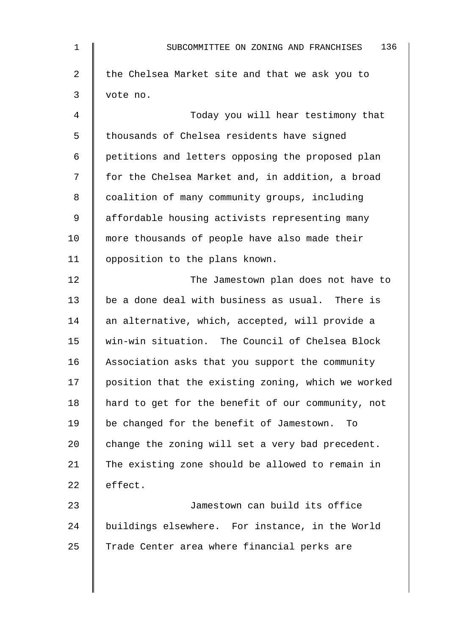| $\mathbf{1}$ | 136<br>SUBCOMMITTEE ON ZONING AND FRANCHISES       |
|--------------|----------------------------------------------------|
| 2            | the Chelsea Market site and that we ask you to     |
| 3            | vote no.                                           |
| 4            | Today you will hear testimony that                 |
| 5            | thousands of Chelsea residents have signed         |
| 6            | petitions and letters opposing the proposed plan   |
| 7            | for the Chelsea Market and, in addition, a broad   |
| 8            | coalition of many community groups, including      |
| 9            | affordable housing activists representing many     |
| 10           | more thousands of people have also made their      |
| 11           | opposition to the plans known.                     |
| 12           | The Jamestown plan does not have to                |
| 13           | be a done deal with business as usual. There is    |
| 14           | an alternative, which, accepted, will provide a    |
| 15           | win-win situation. The Council of Chelsea Block    |
| 16           | Association asks that you support the community    |
| 17           | position that the existing zoning, which we worked |
| 18           | hard to get for the benefit of our community, not  |
| 19           | be changed for the benefit of Jamestown.<br>To     |
| 20           | change the zoning will set a very bad precedent.   |
| 21           | The existing zone should be allowed to remain in   |
| 22           | effect.                                            |
| 23           | Jamestown can build its office                     |
| 24           | buildings elsewhere. For instance, in the World    |
| 25           | Trade Center area where financial perks are        |
|              |                                                    |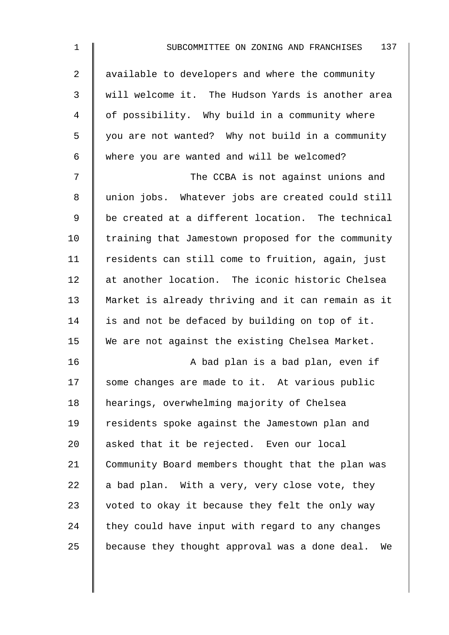| $1\,$ | 137<br>SUBCOMMITTEE ON ZONING AND FRANCHISES       |
|-------|----------------------------------------------------|
| 2     | available to developers and where the community    |
| 3     | will welcome it. The Hudson Yards is another area  |
| 4     | of possibility. Why build in a community where     |
| 5     | you are not wanted? Why not build in a community   |
| 6     | where you are wanted and will be welcomed?         |
| 7     | The CCBA is not against unions and                 |
| 8     | union jobs. Whatever jobs are created could still  |
| 9     | be created at a different location. The technical  |
| 10    | training that Jamestown proposed for the community |
| 11    | residents can still come to fruition, again, just  |
| 12    | at another location. The iconic historic Chelsea   |
| 13    | Market is already thriving and it can remain as it |
| 14    | is and not be defaced by building on top of it.    |
| 15    | We are not against the existing Chelsea Market.    |
| 16    | A bad plan is a bad plan, even if                  |
| 17    | some changes are made to it. At various public     |
| 18    | hearings, overwhelming majority of Chelsea         |
| 19    | residents spoke against the Jamestown plan and     |
| 20    | asked that it be rejected. Even our local          |
| 21    | Community Board members thought that the plan was  |
| 22    | a bad plan. With a very, very close vote, they     |
| 23    | voted to okay it because they felt the only way    |
| 24    | they could have input with regard to any changes   |
| 25    | because they thought approval was a done deal. We  |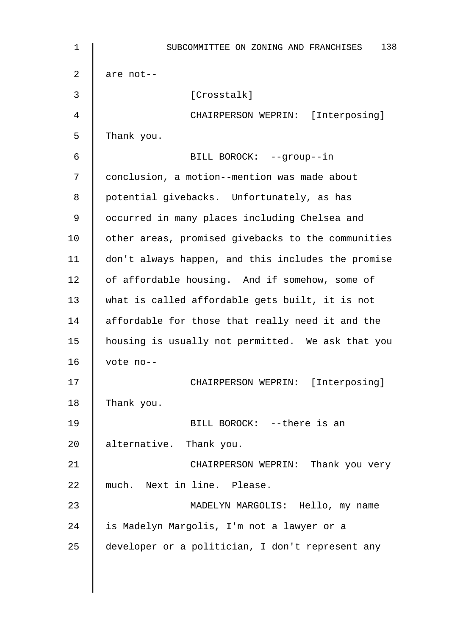| $\mathbf 1$ | 138<br>SUBCOMMITTEE ON ZONING AND FRANCHISES       |
|-------------|----------------------------------------------------|
| 2           | are not--                                          |
| 3           | [Crosstalk]                                        |
| 4           | CHAIRPERSON WEPRIN: [Interposing]                  |
| 5           | Thank you.                                         |
| 6           | BILL BOROCK: --group--in                           |
| 7           | conclusion, a motion--mention was made about       |
| 8           | potential givebacks. Unfortunately, as has         |
| 9           | occurred in many places including Chelsea and      |
| 10          | other areas, promised givebacks to the communities |
| 11          | don't always happen, and this includes the promise |
| 12          | of affordable housing. And if somehow, some of     |
| 13          | what is called affordable gets built, it is not    |
| 14          | affordable for those that really need it and the   |
| 15          | housing is usually not permitted. We ask that you  |
| 16          | vote no--                                          |
| 17          | CHAIRPERSON WEPRIN: [Interposing]                  |
| 18          | Thank you.                                         |
| 19          | BILL BOROCK: --there is an                         |
| 20          | alternative. Thank you.                            |
| 21          | CHAIRPERSON WEPRIN: Thank you very                 |
| 22          | much. Next in line. Please.                        |
| 23          | MADELYN MARGOLIS: Hello, my name                   |
| 24          | is Madelyn Margolis, I'm not a lawyer or a         |
| 25          | developer or a politician, I don't represent any   |
|             |                                                    |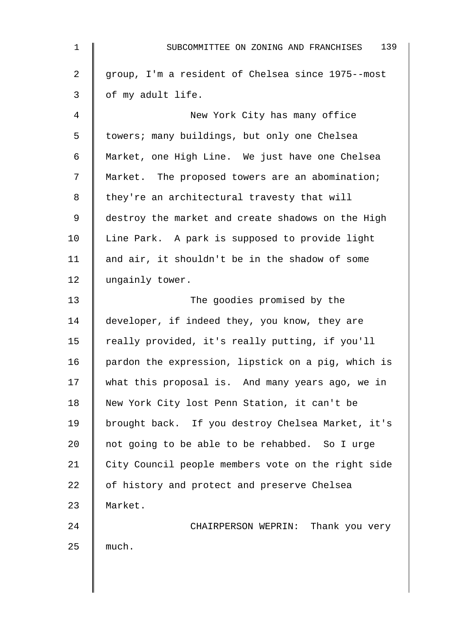| $\mathbf{1}$   | 139<br>SUBCOMMITTEE ON ZONING AND FRANCHISES       |
|----------------|----------------------------------------------------|
| $\overline{a}$ | group, I'm a resident of Chelsea since 1975--most  |
| 3              | of my adult life.                                  |
| 4              | New York City has many office                      |
| 5              | towers; many buildings, but only one Chelsea       |
| 6              | Market, one High Line. We just have one Chelsea    |
| 7              | Market. The proposed towers are an abomination;    |
| 8              | they're an architectural travesty that will        |
| 9              | destroy the market and create shadows on the High  |
| $10 \,$        | Line Park. A park is supposed to provide light     |
| 11             | and air, it shouldn't be in the shadow of some     |
| 12             | ungainly tower.                                    |
| 13             | The goodies promised by the                        |
| 14             | developer, if indeed they, you know, they are      |
| 15             | really provided, it's really putting, if you'll    |
| 16             | pardon the expression, lipstick on a pig, which is |
| 17             | what this proposal is. And many years ago, we in   |
| 18             | New York City lost Penn Station, it can't be       |
| 19             | brought back. If you destroy Chelsea Market, it's  |
| 20             | not going to be able to be rehabbed. So I urge     |
| 21             | City Council people members vote on the right side |
| 22             | of history and protect and preserve Chelsea        |
| 23             | Market.                                            |
| 24             | CHAIRPERSON WEPRIN: Thank you very                 |
| 25             | much.                                              |
|                |                                                    |
|                |                                                    |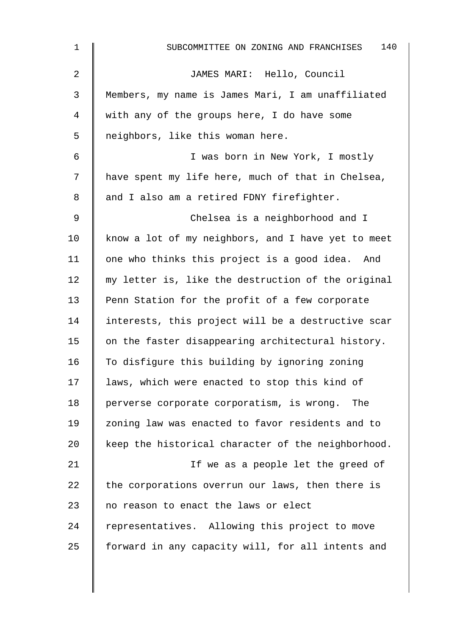| 1  | 140<br>SUBCOMMITTEE ON ZONING AND FRANCHISES       |
|----|----------------------------------------------------|
| 2  | JAMES MARI: Hello, Council                         |
| 3  | Members, my name is James Mari, I am unaffiliated  |
| 4  | with any of the groups here, I do have some        |
| 5  | neighbors, like this woman here.                   |
| 6  | I was born in New York, I mostly                   |
| 7  | have spent my life here, much of that in Chelsea,  |
| 8  | and I also am a retired FDNY firefighter.          |
| 9  | Chelsea is a neighborhood and I                    |
| 10 | know a lot of my neighbors, and I have yet to meet |
| 11 | one who thinks this project is a good idea. And    |
| 12 | my letter is, like the destruction of the original |
| 13 | Penn Station for the profit of a few corporate     |
| 14 | interests, this project will be a destructive scar |
| 15 | on the faster disappearing architectural history.  |
| 16 | To disfigure this building by ignoring zoning      |
| 17 | laws, which were enacted to stop this kind of      |
| 18 | perverse corporate corporatism, is wrong. The      |
| 19 | zoning law was enacted to favor residents and to   |
| 20 | keep the historical character of the neighborhood. |
| 21 | If we as a people let the greed of                 |
| 22 | the corporations overrun our laws, then there is   |
| 23 | no reason to enact the laws or elect               |
| 24 | representatives. Allowing this project to move     |
| 25 | forward in any capacity will, for all intents and  |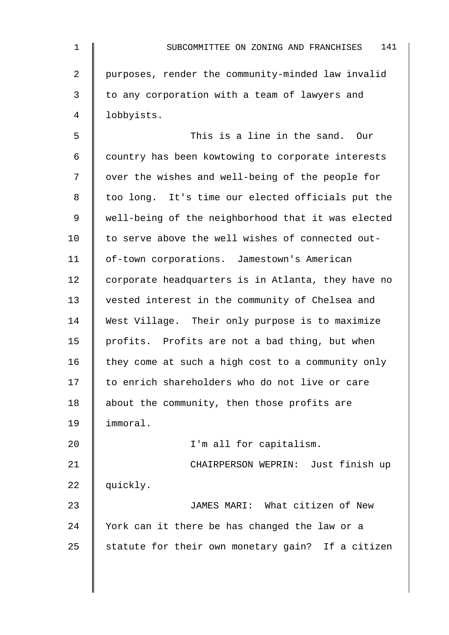2 | purposes, render the community-minded law invalid  $3 \parallel$  to any corporation with a team of lawyers and 4 lobbyists.

5 This is a line in the sand. Our 6 | country has been kowtowing to corporate interests 7 | over the wishes and well-being of the people for 8 | too long. It's time our elected officials put the 9 well-being of the neighborhood that it was elected 10 | to serve above the well wishes of connected out-11 | of-town corporations. Jamestown's American 12 corporate headquarters is in Atlanta, they have no 13 vested interest in the community of Chelsea and 14 West Village. Their only purpose is to maximize 15 | profits. Profits are not a bad thing, but when 16  $\parallel$  they come at such a high cost to a community only 17 to enrich shareholders who do not live or care 18 | about the community, then those profits are 19 immoral. 20 | I'm all for capitalism.

21 | CHAIRPERSON WEPRIN: Just finish up 22 quickly. 23 || JAMES MARI: What citizen of New

24 York can it there be has changed the law or a 25  $\parallel$  statute for their own monetary gain? If a citizen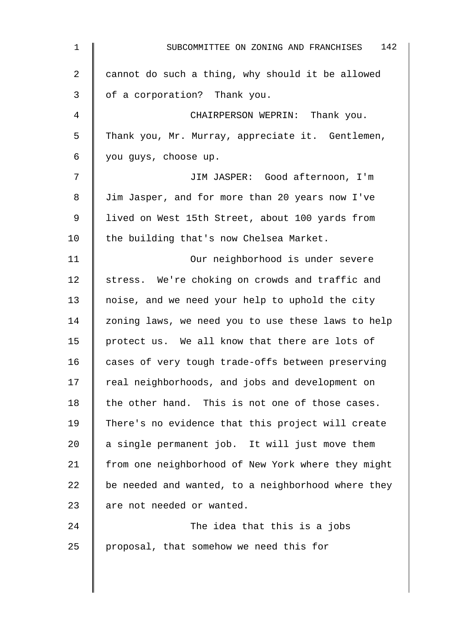| 1  | 142<br>SUBCOMMITTEE ON ZONING AND FRANCHISES       |
|----|----------------------------------------------------|
| 2  | cannot do such a thing, why should it be allowed   |
| 3  | of a corporation? Thank you.                       |
| 4  | CHAIRPERSON WEPRIN: Thank you.                     |
| 5  | Thank you, Mr. Murray, appreciate it. Gentlemen,   |
| 6  | you guys, choose up.                               |
| 7  | JIM JASPER: Good afternoon, I'm                    |
| 8  | Jim Jasper, and for more than 20 years now I've    |
| 9  | lived on West 15th Street, about 100 yards from    |
| 10 | the building that's now Chelsea Market.            |
| 11 | Our neighborhood is under severe                   |
| 12 | stress. We're choking on crowds and traffic and    |
| 13 | noise, and we need your help to uphold the city    |
| 14 | zoning laws, we need you to use these laws to help |
| 15 | protect us. We all know that there are lots of     |
| 16 | cases of very tough trade-offs between preserving  |
| 17 | real neighborhoods, and jobs and development on    |
| 18 | the other hand. This is not one of those cases.    |
| 19 | There's no evidence that this project will create  |
| 20 | a single permanent job. It will just move them     |
| 21 | from one neighborhood of New York where they might |
| 22 | be needed and wanted, to a neighborhood where they |
| 23 | are not needed or wanted.                          |
| 24 | The idea that this is a jobs                       |
| 25 | proposal, that somehow we need this for            |
|    |                                                    |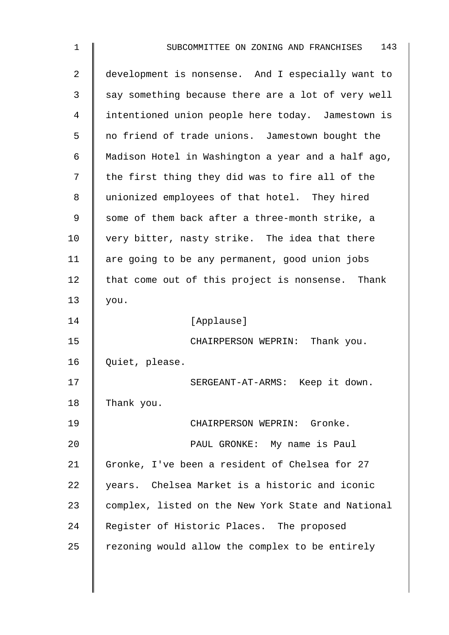| $\overline{a}$ | development is nonsense. And I especially want to  |
|----------------|----------------------------------------------------|
| 3              | say something because there are a lot of very well |
| 4              | intentioned union people here today. Jamestown is  |
| 5              | no friend of trade unions. Jamestown bought the    |
| 6              | Madison Hotel in Washington a year and a half ago, |
| 7              | the first thing they did was to fire all of the    |
| 8              | unionized employees of that hotel. They hired      |
| 9              | some of them back after a three-month strike, a    |
| 10             | very bitter, nasty strike. The idea that there     |
| 11             | are going to be any permanent, good union jobs     |
| 12             | that come out of this project is nonsense. Thank   |
| 13             | you.                                               |
| 14             | [Applause]                                         |
| 15             | CHAIRPERSON WEPRIN: Thank you.                     |
| 16             | Quiet, please.                                     |
| 17             | SERGEANT-AT-ARMS: Keep it down.                    |
| 18             | Thank you.                                         |
| 19             | CHAIRPERSON WEPRIN: Gronke.                        |
| 20             | PAUL GRONKE: My name is Paul                       |
| 21             | Gronke, I've been a resident of Chelsea for 27     |
| 22             | years. Chelsea Market is a historic and iconic     |
| 23             | complex, listed on the New York State and National |
| 24             | Register of Historic Places. The proposed          |
| 25             | rezoning would allow the complex to be entirely    |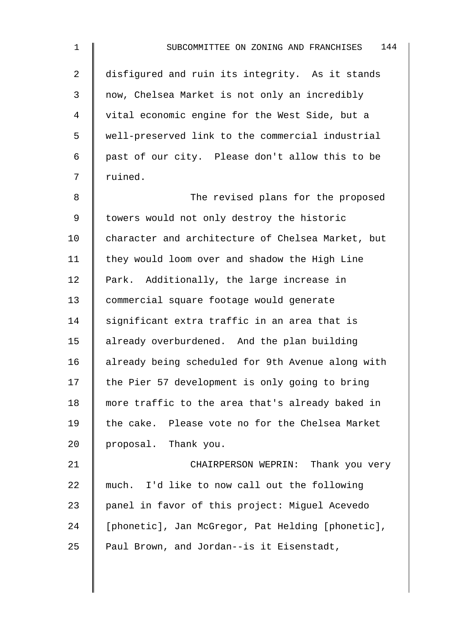2 disfigured and ruin its integrity. As it stands 3 || now, Chelsea Market is not only an incredibly 4 vital economic engine for the West Side, but a 5 well-preserved link to the commercial industrial 6  $\parallel$  past of our city. Please don't allow this to be 7 | ruined.

8 The revised plans for the proposed 9 | towers would not only destroy the historic 10 character and architecture of Chelsea Market, but  $11$  | they would loom over and shadow the High Line 12 Park. Additionally, the large increase in 13 commercial square footage would generate 14 significant extra traffic in an area that is 15 | already overburdened. And the plan building 16 | already being scheduled for 9th Avenue along with 17  $\parallel$  the Pier 57 development is only going to bring 18 more traffic to the area that's already baked in 19 the cake. Please vote no for the Chelsea Market 20 proposal. Thank you.

21 | CHAIRPERSON WEPRIN: Thank you very 22 much. I'd like to now call out the following 23 | panel in favor of this project: Miguel Acevedo 24 | [phonetic], Jan McGregor, Pat Helding [phonetic], 25  $\parallel$  Paul Brown, and Jordan--is it Eisenstadt,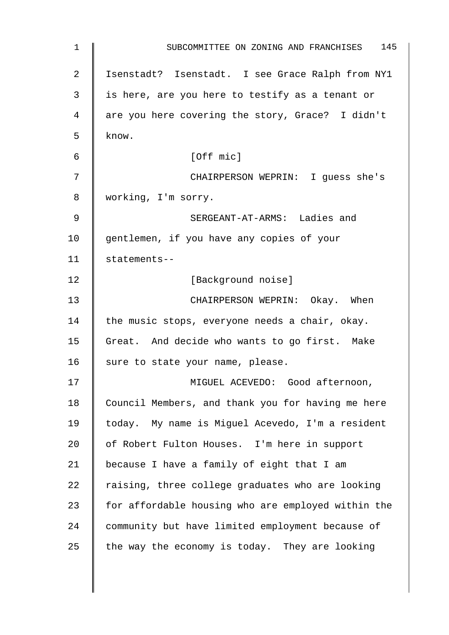| $\mathbf 1$    | SUBCOMMITTEE ON ZONING AND FRANCHISES 145          |
|----------------|----------------------------------------------------|
| $\overline{2}$ | Isenstadt? Isenstadt. I see Grace Ralph from NY1   |
| 3              | is here, are you here to testify as a tenant or    |
| 4              | are you here covering the story, Grace? I didn't   |
| 5              | know.                                              |
| 6              | [Off mic]                                          |
| 7              | CHAIRPERSON WEPRIN: I guess she's                  |
| 8              | working, I'm sorry.                                |
| 9              | SERGEANT-AT-ARMS: Ladies and                       |
| 10             | gentlemen, if you have any copies of your          |
| 11             | statements--                                       |
| 12             | [Background noise]                                 |
| 13             | CHAIRPERSON WEPRIN: Okay. When                     |
| 14             | the music stops, everyone needs a chair, okay.     |
| 15             | Great. And decide who wants to go first. Make      |
| 16             | sure to state your name, please.                   |
| 17             | MIGUEL ACEVEDO: Good afternoon,                    |
| 18             | Council Members, and thank you for having me here  |
| 19             | today. My name is Miguel Acevedo, I'm a resident   |
| 20             | of Robert Fulton Houses. I'm here in support       |
| 21             | because I have a family of eight that I am         |
| 22             | raising, three college graduates who are looking   |
| 23             | for affordable housing who are employed within the |
| 24             | community but have limited employment because of   |
| 25             | the way the economy is today. They are looking     |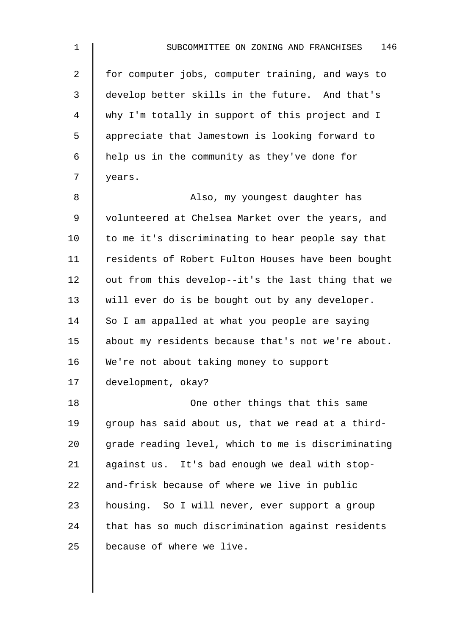2 for computer jobs, computer training, and ways to 3 develop better skills in the future. And that's 4 why I'm totally in support of this project and I 5 | appreciate that Jamestown is looking forward to 6 help us in the community as they've done for 7 | years.

8 || Also, my youngest daughter has 9 | volunteered at Chelsea Market over the years, and 10  $\parallel$  to me it's discriminating to hear people say that 11 | residents of Robert Fulton Houses have been bought 12  $\parallel$  out from this develop--it's the last thing that we 13 will ever do is be bought out by any developer.  $14$  So I am appalled at what you people are saying 15 | about my residents because that's not we're about. 16 We're not about taking money to support 17 development, okay?

18 **I** One other things that this same 19  $\parallel$  group has said about us, that we read at a third-20  $\parallel$  grade reading level, which to me is discriminating 21 | against us. It's bad enough we deal with stop-22 and-frisk because of where we live in public 23 | housing. So I will never, ever support a group  $24$  that has so much discrimination against residents 25 | because of where we live.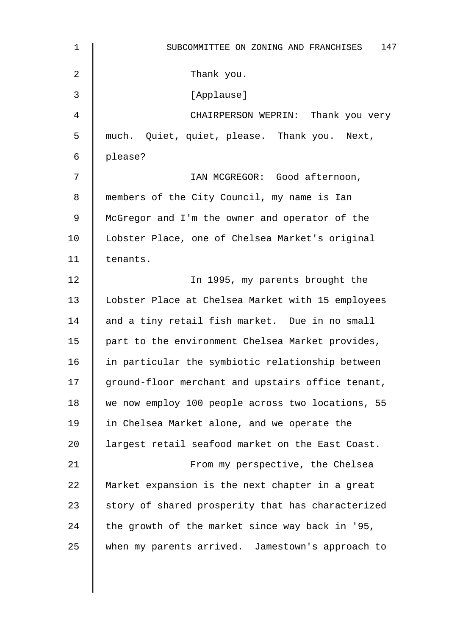| $\mathbf{1}$ | 147<br>SUBCOMMITTEE ON ZONING AND FRANCHISES      |
|--------------|---------------------------------------------------|
| 2            | Thank you.                                        |
| 3            | [Applause]                                        |
| 4            | CHAIRPERSON WEPRIN: Thank you very                |
| 5            | much. Quiet, quiet, please. Thank you. Next,      |
| 6            | please?                                           |
| 7            | IAN MCGREGOR: Good afternoon,                     |
| 8            | members of the City Council, my name is Ian       |
| 9            | McGregor and I'm the owner and operator of the    |
| 10           | Lobster Place, one of Chelsea Market's original   |
| 11           | tenants.                                          |
| 12           | In 1995, my parents brought the                   |
| 13           | Lobster Place at Chelsea Market with 15 employees |
| 14           | and a tiny retail fish market. Due in no small    |
| 15           | part to the environment Chelsea Market provides,  |
| 16           | in particular the symbiotic relationship between  |
| 17           | ground-floor merchant and upstairs office tenant, |
| 18           | we now employ 100 people across two locations, 55 |
| 19           | in Chelsea Market alone, and we operate the       |
| 20           | largest retail seafood market on the East Coast.  |
| 21           | From my perspective, the Chelsea                  |
| 22           | Market expansion is the next chapter in a great   |
| 23           | story of shared prosperity that has characterized |
| 24           | the growth of the market since way back in '95,   |
| 25           | when my parents arrived. Jamestown's approach to  |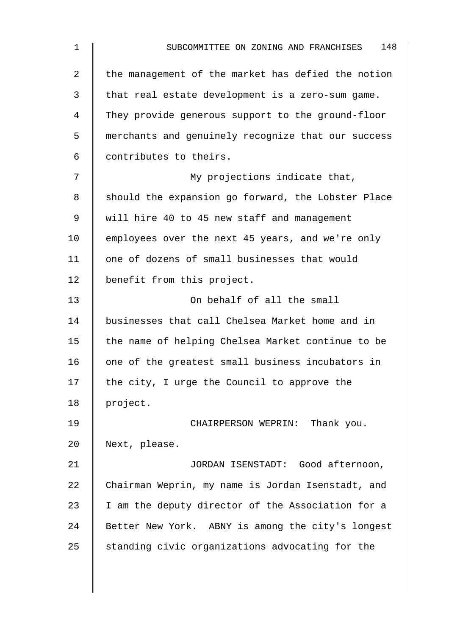| $\mathbf 1$ | 148<br>SUBCOMMITTEE ON ZONING AND FRANCHISES       |
|-------------|----------------------------------------------------|
| 2           | the management of the market has defied the notion |
| 3           | that real estate development is a zero-sum game.   |
| 4           | They provide generous support to the ground-floor  |
| 5           | merchants and genuinely recognize that our success |
| 6           | contributes to theirs.                             |
| 7           | My projections indicate that,                      |
| 8           | should the expansion go forward, the Lobster Place |
| 9           | will hire 40 to 45 new staff and management        |
| 10          | employees over the next 45 years, and we're only   |
| 11          | one of dozens of small businesses that would       |
| 12          | benefit from this project.                         |
| 13          | On behalf of all the small                         |
| 14          | businesses that call Chelsea Market home and in    |
| 15          | the name of helping Chelsea Market continue to be  |
| 16          | one of the greatest small business incubators in   |
| 17          | the city, I urge the Council to approve the        |
| 18          | project.                                           |
| 19          | CHAIRPERSON WEPRIN: Thank you.                     |
| 20          | Next, please.                                      |
| 21          | JORDAN ISENSTADT: Good afternoon,                  |
| 22          | Chairman Weprin, my name is Jordan Isenstadt, and  |
| 23          | I am the deputy director of the Association for a  |
| 24          | Better New York. ABNY is among the city's longest  |
| 25          | standing civic organizations advocating for the    |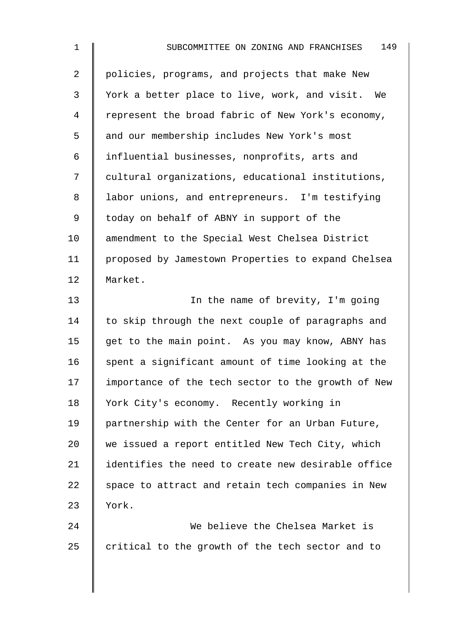2 | policies, programs, and projects that make New 3 York a better place to live, work, and visit. We 4 Tepresent the broad fabric of New York's economy, 5 and our membership includes New York's most 6 influential businesses, nonprofits, arts and 7 | cultural organizations, educational institutions, 8 | labor unions, and entrepreneurs. I'm testifying 9 | today on behalf of ABNY in support of the 10 | amendment to the Special West Chelsea District 11 | proposed by Jamestown Properties to expand Chelsea 12 Market.

13 | In the name of brevity, I'm going 14  $\parallel$  to skip through the next couple of paragraphs and 15  $\parallel$  get to the main point. As you may know, ABNY has 16  $\parallel$  spent a significant amount of time looking at the 17 importance of the tech sector to the growth of New 18 | York City's economy. Recently working in 19 partnership with the Center for an Urban Future, 20 we issued a report entitled New Tech City, which 21 identifies the need to create new desirable office 22  $\parallel$  space to attract and retain tech companies in New  $23$  | York.

24 We believe the Chelsea Market is 25  $\parallel$  critical to the growth of the tech sector and to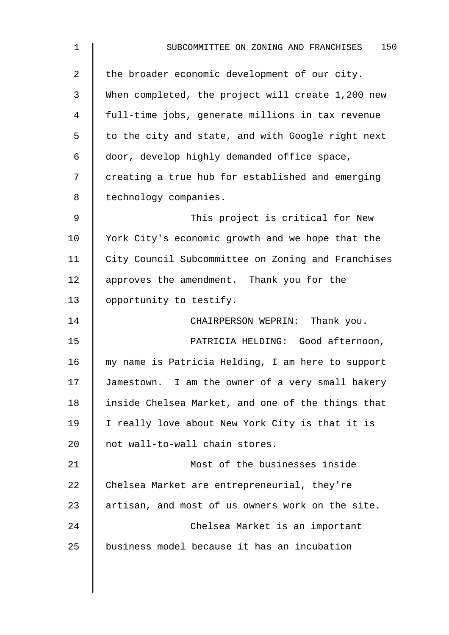| 1  | 150<br>SUBCOMMITTEE ON ZONING AND FRANCHISES       |
|----|----------------------------------------------------|
| 2  | the broader economic development of our city.      |
| 3  | When completed, the project will create 1,200 new  |
| 4  | full-time jobs, generate millions in tax revenue   |
| 5  | to the city and state, and with Google right next  |
| 6  | door, develop highly demanded office space,        |
| 7  | creating a true hub for established and emerging   |
| 8  | technology companies.                              |
| 9  | This project is critical for New                   |
| 10 | York City's economic growth and we hope that the   |
| 11 | City Council Subcommittee on Zoning and Franchises |
| 12 | approves the amendment. Thank you for the          |
| 13 | opportunity to testify.                            |
| 14 | CHAIRPERSON WEPRIN: Thank you.                     |
| 15 | PATRICIA HELDING: Good afternoon,                  |
| 16 | my name is Patricia Helding, I am here to support  |
| 17 | Jamestown. I am the owner of a very small bakery   |
| 18 | inside Chelsea Market, and one of the things that  |
| 19 | I really love about New York City is that it is    |
| 20 | not wall-to-wall chain stores.                     |
| 21 | Most of the businesses inside                      |
| 22 | Chelsea Market are entrepreneurial, they're        |
| 23 | artisan, and most of us owners work on the site.   |
| 24 | Chelsea Market is an important                     |
| 25 | business model because it has an incubation        |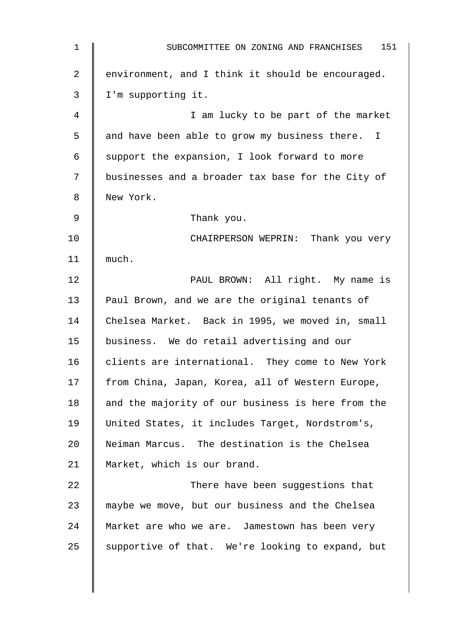1 SUBCOMMITTEE ON ZONING AND FRANCHISES 151 2 | environment, and I think it should be encouraged. 3 I'm supporting it. 4 I am lucky to be part of the market  $5 \parallel$  and have been able to grow my business there. I 6 | support the expansion, I look forward to more 7 | businesses and a broader tax base for the City of 8 | New York. 9 **J** Thank you. 10 CHAIRPERSON WEPRIN: Thank you very 11 much. 12 | PAUL BROWN: All right. My name is 13 | Paul Brown, and we are the original tenants of 14 Chelsea Market. Back in 1995, we moved in, small 15 business. We do retail advertising and our 16 clients are international. They come to New York 17 | from China, Japan, Korea, all of Western Europe, 18  $\parallel$  and the majority of our business is here from the 19 United States, it includes Target, Nordstrom's, 20 | Neiman Marcus. The destination is the Chelsea 21 || Market, which is our brand. 22 **There have been suggestions that** 23 maybe we move, but our business and the Chelsea 24 Market are who we are. Jamestown has been very 25 Supportive of that. We're looking to expand, but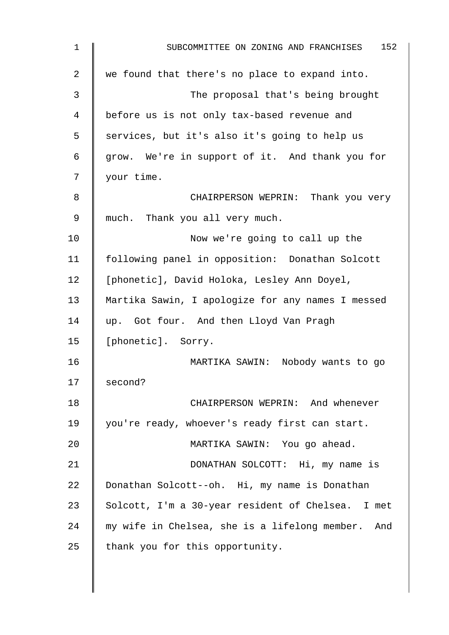| $\mathbf 1$ | 152<br>SUBCOMMITTEE ON ZONING AND FRANCHISES      |
|-------------|---------------------------------------------------|
| 2           | we found that there's no place to expand into.    |
| 3           | The proposal that's being brought                 |
| 4           | before us is not only tax-based revenue and       |
| 5           | services, but it's also it's going to help us     |
| 6           | grow. We're in support of it. And thank you for   |
| 7           | your time.                                        |
| 8           | CHAIRPERSON WEPRIN: Thank you very                |
| 9           | much. Thank you all very much.                    |
| 10          | Now we're going to call up the                    |
| 11          | following panel in opposition: Donathan Solcott   |
| 12          | [phonetic], David Holoka, Lesley Ann Doyel,       |
| 13          | Martika Sawin, I apologize for any names I messed |
| 14          | up. Got four. And then Lloyd Van Pragh            |
| 15          | [phonetic]. Sorry.                                |
| 16          | MARTIKA SAWIN: Nobody wants to go                 |
| 17          | second?                                           |
| 18          | CHAIRPERSON WEPRIN: And whenever                  |
| 19          | you're ready, whoever's ready first can start.    |
| 20          | MARTIKA SAWIN: You go ahead.                      |
| 21          | DONATHAN SOLCOTT: Hi, my name is                  |
| 22          | Donathan Solcott--oh. Hi, my name is Donathan     |
| 23          | Solcott, I'm a 30-year resident of Chelsea. I met |
| 24          | my wife in Chelsea, she is a lifelong member. And |
| 25          | thank you for this opportunity.                   |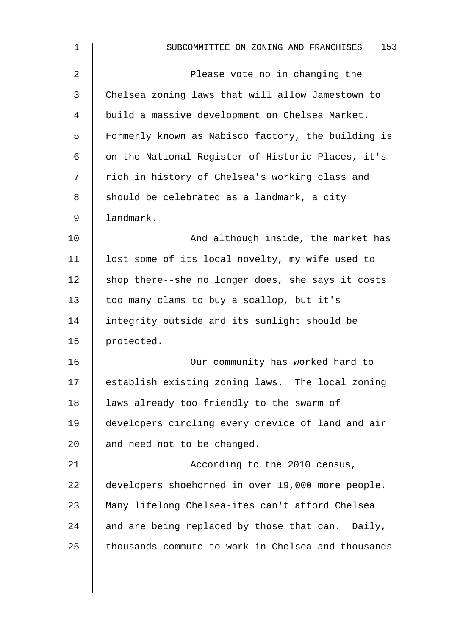| $\mathbf 1$ | 153<br>SUBCOMMITTEE ON ZONING AND FRANCHISES       |
|-------------|----------------------------------------------------|
| 2           | Please vote no in changing the                     |
| 3           | Chelsea zoning laws that will allow Jamestown to   |
| 4           | build a massive development on Chelsea Market.     |
| 5           | Formerly known as Nabisco factory, the building is |
| 6           | on the National Register of Historic Places, it's  |
| 7           | rich in history of Chelsea's working class and     |
| 8           | should be celebrated as a landmark, a city         |
| 9           | landmark.                                          |
| 10          | And although inside, the market has                |
| 11          | lost some of its local novelty, my wife used to    |
| 12          | shop there--she no longer does, she says it costs  |
| 13          | too many clams to buy a scallop, but it's          |
| 14          | integrity outside and its sunlight should be       |
| 15          | protected.                                         |
| 16          | Our community has worked hard to                   |
| 17          | establish existing zoning laws. The local zoning   |
| 18          | laws already too friendly to the swarm of          |
| 19          | developers circling every crevice of land and air  |
| 20          | and need not to be changed.                        |
| 21          | According to the 2010 census,                      |
| 22          | developers shoehorned in over 19,000 more people.  |
| 23          | Many lifelong Chelsea-ites can't afford Chelsea    |
| 24          | and are being replaced by those that can. Daily,   |
| 25          | thousands commute to work in Chelsea and thousands |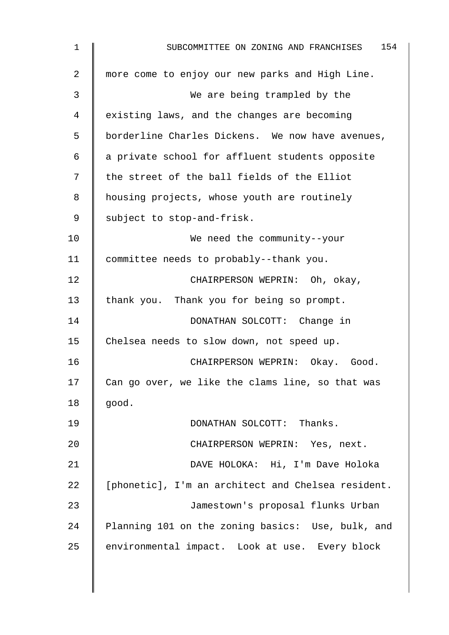| 1  | 154<br>SUBCOMMITTEE ON ZONING AND FRANCHISES       |
|----|----------------------------------------------------|
| 2  | more come to enjoy our new parks and High Line.    |
| 3  | We are being trampled by the                       |
| 4  | existing laws, and the changes are becoming        |
| 5  | borderline Charles Dickens. We now have avenues,   |
| 6  | a private school for affluent students opposite    |
| 7  | the street of the ball fields of the Elliot        |
| 8  | housing projects, whose youth are routinely        |
| 9  | subject to stop-and-frisk.                         |
| 10 | We need the community--your                        |
| 11 | committee needs to probably--thank you.            |
| 12 | CHAIRPERSON WEPRIN: Oh, okay,                      |
| 13 | thank you. Thank you for being so prompt.          |
| 14 | DONATHAN SOLCOTT: Change in                        |
| 15 | Chelsea needs to slow down, not speed up.          |
| 16 | CHAIRPERSON WEPRIN: Okay. Good.                    |
| 17 | Can go over, we like the clams line, so that was   |
| 18 | good.                                              |
| 19 | DONATHAN SOLCOTT: Thanks.                          |
| 20 | CHAIRPERSON WEPRIN: Yes, next.                     |
| 21 | DAVE HOLOKA: Hi, I'm Dave Holoka                   |
| 22 | [phonetic], I'm an architect and Chelsea resident. |
| 23 | Jamestown's proposal flunks Urban                  |
| 24 | Planning 101 on the zoning basics: Use, bulk, and  |
| 25 | environmental impact. Look at use. Every block     |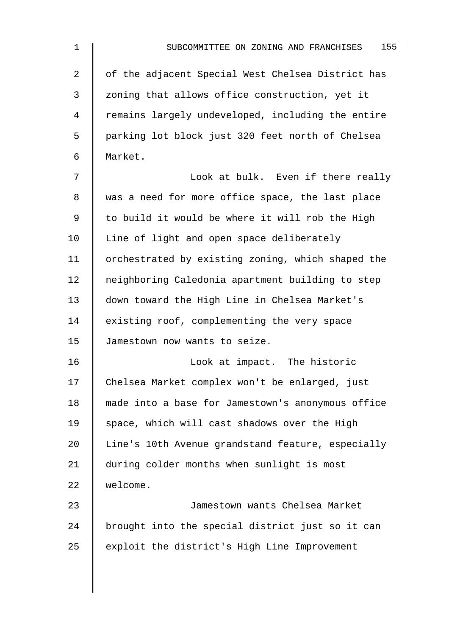| $\mathbf 1$    | 155<br>SUBCOMMITTEE ON ZONING AND FRANCHISES      |
|----------------|---------------------------------------------------|
| $\overline{2}$ | of the adjacent Special West Chelsea District has |
| 3              | zoning that allows office construction, yet it    |
| 4              | remains largely undeveloped, including the entire |
| 5              | parking lot block just 320 feet north of Chelsea  |
| 6              | Market.                                           |
| 7              | Look at bulk. Even if there really                |
| 8              | was a need for more office space, the last place  |
| 9              | to build it would be where it will rob the High   |
| 10             | Line of light and open space deliberately         |
| 11             | orchestrated by existing zoning, which shaped the |
| 12             | neighboring Caledonia apartment building to step  |
| 13             | down toward the High Line in Chelsea Market's     |
| 14             | existing roof, complementing the very space       |
| 15             | Jamestown now wants to seize.                     |
| 16             | Look at impact. The historic                      |
| 17             | Chelsea Market complex won't be enlarged, just    |
| 18             | made into a base for Jamestown's anonymous office |
| 19             | space, which will cast shadows over the High      |
| 20             | Line's 10th Avenue grandstand feature, especially |
| 21             | during colder months when sunlight is most        |
| 22             | welcome.                                          |
| 23             | Jamestown wants Chelsea Market                    |
| 24             | brought into the special district just so it can  |
| 25             | exploit the district's High Line Improvement      |
|                |                                                   |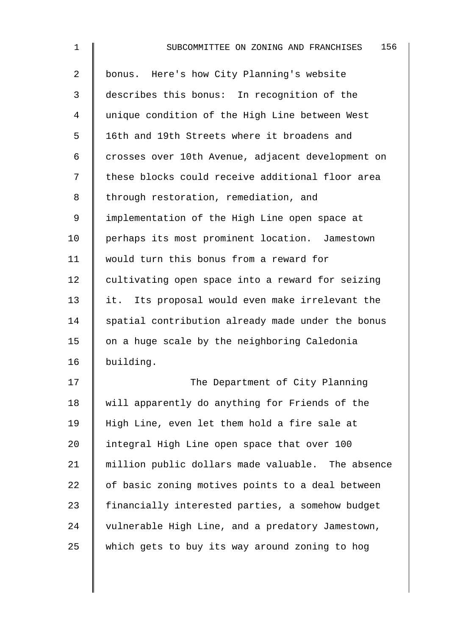| $\mathbf 1$ | 156<br>SUBCOMMITTEE ON ZONING AND FRANCHISES      |
|-------------|---------------------------------------------------|
| 2           | bonus. Here's how City Planning's website         |
| 3           | describes this bonus: In recognition of the       |
| 4           | unique condition of the High Line between West    |
| 5           | 16th and 19th Streets where it broadens and       |
| 6           | crosses over 10th Avenue, adjacent development on |
| 7           | these blocks could receive additional floor area  |
| 8           | through restoration, remediation, and             |
| 9           | implementation of the High Line open space at     |
| 10          | perhaps its most prominent location. Jamestown    |
| 11          | would turn this bonus from a reward for           |
| 12          | cultivating open space into a reward for seizing  |
| 13          | it. Its proposal would even make irrelevant the   |
| 14          | spatial contribution already made under the bonus |
| 15          | on a huge scale by the neighboring Caledonia      |
| 16          | building.                                         |
| 17          | The Department of City Planning                   |
| 18          | will apparently do anything for Friends of the    |
| 19          | High Line, even let them hold a fire sale at      |
| 20          | integral High Line open space that over 100       |
| 21          | million public dollars made valuable. The absence |
| 22          | of basic zoning motives points to a deal between  |
| 23          | financially interested parties, a somehow budget  |
| 24          | vulnerable High Line, and a predatory Jamestown,  |
| 25          | which gets to buy its way around zoning to hog    |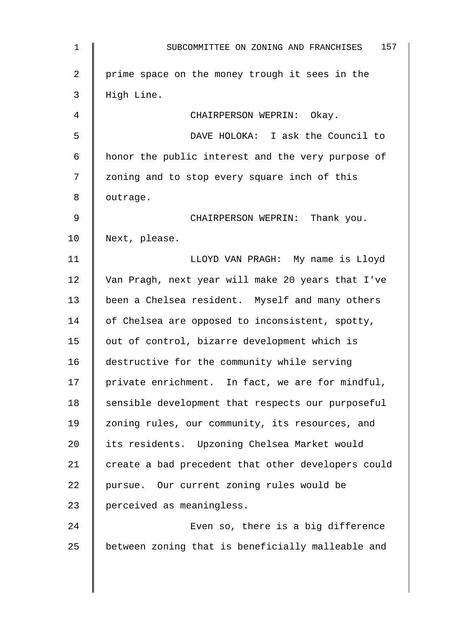| 1  | 157<br>SUBCOMMITTEE ON ZONING AND FRANCHISES       |
|----|----------------------------------------------------|
| 2  | prime space on the money trough it sees in the     |
| 3  | High Line.                                         |
| 4  | CHAIRPERSON WEPRIN: Okay.                          |
| 5  | DAVE HOLOKA: I ask the Council to                  |
| 6  | honor the public interest and the very purpose of  |
| 7  | zoning and to stop every square inch of this       |
| 8  | outrage.                                           |
| 9  | CHAIRPERSON WEPRIN: Thank you.                     |
| 10 | Next, please.                                      |
| 11 | LLOYD VAN PRAGH: My name is Lloyd                  |
| 12 | Van Pragh, next year will make 20 years that I've  |
| 13 | been a Chelsea resident. Myself and many others    |
| 14 | of Chelsea are opposed to inconsistent, spotty,    |
| 15 | out of control, bizarre development which is       |
| 16 | destructive for the community while serving        |
| 17 | private enrichment. In fact, we are for mindful,   |
| 18 | sensible development that respects our purposeful  |
| 19 | zoning rules, our community, its resources, and    |
| 20 | its residents. Upzoning Chelsea Market would       |
| 21 | create a bad precedent that other developers could |
| 22 | pursue. Our current zoning rules would be          |
| 23 | perceived as meaningless.                          |
| 24 | Even so, there is a big difference                 |
| 25 | between zoning that is beneficially malleable and  |
|    |                                                    |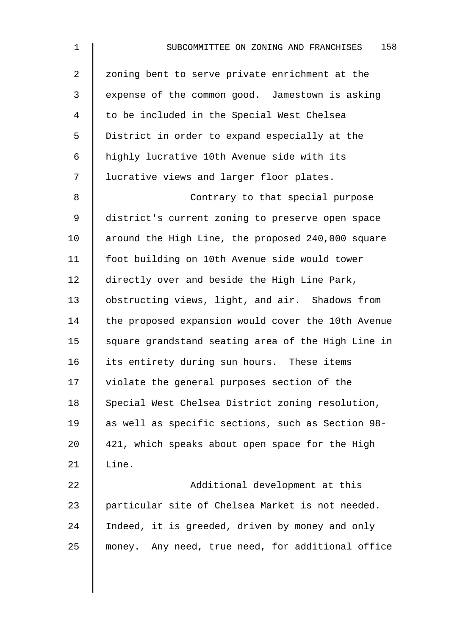2 I zoning bent to serve private enrichment at the 3 expense of the common good. Jamestown is asking 4 | to be included in the Special West Chelsea 5 District in order to expand especially at the 6 highly lucrative 10th Avenue side with its 7 | lucrative views and larger floor plates.

8 || Contrary to that special purpose 9 district's current zoning to preserve open space 10 around the High Line, the proposed 240,000 square 11 foot building on 10th Avenue side would tower 12 directly over and beside the High Line Park, 13 | obstructing views, light, and air. Shadows from 14 the proposed expansion would cover the 10th Avenue 15  $\parallel$  square grandstand seating area of the High Line in 16 its entirety during sun hours. These items 17 | violate the general purposes section of the 18 | Special West Chelsea District zoning resolution, 19 as well as specific sections, such as Section 98-20  $\parallel$  421, which speaks about open space for the High 21 | Line.

22 | Additional development at this 23 | particular site of Chelsea Market is not needed. 24 Indeed, it is greeded, driven by money and only 25 money. Any need, true need, for additional office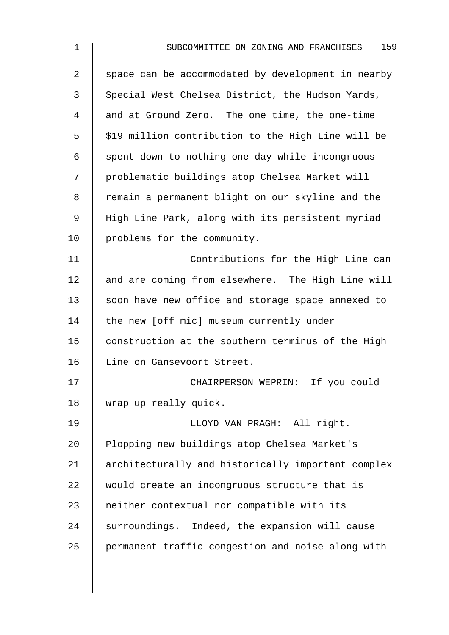| 1  | 159<br>SUBCOMMITTEE ON ZONING AND FRANCHISES       |
|----|----------------------------------------------------|
| 2  | space can be accommodated by development in nearby |
| 3  | Special West Chelsea District, the Hudson Yards,   |
| 4  | and at Ground Zero. The one time, the one-time     |
| 5  | \$19 million contribution to the High Line will be |
| 6  | spent down to nothing one day while incongruous    |
| 7  | problematic buildings atop Chelsea Market will     |
| 8  | remain a permanent blight on our skyline and the   |
| 9  | High Line Park, along with its persistent myriad   |
| 10 | problems for the community.                        |
| 11 | Contributions for the High Line can                |
| 12 | and are coming from elsewhere. The High Line will  |
| 13 | soon have new office and storage space annexed to  |
| 14 | the new [off mic] museum currently under           |
| 15 | construction at the southern terminus of the High  |
| 16 | Line on Gansevoort Street.                         |
| 17 | CHAIRPERSON WEPRIN: If you could                   |
| 18 | wrap up really quick.                              |
| 19 | LLOYD VAN PRAGH: All right.                        |
| 20 | Plopping new buildings atop Chelsea Market's       |
| 21 | architecturally and historically important complex |
| 22 | would create an incongruous structure that is      |
| 23 | neither contextual nor compatible with its         |
| 24 | surroundings. Indeed, the expansion will cause     |
| 25 | permanent traffic congestion and noise along with  |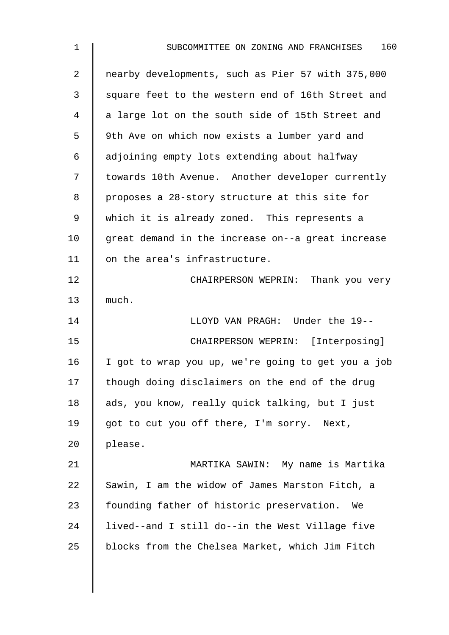| 1  | 160<br>SUBCOMMITTEE ON ZONING AND FRANCHISES       |
|----|----------------------------------------------------|
| 2  | nearby developments, such as Pier 57 with 375,000  |
| 3  | square feet to the western end of 16th Street and  |
| 4  | a large lot on the south side of 15th Street and   |
| 5  | 9th Ave on which now exists a lumber yard and      |
| 6  | adjoining empty lots extending about halfway       |
| 7  | towards 10th Avenue. Another developer currently   |
| 8  | proposes a 28-story structure at this site for     |
| 9  | which it is already zoned. This represents a       |
| 10 | great demand in the increase on--a great increase  |
| 11 | on the area's infrastructure.                      |
| 12 | CHAIRPERSON WEPRIN: Thank you very                 |
| 13 | much.                                              |
| 14 | LLOYD VAN PRAGH: Under the 19--                    |
| 15 | CHAIRPERSON WEPRIN: [Interposing]                  |
| 16 | I got to wrap you up, we're going to get you a job |
| 17 | though doing disclaimers on the end of the drug    |
| 18 | ads, you know, really quick talking, but I just    |
| 19 | got to cut you off there, I'm sorry. Next,         |
| 20 | please.                                            |
| 21 | MARTIKA SAWIN: My name is Martika                  |
| 22 | Sawin, I am the widow of James Marston Fitch, a    |
| 23 | founding father of historic preservation.<br>We    |
| 24 | lived--and I still do--in the West Village five    |
| 25 | blocks from the Chelsea Market, which Jim Fitch    |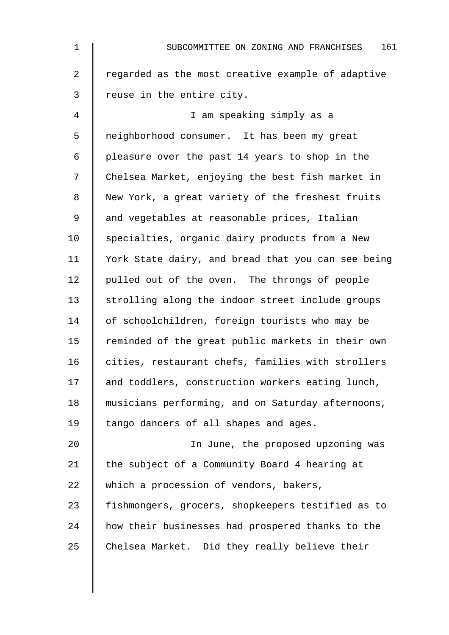| $\mathbf 1$    | 161<br>SUBCOMMITTEE ON ZONING AND FRANCHISES       |
|----------------|----------------------------------------------------|
| $\overline{2}$ | regarded as the most creative example of adaptive  |
| 3              | reuse in the entire city.                          |
| 4              | I am speaking simply as a                          |
| 5              | neighborhood consumer. It has been my great        |
| 6              | pleasure over the past 14 years to shop in the     |
| 7              | Chelsea Market, enjoying the best fish market in   |
| 8              | New York, a great variety of the freshest fruits   |
| 9              | and vegetables at reasonable prices, Italian       |
| 10             | specialties, organic dairy products from a New     |
| 11             | York State dairy, and bread that you can see being |
| 12             | pulled out of the oven. The throngs of people      |
| 13             | strolling along the indoor street include groups   |
| 14             | of schoolchildren, foreign tourists who may be     |
| 15             | reminded of the great public markets in their own  |
| 16             | cities, restaurant chefs, families with strollers  |
| 17             | and toddlers, construction workers eating lunch,   |
| 18             | musicians performing, and on Saturday afternoons,  |
| 19             | tango dancers of all shapes and ages.              |
| 20             | In June, the proposed upzoning was                 |
| 21             | the subject of a Community Board 4 hearing at      |
| 22             | which a procession of vendors, bakers,             |
| 23             | fishmongers, grocers, shopkeepers testified as to  |
| 24             | how their businesses had prospered thanks to the   |
| 25             | Chelsea Market. Did they really believe their      |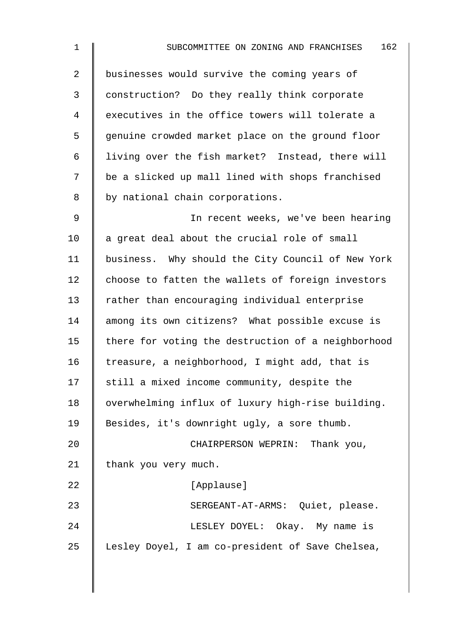2 businesses would survive the coming years of 3 construction? Do they really think corporate 4 || executives in the office towers will tolerate a 5 genuine crowded market place on the ground floor 6 | living over the fish market? Instead, there will 7 | be a slicked up mall lined with shops franchised 8 | by national chain corporations.

9 || In recent weeks, we've been hearing  $10$  a great deal about the crucial role of small 11 | business. Why should the City Council of New York 12 choose to fatten the wallets of foreign investors 13 Trather than encouraging individual enterprise 14 | among its own citizens? What possible excuse is 15  $\parallel$  there for voting the destruction of a neighborhood 16  $\parallel$  treasure, a neighborhood, I might add, that is  $17$  | still a mixed income community, despite the 18 | overwhelming influx of luxury high-rise building. 19 Besides, it's downright ugly, a sore thumb. 20 **CHAIRPERSON WEPRIN:** Thank you, 21  $\parallel$  thank you very much. 22 Applause] 23 | SERGEANT-AT-ARMS: Quiet, please. 24 CHESLEY DOYEL: Okay. My name is 25 | Lesley Doyel, I am co-president of Save Chelsea,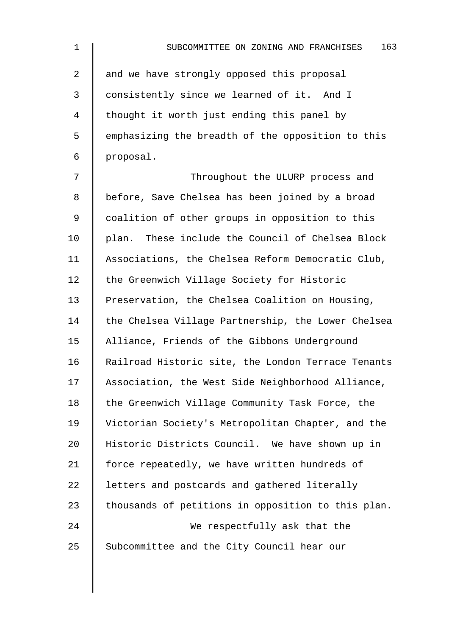2 | and we have strongly opposed this proposal 3 consistently since we learned of it. And I 4 | thought it worth just ending this panel by 5 | emphasizing the breadth of the opposition to this 6 proposal.

7 Throughout the ULURP process and 8 | before, Save Chelsea has been joined by a broad 9 | coalition of other groups in opposition to this 10 | plan. These include the Council of Chelsea Block 11 Associations, the Chelsea Reform Democratic Club, 12 The Greenwich Village Society for Historic 13 Preservation, the Chelsea Coalition on Housing, 14 the Chelsea Village Partnership, the Lower Chelsea 15 Alliance, Friends of the Gibbons Underground 16 | Railroad Historic site, the London Terrace Tenants 17 Association, the West Side Neighborhood Alliance, 18 | the Greenwich Village Community Task Force, the 19 | Victorian Society's Metropolitan Chapter, and the 20 Historic Districts Council. We have shown up in 21 | force repeatedly, we have written hundreds of 22 | letters and postcards and gathered literally 23 | thousands of petitions in opposition to this plan. 24 **We respectfully ask that the** 25 Subcommittee and the City Council hear our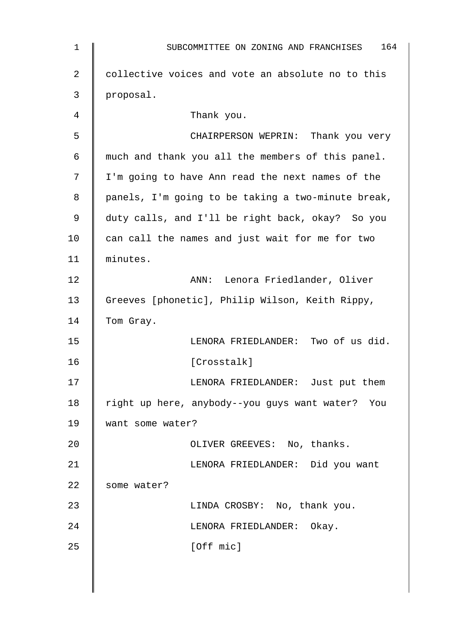| $\mathbf 1$ | 164<br>SUBCOMMITTEE ON ZONING AND FRANCHISES       |
|-------------|----------------------------------------------------|
| 2           | collective voices and vote an absolute no to this  |
| 3           | proposal.                                          |
| 4           | Thank you.                                         |
| 5           | CHAIRPERSON WEPRIN: Thank you very                 |
| 6           | much and thank you all the members of this panel.  |
| 7           | I'm going to have Ann read the next names of the   |
| 8           | panels, I'm going to be taking a two-minute break, |
| 9           | duty calls, and I'll be right back, okay? So you   |
| 10          | can call the names and just wait for me for two    |
| 11          | minutes.                                           |
| 12          | ANN: Lenora Friedlander, Oliver                    |
| 13          | Greeves [phonetic], Philip Wilson, Keith Rippy,    |
| 14          | Tom Gray.                                          |
| 15          | LENORA FRIEDLANDER: Two of us did.                 |
| 16          | [Crosstalk]                                        |
| 17          | LENORA FRIEDLANDER: Just put them                  |
| 18          | right up here, anybody--you guys want water? You   |
| 19          | want some water?                                   |
| 20          | OLIVER GREEVES: No, thanks.                        |
| 21          | LENORA FRIEDLANDER: Did you want                   |
| 22          | some water?                                        |
| 23          | LINDA CROSBY: No, thank you.                       |
| 24          | LENORA FRIEDLANDER: Okay.                          |
| 25          | [Off mic]                                          |
|             |                                                    |
|             |                                                    |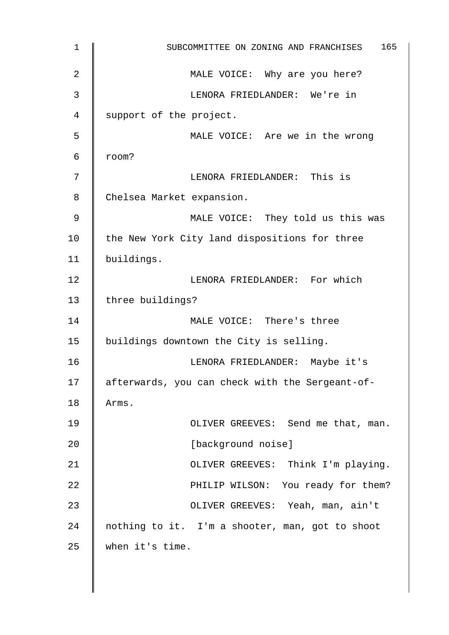| $\mathbf{1}$ | 165<br>SUBCOMMITTEE ON ZONING AND FRANCHISES    |
|--------------|-------------------------------------------------|
| 2            | MALE VOICE: Why are you here?                   |
| 3            | LENORA FRIEDLANDER: We're in                    |
| 4            | support of the project.                         |
| 5            | MALE VOICE: Are we in the wrong                 |
| 6            | room?                                           |
| 7            | LENORA FRIEDLANDER: This is                     |
| 8            | Chelsea Market expansion.                       |
| 9            | MALE VOICE: They told us this was               |
| 10           | the New York City land dispositions for three   |
| 11           | buildings.                                      |
| 12           | LENORA FRIEDLANDER: For which                   |
| 13           | three buildings?                                |
| 14           | MALE VOICE: There's three                       |
| 15           | buildings downtown the City is selling.         |
| 16           | LENORA FRIEDLANDER: Maybe it's                  |
| 17           | afterwards, you can check with the Sergeant-of- |
| 18           | Arms.                                           |
| 19           | OLIVER GREEVES: Send me that, man.              |
| 20           | [background noise]                              |
| 21           | OLIVER GREEVES: Think I'm playing.              |
| 22           | PHILIP WILSON: You ready for them?              |
| 23           | OLIVER GREEVES: Yeah, man, ain't                |
| 24           | nothing to it. I'm a shooter, man, got to shoot |
| 25           | when it's time.                                 |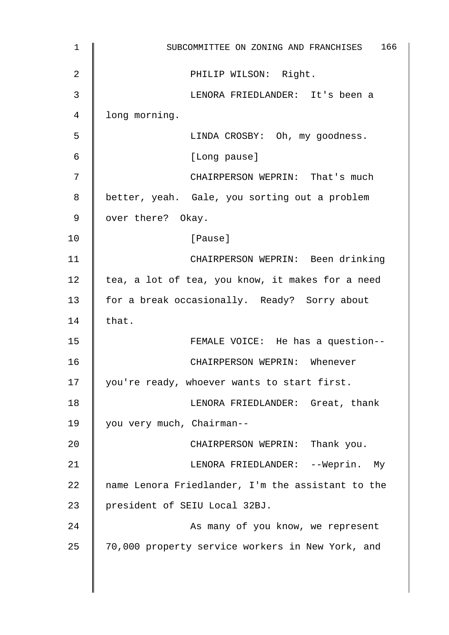| 1  | 166<br>SUBCOMMITTEE ON ZONING AND FRANCHISES      |
|----|---------------------------------------------------|
| 2  | PHILIP WILSON: Right.                             |
| 3  | LENORA FRIEDLANDER: It's been a                   |
| 4  | long morning.                                     |
| 5  | LINDA CROSBY: Oh, my goodness.                    |
| 6  | [Long pause]                                      |
| 7  | CHAIRPERSON WEPRIN: That's much                   |
| 8  | better, yeah. Gale, you sorting out a problem     |
| 9  | over there? Okay.                                 |
| 10 | [Pause]                                           |
| 11 | CHAIRPERSON WEPRIN: Been drinking                 |
| 12 | tea, a lot of tea, you know, it makes for a need  |
| 13 | for a break occasionally. Ready? Sorry about      |
| 14 | that.                                             |
| 15 | FEMALE VOICE: He has a question--                 |
| 16 | CHAIRPERSON WEPRIN: Whenever                      |
| 17 | you're ready, whoever wants to start first.       |
| 18 | LENORA FRIEDLANDER: Great, thank                  |
| 19 | you very much, Chairman--                         |
| 20 | CHAIRPERSON WEPRIN: Thank you.                    |
| 21 | LENORA FRIEDLANDER: -- Weprin. My                 |
| 22 | name Lenora Friedlander, I'm the assistant to the |
| 23 | president of SEIU Local 32BJ.                     |
| 24 | As many of you know, we represent                 |
| 25 | 70,000 property service workers in New York, and  |
|    |                                                   |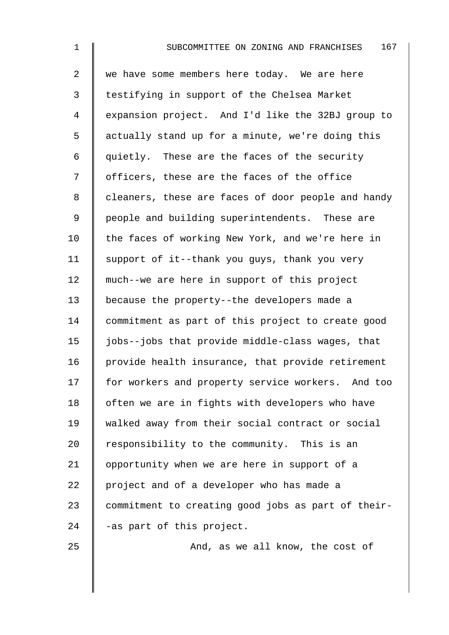| $\mathbf 1$    | 167<br>SUBCOMMITTEE ON ZONING AND FRANCHISES       |
|----------------|----------------------------------------------------|
| $\overline{2}$ | we have some members here today. We are here       |
| $\mathfrak{Z}$ | testifying in support of the Chelsea Market        |
| 4              | expansion project. And I'd like the 32BJ group to  |
| 5              | actually stand up for a minute, we're doing this   |
| 6              | quietly. These are the faces of the security       |
| 7              | officers, these are the faces of the office        |
| 8              | cleaners, these are faces of door people and handy |
| 9              | people and building superintendents. These are     |
| 10             | the faces of working New York, and we're here in   |
| 11             | support of it--thank you guys, thank you very      |
| 12             | much--we are here in support of this project       |
| 13             | because the property--the developers made a        |
| 14             | commitment as part of this project to create good  |
| 15             | jobs--jobs that provide middle-class wages, that   |
| 16             | provide health insurance, that provide retirement  |
| 17             | for workers and property service workers. And too  |
| 18             | often we are in fights with developers who have    |
| 19             | walked away from their social contract or social   |
| 20             | responsibility to the community. This is an        |
| 21             | opportunity when we are here in support of a       |
| 22             | project and of a developer who has made a          |
| 23             | commitment to creating good jobs as part of their- |
| 24             | -as part of this project.                          |
|                |                                                    |

 $25$   $\parallel$  and, as we all know, the cost of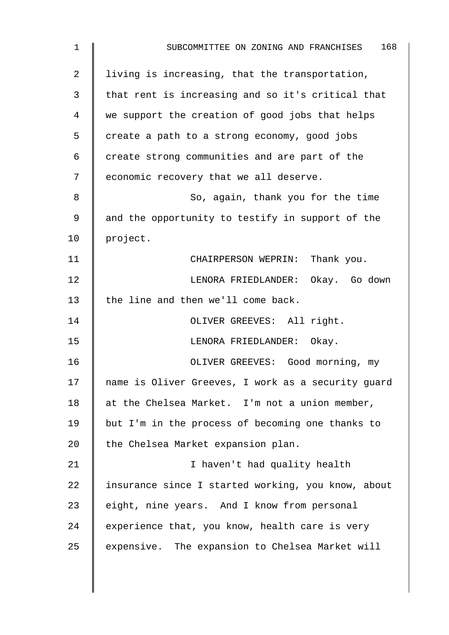| 1  | 168<br>SUBCOMMITTEE ON ZONING AND FRANCHISES       |
|----|----------------------------------------------------|
| 2  | living is increasing, that the transportation,     |
| 3  | that rent is increasing and so it's critical that  |
| 4  | we support the creation of good jobs that helps    |
| 5  | create a path to a strong economy, good jobs       |
| 6  | create strong communities and are part of the      |
| 7  | economic recovery that we all deserve.             |
| 8  | So, again, thank you for the time                  |
| 9  | and the opportunity to testify in support of the   |
| 10 | project.                                           |
| 11 | CHAIRPERSON WEPRIN: Thank you.                     |
| 12 | LENORA FRIEDLANDER: Okay. Go down                  |
| 13 | the line and then we'll come back.                 |
| 14 | OLIVER GREEVES: All right.                         |
| 15 | LENORA FRIEDLANDER: Okay.                          |
| 16 | OLIVER GREEVES: Good morning, my                   |
| 17 | name is Oliver Greeves, I work as a security guard |
| 18 | at the Chelsea Market. I'm not a union member,     |
| 19 | but I'm in the process of becoming one thanks to   |
| 20 | the Chelsea Market expansion plan.                 |
| 21 | I haven't had quality health                       |
| 22 | insurance since I started working, you know, about |
| 23 | eight, nine years. And I know from personal        |
| 24 | experience that, you know, health care is very     |
| 25 | expensive. The expansion to Chelsea Market will    |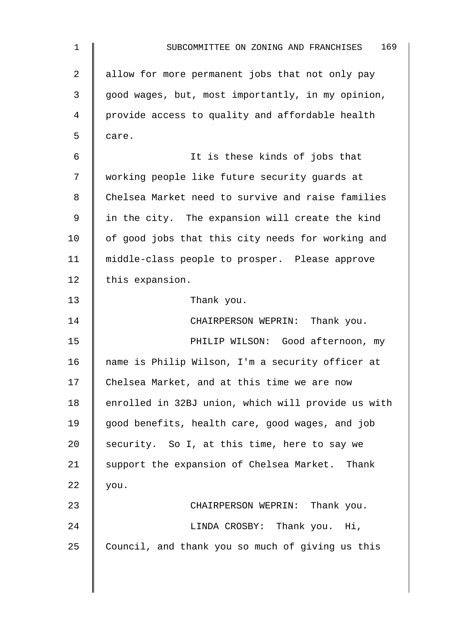| $\mathbf 1$ | 169<br>SUBCOMMITTEE ON ZONING AND FRANCHISES       |
|-------------|----------------------------------------------------|
| 2           | allow for more permanent jobs that not only pay    |
| 3           | good wages, but, most importantly, in my opinion,  |
| 4           | provide access to quality and affordable health    |
| 5           | care.                                              |
| 6           | It is these kinds of jobs that                     |
| 7           | working people like future security guards at      |
| 8           | Chelsea Market need to survive and raise families  |
| 9           | in the city. The expansion will create the kind    |
| 10          | of good jobs that this city needs for working and  |
| 11          | middle-class people to prosper. Please approve     |
| 12          | this expansion.                                    |
| 13          | Thank you.                                         |
| 14          | CHAIRPERSON WEPRIN: Thank you.                     |
| 15          | PHILIP WILSON: Good afternoon, my                  |
| 16          | name is Philip Wilson, I'm a security officer at   |
| 17          | Chelsea Market, and at this time we are now        |
| 18          | enrolled in 32BJ union, which will provide us with |
| 19          | good benefits, health care, good wages, and job    |
| 20          | security. So I, at this time, here to say we       |
| 21          | support the expansion of Chelsea Market. Thank     |
| 22          | you.                                               |
| 23          | CHAIRPERSON WEPRIN: Thank you.                     |
| 24          | LINDA CROSBY: Thank you. Hi,                       |
| 25          | Council, and thank you so much of giving us this   |
|             |                                                    |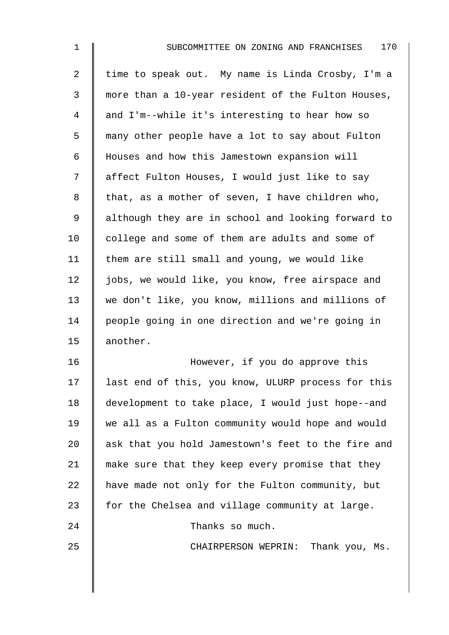2  $\parallel$  time to speak out. My name is Linda Crosby, I'm a 3 more than a 10-year resident of the Fulton Houses, 4 and I'm--while it's interesting to hear how so 5 many other people have a lot to say about Fulton 6 Houses and how this Jamestown expansion will 7 | affect Fulton Houses, I would just like to say  $8 \parallel$  that, as a mother of seven, I have children who, 9 although they are in school and looking forward to 10 college and some of them are adults and some of 11  $\parallel$  them are still small and young, we would like 12 | jobs, we would like, you know, free airspace and 13 we don't like, you know, millions and millions of 14 people going in one direction and we're going in 15 || another.

16 | However, if you do approve this 17 | last end of this, you know, ULURP process for this 18 development to take place, I would just hope--and 19 we all as a Fulton community would hope and would 20 ask that you hold Jamestown's feet to the fire and 21  $\parallel$  make sure that they keep every promise that they  $22$  have made not only for the Fulton community, but 23  $\parallel$  for the Chelsea and village community at large. 24 **Thanks** so much. 25 **CHAIRPERSON WEPRIN:** Thank you, Ms.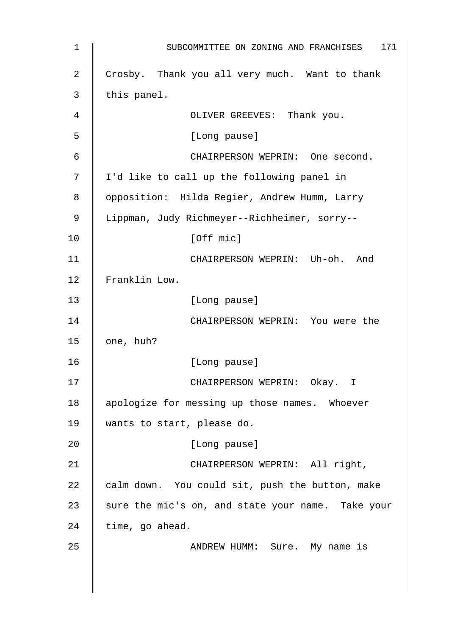| $\mathbf 1$ | 171<br>SUBCOMMITTEE ON ZONING AND FRANCHISES      |
|-------------|---------------------------------------------------|
| 2           | Crosby. Thank you all very much. Want to thank    |
| 3           | this panel.                                       |
| 4           | OLIVER GREEVES: Thank you.                        |
| 5           | [Long pause]                                      |
| 6           | CHAIRPERSON WEPRIN: One second.                   |
| 7           | I'd like to call up the following panel in        |
| 8           | opposition: Hilda Regier, Andrew Humm, Larry      |
| 9           | Lippman, Judy Richmeyer--Richheimer, sorry--      |
| 10          | [Off mic]                                         |
| 11          | CHAIRPERSON WEPRIN: Uh-oh. And                    |
| 12          | Franklin Low.                                     |
| 13          | [Long pause]                                      |
| 14          | CHAIRPERSON WEPRIN: You were the                  |
| 15          | one, huh?                                         |
| 16          | [Long pause]                                      |
| 17          | CHAIRPERSON WEPRIN: Okay. I                       |
| 18          | apologize for messing up those names. Whoever     |
| 19          | wants to start, please do.                        |
| 20          | [Long pause]                                      |
| 21          | CHAIRPERSON WEPRIN: All right,                    |
| 22          | calm down. You could sit, push the button, make   |
| 23          | sure the mic's on, and state your name. Take your |
| 24          | time, go ahead.                                   |
| 25          | ANDREW HUMM: Sure. My name is                     |
|             |                                                   |
|             |                                                   |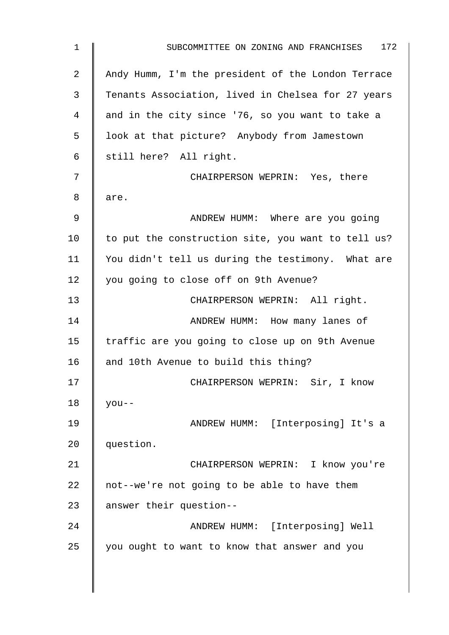1 SUBCOMMITTEE ON ZONING AND FRANCHISES 172 2 Andy Humm, I'm the president of the London Terrace 3 Tenants Association, lived in Chelsea for 27 years 4 | and in the city since '76, so you want to take a 5 | look at that picture? Anybody from Jamestown  $6 \parallel$  still here? All right. 7 || CHAIRPERSON WEPRIN: Yes, there 8 are. 9 || ANDREW HUMM: Where are you going 10  $\parallel$  to put the construction site, you want to tell us? 11 You didn't tell us during the testimony. What are 12 | you going to close off on 9th Avenue? 13 CHAIRPERSON WEPRIN: All right. 14 | ANDREW HUMM: How many lanes of 15 | traffic are you going to close up on 9th Avenue 16 and 10th Avenue to build this thing? 17 | CHAIRPERSON WEPRIN: Sir, I know  $18 \parallel$  you--19 ANDREW HUMM: [Interposing] It's a 20 question. 21 | CHAIRPERSON WEPRIN: I know you're 22  $\parallel$  not--we're not going to be able to have them 23 answer their question--24 ANDREW HUMM: [Interposing] Well  $25$  | you ought to want to know that answer and you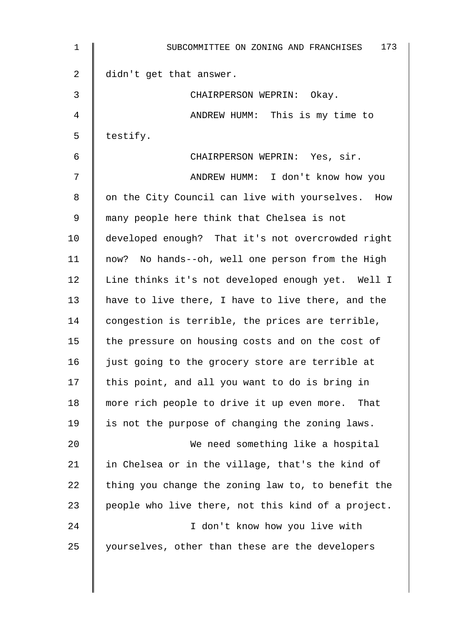| 1              | 173<br>SUBCOMMITTEE ON ZONING AND FRANCHISES       |
|----------------|----------------------------------------------------|
| $\overline{2}$ | didn't get that answer.                            |
| 3              | CHAIRPERSON WEPRIN:<br>Okay.                       |
| 4              | ANDREW HUMM: This is my time to                    |
| 5              | testify.                                           |
| 6              | CHAIRPERSON WEPRIN: Yes, sir.                      |
| 7              | ANDREW HUMM: I don't know how you                  |
| 8              | on the City Council can live with yourselves. How  |
| 9              | many people here think that Chelsea is not         |
| 10             | developed enough? That it's not overcrowded right  |
| 11             | now? No hands--oh, well one person from the High   |
| 12             | Line thinks it's not developed enough yet. Well I  |
| 13             | have to live there, I have to live there, and the  |
| 14             | congestion is terrible, the prices are terrible,   |
| 15             | the pressure on housing costs and on the cost of   |
| 16             | just going to the grocery store are terrible at    |
| 17             | this point, and all you want to do is bring in     |
| 18             | more rich people to drive it up even more.<br>That |
| 19             | is not the purpose of changing the zoning laws.    |
| 20             | We need something like a hospital                  |
| 21             | in Chelsea or in the village, that's the kind of   |
| 22             | thing you change the zoning law to, to benefit the |
| 23             | people who live there, not this kind of a project. |
| 24             | I don't know how you live with                     |
| 25             | yourselves, other than these are the developers    |
|                |                                                    |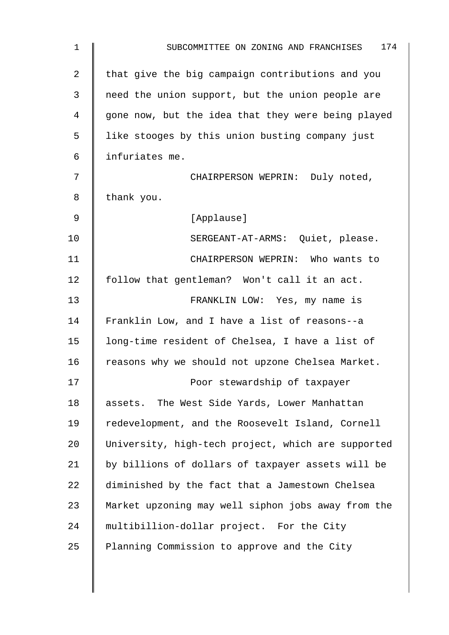| $\mathbf{1}$ | 174<br>SUBCOMMITTEE ON ZONING AND FRANCHISES       |
|--------------|----------------------------------------------------|
| 2            | that give the big campaign contributions and you   |
| 3            | need the union support, but the union people are   |
| 4            | gone now, but the idea that they were being played |
| 5            | like stooges by this union busting company just    |
| 6            | infuriates me.                                     |
| 7            | CHAIRPERSON WEPRIN: Duly noted,                    |
| 8            | thank you.                                         |
| 9            | [Applause]                                         |
| 10           | SERGEANT-AT-ARMS: Quiet, please.                   |
| 11           | CHAIRPERSON WEPRIN: Who wants to                   |
| 12           | follow that gentleman? Won't call it an act.       |
| 13           | FRANKLIN LOW: Yes, my name is                      |
| 14           | Franklin Low, and I have a list of reasons--a      |
| 15           | long-time resident of Chelsea, I have a list of    |
| 16           | reasons why we should not upzone Chelsea Market.   |
| 17           | Poor stewardship of taxpayer                       |
| 18           | assets. The West Side Yards, Lower Manhattan       |
| 19           | redevelopment, and the Roosevelt Island, Cornell   |
| 20           | University, high-tech project, which are supported |
| 21           | by billions of dollars of taxpayer assets will be  |
| 22           | diminished by the fact that a Jamestown Chelsea    |
| 23           | Market upzoning may well siphon jobs away from the |
| 24           | multibillion-dollar project. For the City          |
| 25           | Planning Commission to approve and the City        |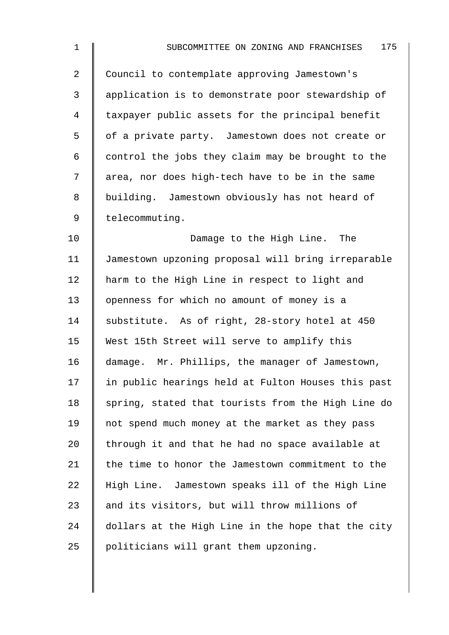2 Council to contemplate approving Jamestown's 3 application is to demonstrate poor stewardship of 4 taxpayer public assets for the principal benefit 5 | of a private party. Jamestown does not create or 6  $\parallel$  control the jobs they claim may be brought to the 7 | area, nor does high-tech have to be in the same 8 | building. Jamestown obviously has not heard of 9 | telecommuting.

10 | Damage to the High Line. The 11 Jamestown upzoning proposal will bring irreparable 12 | harm to the High Line in respect to light and 13 | openness for which no amount of money is a 14 substitute. As of right, 28-story hotel at 450 15 West 15th Street will serve to amplify this 16 damage. Mr. Phillips, the manager of Jamestown, 17 | in public hearings held at Fulton Houses this past 18 | spring, stated that tourists from the High Line do 19 not spend much money at the market as they pass 20  $\parallel$  through it and that he had no space available at 21  $\parallel$  the time to honor the Jamestown commitment to the 22 High Line. Jamestown speaks ill of the High Line 23 and its visitors, but will throw millions of  $24$  dollars at the High Line in the hope that the city  $25$  | politicians will grant them upzoning.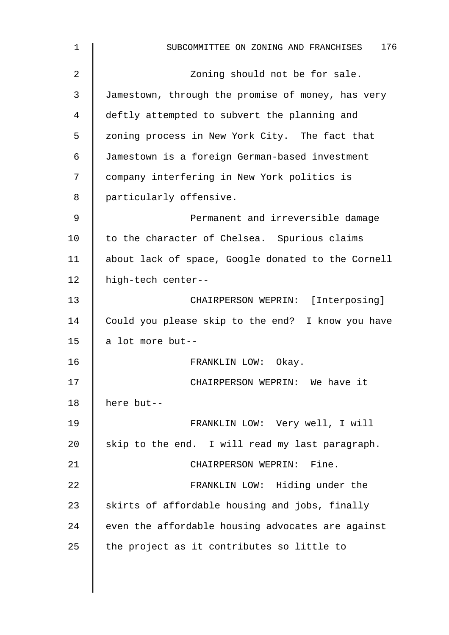| 1  | 176<br>SUBCOMMITTEE ON ZONING AND FRANCHISES       |
|----|----------------------------------------------------|
| 2  | Zoning should not be for sale.                     |
| 3  | Jamestown, through the promise of money, has very  |
| 4  | deftly attempted to subvert the planning and       |
| 5  | zoning process in New York City. The fact that     |
| 6  | Jamestown is a foreign German-based investment     |
| 7  | company interfering in New York politics is        |
| 8  | particularly offensive.                            |
| 9  | Permanent and irreversible damage                  |
| 10 | to the character of Chelsea. Spurious claims       |
| 11 | about lack of space, Google donated to the Cornell |
| 12 | high-tech center--                                 |
| 13 | CHAIRPERSON WEPRIN: [Interposing]                  |
| 14 | Could you please skip to the end? I know you have  |
| 15 | a lot more but--                                   |
| 16 | FRANKLIN LOW:<br>Okay.                             |
| 17 | CHAIRPERSON WEPRIN: We have it                     |
| 18 | here but--                                         |
| 19 | FRANKLIN LOW: Very well, I will                    |
| 20 | skip to the end. I will read my last paragraph.    |
| 21 | CHAIRPERSON WEPRIN: Fine.                          |
| 22 | FRANKLIN LOW: Hiding under the                     |
| 23 | skirts of affordable housing and jobs, finally     |
| 24 | even the affordable housing advocates are against  |
| 25 | the project as it contributes so little to         |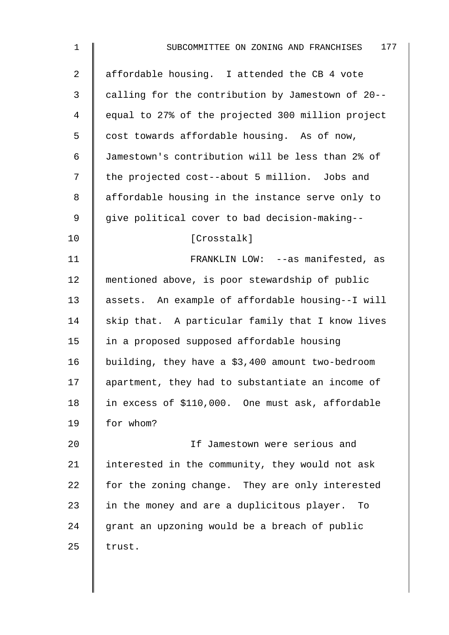| $\mathbf 1$ | 177<br>SUBCOMMITTEE ON ZONING AND FRANCHISES      |
|-------------|---------------------------------------------------|
| 2           | affordable housing. I attended the CB 4 vote      |
| 3           | calling for the contribution by Jamestown of 20-- |
| 4           | equal to 27% of the projected 300 million project |
| 5           | cost towards affordable housing. As of now,       |
| 6           | Jamestown's contribution will be less than 2% of  |
| 7           | the projected cost--about 5 million. Jobs and     |
| 8           | affordable housing in the instance serve only to  |
| 9           | give political cover to bad decision-making--     |
| 10          | [Crosstalk]                                       |
| 11          | FRANKLIN LOW: --as manifested, as                 |
| 12          | mentioned above, is poor stewardship of public    |
| 13          | assets. An example of affordable housing--I will  |
| 14          | skip that. A particular family that I know lives  |
| 15          | in a proposed supposed affordable housing         |
| 16          | building, they have a \$3,400 amount two-bedroom  |
| 17          | apartment, they had to substantiate an income of  |
| 18          | in excess of \$110,000. One must ask, affordable  |
| 19          | for whom?                                         |
| 20          | If Jamestown were serious and                     |
| 21          | interested in the community, they would not ask   |
| 22          | for the zoning change. They are only interested   |
| 23          | in the money and are a duplicitous player.<br>To  |
| 24          | grant an upzoning would be a breach of public     |
| 25          | trust.                                            |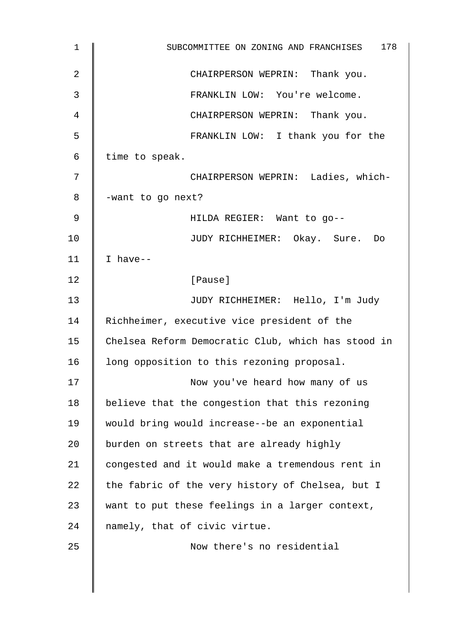| 1  | SUBCOMMITTEE ON ZONING AND FRANCHISES 178          |
|----|----------------------------------------------------|
| 2  | CHAIRPERSON WEPRIN: Thank you.                     |
| 3  | FRANKLIN LOW: You're welcome.                      |
| 4  | CHAIRPERSON WEPRIN: Thank you.                     |
| 5  | FRANKLIN LOW: I thank you for the                  |
| 6  | time to speak.                                     |
| 7  | CHAIRPERSON WEPRIN: Ladies, which-                 |
| 8  | -want to go next?                                  |
| 9  | HILDA REGIER: Want to go--                         |
| 10 | JUDY RICHHEIMER: Okay. Sure. Do                    |
| 11 | I have--                                           |
| 12 | [Pause]                                            |
| 13 | JUDY RICHHEIMER: Hello, I'm Judy                   |
| 14 | Richheimer, executive vice president of the        |
| 15 | Chelsea Reform Democratic Club, which has stood in |
| 16 | long opposition to this rezoning proposal.         |
| 17 | Now you've heard how many of us                    |
| 18 | believe that the congestion that this rezoning     |
| 19 | would bring would increase--be an exponential      |
| 20 | burden on streets that are already highly          |
| 21 | congested and it would make a tremendous rent in   |
| 22 | the fabric of the very history of Chelsea, but I   |
| 23 | want to put these feelings in a larger context,    |
| 24 | namely, that of civic virtue.                      |
| 25 | Now there's no residential                         |
|    |                                                    |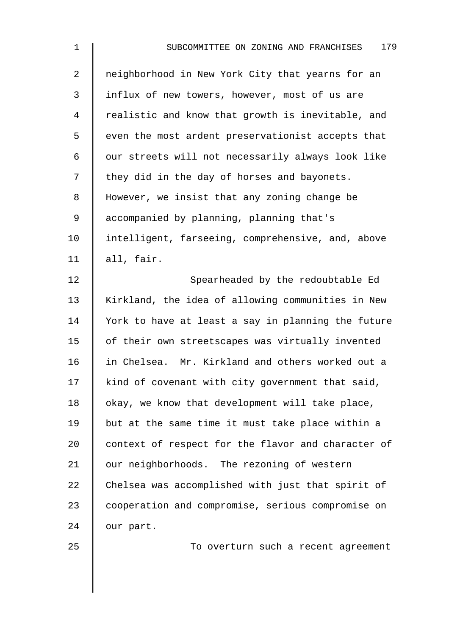| 1  | 179<br>SUBCOMMITTEE ON ZONING AND FRANCHISES       |
|----|----------------------------------------------------|
| 2  | neighborhood in New York City that yearns for an   |
| 3  | influx of new towers, however, most of us are      |
| 4  | realistic and know that growth is inevitable, and  |
| 5  | even the most ardent preservationist accepts that  |
| 6  | our streets will not necessarily always look like  |
| 7  | they did in the day of horses and bayonets.        |
| 8  | However, we insist that any zoning change be       |
| 9  | accompanied by planning, planning that's           |
| 10 | intelligent, farseeing, comprehensive, and, above  |
| 11 | all, fair.                                         |
| 12 | Spearheaded by the redoubtable Ed                  |
| 13 | Kirkland, the idea of allowing communities in New  |
| 14 | York to have at least a say in planning the future |
| 15 | of their own streetscapes was virtually invented   |
| 16 | in Chelsea. Mr. Kirkland and others worked out a   |
| 17 | kind of covenant with city government that said,   |
| 18 | okay, we know that development will take place,    |
| 19 | but at the same time it must take place within a   |
| 20 | context of respect for the flavor and character of |
| 21 | our neighborhoods. The rezoning of western         |
| 22 | Chelsea was accomplished with just that spirit of  |
| 23 | cooperation and compromise, serious compromise on  |
| 24 | our part.                                          |
|    |                                                    |

25  $\parallel$  To overturn such a recent agreement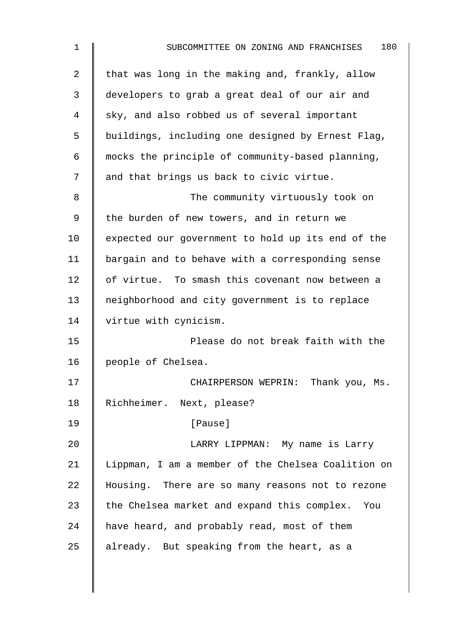| $\mathbf 1$ | 180<br>SUBCOMMITTEE ON ZONING AND FRANCHISES       |
|-------------|----------------------------------------------------|
| 2           | that was long in the making and, frankly, allow    |
| 3           | developers to grab a great deal of our air and     |
| 4           | sky, and also robbed us of several important       |
| 5           | buildings, including one designed by Ernest Flag,  |
| 6           | mocks the principle of community-based planning,   |
| 7           | and that brings us back to civic virtue.           |
| 8           | The community virtuously took on                   |
| 9           | the burden of new towers, and in return we         |
| 10          | expected our government to hold up its end of the  |
| 11          | bargain and to behave with a corresponding sense   |
| 12          | of virtue. To smash this covenant now between a    |
| 13          | neighborhood and city government is to replace     |
| 14          | virtue with cynicism.                              |
| 15          | Please do not break faith with the                 |
| 16          | people of Chelsea.                                 |
| 17          | CHAIRPERSON WEPRIN: Thank you, Ms.                 |
| 18          | Richheimer. Next, please?                          |
| 19          | [Pause]                                            |
| 20          | LARRY LIPPMAN: My name is Larry                    |
| 21          | Lippman, I am a member of the Chelsea Coalition on |
| 22          | Housing. There are so many reasons not to rezone   |
| 23          | the Chelsea market and expand this complex. You    |
| 24          | have heard, and probably read, most of them        |
| 25          | already. But speaking from the heart, as a         |
|             |                                                    |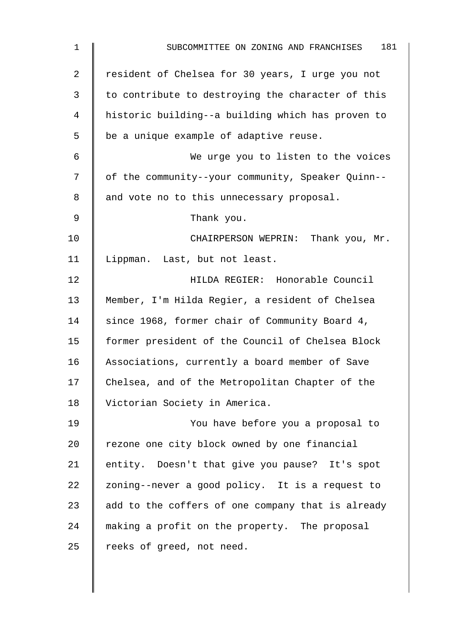| $\mathbf 1$ | 181<br>SUBCOMMITTEE ON ZONING AND FRANCHISES      |
|-------------|---------------------------------------------------|
| 2           | resident of Chelsea for 30 years, I urge you not  |
| 3           | to contribute to destroying the character of this |
| 4           | historic building--a building which has proven to |
| 5           | be a unique example of adaptive reuse.            |
| 6           | We urge you to listen to the voices               |
| 7           | of the community--your community, Speaker Quinn-- |
| 8           | and vote no to this unnecessary proposal.         |
| 9           | Thank you.                                        |
| 10          | CHAIRPERSON WEPRIN: Thank you, Mr.                |
| 11          | Lippman. Last, but not least.                     |
| 12          | HILDA REGIER: Honorable Council                   |
| 13          | Member, I'm Hilda Regier, a resident of Chelsea   |
| 14          | since 1968, former chair of Community Board 4,    |
| 15          | former president of the Council of Chelsea Block  |
| 16          | Associations, currently a board member of Save    |
| 17          | Chelsea, and of the Metropolitan Chapter of the   |
| 18          | Victorian Society in America.                     |
| 19          | You have before you a proposal to                 |
| 20          | rezone one city block owned by one financial      |
| 21          | entity. Doesn't that give you pause? It's spot    |
| 22          | zoning--never a good policy. It is a request to   |
| 23          | add to the coffers of one company that is already |
| 24          | making a profit on the property. The proposal     |
| 25          | reeks of greed, not need.                         |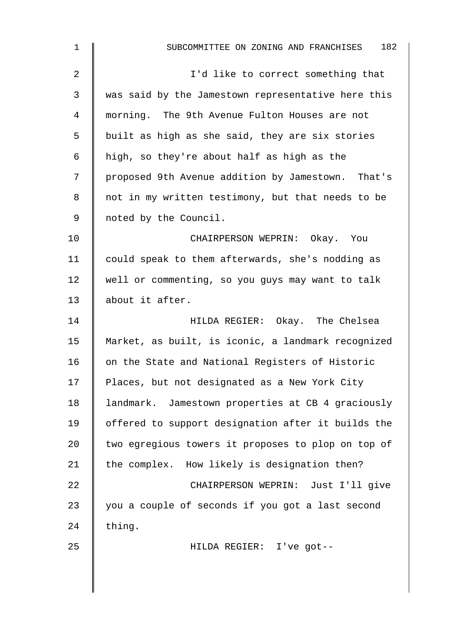| $\mathbf{1}$   | 182<br>SUBCOMMITTEE ON ZONING AND FRANCHISES       |
|----------------|----------------------------------------------------|
| $\overline{a}$ | I'd like to correct something that                 |
| 3              | was said by the Jamestown representative here this |
| 4              | morning. The 9th Avenue Fulton Houses are not      |
| 5              | built as high as she said, they are six stories    |
| 6              | high, so they're about half as high as the         |
| 7              | proposed 9th Avenue addition by Jamestown. That's  |
| 8              | not in my written testimony, but that needs to be  |
| $\mathsf 9$    | noted by the Council.                              |
| 10             | CHAIRPERSON WEPRIN: Okay. You                      |
| 11             | could speak to them afterwards, she's nodding as   |
| 12             | well or commenting, so you guys may want to talk   |
| 13             | about it after.                                    |
| 14             | HILDA REGIER: Okay. The Chelsea                    |
| 15             | Market, as built, is iconic, a landmark recognized |
| 16             | on the State and National Registers of Historic    |
| 17             | Places, but not designated as a New York City      |
| 18             | landmark. Jamestown properties at CB 4 graciously  |
| 19             | offered to support designation after it builds the |
| 20             | two egregious towers it proposes to plop on top of |
| 21             | the complex. How likely is designation then?       |
| 22             | CHAIRPERSON WEPRIN: Just I'll give                 |
| 23             | you a couple of seconds if you got a last second   |
| 24             | thing.                                             |
| 25             | HILDA REGIER: I've got--                           |
|                |                                                    |
|                |                                                    |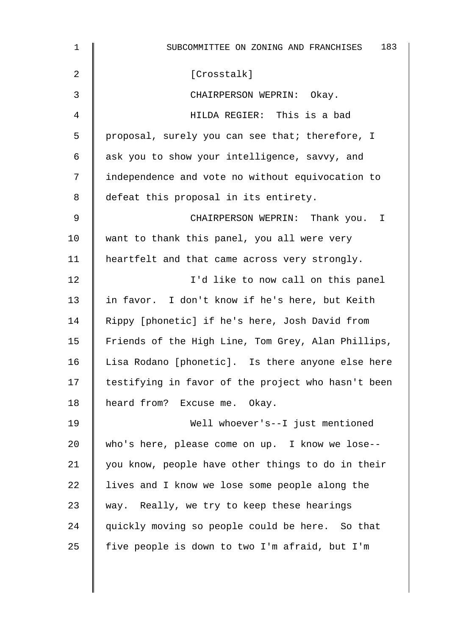| $\mathbf 1$ | 183<br>SUBCOMMITTEE ON ZONING AND FRANCHISES       |
|-------------|----------------------------------------------------|
| 2           | [Crosstalk]                                        |
| 3           | CHAIRPERSON WEPRIN: Okay.                          |
| 4           | HILDA REGIER: This is a bad                        |
| 5           | proposal, surely you can see that; therefore, I    |
| 6           | ask you to show your intelligence, savvy, and      |
| 7           | independence and vote no without equivocation to   |
| 8           | defeat this proposal in its entirety.              |
| 9           | CHAIRPERSON WEPRIN: Thank you. I                   |
| 10          | want to thank this panel, you all were very        |
| 11          | heartfelt and that came across very strongly.      |
| 12          | I'd like to now call on this panel                 |
| 13          | in favor. I don't know if he's here, but Keith     |
| 14          | Rippy [phonetic] if he's here, Josh David from     |
| 15          | Friends of the High Line, Tom Grey, Alan Phillips, |
| 16          | Lisa Rodano [phonetic]. Is there anyone else here  |
| 17          | testifying in favor of the project who hasn't been |
| 18          | heard from? Excuse me. Okay.                       |
| 19          | Well whoever's--I just mentioned                   |
| 20          | who's here, please come on up. I know we lose--    |
| 21          | you know, people have other things to do in their  |
| 22          | lives and I know we lose some people along the     |
| 23          | way. Really, we try to keep these hearings         |
| 24          | quickly moving so people could be here. So that    |
| 25          | five people is down to two I'm afraid, but I'm     |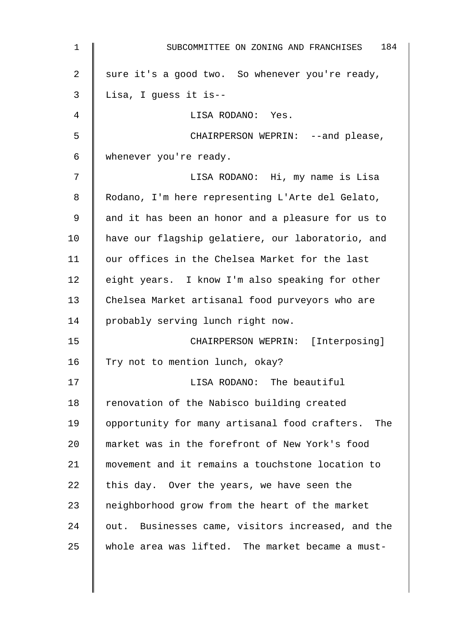| $\mathbf 1$    | 184<br>SUBCOMMITTEE ON ZONING AND FRANCHISES         |
|----------------|------------------------------------------------------|
| $\overline{2}$ | sure it's a good two. So whenever you're ready,      |
| 3              | Lisa, I guess it is--                                |
| 4              | LISA RODANO: Yes.                                    |
| 5              | CHAIRPERSON WEPRIN: --and please,                    |
| 6              | whenever you're ready.                               |
| 7              | LISA RODANO: Hi, my name is Lisa                     |
| 8              | Rodano, I'm here representing L'Arte del Gelato,     |
| 9              | and it has been an honor and a pleasure for us to    |
| 10             | have our flagship gelatiere, our laboratorio, and    |
| 11             | our offices in the Chelsea Market for the last       |
| 12             | eight years. I know I'm also speaking for other      |
| 13             | Chelsea Market artisanal food purveyors who are      |
| 14             | probably serving lunch right now.                    |
| 15             | CHAIRPERSON WEPRIN: [Interposing]                    |
| 16             | Try not to mention lunch, okay?                      |
| 17             | LISA RODANO: The beautiful                           |
| 18             | renovation of the Nabisco building created           |
| 19             | opportunity for many artisanal food crafters.<br>The |
| 20             | market was in the forefront of New York's food       |
| 21             | movement and it remains a touchstone location to     |
| 22             | this day. Over the years, we have seen the           |
| 23             | neighborhood grow from the heart of the market       |
| 24             | out. Businesses came, visitors increased, and the    |
| 25             | whole area was lifted. The market became a must-     |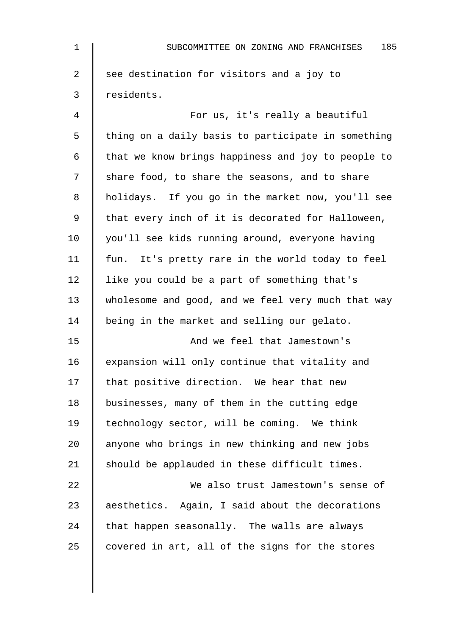| $\mathbf 1$    | 185<br>SUBCOMMITTEE ON ZONING AND FRANCHISES       |
|----------------|----------------------------------------------------|
| $\overline{2}$ | see destination for visitors and a joy to          |
| 3              | residents.                                         |
| 4              | For us, it's really a beautiful                    |
| 5              | thing on a daily basis to participate in something |
| 6              | that we know brings happiness and joy to people to |
| 7              | share food, to share the seasons, and to share     |
| 8              | holidays. If you go in the market now, you'll see  |
| 9              | that every inch of it is decorated for Halloween,  |
| 10             | you'll see kids running around, everyone having    |
| 11             | fun. It's pretty rare in the world today to feel   |
| 12             | like you could be a part of something that's       |
| 13             | wholesome and good, and we feel very much that way |
| 14             | being in the market and selling our gelato.        |
| 15             | And we feel that Jamestown's                       |
| 16             | expansion will only continue that vitality and     |
| 17             | that positive direction. We hear that new          |
| 18             | businesses, many of them in the cutting edge       |
| 19             | technology sector, will be coming. We think        |
| 20             | anyone who brings in new thinking and new jobs     |
| 21             | should be applauded in these difficult times.      |
| 22             | We also trust Jamestown's sense of                 |
| 23             | aesthetics. Again, I said about the decorations    |
| 24             | that happen seasonally. The walls are always       |
| 25             | covered in art, all of the signs for the stores    |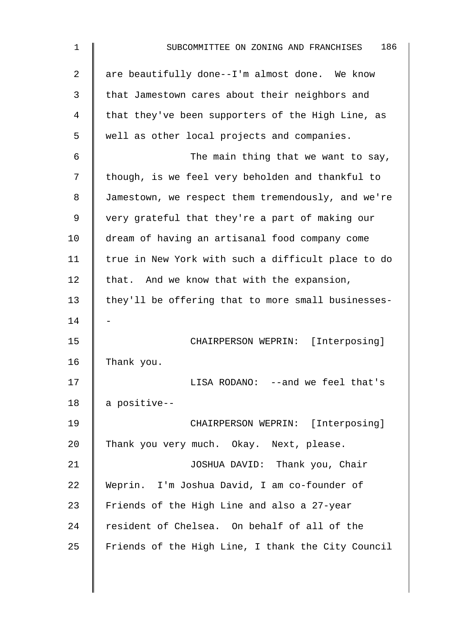| 1  | 186<br>SUBCOMMITTEE ON ZONING AND FRANCHISES       |
|----|----------------------------------------------------|
| 2  | are beautifully done--I'm almost done. We know     |
| 3  | that Jamestown cares about their neighbors and     |
| 4  | that they've been supporters of the High Line, as  |
| 5  | well as other local projects and companies.        |
| 6  | The main thing that we want to say,                |
| 7  | though, is we feel very beholden and thankful to   |
| 8  | Jamestown, we respect them tremendously, and we're |
| 9  | very grateful that they're a part of making our    |
| 10 | dream of having an artisanal food company come     |
| 11 | true in New York with such a difficult place to do |
| 12 | that. And we know that with the expansion,         |
| 13 | they'll be offering that to more small businesses- |
| 14 |                                                    |
| 15 | CHAIRPERSON WEPRIN: [Interposing]                  |
| 16 | Thank you.                                         |
| 17 | LISA RODANO: --and we feel that's                  |
| 18 | a positive--                                       |
| 19 | CHAIRPERSON WEPRIN: [Interposing]                  |
| 20 | Thank you very much. Okay. Next, please.           |
| 21 | JOSHUA DAVID: Thank you, Chair                     |
| 22 | Weprin. I'm Joshua David, I am co-founder of       |
| 23 | Friends of the High Line and also a 27-year        |
| 24 | resident of Chelsea. On behalf of all of the       |
| 25 | Friends of the High Line, I thank the City Council |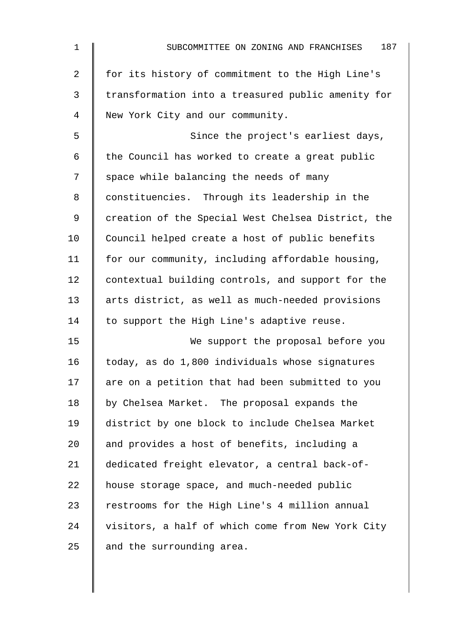| $\mathbf 1$ | 187<br>SUBCOMMITTEE ON ZONING AND FRANCHISES       |
|-------------|----------------------------------------------------|
| 2           | for its history of commitment to the High Line's   |
| 3           | transformation into a treasured public amenity for |
| 4           | New York City and our community.                   |
| 5           | Since the project's earliest days,                 |
| 6           | the Council has worked to create a great public    |
| 7           | space while balancing the needs of many            |
| 8           | constituencies. Through its leadership in the      |
| 9           | creation of the Special West Chelsea District, the |
| 10          | Council helped create a host of public benefits    |
| 11          | for our community, including affordable housing,   |
| 12          | contextual building controls, and support for the  |
| 13          | arts district, as well as much-needed provisions   |
| 14          | to support the High Line's adaptive reuse.         |
| 15          | We support the proposal before you                 |
| 16          | today, as do 1,800 individuals whose signatures    |
| 17          | are on a petition that had been submitted to you   |
| 18          | by Chelsea Market. The proposal expands the        |
| 19          | district by one block to include Chelsea Market    |
| 20          | and provides a host of benefits, including a       |
| 21          | dedicated freight elevator, a central back-of-     |
| 22          | house storage space, and much-needed public        |
| 23          | restrooms for the High Line's 4 million annual     |
| 24          | visitors, a half of which come from New York City  |
| 25          | and the surrounding area.                          |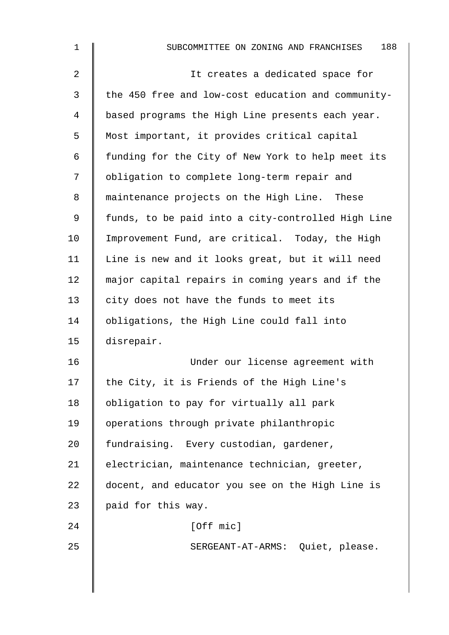| $\mathbf 1$ | 188<br>SUBCOMMITTEE ON ZONING AND FRANCHISES       |
|-------------|----------------------------------------------------|
| 2           | It creates a dedicated space for                   |
| 3           | the 450 free and low-cost education and community- |
| 4           | based programs the High Line presents each year.   |
| 5           | Most important, it provides critical capital       |
| 6           | funding for the City of New York to help meet its  |
| 7           | obligation to complete long-term repair and        |
| 8           | maintenance projects on the High Line. These       |
| 9           | funds, to be paid into a city-controlled High Line |
| 10          | Improvement Fund, are critical. Today, the High    |
| 11          | Line is new and it looks great, but it will need   |
| 12          | major capital repairs in coming years and if the   |
| 13          | city does not have the funds to meet its           |
| 14          | obligations, the High Line could fall into         |
| 15          | disrepair.                                         |
| 16          | Under our license agreement with                   |
| 17          | the City, it is Friends of the High Line's         |
| 18          | obligation to pay for virtually all park           |
| 19          | operations through private philanthropic           |
| 20          | fundraising. Every custodian, gardener,            |
| 21          | electrician, maintenance technician, greeter,      |
| 22          | docent, and educator you see on the High Line is   |
| 23          | paid for this way.                                 |
| 24          | [Off mic]                                          |
| 25          | SERGEANT-AT-ARMS: Quiet, please.                   |
|             |                                                    |
|             |                                                    |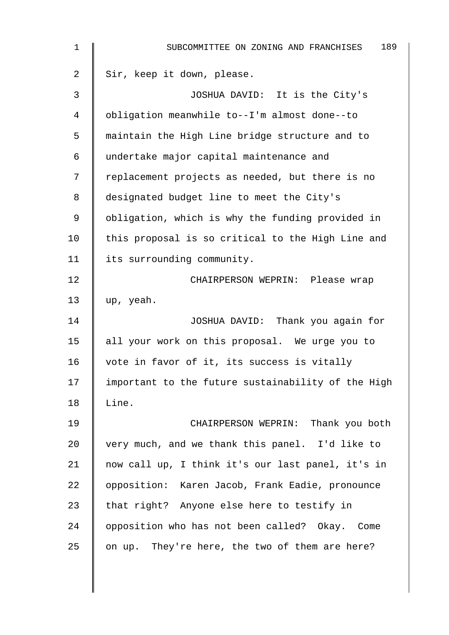| 1  | 189<br>SUBCOMMITTEE ON ZONING AND FRANCHISES       |
|----|----------------------------------------------------|
| 2  | Sir, keep it down, please.                         |
| 3  | JOSHUA DAVID: It is the City's                     |
| 4  | obligation meanwhile to--I'm almost done--to       |
| 5  | maintain the High Line bridge structure and to     |
| 6  | undertake major capital maintenance and            |
| 7  | replacement projects as needed, but there is no    |
| 8  | designated budget line to meet the City's          |
| 9  | obligation, which is why the funding provided in   |
| 10 | this proposal is so critical to the High Line and  |
| 11 | its surrounding community.                         |
| 12 | CHAIRPERSON WEPRIN: Please wrap                    |
| 13 | up, yeah.                                          |
| 14 | JOSHUA DAVID: Thank you again for                  |
| 15 | all your work on this proposal. We urge you to     |
| 16 | vote in favor of it, its success is vitally        |
| 17 | important to the future sustainability of the High |
| 18 | Line.                                              |
| 19 | CHAIRPERSON WEPRIN: Thank you both                 |
| 20 | very much, and we thank this panel. I'd like to    |
| 21 | now call up, I think it's our last panel, it's in  |
| 22 | opposition: Karen Jacob, Frank Eadie, pronounce    |
| 23 | that right? Anyone else here to testify in         |
| 24 | opposition who has not been called? Okay. Come     |
| 25 | on up. They're here, the two of them are here?     |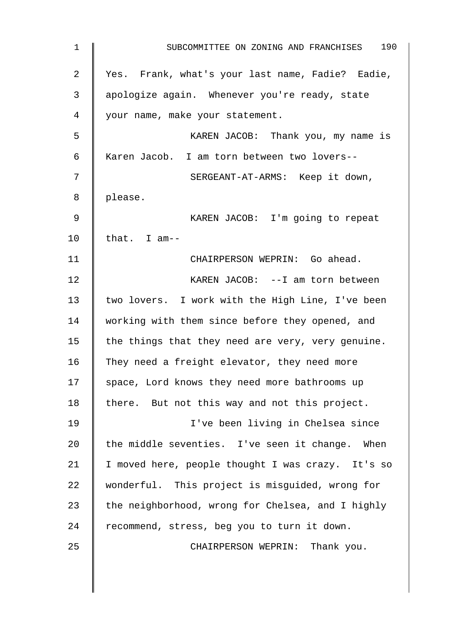| $\mathbf 1$    | 190<br>SUBCOMMITTEE ON ZONING AND FRANCHISES      |
|----------------|---------------------------------------------------|
| $\overline{a}$ | Yes. Frank, what's your last name, Fadie? Eadie,  |
| 3              | apologize again. Whenever you're ready, state     |
| 4              | your name, make your statement.                   |
| 5              | KAREN JACOB: Thank you, my name is                |
| 6              | Karen Jacob. I am torn between two lovers--       |
| 7              | SERGEANT-AT-ARMS: Keep it down,                   |
| 8              | please.                                           |
| 9              | KAREN JACOB: I'm going to repeat                  |
| 10             | that. I am--                                      |
| 11             | CHAIRPERSON WEPRIN: Go ahead.                     |
| 12             | KAREN JACOB: --I am torn between                  |
| 13             | two lovers. I work with the High Line, I've been  |
| 14             | working with them since before they opened, and   |
| 15             | the things that they need are very, very genuine. |
| 16             | They need a freight elevator, they need more      |
| 17             | space, Lord knows they need more bathrooms up     |
| 18             | there. But not this way and not this project.     |
| 19             | I've been living in Chelsea since                 |
| 20             | the middle seventies. I've seen it change. When   |
| 21             | I moved here, people thought I was crazy. It's so |
| 22             | wonderful. This project is misguided, wrong for   |
| 23             | the neighborhood, wrong for Chelsea, and I highly |
| 24             | recommend, stress, beg you to turn it down.       |
| 25             | CHAIRPERSON WEPRIN: Thank you.                    |
|                |                                                   |
|                |                                                   |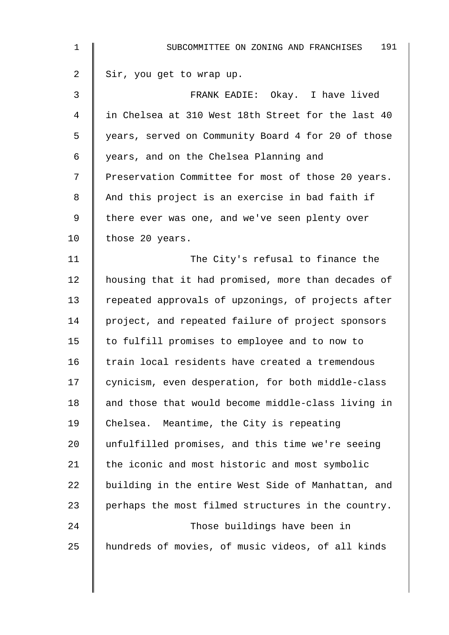| $\mathbf 1$    | 191<br>SUBCOMMITTEE ON ZONING AND FRANCHISES       |
|----------------|----------------------------------------------------|
| $\overline{2}$ | Sir, you get to wrap up.                           |
| 3              | FRANK EADIE: Okay. I have lived                    |
| 4              | in Chelsea at 310 West 18th Street for the last 40 |
| 5              | years, served on Community Board 4 for 20 of those |
| 6              | years, and on the Chelsea Planning and             |
| 7              | Preservation Committee for most of those 20 years. |
| 8              | And this project is an exercise in bad faith if    |
| 9              | there ever was one, and we've seen plenty over     |
| 10             | those 20 years.                                    |
| 11             | The City's refusal to finance the                  |
| 12             | housing that it had promised, more than decades of |
| 13             | repeated approvals of upzonings, of projects after |
| 14             | project, and repeated failure of project sponsors  |
| 15             | to fulfill promises to employee and to now to      |
| 16             | train local residents have created a tremendous    |
| 17             | cynicism, even desperation, for both middle-class  |
| 18             | and those that would become middle-class living in |
| 19             | Chelsea. Meantime, the City is repeating           |
| 20             | unfulfilled promises, and this time we're seeing   |
| 21             | the iconic and most historic and most symbolic     |
| 22             | building in the entire West Side of Manhattan, and |
| 23             | perhaps the most filmed structures in the country. |
| 24             | Those buildings have been in                       |
| 25             | hundreds of movies, of music videos, of all kinds  |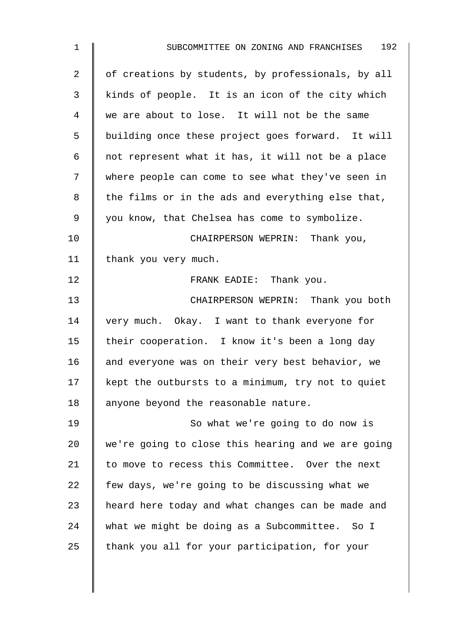| $\mathbf{1}$   | 192<br>SUBCOMMITTEE ON ZONING AND FRANCHISES       |
|----------------|----------------------------------------------------|
| $\overline{2}$ | of creations by students, by professionals, by all |
| 3              | kinds of people. It is an icon of the city which   |
| 4              | we are about to lose. It will not be the same      |
| 5              | building once these project goes forward. It will  |
| 6              | not represent what it has, it will not be a place  |
| 7              | where people can come to see what they've seen in  |
| 8              | the films or in the ads and everything else that,  |
| 9              | you know, that Chelsea has come to symbolize.      |
| 10             | CHAIRPERSON WEPRIN: Thank you,                     |
| 11             | thank you very much.                               |
| 12             | FRANK EADIE: Thank you.                            |
| 13             | CHAIRPERSON WEPRIN: Thank you both                 |
| 14             | very much. Okay. I want to thank everyone for      |
| 15             | their cooperation. I know it's been a long day     |
| 16             | and everyone was on their very best behavior, we   |
| 17             | kept the outbursts to a minimum, try not to quiet  |
| 18             | anyone beyond the reasonable nature.               |
| 19             | So what we're going to do now is                   |
| 20             | we're going to close this hearing and we are going |
| 21             | to move to recess this Committee. Over the next    |
| 22             | few days, we're going to be discussing what we     |
| 23             | heard here today and what changes can be made and  |
| 24             | what we might be doing as a Subcommittee. So I     |
| 25             | thank you all for your participation, for your     |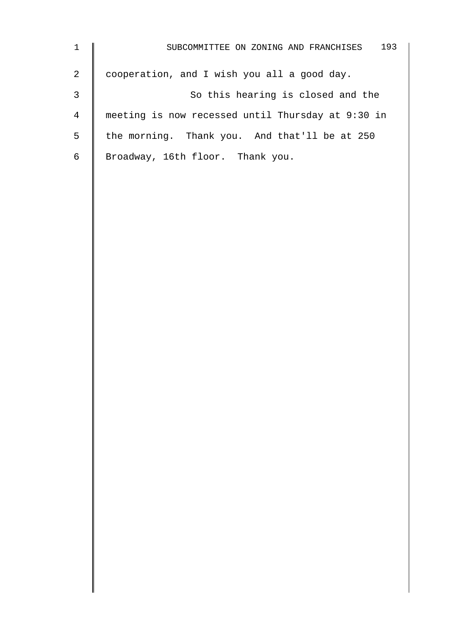|                | 193<br>SUBCOMMITTEE ON ZONING AND FRANCHISES      |
|----------------|---------------------------------------------------|
| $\overline{2}$ | cooperation, and I wish you all a good day.       |
| 3              | So this hearing is closed and the                 |
| $\overline{4}$ | meeting is now recessed until Thursday at 9:30 in |
| 5              | the morning. Thank you. And that'll be at 250     |
| 6              | Broadway, 16th floor. Thank you.                  |